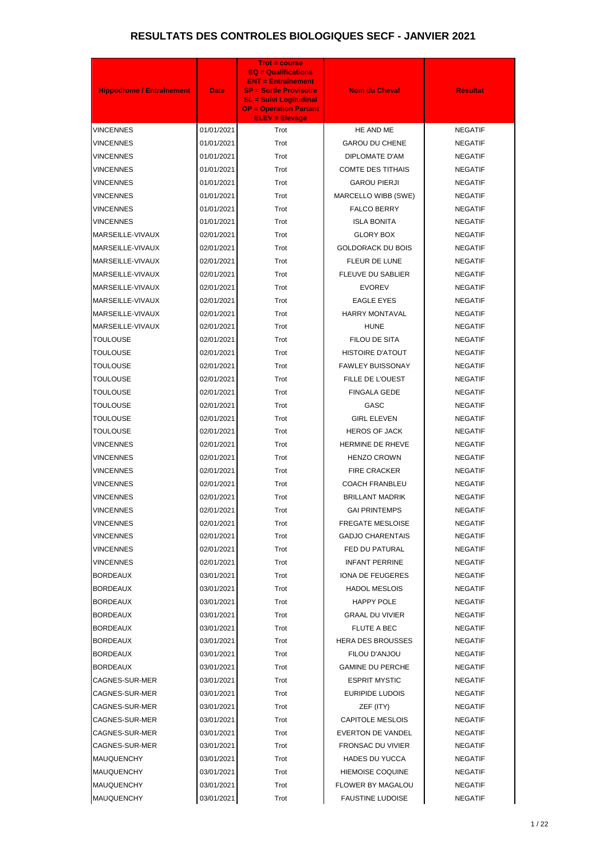| <b>Hippodrome / Entraînement</b> | <b>Date</b>              | <b>Trot = course</b><br><b>EQ = Qualifications</b><br><b>ENT = Entraînement</b><br><b>SP = Sortie Provisoire</b><br><b>SL = Suivi Logitudinal</b><br><b>OP = Opération Partant</b><br><b>ELEV = Elevage</b> | <b>Nom du Cheval</b>                                | <b>Résultat</b>                  |
|----------------------------------|--------------------------|-------------------------------------------------------------------------------------------------------------------------------------------------------------------------------------------------------------|-----------------------------------------------------|----------------------------------|
| <b>VINCENNES</b>                 | 01/01/2021               | Trot                                                                                                                                                                                                        | HE AND ME                                           | <b>NEGATIF</b>                   |
| VINCENNES                        | 01/01/2021               | Trot                                                                                                                                                                                                        | <b>GAROU DU CHENE</b>                               | <b>NEGATIF</b>                   |
| <b>VINCENNES</b>                 | 01/01/2021               | Trot                                                                                                                                                                                                        | <b>DIPLOMATE D'AM</b>                               | <b>NEGATIF</b>                   |
| VINCENNES                        | 01/01/2021               | Trot                                                                                                                                                                                                        | <b>COMTE DES TITHAIS</b>                            | <b>NEGATIF</b>                   |
| VINCENNES                        | 01/01/2021               | Trot                                                                                                                                                                                                        | <b>GAROU PIERJI</b>                                 | <b>NEGATIF</b>                   |
| VINCENNES                        | 01/01/2021               | Trot                                                                                                                                                                                                        | MARCELLO WIBB (SWE)                                 | <b>NEGATIF</b>                   |
| VINCENNES                        | 01/01/2021               | Trot                                                                                                                                                                                                        | <b>FALCO BERRY</b>                                  | <b>NEGATIF</b>                   |
| VINCENNES                        | 01/01/2021               | Trot                                                                                                                                                                                                        | <b>ISLA BONITA</b>                                  | <b>NEGATIF</b>                   |
| MARSEILLE-VIVAUX                 | 02/01/2021               | Trot                                                                                                                                                                                                        | <b>GLORY BOX</b>                                    | <b>NEGATIF</b>                   |
| MARSEILLE-VIVAUX                 | 02/01/2021               | Trot                                                                                                                                                                                                        | <b>GOLDORACK DU BOIS</b>                            | <b>NEGATIF</b>                   |
| MARSEILLE-VIVAUX                 | 02/01/2021               | Trot                                                                                                                                                                                                        | FLEUR DE LUNE                                       | <b>NEGATIF</b>                   |
| MARSEILLE-VIVAUX                 | 02/01/2021               | Trot                                                                                                                                                                                                        | <b>FLEUVE DU SABLIER</b>                            | <b>NEGATIF</b>                   |
| MARSEILLE-VIVAUX                 | 02/01/2021               | Trot                                                                                                                                                                                                        | <b>EVOREV</b>                                       | <b>NEGATIF</b>                   |
| MARSEILLE-VIVAUX                 | 02/01/2021               | Trot                                                                                                                                                                                                        | <b>EAGLE EYES</b>                                   | <b>NEGATIF</b>                   |
| MARSEILLE-VIVAUX                 | 02/01/2021               | Trot                                                                                                                                                                                                        | <b>HARRY MONTAVAL</b>                               | <b>NEGATIF</b>                   |
| MARSEILLE-VIVAUX                 | 02/01/2021               | Trot                                                                                                                                                                                                        | <b>HUNE</b>                                         | <b>NEGATIF</b>                   |
| TOULOUSE                         | 02/01/2021               | Trot                                                                                                                                                                                                        | FILOU DE SITA                                       | <b>NEGATIF</b>                   |
| TOULOUSE                         | 02/01/2021               | Trot                                                                                                                                                                                                        | HISTOIRE D'ATOUT                                    | <b>NEGATIF</b>                   |
| TOULOUSE                         | 02/01/2021               | Trot                                                                                                                                                                                                        | <b>FAWLEY BUISSONAY</b>                             | <b>NEGATIF</b>                   |
| TOULOUSE                         | 02/01/2021               | Trot                                                                                                                                                                                                        | FILLE DE L'OUEST                                    | <b>NEGATIF</b>                   |
| TOULOUSE                         | 02/01/2021               | Trot                                                                                                                                                                                                        | <b>FINGALA GEDE</b>                                 | <b>NEGATIF</b>                   |
| TOULOUSE                         | 02/01/2021               | Trot                                                                                                                                                                                                        | GASC                                                | <b>NEGATIF</b>                   |
| <b>TOULOUSE</b>                  | 02/01/2021               | Trot                                                                                                                                                                                                        | <b>GIRL ELEVEN</b>                                  | <b>NEGATIF</b>                   |
| <b>TOULOUSE</b>                  | 02/01/2021               | Trot                                                                                                                                                                                                        | <b>HEROS OF JACK</b>                                | <b>NEGATIF</b>                   |
| <b>VINCENNES</b>                 | 02/01/2021               | Trot                                                                                                                                                                                                        | HERMINE DE RHEVE                                    | <b>NEGATIF</b>                   |
| <b>VINCENNES</b>                 | 02/01/2021               | Trot                                                                                                                                                                                                        | <b>HENZO CROWN</b>                                  | <b>NEGATIF</b>                   |
| VINCENNES                        | 02/01/2021               | Trot                                                                                                                                                                                                        | <b>FIRE CRACKER</b>                                 | <b>NEGATIF</b>                   |
| VINCENNES                        | 02/01/2021               | Trot                                                                                                                                                                                                        | <b>COACH FRANBLEU</b>                               | <b>NEGATIF</b>                   |
| VINCENNES                        | 02/01/2021               | Trot                                                                                                                                                                                                        | <b>BRILLANT MADRIK</b>                              | <b>NEGATIF</b>                   |
| VINCENNES                        | 02/01/2021               | Trot                                                                                                                                                                                                        | <b>GAI PRINTEMPS</b>                                | <b>NEGATIF</b>                   |
| VINCENNES                        | 02/01/2021               | Trot                                                                                                                                                                                                        | <b>FREGATE MESLOISE</b>                             | <b>NEGATIF</b>                   |
| VINCENNES                        | 02/01/2021               | Trot                                                                                                                                                                                                        | <b>GADJO CHARENTAIS</b>                             | <b>NEGATIF</b>                   |
| VINCENNES                        | 02/01/2021               | Trot                                                                                                                                                                                                        | FED DU PATURAL                                      | <b>NEGATIF</b>                   |
| VINCENNES                        | 02/01/2021               | Trot                                                                                                                                                                                                        | <b>INFANT PERRINE</b>                               | <b>NEGATIF</b>                   |
| <b>BORDEAUX</b>                  | 03/01/2021               | Trot                                                                                                                                                                                                        | IONA DE FEUGERES                                    | <b>NEGATIF</b>                   |
| <b>BORDEAUX</b>                  | 03/01/2021               | Trot                                                                                                                                                                                                        | <b>HADOL MESLOIS</b>                                | <b>NEGATIF</b>                   |
| <b>BORDEAUX</b>                  | 03/01/2021               | Trot                                                                                                                                                                                                        | <b>HAPPY POLE</b>                                   | <b>NEGATIF</b>                   |
| <b>BORDEAUX</b>                  | 03/01/2021               | Trot                                                                                                                                                                                                        | <b>GRAAL DU VIVIER</b>                              | <b>NEGATIF</b>                   |
| <b>BORDEAUX</b>                  | 03/01/2021               | Trot                                                                                                                                                                                                        | <b>FLUTE A BEC</b>                                  | <b>NEGATIF</b>                   |
| BORDEAUX                         | 03/01/2021               | Trot                                                                                                                                                                                                        | <b>HERA DES BROUSSES</b>                            | <b>NEGATIF</b>                   |
| BORDEAUX                         | 03/01/2021               | Trot                                                                                                                                                                                                        | FILOU D'ANJOU                                       | <b>NEGATIF</b>                   |
| BORDEAUX                         | 03/01/2021               | Trot                                                                                                                                                                                                        | <b>GAMINE DU PERCHE</b>                             | <b>NEGATIF</b>                   |
| CAGNES-SUR-MER                   | 03/01/2021               | Trot                                                                                                                                                                                                        | <b>ESPRIT MYSTIC</b>                                | <b>NEGATIF</b>                   |
| CAGNES-SUR-MER                   | 03/01/2021               | Trot                                                                                                                                                                                                        | EURIPIDE LUDOIS                                     | <b>NEGATIF</b>                   |
| CAGNES-SUR-MER                   | 03/01/2021               | Trot                                                                                                                                                                                                        | ZEF (ITY)                                           | <b>NEGATIF</b>                   |
| CAGNES-SUR-MER                   | 03/01/2021               | Trot                                                                                                                                                                                                        | <b>CAPITOLE MESLOIS</b>                             | <b>NEGATIF</b>                   |
| CAGNES-SUR-MER                   | 03/01/2021               | Trot                                                                                                                                                                                                        | <b>EVERTON DE VANDEL</b>                            | <b>NEGATIF</b>                   |
| CAGNES-SUR-MER                   | 03/01/2021               | Trot                                                                                                                                                                                                        | FRONSAC DU VIVIER                                   | <b>NEGATIF</b>                   |
| MAUQUENCHY                       | 03/01/2021               | Trot                                                                                                                                                                                                        | <b>HADES DU YUCCA</b>                               | <b>NEGATIF</b>                   |
| MAUQUENCHY<br>MAUQUENCHY         | 03/01/2021<br>03/01/2021 | Trot<br>Trot                                                                                                                                                                                                | <b>HIEMOISE COQUINE</b><br><b>FLOWER BY MAGALOU</b> | <b>NEGATIF</b><br><b>NEGATIF</b> |
| <b>MAUQUENCHY</b>                | 03/01/2021               | Trot                                                                                                                                                                                                        | <b>FAUSTINE LUDOISE</b>                             | <b>NEGATIF</b>                   |
|                                  |                          |                                                                                                                                                                                                             |                                                     |                                  |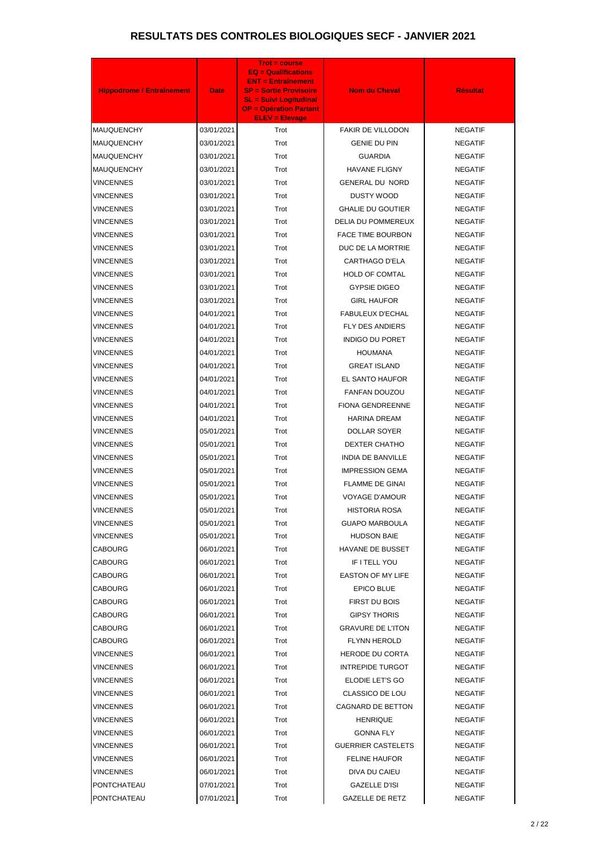| <b>Hippodrome / Entraînement</b> | <b>Date</b> | <b>Trot = course</b><br><b>EQ = Qualifications</b><br><b>ENT = Entraînement</b><br><b>SP = Sortie Provisoire</b><br><b>SL = Suivi Logitudinal</b><br><b>OP = Opération Partant</b><br><b>ELEV = Elevage</b> | <b>Nom du Cheval</b>      | <b>Résultat</b> |
|----------------------------------|-------------|-------------------------------------------------------------------------------------------------------------------------------------------------------------------------------------------------------------|---------------------------|-----------------|
| <b>MAUQUENCHY</b>                | 03/01/2021  | Trot                                                                                                                                                                                                        | FAKIR DE VILLODON         | <b>NEGATIF</b>  |
| <b>MAUQUENCHY</b>                | 03/01/2021  | Trot                                                                                                                                                                                                        | <b>GENIE DU PIN</b>       | <b>NEGATIF</b>  |
| <b>MAUQUENCHY</b>                | 03/01/2021  | Trot                                                                                                                                                                                                        | <b>GUARDIA</b>            | <b>NEGATIF</b>  |
| <b>MAUQUENCHY</b>                | 03/01/2021  | Trot                                                                                                                                                                                                        | <b>HAVANE FLIGNY</b>      | <b>NEGATIF</b>  |
| <b>VINCENNES</b>                 | 03/01/2021  | Trot                                                                                                                                                                                                        | <b>GENERAL DU NORD</b>    | <b>NEGATIF</b>  |
| VINCENNES                        | 03/01/2021  | Trot                                                                                                                                                                                                        | <b>DUSTY WOOD</b>         | <b>NEGATIF</b>  |
| VINCENNES                        | 03/01/2021  | Trot                                                                                                                                                                                                        | <b>GHALIE DU GOUTIER</b>  | <b>NEGATIF</b>  |
| VINCENNES                        | 03/01/2021  | Trot                                                                                                                                                                                                        | DELIA DU POMMEREUX        | <b>NEGATIF</b>  |
| <b>VINCENNES</b>                 | 03/01/2021  | Trot                                                                                                                                                                                                        | <b>FACE TIME BOURBON</b>  | <b>NEGATIF</b>  |
| <b>VINCENNES</b>                 | 03/01/2021  | Trot                                                                                                                                                                                                        | DUC DE LA MORTRIE         | <b>NEGATIF</b>  |
| VINCENNES                        | 03/01/2021  | Trot                                                                                                                                                                                                        | <b>CARTHAGO D'ELA</b>     | <b>NEGATIF</b>  |
| VINCENNES                        | 03/01/2021  | Trot                                                                                                                                                                                                        | <b>HOLD OF COMTAL</b>     | <b>NEGATIF</b>  |
| VINCENNES                        | 03/01/2021  | Trot                                                                                                                                                                                                        | <b>GYPSIE DIGEO</b>       | <b>NEGATIF</b>  |
| VINCENNES                        | 03/01/2021  | Trot                                                                                                                                                                                                        | <b>GIRL HAUFOR</b>        | <b>NEGATIF</b>  |
| VINCENNES                        | 04/01/2021  | Trot                                                                                                                                                                                                        | <b>FABULEUX D'ECHAL</b>   | <b>NEGATIF</b>  |
| VINCENNES                        | 04/01/2021  | Trot                                                                                                                                                                                                        | <b>FLY DES ANDIERS</b>    | <b>NEGATIF</b>  |
| VINCENNES                        | 04/01/2021  | Trot                                                                                                                                                                                                        | <b>INDIGO DU PORET</b>    | <b>NEGATIF</b>  |
| VINCENNES                        | 04/01/2021  | Trot                                                                                                                                                                                                        | <b>HOUMANA</b>            | <b>NEGATIF</b>  |
| VINCENNES                        | 04/01/2021  | Trot                                                                                                                                                                                                        | <b>GREAT ISLAND</b>       | <b>NEGATIF</b>  |
| VINCENNES                        | 04/01/2021  | Trot                                                                                                                                                                                                        | EL SANTO HAUFOR           | <b>NEGATIF</b>  |
| VINCENNES                        | 04/01/2021  | Trot                                                                                                                                                                                                        | <b>FANFAN DOUZOU</b>      | <b>NEGATIF</b>  |
| <b>VINCENNES</b>                 | 04/01/2021  | Trot                                                                                                                                                                                                        | <b>FIONA GENDREENNE</b>   | <b>NEGATIF</b>  |
| VINCENNES                        | 04/01/2021  | Trot                                                                                                                                                                                                        | <b>HARINA DREAM</b>       | <b>NEGATIF</b>  |
| VINCENNES                        | 05/01/2021  | Trot                                                                                                                                                                                                        | <b>DOLLAR SOYER</b>       | <b>NEGATIF</b>  |
| <b>VINCENNES</b>                 | 05/01/2021  | Trot                                                                                                                                                                                                        | <b>DEXTER CHATHO</b>      | <b>NEGATIF</b>  |
| <b>VINCENNES</b>                 | 05/01/2021  | Trot                                                                                                                                                                                                        | <b>INDIA DE BANVILLE</b>  | <b>NEGATIF</b>  |
| VINCENNES                        | 05/01/2021  | Trot                                                                                                                                                                                                        | <b>IMPRESSION GEMA</b>    | <b>NEGATIF</b>  |
| VINCENNES                        | 05/01/2021  | Trot                                                                                                                                                                                                        | FLAMME DE GINAI           | <b>NEGATIF</b>  |
| VINCENNES                        | 05/01/2021  | Trot                                                                                                                                                                                                        | <b>VOYAGE D'AMOUR</b>     | <b>NEGATIF</b>  |
| VINCENNES                        | 05/01/2021  | Trot                                                                                                                                                                                                        | <b>HISTORIA ROSA</b>      | <b>NEGATIF</b>  |
| VINCENNES                        | 05/01/2021  | Trot                                                                                                                                                                                                        | <b>GUAPO MARBOULA</b>     | <b>NEGATIF</b>  |
| VINCENNES                        | 05/01/2021  | Trot                                                                                                                                                                                                        | <b>HUDSON BAIE</b>        | <b>NEGATIF</b>  |
| CABOURG                          | 06/01/2021  | Trot                                                                                                                                                                                                        | HAVANE DE BUSSET          | <b>NEGATIF</b>  |
| <b>CABOURG</b>                   | 06/01/2021  | Trot                                                                                                                                                                                                        | IF I TELL YOU             | <b>NEGATIF</b>  |
| <b>CABOURG</b>                   | 06/01/2021  | Trot                                                                                                                                                                                                        | <b>EASTON OF MY LIFE</b>  | <b>NEGATIF</b>  |
| CABOURG                          | 06/01/2021  | Trot                                                                                                                                                                                                        | EPICO BLUE                | <b>NEGATIF</b>  |
| <b>CABOURG</b>                   | 06/01/2021  | Trot                                                                                                                                                                                                        | FIRST DU BOIS             | <b>NEGATIF</b>  |
| <b>CABOURG</b>                   | 06/01/2021  | Trot                                                                                                                                                                                                        | <b>GIPSY THORIS</b>       | <b>NEGATIF</b>  |
| <b>CABOURG</b>                   | 06/01/2021  | Trot                                                                                                                                                                                                        | <b>GRAVURE DE L'ITON</b>  | <b>NEGATIF</b>  |
| CABOURG                          | 06/01/2021  | Trot                                                                                                                                                                                                        | <b>FLYNN HEROLD</b>       | <b>NEGATIF</b>  |
| VINCENNES                        | 06/01/2021  | Trot                                                                                                                                                                                                        | <b>HERODE DU CORTA</b>    | <b>NEGATIF</b>  |
| <b>VINCENNES</b>                 | 06/01/2021  | Trot                                                                                                                                                                                                        | <b>INTREPIDE TURGOT</b>   | <b>NEGATIF</b>  |
| VINCENNES                        | 06/01/2021  | Trot                                                                                                                                                                                                        | ELODIE LET'S GO           | <b>NEGATIF</b>  |
| <b>VINCENNES</b>                 | 06/01/2021  | Trot                                                                                                                                                                                                        | CLASSICO DE LOU           | <b>NEGATIF</b>  |
| VINCENNES                        | 06/01/2021  | Trot                                                                                                                                                                                                        | CAGNARD DE BETTON         | <b>NEGATIF</b>  |
| VINCENNES                        | 06/01/2021  | Trot                                                                                                                                                                                                        | <b>HENRIQUE</b>           | <b>NEGATIF</b>  |
| VINCENNES                        | 06/01/2021  | Trot                                                                                                                                                                                                        | <b>GONNA FLY</b>          | <b>NEGATIF</b>  |
| <b>VINCENNES</b>                 | 06/01/2021  | Trot                                                                                                                                                                                                        | <b>GUERRIER CASTELETS</b> | <b>NEGATIF</b>  |
| VINCENNES                        | 06/01/2021  | Trot                                                                                                                                                                                                        | <b>FELINE HAUFOR</b>      | <b>NEGATIF</b>  |
| <b>VINCENNES</b>                 | 06/01/2021  | Trot                                                                                                                                                                                                        | DIVA DU CAIEU             | <b>NEGATIF</b>  |
| PONTCHATEAU                      | 07/01/2021  | Trot                                                                                                                                                                                                        | GAZELLE D'ISI             | <b>NEGATIF</b>  |
| PONTCHATEAU                      | 07/01/2021  | Trot                                                                                                                                                                                                        | <b>GAZELLE DE RETZ</b>    | <b>NEGATIF</b>  |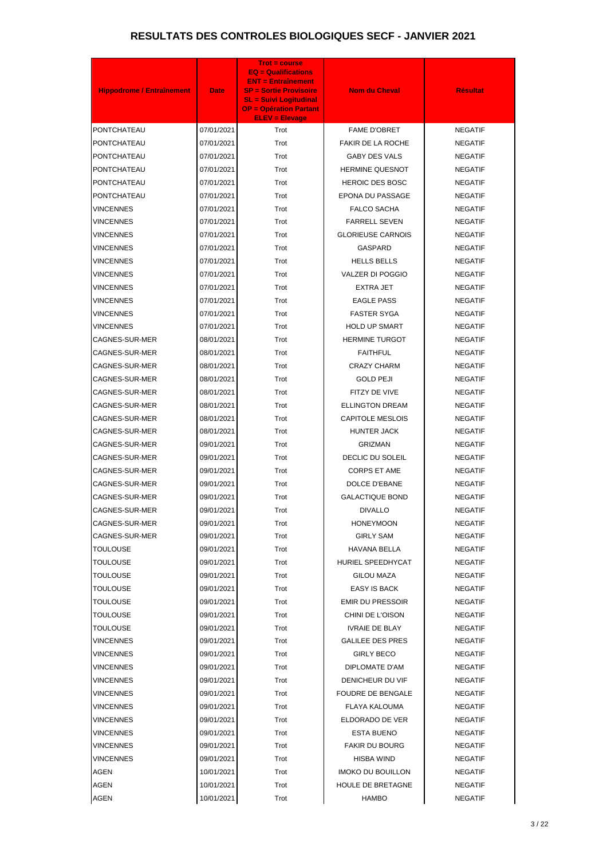| <b>Hippodrome / Entraînement</b> | <b>Date</b> | <b>Trot = course</b><br><b>EQ = Qualifications</b><br><b>ENT = Entraînement</b><br><b>SP = Sortie Provisoire</b><br><b>SL = Suivi Logitudinal</b><br><b>OP = Opération Partant</b><br><b>ELEV = Elevage</b> | <b>Nom du Cheval</b>     | <b>Résultat</b> |
|----------------------------------|-------------|-------------------------------------------------------------------------------------------------------------------------------------------------------------------------------------------------------------|--------------------------|-----------------|
| PONTCHATEAU                      | 07/01/2021  | Trot                                                                                                                                                                                                        | <b>FAME D'OBRET</b>      | <b>NEGATIF</b>  |
| PONTCHATEAU                      | 07/01/2021  | Trot                                                                                                                                                                                                        | <b>FAKIR DE LA ROCHE</b> | <b>NEGATIF</b>  |
| PONTCHATEAU                      | 07/01/2021  | Trot                                                                                                                                                                                                        | GABY DES VALS            | <b>NEGATIF</b>  |
| PONTCHATEAU                      | 07/01/2021  | Trot                                                                                                                                                                                                        | <b>HERMINE QUESNOT</b>   | <b>NEGATIF</b>  |
| PONTCHATEAU                      | 07/01/2021  | Trot                                                                                                                                                                                                        | <b>HEROIC DES BOSC</b>   | <b>NEGATIF</b>  |
| PONTCHATEAU                      | 07/01/2021  | Trot                                                                                                                                                                                                        | EPONA DU PASSAGE         | <b>NEGATIF</b>  |
| VINCENNES                        | 07/01/2021  | Trot                                                                                                                                                                                                        | <b>FALCO SACHA</b>       | <b>NEGATIF</b>  |
| VINCENNES                        | 07/01/2021  | Trot                                                                                                                                                                                                        | <b>FARRELL SEVEN</b>     | <b>NEGATIF</b>  |
| VINCENNES                        | 07/01/2021  | Trot                                                                                                                                                                                                        | <b>GLORIEUSE CARNOIS</b> | <b>NEGATIF</b>  |
| VINCENNES                        | 07/01/2021  | Trot                                                                                                                                                                                                        | GASPARD                  | <b>NEGATIF</b>  |
| VINCENNES                        | 07/01/2021  | Trot                                                                                                                                                                                                        | <b>HELLS BELLS</b>       | <b>NEGATIF</b>  |
| VINCENNES                        | 07/01/2021  | Trot                                                                                                                                                                                                        | <b>VALZER DI POGGIO</b>  | <b>NEGATIF</b>  |
| VINCENNES                        | 07/01/2021  | Trot                                                                                                                                                                                                        | <b>EXTRA JET</b>         | <b>NEGATIF</b>  |
| VINCENNES                        | 07/01/2021  | Trot                                                                                                                                                                                                        | <b>EAGLE PASS</b>        | <b>NEGATIF</b>  |
| VINCENNES                        | 07/01/2021  | Trot                                                                                                                                                                                                        | <b>FASTER SYGA</b>       | <b>NEGATIF</b>  |
| VINCENNES                        | 07/01/2021  | Trot                                                                                                                                                                                                        | <b>HOLD UP SMART</b>     | <b>NEGATIF</b>  |
| CAGNES-SUR-MER                   | 08/01/2021  | Trot                                                                                                                                                                                                        | <b>HERMINE TURGOT</b>    | <b>NEGATIF</b>  |
| CAGNES-SUR-MER                   | 08/01/2021  | Trot                                                                                                                                                                                                        | <b>FAITHFUL</b>          | <b>NEGATIF</b>  |
| CAGNES-SUR-MER                   | 08/01/2021  | Trot                                                                                                                                                                                                        | <b>CRAZY CHARM</b>       | <b>NEGATIF</b>  |
| CAGNES-SUR-MER                   | 08/01/2021  | Trot                                                                                                                                                                                                        | <b>GOLD PEJI</b>         | <b>NEGATIF</b>  |
| CAGNES-SUR-MER                   | 08/01/2021  | Trot                                                                                                                                                                                                        | FITZY DE VIVE            | <b>NEGATIF</b>  |
| <b>CAGNES-SUR-MER</b>            | 08/01/2021  | Trot                                                                                                                                                                                                        | <b>ELLINGTON DREAM</b>   | <b>NEGATIF</b>  |
| CAGNES-SUR-MER                   | 08/01/2021  | Trot                                                                                                                                                                                                        | <b>CAPITOLE MESLOIS</b>  | <b>NEGATIF</b>  |
| CAGNES-SUR-MER                   | 08/01/2021  | Trot                                                                                                                                                                                                        | <b>HUNTER JACK</b>       | <b>NEGATIF</b>  |
| CAGNES-SUR-MER                   | 09/01/2021  | Trot                                                                                                                                                                                                        | <b>GRIZMAN</b>           | <b>NEGATIF</b>  |
| CAGNES-SUR-MER                   | 09/01/2021  | Trot                                                                                                                                                                                                        | DECLIC DU SOLEIL         | <b>NEGATIF</b>  |
| CAGNES-SUR-MER                   | 09/01/2021  | Trot                                                                                                                                                                                                        | <b>CORPS ET AME</b>      | <b>NEGATIF</b>  |
| CAGNES-SUR-MER                   | 09/01/2021  | Trot                                                                                                                                                                                                        | DOLCE D'EBANE            | <b>NEGATIF</b>  |
| CAGNES-SUR-MER                   | 09/01/2021  | Trot                                                                                                                                                                                                        | <b>GALACTIQUE BOND</b>   | <b>NEGATIF</b>  |
| CAGNES-SUR-MER                   | 09/01/2021  | Trot                                                                                                                                                                                                        | <b>DIVALLO</b>           | <b>NEGATIF</b>  |
| CAGNES-SUR-MER                   | 09/01/2021  | Trot                                                                                                                                                                                                        | <b>HONEYMOON</b>         | <b>NEGATIF</b>  |
| CAGNES-SUR-MER                   | 09/01/2021  | Trot                                                                                                                                                                                                        | <b>GIRLY SAM</b>         | <b>NEGATIF</b>  |
| TOULOUSE                         | 09/01/2021  | Trot                                                                                                                                                                                                        | <b>HAVANA BELLA</b>      | <b>NEGATIF</b>  |
| TOULOUSE                         | 09/01/2021  | Trot                                                                                                                                                                                                        | HURIEL SPEEDHYCAT        | <b>NEGATIF</b>  |
| TOULOUSE                         | 09/01/2021  | Trot                                                                                                                                                                                                        | <b>GILOU MAZA</b>        | <b>NEGATIF</b>  |
| TOULOUSE                         | 09/01/2021  | Trot                                                                                                                                                                                                        | <b>EASY IS BACK</b>      | <b>NEGATIF</b>  |
| TOULOUSE                         | 09/01/2021  | Trot                                                                                                                                                                                                        | <b>EMIR DU PRESSOIR</b>  | <b>NEGATIF</b>  |
| TOULOUSE                         | 09/01/2021  | Trot                                                                                                                                                                                                        | CHINI DE L'OISON         | <b>NEGATIF</b>  |
| TOULOUSE                         | 09/01/2021  | Trot                                                                                                                                                                                                        | <b>IVRAIE DE BLAY</b>    | <b>NEGATIF</b>  |
| VINCENNES                        | 09/01/2021  | Trot                                                                                                                                                                                                        | <b>GALILEE DES PRES</b>  | <b>NEGATIF</b>  |
| VINCENNES                        | 09/01/2021  | Trot                                                                                                                                                                                                        | <b>GIRLY BECO</b>        | <b>NEGATIF</b>  |
| VINCENNES                        | 09/01/2021  | Trot                                                                                                                                                                                                        | DIPLOMATE D'AM           | <b>NEGATIF</b>  |
| VINCENNES                        | 09/01/2021  | Trot                                                                                                                                                                                                        | DENICHEUR DU VIF         | <b>NEGATIF</b>  |
| VINCENNES                        | 09/01/2021  | Trot                                                                                                                                                                                                        | <b>FOUDRE DE BENGALE</b> | <b>NEGATIF</b>  |
| VINCENNES                        | 09/01/2021  | Trot                                                                                                                                                                                                        | <b>FLAYA KALOUMA</b>     | <b>NEGATIF</b>  |
| VINCENNES                        | 09/01/2021  | Trot                                                                                                                                                                                                        | ELDORADO DE VER          | <b>NEGATIF</b>  |
| VINCENNES                        | 09/01/2021  | Trot                                                                                                                                                                                                        | ESTA BUENO               | <b>NEGATIF</b>  |
| VINCENNES                        | 09/01/2021  | Trot                                                                                                                                                                                                        | <b>FAKIR DU BOURG</b>    | <b>NEGATIF</b>  |
| VINCENNES                        | 09/01/2021  | Trot                                                                                                                                                                                                        | <b>HISBA WIND</b>        | <b>NEGATIF</b>  |
| <b>AGEN</b>                      | 10/01/2021  | Trot                                                                                                                                                                                                        | <b>IMOKO DU BOUILLON</b> | <b>NEGATIF</b>  |
| <b>AGEN</b>                      | 10/01/2021  | Trot                                                                                                                                                                                                        | HOULE DE BRETAGNE        | <b>NEGATIF</b>  |
| <b>AGEN</b>                      | 10/01/2021  | Trot                                                                                                                                                                                                        | <b>HAMBO</b>             | <b>NEGATIF</b>  |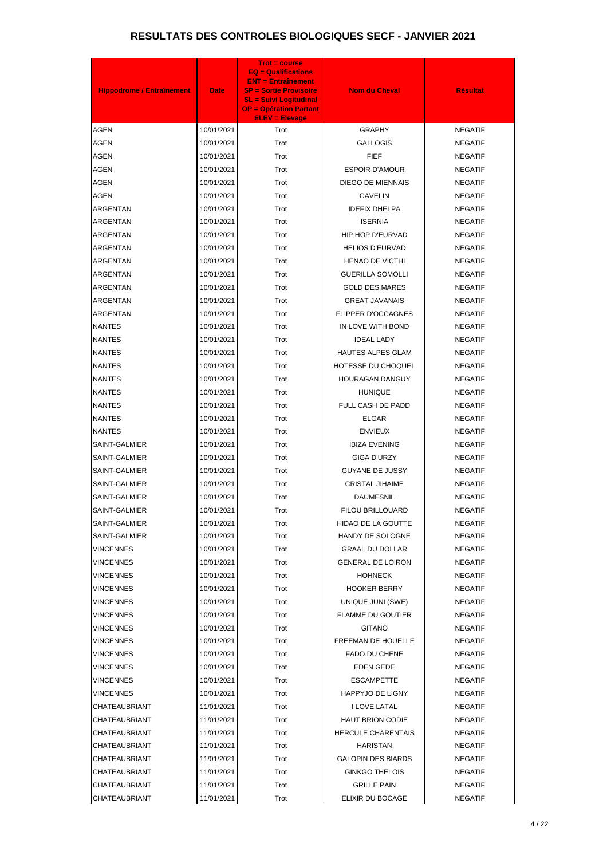| <b>Hippodrome / Entraînement</b> | <b>Date</b> | <b>Trot = course</b><br><b>EQ = Qualifications</b><br><b>ENT = Entraînement</b><br><b>SP = Sortie Provisoire</b><br><b>SL = Suivi Logitudinal</b><br><b>OP = Opération Partant</b><br><b>ELEV = Elevage</b> | <b>Nom du Cheval</b>      | <b>Résultat</b> |
|----------------------------------|-------------|-------------------------------------------------------------------------------------------------------------------------------------------------------------------------------------------------------------|---------------------------|-----------------|
| <b>AGEN</b>                      | 10/01/2021  | Trot                                                                                                                                                                                                        | <b>GRAPHY</b>             | <b>NEGATIF</b>  |
| <b>AGEN</b>                      | 10/01/2021  | Trot                                                                                                                                                                                                        | <b>GAI LOGIS</b>          | <b>NEGATIF</b>  |
| <b>AGEN</b>                      | 10/01/2021  | Trot                                                                                                                                                                                                        | <b>FIEF</b>               | <b>NEGATIF</b>  |
| <b>AGEN</b>                      | 10/01/2021  | Trot                                                                                                                                                                                                        | <b>ESPOIR D'AMOUR</b>     | <b>NEGATIF</b>  |
| <b>AGEN</b>                      | 10/01/2021  | Trot                                                                                                                                                                                                        | <b>DIEGO DE MIENNAIS</b>  | <b>NEGATIF</b>  |
| <b>AGEN</b>                      | 10/01/2021  | Trot                                                                                                                                                                                                        | <b>CAVELIN</b>            | <b>NEGATIF</b>  |
| <b>ARGENTAN</b>                  | 10/01/2021  | Trot                                                                                                                                                                                                        | <b>IDEFIX DHELPA</b>      | <b>NEGATIF</b>  |
| ARGENTAN                         | 10/01/2021  | Trot                                                                                                                                                                                                        | <b>ISERNIA</b>            | <b>NEGATIF</b>  |
| ARGENTAN                         | 10/01/2021  | Trot                                                                                                                                                                                                        | HIP HOP D'EURVAD          | <b>NEGATIF</b>  |
| ARGENTAN                         | 10/01/2021  | Trot                                                                                                                                                                                                        | <b>HELIOS D'EURVAD</b>    | <b>NEGATIF</b>  |
| ARGENTAN                         | 10/01/2021  | Trot                                                                                                                                                                                                        | HENAO DE VICTHI           | <b>NEGATIF</b>  |
| ARGENTAN                         | 10/01/2021  | Trot                                                                                                                                                                                                        | <b>GUERILLA SOMOLLI</b>   | <b>NEGATIF</b>  |
| ARGENTAN                         | 10/01/2021  | Trot                                                                                                                                                                                                        | <b>GOLD DES MARES</b>     | <b>NEGATIF</b>  |
| ARGENTAN                         | 10/01/2021  | Trot                                                                                                                                                                                                        | <b>GREAT JAVANAIS</b>     | <b>NEGATIF</b>  |
| ARGENTAN                         | 10/01/2021  | Trot                                                                                                                                                                                                        | FLIPPER D'OCCAGNES        | <b>NEGATIF</b>  |
| <b>NANTES</b>                    | 10/01/2021  | Trot                                                                                                                                                                                                        | IN LOVE WITH BOND         | <b>NEGATIF</b>  |
| <b>NANTES</b>                    | 10/01/2021  | Trot                                                                                                                                                                                                        | <b>IDEAL LADY</b>         | <b>NEGATIF</b>  |
| <b>NANTES</b>                    | 10/01/2021  | Trot                                                                                                                                                                                                        | <b>HAUTES ALPES GLAM</b>  | <b>NEGATIF</b>  |
| <b>NANTES</b>                    | 10/01/2021  | Trot                                                                                                                                                                                                        | HOTESSE DU CHOQUEL        | <b>NEGATIF</b>  |
| <b>NANTES</b>                    | 10/01/2021  | Trot                                                                                                                                                                                                        | <b>HOURAGAN DANGUY</b>    | <b>NEGATIF</b>  |
| <b>NANTES</b>                    | 10/01/2021  | Trot                                                                                                                                                                                                        | <b>HUNIQUE</b>            | <b>NEGATIF</b>  |
| <b>NANTES</b>                    | 10/01/2021  | Trot                                                                                                                                                                                                        | FULL CASH DE PADD         | <b>NEGATIF</b>  |
| <b>NANTES</b>                    | 10/01/2021  | Trot                                                                                                                                                                                                        | <b>ELGAR</b>              | <b>NEGATIF</b>  |
| <b>NANTES</b>                    | 10/01/2021  | Trot                                                                                                                                                                                                        | <b>ENVIEUX</b>            | <b>NEGATIF</b>  |
| SAINT-GALMIER                    | 10/01/2021  | Trot                                                                                                                                                                                                        | <b>IBIZA EVENING</b>      | <b>NEGATIF</b>  |
| SAINT-GALMIER                    | 10/01/2021  | Trot                                                                                                                                                                                                        | GIGA D'URZY               | <b>NEGATIF</b>  |
| SAINT-GALMIER                    | 10/01/2021  | Trot                                                                                                                                                                                                        | <b>GUYANE DE JUSSY</b>    | <b>NEGATIF</b>  |
| SAINT-GALMIER                    | 10/01/2021  | Trot                                                                                                                                                                                                        | <b>CRISTAL JIHAIME</b>    | <b>NEGATIF</b>  |
| SAINT-GALMIER                    | 10/01/2021  | Trot                                                                                                                                                                                                        | <b>DAUMESNIL</b>          | <b>NEGATIF</b>  |
| SAINT-GALMIER                    | 10/01/2021  | Trot                                                                                                                                                                                                        | FILOU BRILLOUARD          | <b>NEGATIF</b>  |
| SAINT-GALMIER                    | 10/01/2021  | Trot                                                                                                                                                                                                        | HIDAO DE LA GOUTTE        | <b>NEGATIF</b>  |
| SAINT-GALMIER                    | 10/01/2021  | Trot                                                                                                                                                                                                        | HANDY DE SOLOGNE          | <b>NEGATIF</b>  |
| VINCENNES                        | 10/01/2021  | Trot                                                                                                                                                                                                        | <b>GRAAL DU DOLLAR</b>    | <b>NEGATIF</b>  |
| <b>VINCENNES</b>                 | 10/01/2021  | Trot                                                                                                                                                                                                        | <b>GENERAL DE LOIRON</b>  | <b>NEGATIF</b>  |
| VINCENNES                        | 10/01/2021  | Trot                                                                                                                                                                                                        | <b>HOHNECK</b>            | <b>NEGATIF</b>  |
| <b>VINCENNES</b>                 | 10/01/2021  | Trot                                                                                                                                                                                                        | <b>HOOKER BERRY</b>       | <b>NEGATIF</b>  |
| VINCENNES                        | 10/01/2021  | Trot                                                                                                                                                                                                        | UNIQUE JUNI (SWE)         | <b>NEGATIF</b>  |
| VINCENNES                        | 10/01/2021  | Trot                                                                                                                                                                                                        | <b>FLAMME DU GOUTIER</b>  | <b>NEGATIF</b>  |
| VINCENNES                        | 10/01/2021  | Trot                                                                                                                                                                                                        | <b>GITANO</b>             | <b>NEGATIF</b>  |
| <b>VINCENNES</b>                 | 10/01/2021  | Trot                                                                                                                                                                                                        | FREEMAN DE HOUELLE        | <b>NEGATIF</b>  |
| VINCENNES                        | 10/01/2021  | Trot                                                                                                                                                                                                        | FADO DU CHENE             | <b>NEGATIF</b>  |
| VINCENNES                        | 10/01/2021  | Trot                                                                                                                                                                                                        | EDEN GEDE                 | <b>NEGATIF</b>  |
| VINCENNES                        | 10/01/2021  | Trot                                                                                                                                                                                                        | <b>ESCAMPETTE</b>         | <b>NEGATIF</b>  |
| VINCENNES                        | 10/01/2021  | Trot                                                                                                                                                                                                        | <b>HAPPYJO DE LIGNY</b>   | <b>NEGATIF</b>  |
| CHATEAUBRIANT                    | 11/01/2021  | Trot                                                                                                                                                                                                        | I LOVE LATAL              | <b>NEGATIF</b>  |
| CHATEAUBRIANT                    | 11/01/2021  | Trot                                                                                                                                                                                                        | <b>HAUT BRION CODIE</b>   | <b>NEGATIF</b>  |
| CHATEAUBRIANT                    | 11/01/2021  | Trot                                                                                                                                                                                                        | <b>HERCULE CHARENTAIS</b> | <b>NEGATIF</b>  |
| CHATEAUBRIANT                    | 11/01/2021  | Trot                                                                                                                                                                                                        | <b>HARISTAN</b>           | <b>NEGATIF</b>  |
| CHATEAUBRIANT                    | 11/01/2021  | Trot                                                                                                                                                                                                        | <b>GALOPIN DES BIARDS</b> | <b>NEGATIF</b>  |
| CHATEAUBRIANT                    | 11/01/2021  | Trot                                                                                                                                                                                                        | <b>GINKGO THELOIS</b>     | <b>NEGATIF</b>  |
| CHATEAUBRIANT                    | 11/01/2021  | Trot                                                                                                                                                                                                        | <b>GRILLE PAIN</b>        | <b>NEGATIF</b>  |
| <b>CHATEAUBRIANT</b>             | 11/01/2021  | Trot                                                                                                                                                                                                        | ELIXIR DU BOCAGE          | <b>NEGATIF</b>  |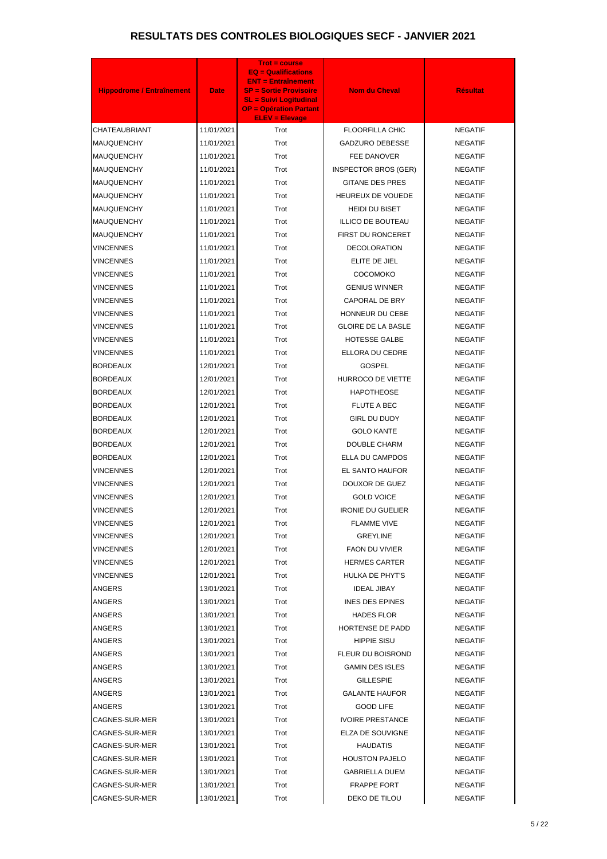| <b>Hippodrome / Entraînement</b> | <b>Date</b> | <b>Trot = course</b><br><b>EQ = Qualifications</b><br><b>ENT = Entraînement</b><br><b>SP = Sortie Provisoire</b><br><b>SL = Suivi Logitudinal</b><br><b>OP = Opération Partant</b><br><b>ELEV = Elevage</b> | <b>Nom du Cheval</b>        | <b>Résultat</b> |
|----------------------------------|-------------|-------------------------------------------------------------------------------------------------------------------------------------------------------------------------------------------------------------|-----------------------------|-----------------|
| CHATEAUBRIANT                    | 11/01/2021  | Trot                                                                                                                                                                                                        | <b>FLOORFILLA CHIC</b>      | <b>NEGATIF</b>  |
| MAUQUENCHY                       | 11/01/2021  | Trot                                                                                                                                                                                                        | <b>GADZURO DEBESSE</b>      | <b>NEGATIF</b>  |
| <b>MAUQUENCHY</b>                | 11/01/2021  | Trot                                                                                                                                                                                                        | FEE DANOVER                 | <b>NEGATIF</b>  |
| MAUQUENCHY                       | 11/01/2021  | Trot                                                                                                                                                                                                        | <b>INSPECTOR BROS (GER)</b> | <b>NEGATIF</b>  |
| <b>MAUQUENCHY</b>                | 11/01/2021  | Trot                                                                                                                                                                                                        | <b>GITANE DES PRES</b>      | <b>NEGATIF</b>  |
| MAUQUENCHY                       | 11/01/2021  | Trot                                                                                                                                                                                                        | HEUREUX DE VOUEDE           | <b>NEGATIF</b>  |
| <b>MAUQUENCHY</b>                | 11/01/2021  | Trot                                                                                                                                                                                                        | <b>HEIDI DU BISET</b>       | <b>NEGATIF</b>  |
| MAUQUENCHY                       | 11/01/2021  | Trot                                                                                                                                                                                                        | <b>ILLICO DE BOUTEAU</b>    | <b>NEGATIF</b>  |
| <b>MAUQUENCHY</b>                | 11/01/2021  | Trot                                                                                                                                                                                                        | FIRST DU RONCERET           | <b>NEGATIF</b>  |
| VINCENNES                        | 11/01/2021  | Trot                                                                                                                                                                                                        | <b>DECOLORATION</b>         | <b>NEGATIF</b>  |
| VINCENNES                        | 11/01/2021  | Trot                                                                                                                                                                                                        | ELITE DE JIEL               | <b>NEGATIF</b>  |
| <b>VINCENNES</b>                 | 11/01/2021  | Trot                                                                                                                                                                                                        | COCOMOKO                    | <b>NEGATIF</b>  |
| <b>VINCENNES</b>                 | 11/01/2021  | Trot                                                                                                                                                                                                        | <b>GENIUS WINNER</b>        | <b>NEGATIF</b>  |
| VINCENNES                        | 11/01/2021  | Trot                                                                                                                                                                                                        | <b>CAPORAL DE BRY</b>       | <b>NEGATIF</b>  |
| <b>VINCENNES</b>                 | 11/01/2021  | Trot                                                                                                                                                                                                        | HONNEUR DU CEBE             | <b>NEGATIF</b>  |
| VINCENNES                        | 11/01/2021  | Trot                                                                                                                                                                                                        | <b>GLOIRE DE LA BASLE</b>   | <b>NEGATIF</b>  |
| <b>VINCENNES</b>                 | 11/01/2021  | Trot                                                                                                                                                                                                        | <b>HOTESSE GALBE</b>        | <b>NEGATIF</b>  |
| VINCENNES                        | 11/01/2021  | Trot                                                                                                                                                                                                        | ELLORA DU CEDRE             | <b>NEGATIF</b>  |
| <b>BORDEAUX</b>                  | 12/01/2021  | Trot                                                                                                                                                                                                        | <b>GOSPEL</b>               | <b>NEGATIF</b>  |
| <b>BORDEAUX</b>                  | 12/01/2021  | Trot                                                                                                                                                                                                        | HURROCO DE VIETTE           | <b>NEGATIF</b>  |
| <b>BORDEAUX</b>                  | 12/01/2021  | Trot                                                                                                                                                                                                        | <b>HAPOTHEOSE</b>           | <b>NEGATIF</b>  |
| <b>BORDEAUX</b>                  | 12/01/2021  | Trot                                                                                                                                                                                                        | <b>FLUTE A BEC</b>          | <b>NEGATIF</b>  |
| BORDEAUX                         | 12/01/2021  | Trot                                                                                                                                                                                                        | <b>GIRL DU DUDY</b>         | <b>NEGATIF</b>  |
| BORDEAUX                         | 12/01/2021  | Trot                                                                                                                                                                                                        | <b>GOLO KANTE</b>           | <b>NEGATIF</b>  |
| <b>BORDEAUX</b>                  | 12/01/2021  | Trot                                                                                                                                                                                                        | <b>DOUBLE CHARM</b>         | <b>NEGATIF</b>  |
| <b>BORDEAUX</b>                  | 12/01/2021  | Trot                                                                                                                                                                                                        | ELLA DU CAMPDOS             | <b>NEGATIF</b>  |
| VINCENNES                        | 12/01/2021  | Trot                                                                                                                                                                                                        | EL SANTO HAUFOR             | <b>NEGATIF</b>  |
| VINCENNES                        | 12/01/2021  | Trot                                                                                                                                                                                                        | DOUXOR DE GUEZ              | <b>NEGATIF</b>  |
| VINCENNES                        | 12/01/2021  | Trot                                                                                                                                                                                                        | <b>GOLD VOICE</b>           | <b>NEGATIF</b>  |
| VINCENNES                        | 12/01/2021  | Trot                                                                                                                                                                                                        | <b>IRONIE DU GUELIER</b>    | <b>NEGATIF</b>  |
| VINCENNES                        | 12/01/2021  | Trot                                                                                                                                                                                                        | <b>FLAMME VIVE</b>          | <b>NEGATIF</b>  |
| VINCENNES                        | 12/01/2021  | Trot                                                                                                                                                                                                        | <b>GREYLINE</b>             | <b>NEGATIF</b>  |
| VINCENNES                        | 12/01/2021  | Trot                                                                                                                                                                                                        | <b>FAON DU VIVIER</b>       | <b>NEGATIF</b>  |
| VINCENNES                        | 12/01/2021  | Trot                                                                                                                                                                                                        | <b>HERMES CARTER</b>        | <b>NEGATIF</b>  |
| VINCENNES                        | 12/01/2021  | Trot                                                                                                                                                                                                        | HULKA DE PHYT'S             | <b>NEGATIF</b>  |
| ANGERS                           | 13/01/2021  | Trot                                                                                                                                                                                                        | <b>IDEAL JIBAY</b>          | <b>NEGATIF</b>  |
| ANGERS                           | 13/01/2021  | Trot                                                                                                                                                                                                        | <b>INES DES EPINES</b>      | <b>NEGATIF</b>  |
| ANGERS                           | 13/01/2021  | Trot                                                                                                                                                                                                        | <b>HADES FLOR</b>           | <b>NEGATIF</b>  |
| ANGERS                           | 13/01/2021  | Trot                                                                                                                                                                                                        | HORTENSE DE PADD            | <b>NEGATIF</b>  |
| <b>ANGERS</b>                    | 13/01/2021  | Trot                                                                                                                                                                                                        | <b>HIPPIE SISU</b>          | <b>NEGATIF</b>  |
| ANGERS                           | 13/01/2021  | Trot                                                                                                                                                                                                        | FLEUR DU BOISROND           | <b>NEGATIF</b>  |
| <b>ANGERS</b>                    | 13/01/2021  | Trot                                                                                                                                                                                                        | <b>GAMIN DES ISLES</b>      | <b>NEGATIF</b>  |
| ANGERS                           | 13/01/2021  | Trot                                                                                                                                                                                                        | <b>GILLESPIE</b>            | <b>NEGATIF</b>  |
| ANGERS                           | 13/01/2021  | Trot                                                                                                                                                                                                        | <b>GALANTE HAUFOR</b>       | <b>NEGATIF</b>  |
| ANGERS                           | 13/01/2021  | Trot                                                                                                                                                                                                        | <b>GOOD LIFE</b>            | <b>NEGATIF</b>  |
| CAGNES-SUR-MER                   | 13/01/2021  | Trot                                                                                                                                                                                                        | <b>IVOIRE PRESTANCE</b>     | <b>NEGATIF</b>  |
| CAGNES-SUR-MER                   | 13/01/2021  | Trot                                                                                                                                                                                                        | ELZA DE SOUVIGNE            | <b>NEGATIF</b>  |
| CAGNES-SUR-MER                   | 13/01/2021  | Trot                                                                                                                                                                                                        | <b>HAUDATIS</b>             | <b>NEGATIF</b>  |
| CAGNES-SUR-MER                   | 13/01/2021  | Trot                                                                                                                                                                                                        | <b>HOUSTON PAJELO</b>       | <b>NEGATIF</b>  |
| CAGNES-SUR-MER                   | 13/01/2021  | Trot                                                                                                                                                                                                        | <b>GABRIELLA DUEM</b>       | <b>NEGATIF</b>  |
| CAGNES-SUR-MER                   | 13/01/2021  | Trot                                                                                                                                                                                                        | <b>FRAPPE FORT</b>          | <b>NEGATIF</b>  |
| CAGNES-SUR-MER                   | 13/01/2021  | Trot                                                                                                                                                                                                        | DEKO DE TILOU               | <b>NEGATIF</b>  |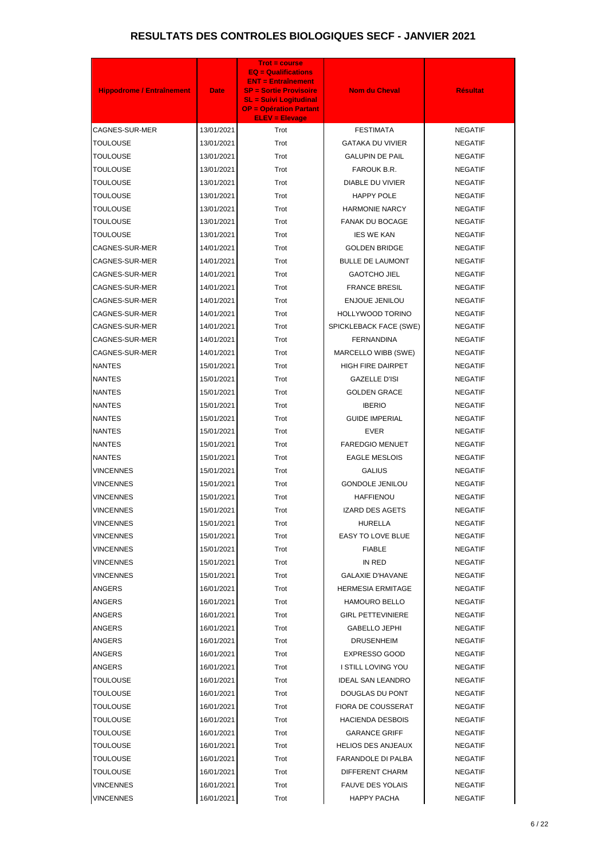| <b>Hippodrome / Entraînement</b> | <b>Date</b> | <b>Trot = course</b><br>$EQ =$ Qualifications<br><b>ENT = Entraînement</b><br><b>SP = Sortie Provisoire</b><br><b>SL = Suivi Logitudinal</b><br><b>OP = Opération Partant</b><br><b>ELEV = Elevage</b> | <b>Nom du Cheval</b>      | <b>Résultat</b> |
|----------------------------------|-------------|--------------------------------------------------------------------------------------------------------------------------------------------------------------------------------------------------------|---------------------------|-----------------|
| CAGNES-SUR-MER                   | 13/01/2021  | Trot                                                                                                                                                                                                   | <b>FESTIMATA</b>          | <b>NEGATIF</b>  |
| TOULOUSE                         | 13/01/2021  | Trot                                                                                                                                                                                                   | <b>GATAKA DU VIVIER</b>   | <b>NEGATIF</b>  |
| <b>TOULOUSE</b>                  | 13/01/2021  | Trot                                                                                                                                                                                                   | <b>GALUPIN DE PAIL</b>    | <b>NEGATIF</b>  |
| TOULOUSE                         | 13/01/2021  | Trot                                                                                                                                                                                                   | FAROUK B.R.               | <b>NEGATIF</b>  |
| <b>TOULOUSE</b>                  | 13/01/2021  | Trot                                                                                                                                                                                                   | <b>DIABLE DU VIVIER</b>   | <b>NEGATIF</b>  |
| TOULOUSE                         | 13/01/2021  | Trot                                                                                                                                                                                                   | HAPPY POLE                | <b>NEGATIF</b>  |
| TOULOUSE                         | 13/01/2021  | Trot                                                                                                                                                                                                   | <b>HARMONIE NARCY</b>     | <b>NEGATIF</b>  |
| TOULOUSE                         | 13/01/2021  | Trot                                                                                                                                                                                                   | <b>FANAK DU BOCAGE</b>    | <b>NEGATIF</b>  |
| TOULOUSE                         | 13/01/2021  | Trot                                                                                                                                                                                                   | <b>IES WE KAN</b>         | <b>NEGATIF</b>  |
| CAGNES-SUR-MER                   | 14/01/2021  | Trot                                                                                                                                                                                                   | <b>GOLDEN BRIDGE</b>      | <b>NEGATIF</b>  |
| CAGNES-SUR-MER                   | 14/01/2021  | Trot                                                                                                                                                                                                   | <b>BULLE DE LAUMONT</b>   | <b>NEGATIF</b>  |
| CAGNES-SUR-MER                   | 14/01/2021  | Trot                                                                                                                                                                                                   | <b>GAOTCHO JIEL</b>       | <b>NEGATIF</b>  |
| CAGNES-SUR-MER                   | 14/01/2021  | Trot                                                                                                                                                                                                   | <b>FRANCE BRESIL</b>      | <b>NEGATIF</b>  |
| CAGNES-SUR-MER                   | 14/01/2021  | Trot                                                                                                                                                                                                   | <b>ENJOUE JENILOU</b>     | <b>NEGATIF</b>  |
| CAGNES-SUR-MER                   | 14/01/2021  | Trot                                                                                                                                                                                                   | <b>HOLLYWOOD TORINO</b>   | <b>NEGATIF</b>  |
| CAGNES-SUR-MER                   | 14/01/2021  | Trot                                                                                                                                                                                                   | SPICKLEBACK FACE (SWE)    | <b>NEGATIF</b>  |
| CAGNES-SUR-MER                   | 14/01/2021  | Trot                                                                                                                                                                                                   | <b>FERNANDINA</b>         | <b>NEGATIF</b>  |
| CAGNES-SUR-MER                   | 14/01/2021  | Trot                                                                                                                                                                                                   | MARCELLO WIBB (SWE)       | <b>NEGATIF</b>  |
| <b>NANTES</b>                    | 15/01/2021  | Trot                                                                                                                                                                                                   | <b>HIGH FIRE DAIRPET</b>  | <b>NEGATIF</b>  |
| <b>NANTES</b>                    | 15/01/2021  | Trot                                                                                                                                                                                                   | <b>GAZELLE D'ISI</b>      | <b>NEGATIF</b>  |
| <b>NANTES</b>                    | 15/01/2021  | Trot                                                                                                                                                                                                   | <b>GOLDEN GRACE</b>       | <b>NEGATIF</b>  |
| <b>NANTES</b>                    | 15/01/2021  | Trot                                                                                                                                                                                                   | <b>IBERIO</b>             | <b>NEGATIF</b>  |
| <b>NANTES</b>                    | 15/01/2021  | Trot                                                                                                                                                                                                   | <b>GUIDE IMPERIAL</b>     | <b>NEGATIF</b>  |
| <b>NANTES</b>                    | 15/01/2021  | Trot                                                                                                                                                                                                   | <b>EVER</b>               | <b>NEGATIF</b>  |
| <b>NANTES</b>                    | 15/01/2021  | Trot                                                                                                                                                                                                   | <b>FAREDGIO MENUET</b>    | <b>NEGATIF</b>  |
| <b>NANTES</b>                    | 15/01/2021  | Trot                                                                                                                                                                                                   | <b>EAGLE MESLOIS</b>      | <b>NEGATIF</b>  |
| <b>VINCENNES</b>                 | 15/01/2021  | Trot                                                                                                                                                                                                   | <b>GALIUS</b>             | <b>NEGATIF</b>  |
| VINCENNES                        | 15/01/2021  | Trot                                                                                                                                                                                                   | <b>GONDOLE JENILOU</b>    | <b>NEGATIF</b>  |
| VINCENNES                        | 15/01/2021  | Trot                                                                                                                                                                                                   | <b>HAFFIENOU</b>          | <b>NEGATIF</b>  |
| VINCENNES                        | 15/01/2021  | Trot                                                                                                                                                                                                   | <b>IZARD DES AGETS</b>    | <b>NEGATIF</b>  |
| VINCENNES                        | 15/01/2021  | Trot                                                                                                                                                                                                   | <b>HURELLA</b>            | <b>NEGATIF</b>  |
| VINCENNES                        | 15/01/2021  | Trot                                                                                                                                                                                                   | EASY TO LOVE BLUE         | <b>NEGATIF</b>  |
| VINCENNES                        | 15/01/2021  | Trot                                                                                                                                                                                                   | <b>FIABLE</b>             | <b>NEGATIF</b>  |
| VINCENNES                        | 15/01/2021  | Trot                                                                                                                                                                                                   | IN RED                    | <b>NEGATIF</b>  |
| VINCENNES                        | 15/01/2021  | Trot                                                                                                                                                                                                   | <b>GALAXIE D'HAVANE</b>   | <b>NEGATIF</b>  |
| ANGERS                           | 16/01/2021  | Trot                                                                                                                                                                                                   | <b>HERMESIA ERMITAGE</b>  | <b>NEGATIF</b>  |
| ANGERS                           | 16/01/2021  | Trot                                                                                                                                                                                                   | <b>HAMOURO BELLO</b>      | <b>NEGATIF</b>  |
| ANGERS                           | 16/01/2021  | Trot                                                                                                                                                                                                   | <b>GIRL PETTEVINIERE</b>  | <b>NEGATIF</b>  |
| ANGERS                           | 16/01/2021  | Trot                                                                                                                                                                                                   | <b>GABELLO JEPHI</b>      | <b>NEGATIF</b>  |
| ANGERS                           | 16/01/2021  | Trot                                                                                                                                                                                                   | <b>DRUSENHEIM</b>         | <b>NEGATIF</b>  |
| ANGERS                           | 16/01/2021  | Trot                                                                                                                                                                                                   | <b>EXPRESSO GOOD</b>      | <b>NEGATIF</b>  |
| ANGERS                           | 16/01/2021  | Trot                                                                                                                                                                                                   | I STILL LOVING YOU        | <b>NEGATIF</b>  |
| TOULOUSE                         | 16/01/2021  | Trot                                                                                                                                                                                                   | IDEAL SAN LEANDRO         | <b>NEGATIF</b>  |
| TOULOUSE                         | 16/01/2021  | Trot                                                                                                                                                                                                   | DOUGLAS DU PONT           | <b>NEGATIF</b>  |
| TOULOUSE                         | 16/01/2021  | Trot                                                                                                                                                                                                   | <b>FIORA DE COUSSERAT</b> | <b>NEGATIF</b>  |
| <b>TOULOUSE</b>                  | 16/01/2021  | Trot                                                                                                                                                                                                   | <b>HACIENDA DESBOIS</b>   | <b>NEGATIF</b>  |
| TOULOUSE                         | 16/01/2021  | Trot                                                                                                                                                                                                   | <b>GARANCE GRIFF</b>      | <b>NEGATIF</b>  |
| <b>TOULOUSE</b>                  | 16/01/2021  | Trot                                                                                                                                                                                                   | <b>HELIOS DES ANJEAUX</b> | <b>NEGATIF</b>  |
| TOULOUSE                         | 16/01/2021  | Trot                                                                                                                                                                                                   | <b>FARANDOLE DI PALBA</b> | <b>NEGATIF</b>  |
| <b>TOULOUSE</b>                  | 16/01/2021  | Trot                                                                                                                                                                                                   | DIFFERENT CHARM           | <b>NEGATIF</b>  |
| VINCENNES                        | 16/01/2021  | Trot                                                                                                                                                                                                   | <b>FAUVE DES YOLAIS</b>   | <b>NEGATIF</b>  |
| <b>VINCENNES</b>                 | 16/01/2021  | Trot                                                                                                                                                                                                   | <b>HAPPY PACHA</b>        | <b>NEGATIF</b>  |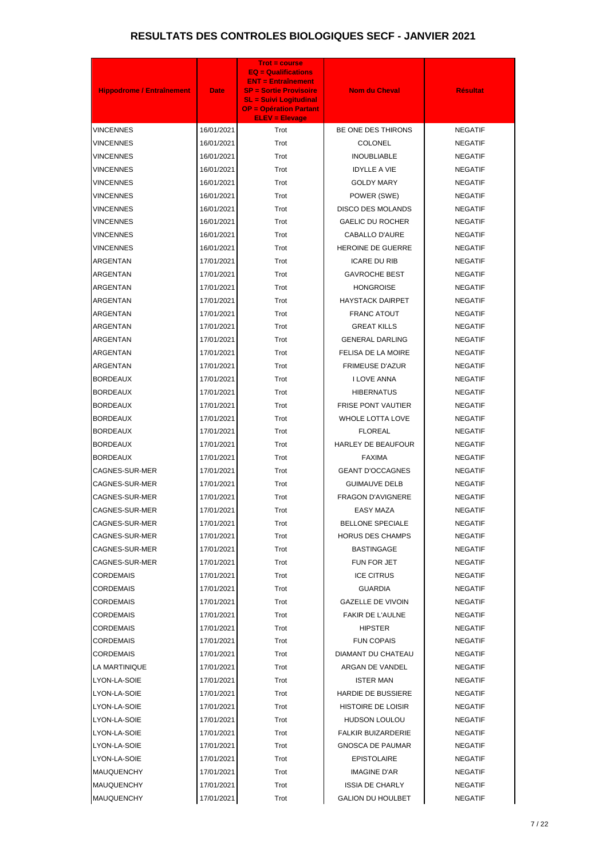|                                  |             | <b>Trot = course</b><br><b>EQ = Qualifications</b>             |                           |                 |
|----------------------------------|-------------|----------------------------------------------------------------|---------------------------|-----------------|
|                                  |             | <b>ENT = Entraînement</b>                                      |                           |                 |
| <b>Hippodrome / Entraînement</b> | <b>Date</b> | <b>SP = Sortie Provisoire</b><br><b>SL = Suivi Logitudinal</b> | <b>Nom du Cheval</b>      | <b>Résultat</b> |
|                                  |             | <b>OP = Opération Partant</b><br><b>ELEV = Elevage</b>         |                           |                 |
| VINCENNES                        | 16/01/2021  | Trot                                                           | BE ONE DES THIRONS        | <b>NEGATIF</b>  |
| VINCENNES                        | 16/01/2021  | Trot                                                           | <b>COLONEL</b>            | <b>NEGATIF</b>  |
| VINCENNES                        | 16/01/2021  | Trot                                                           | <b>INOUBLIABLE</b>        | <b>NEGATIF</b>  |
| VINCENNES                        | 16/01/2021  | Trot                                                           | <b>IDYLLE A VIE</b>       | <b>NEGATIF</b>  |
| VINCENNES                        | 16/01/2021  | Trot                                                           | <b>GOLDY MARY</b>         | <b>NEGATIF</b>  |
| VINCENNES                        | 16/01/2021  | Trot                                                           | POWER (SWE)               | <b>NEGATIF</b>  |
| VINCENNES                        | 16/01/2021  | Trot                                                           | <b>DISCO DES MOLANDS</b>  | <b>NEGATIF</b>  |
| VINCENNES                        | 16/01/2021  | Trot                                                           | <b>GAELIC DU ROCHER</b>   | <b>NEGATIF</b>  |
| VINCENNES                        | 16/01/2021  | Trot                                                           | CABALLO D'AURE            | <b>NEGATIF</b>  |
| VINCENNES                        | 16/01/2021  | Trot                                                           | <b>HEROINE DE GUERRE</b>  | <b>NEGATIF</b>  |
| ARGENTAN                         | 17/01/2021  | Trot                                                           | <b>ICARE DU RIB</b>       | <b>NEGATIF</b>  |
| ARGENTAN                         | 17/01/2021  | Trot                                                           | <b>GAVROCHE BEST</b>      | <b>NEGATIF</b>  |
| ARGENTAN                         | 17/01/2021  | Trot                                                           | <b>HONGROISE</b>          | <b>NEGATIF</b>  |
| ARGENTAN                         | 17/01/2021  | Trot                                                           | <b>HAYSTACK DAIRPET</b>   | <b>NEGATIF</b>  |
| ARGENTAN                         | 17/01/2021  | Trot                                                           | <b>FRANC ATOUT</b>        | <b>NEGATIF</b>  |
| ARGENTAN                         | 17/01/2021  | Trot                                                           | <b>GREAT KILLS</b>        | <b>NEGATIF</b>  |
| ARGENTAN                         | 17/01/2021  | Trot                                                           | <b>GENERAL DARLING</b>    | <b>NEGATIF</b>  |
| ARGENTAN                         | 17/01/2021  | Trot                                                           | FELISA DE LA MOIRE        | <b>NEGATIF</b>  |
| ARGENTAN                         | 17/01/2021  | Trot                                                           | <b>FRIMEUSE D'AZUR</b>    | <b>NEGATIF</b>  |
| <b>BORDEAUX</b>                  | 17/01/2021  | Trot                                                           | I LOVE ANNA               | <b>NEGATIF</b>  |
| <b>BORDEAUX</b>                  | 17/01/2021  | Trot                                                           | <b>HIBERNATUS</b>         | <b>NEGATIF</b>  |
| <b>BORDEAUX</b>                  | 17/01/2021  | Trot                                                           | <b>FRISE PONT VAUTIER</b> | <b>NEGATIF</b>  |
| <b>BORDEAUX</b>                  | 17/01/2021  | Trot                                                           | WHOLE LOTTA LOVE          | <b>NEGATIF</b>  |
| <b>BORDEAUX</b>                  | 17/01/2021  | Trot                                                           | <b>FLOREAL</b>            | <b>NEGATIF</b>  |
| <b>BORDEAUX</b>                  | 17/01/2021  | Trot                                                           | <b>HARLEY DE BEAUFOUR</b> | <b>NEGATIF</b>  |
| BORDEAUX                         | 17/01/2021  | Trot                                                           | <b>FAXIMA</b>             | <b>NEGATIF</b>  |
| CAGNES-SUR-MER                   | 17/01/2021  | Trot                                                           | <b>GEANT D'OCCAGNES</b>   | <b>NEGATIF</b>  |
| CAGNES-SUR-MER                   | 17/01/2021  | Trot                                                           | <b>GUIMAUVE DELB</b>      | <b>NEGATIF</b>  |
| CAGNES-SUR-MER                   | 17/01/2021  | Trot                                                           | <b>FRAGON D'AVIGNERE</b>  | <b>NEGATIF</b>  |
| CAGNES-SUR-MER                   | 17/01/2021  | Trot                                                           | <b>EASY MAZA</b>          | <b>NEGATIF</b>  |
| CAGNES-SUR-MER                   | 17/01/2021  | Trot                                                           | <b>BELLONE SPECIALE</b>   | <b>NEGATIF</b>  |
| CAGNES-SUR-MER                   | 17/01/2021  | Trot                                                           | <b>HORUS DES CHAMPS</b>   | <b>NEGATIF</b>  |
| CAGNES-SUR-MER                   | 17/01/2021  | Trot                                                           | <b>BASTINGAGE</b>         | <b>NEGATIF</b>  |
| CAGNES-SUR-MER                   | 17/01/2021  | Trot                                                           | FUN FOR JET               | <b>NEGATIF</b>  |
| CORDEMAIS                        | 17/01/2021  | Trot                                                           | <b>ICE CITRUS</b>         | <b>NEGATIF</b>  |
| CORDEMAIS                        | 17/01/2021  | Trot                                                           | <b>GUARDIA</b>            | <b>NEGATIF</b>  |
| CORDEMAIS                        | 17/01/2021  | Trot                                                           | <b>GAZELLE DE VIVOIN</b>  | <b>NEGATIF</b>  |
| CORDEMAIS                        | 17/01/2021  | Trot                                                           | <b>FAKIR DE L'AULNE</b>   | <b>NEGATIF</b>  |
| CORDEMAIS                        | 17/01/2021  | Trot                                                           | <b>HIPSTER</b>            | <b>NEGATIF</b>  |
| <b>CORDEMAIS</b>                 | 17/01/2021  | Trot                                                           | <b>FUN COPAIS</b>         | <b>NEGATIF</b>  |
| CORDEMAIS                        | 17/01/2021  | Trot                                                           | DIAMANT DU CHATEAU        | <b>NEGATIF</b>  |
| LA MARTINIQUE                    | 17/01/2021  | Trot                                                           | ARGAN DE VANDEL           | <b>NEGATIF</b>  |
| LYON-LA-SOIE                     | 17/01/2021  | Trot                                                           | <b>ISTER MAN</b>          | <b>NEGATIF</b>  |
| LYON-LA-SOIE                     | 17/01/2021  | Trot                                                           | <b>HARDIE DE BUSSIERE</b> | <b>NEGATIF</b>  |
| LYON-LA-SOIE                     | 17/01/2021  | Trot                                                           | HISTOIRE DE LOISIR        | <b>NEGATIF</b>  |
| LYON-LA-SOIE                     | 17/01/2021  | Trot                                                           | <b>HUDSON LOULOU</b>      | <b>NEGATIF</b>  |
| LYON-LA-SOIE                     | 17/01/2021  | Trot                                                           | <b>FALKIR BUIZARDERIE</b> | <b>NEGATIF</b>  |
| LYON-LA-SOIE                     | 17/01/2021  | Trot                                                           | <b>GNOSCA DE PAUMAR</b>   | <b>NEGATIF</b>  |
| LYON-LA-SOIE                     | 17/01/2021  | Trot                                                           | <b>EPISTOLAIRE</b>        | <b>NEGATIF</b>  |
| <b>MAUQUENCHY</b>                | 17/01/2021  | Trot                                                           | <b>IMAGINE D'AR</b>       | <b>NEGATIF</b>  |
| MAUQUENCHY                       | 17/01/2021  | Trot                                                           | <b>ISSIA DE CHARLY</b>    | <b>NEGATIF</b>  |
| <b>MAUQUENCHY</b>                | 17/01/2021  | Trot                                                           | <b>GALION DU HOULBET</b>  | <b>NEGATIF</b>  |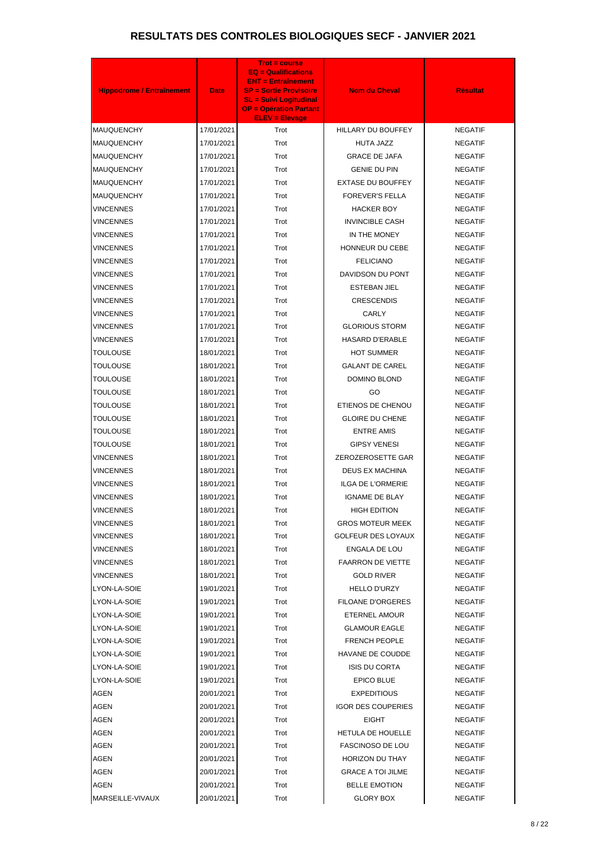| <b>Hippodrome / Entraînement</b> | <b>Date</b> | <b>Trot = course</b><br><b>EQ = Qualifications</b><br><b>ENT = Entraînement</b><br><b>SP = Sortie Provisoire</b><br><b>SL = Suivi Logitudinal</b><br><b>OP = Opération Partant</b><br><b>ELEV = Elevage</b> | <b>Nom du Cheval</b>      | <b>Résultat</b> |
|----------------------------------|-------------|-------------------------------------------------------------------------------------------------------------------------------------------------------------------------------------------------------------|---------------------------|-----------------|
| <b>MAUQUENCHY</b>                | 17/01/2021  | Trot                                                                                                                                                                                                        | HILLARY DU BOUFFEY        | <b>NEGATIF</b>  |
| <b>MAUQUENCHY</b>                | 17/01/2021  | Trot                                                                                                                                                                                                        | HUTA JAZZ                 | <b>NEGATIF</b>  |
| <b>MAUQUENCHY</b>                | 17/01/2021  | Trot                                                                                                                                                                                                        | <b>GRACE DE JAFA</b>      | <b>NEGATIF</b>  |
| <b>MAUQUENCHY</b>                | 17/01/2021  | Trot                                                                                                                                                                                                        | <b>GENIE DU PIN</b>       | <b>NEGATIF</b>  |
| <b>MAUQUENCHY</b>                | 17/01/2021  | Trot                                                                                                                                                                                                        | <b>EXTASE DU BOUFFEY</b>  | <b>NEGATIF</b>  |
| <b>MAUQUENCHY</b>                | 17/01/2021  | Trot                                                                                                                                                                                                        | <b>FOREVER'S FELLA</b>    | <b>NEGATIF</b>  |
| VINCENNES                        | 17/01/2021  | Trot                                                                                                                                                                                                        | <b>HACKER BOY</b>         | <b>NEGATIF</b>  |
| VINCENNES                        | 17/01/2021  | Trot                                                                                                                                                                                                        | <b>INVINCIBLE CASH</b>    | <b>NEGATIF</b>  |
| VINCENNES                        | 17/01/2021  | Trot                                                                                                                                                                                                        | IN THE MONEY              | <b>NEGATIF</b>  |
| <b>VINCENNES</b>                 | 17/01/2021  | Trot                                                                                                                                                                                                        | HONNEUR DU CEBE           | <b>NEGATIF</b>  |
| <b>VINCENNES</b>                 | 17/01/2021  | Trot                                                                                                                                                                                                        | <b>FELICIANO</b>          | <b>NEGATIF</b>  |
| <b>VINCENNES</b>                 | 17/01/2021  | Trot                                                                                                                                                                                                        | DAVIDSON DU PONT          | <b>NEGATIF</b>  |
| VINCENNES                        | 17/01/2021  | Trot                                                                                                                                                                                                        | <b>ESTEBAN JIEL</b>       | <b>NEGATIF</b>  |
| VINCENNES                        | 17/01/2021  | Trot                                                                                                                                                                                                        | <b>CRESCENDIS</b>         | <b>NEGATIF</b>  |
| VINCENNES                        | 17/01/2021  | Trot                                                                                                                                                                                                        | CARLY                     | <b>NEGATIF</b>  |
| VINCENNES                        | 17/01/2021  | Trot                                                                                                                                                                                                        | <b>GLORIOUS STORM</b>     | <b>NEGATIF</b>  |
| VINCENNES                        | 17/01/2021  | Trot                                                                                                                                                                                                        | <b>HASARD D'ERABLE</b>    | <b>NEGATIF</b>  |
| TOULOUSE                         | 18/01/2021  | Trot                                                                                                                                                                                                        | <b>HOT SUMMER</b>         | <b>NEGATIF</b>  |
| TOULOUSE                         | 18/01/2021  | Trot                                                                                                                                                                                                        | <b>GALANT DE CAREL</b>    | <b>NEGATIF</b>  |
| TOULOUSE                         | 18/01/2021  | Trot                                                                                                                                                                                                        | DOMINO BLOND              | <b>NEGATIF</b>  |
| TOULOUSE                         | 18/01/2021  | Trot                                                                                                                                                                                                        | GO                        | <b>NEGATIF</b>  |
| TOULOUSE                         | 18/01/2021  | Trot                                                                                                                                                                                                        | ETIENOS DE CHENOU         | <b>NEGATIF</b>  |
| TOULOUSE                         | 18/01/2021  | Trot                                                                                                                                                                                                        | <b>GLOIRE DU CHENE</b>    | <b>NEGATIF</b>  |
| TOULOUSE                         | 18/01/2021  | Trot                                                                                                                                                                                                        | <b>ENTRE AMIS</b>         | <b>NEGATIF</b>  |
| <b>TOULOUSE</b>                  | 18/01/2021  | Trot                                                                                                                                                                                                        | <b>GIPSY VENESI</b>       | <b>NEGATIF</b>  |
| <b>VINCENNES</b>                 | 18/01/2021  | Trot                                                                                                                                                                                                        | ZEROZEROSETTE GAR         | <b>NEGATIF</b>  |
| <b>VINCENNES</b>                 | 18/01/2021  | Trot                                                                                                                                                                                                        | <b>DEUS EX MACHINA</b>    | <b>NEGATIF</b>  |
| VINCENNES                        | 18/01/2021  | Trot                                                                                                                                                                                                        | <b>ILGA DE L'ORMERIE</b>  | <b>NEGATIF</b>  |
| <b>VINCENNES</b>                 | 18/01/2021  | Trot                                                                                                                                                                                                        | <b>IGNAME DE BLAY</b>     | <b>NEGATIF</b>  |
| <b>VINCENNES</b>                 | 18/01/2021  | Trot                                                                                                                                                                                                        | <b>HIGH EDITION</b>       | <b>NEGATIF</b>  |
| VINCENNES                        | 18/01/2021  | Trot                                                                                                                                                                                                        | <b>GROS MOTEUR MEEK</b>   | <b>NEGATIF</b>  |
| VINCENNES                        | 18/01/2021  | Trot                                                                                                                                                                                                        | <b>GOLFEUR DES LOYAUX</b> | <b>NEGATIF</b>  |
| VINCENNES                        | 18/01/2021  | Trot                                                                                                                                                                                                        | ENGALA DE LOU             | <b>NEGATIF</b>  |
| VINCENNES                        | 18/01/2021  | Trot                                                                                                                                                                                                        | <b>FAARRON DE VIETTE</b>  | <b>NEGATIF</b>  |
| VINCENNES                        | 18/01/2021  | Trot                                                                                                                                                                                                        | <b>GOLD RIVER</b>         | <b>NEGATIF</b>  |
| LYON-LA-SOIE                     | 19/01/2021  | Trot                                                                                                                                                                                                        | <b>HELLO D'URZY</b>       | <b>NEGATIF</b>  |
| LYON-LA-SOIE                     | 19/01/2021  | Trot                                                                                                                                                                                                        | <b>FILOANE D'ORGERES</b>  | <b>NEGATIF</b>  |
| LYON-LA-SOIE                     | 19/01/2021  | Trot                                                                                                                                                                                                        | ETERNEL AMOUR             | <b>NEGATIF</b>  |
| LYON-LA-SOIE                     | 19/01/2021  | Trot                                                                                                                                                                                                        | <b>GLAMOUR EAGLE</b>      | <b>NEGATIF</b>  |
| LYON-LA-SOIE                     | 19/01/2021  | Trot                                                                                                                                                                                                        | <b>FRENCH PEOPLE</b>      | <b>NEGATIF</b>  |
| LYON-LA-SOIE                     | 19/01/2021  | Trot                                                                                                                                                                                                        | HAVANE DE COUDDE          | <b>NEGATIF</b>  |
| LYON-LA-SOIE                     | 19/01/2021  | Trot                                                                                                                                                                                                        | <b>ISIS DU CORTA</b>      | <b>NEGATIF</b>  |
| LYON-LA-SOIE                     | 19/01/2021  | Trot                                                                                                                                                                                                        | <b>EPICO BLUE</b>         | <b>NEGATIF</b>  |
| <b>AGEN</b>                      | 20/01/2021  | Trot                                                                                                                                                                                                        | <b>EXPEDITIOUS</b>        | <b>NEGATIF</b>  |
| <b>AGEN</b>                      | 20/01/2021  | Trot                                                                                                                                                                                                        | <b>IGOR DES COUPERIES</b> | <b>NEGATIF</b>  |
| <b>AGEN</b>                      | 20/01/2021  | Trot                                                                                                                                                                                                        | <b>EIGHT</b>              | <b>NEGATIF</b>  |
| <b>AGEN</b>                      | 20/01/2021  | Trot                                                                                                                                                                                                        | HETULA DE HOUELLE         | <b>NEGATIF</b>  |
| <b>AGEN</b>                      | 20/01/2021  | Trot                                                                                                                                                                                                        | <b>FASCINOSO DE LOU</b>   | <b>NEGATIF</b>  |
| AGEN                             | 20/01/2021  | Trot                                                                                                                                                                                                        | <b>HORIZON DU THAY</b>    | <b>NEGATIF</b>  |
| <b>AGEN</b>                      | 20/01/2021  | Trot                                                                                                                                                                                                        | <b>GRACE A TOI JILME</b>  | <b>NEGATIF</b>  |
| <b>AGEN</b>                      | 20/01/2021  | Trot                                                                                                                                                                                                        | <b>BELLE EMOTION</b>      | <b>NEGATIF</b>  |
| MARSEILLE-VIVAUX                 | 20/01/2021  | Trot                                                                                                                                                                                                        | <b>GLORY BOX</b>          | <b>NEGATIF</b>  |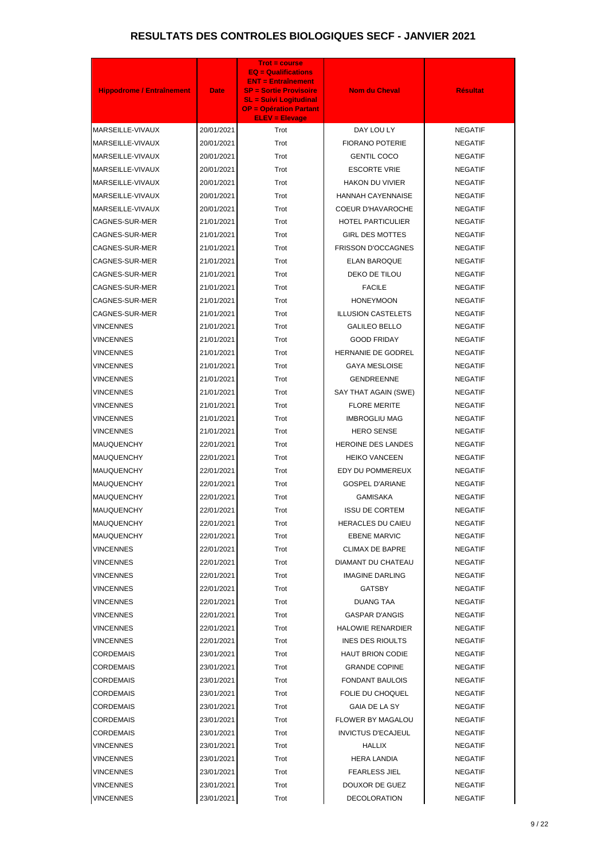| <b>Hippodrome / Entraînement</b> | <b>Date</b> | <b>Trot = course</b><br><b>EQ = Qualifications</b><br><b>ENT = Entraînement</b><br><b>SP = Sortie Provisoire</b><br><b>SL = Suivi Logitudinal</b><br><b>OP = Opération Partant</b><br><b>ELEV = Elevage</b> | <b>Nom du Cheval</b>      | <b>Résultat</b> |
|----------------------------------|-------------|-------------------------------------------------------------------------------------------------------------------------------------------------------------------------------------------------------------|---------------------------|-----------------|
| MARSEILLE-VIVAUX                 | 20/01/2021  | Trot                                                                                                                                                                                                        | DAY LOU LY                | <b>NEGATIF</b>  |
| MARSEILLE-VIVAUX                 | 20/01/2021  | Trot                                                                                                                                                                                                        | <b>FIORANO POTERIE</b>    | <b>NEGATIF</b>  |
| MARSEILLE-VIVAUX                 | 20/01/2021  | Trot                                                                                                                                                                                                        | <b>GENTIL COCO</b>        | <b>NEGATIF</b>  |
| MARSEILLE-VIVAUX                 | 20/01/2021  | Trot                                                                                                                                                                                                        | <b>ESCORTE VRIE</b>       | <b>NEGATIF</b>  |
| MARSEILLE-VIVAUX                 | 20/01/2021  | Trot                                                                                                                                                                                                        | <b>HAKON DU VIVIER</b>    | <b>NEGATIF</b>  |
| MARSEILLE-VIVAUX                 | 20/01/2021  | Trot                                                                                                                                                                                                        | <b>HANNAH CAYENNAISE</b>  | <b>NEGATIF</b>  |
| MARSEILLE-VIVAUX                 | 20/01/2021  | Trot                                                                                                                                                                                                        | COEUR D'HAVAROCHE         | <b>NEGATIF</b>  |
| CAGNES-SUR-MER                   | 21/01/2021  | Trot                                                                                                                                                                                                        | <b>HOTEL PARTICULIER</b>  | <b>NEGATIF</b>  |
| CAGNES-SUR-MER                   | 21/01/2021  | Trot                                                                                                                                                                                                        | <b>GIRL DES MOTTES</b>    | <b>NEGATIF</b>  |
| CAGNES-SUR-MER                   | 21/01/2021  | Trot                                                                                                                                                                                                        | FRISSON D'OCCAGNES        | <b>NEGATIF</b>  |
| CAGNES-SUR-MER                   | 21/01/2021  | Trot                                                                                                                                                                                                        | ELAN BAROQUE              | <b>NEGATIF</b>  |
| CAGNES-SUR-MER                   | 21/01/2021  | Trot                                                                                                                                                                                                        | DEKO DE TILOU             | <b>NEGATIF</b>  |
| CAGNES-SUR-MER                   | 21/01/2021  | Trot                                                                                                                                                                                                        | <b>FACILE</b>             | <b>NEGATIF</b>  |
| CAGNES-SUR-MER                   | 21/01/2021  | Trot                                                                                                                                                                                                        | <b>HONEYMOON</b>          | <b>NEGATIF</b>  |
| CAGNES-SUR-MER                   | 21/01/2021  | Trot                                                                                                                                                                                                        | <b>ILLUSION CASTELETS</b> | <b>NEGATIF</b>  |
| VINCENNES                        | 21/01/2021  | Trot                                                                                                                                                                                                        | <b>GALILEO BELLO</b>      | <b>NEGATIF</b>  |
| VINCENNES                        | 21/01/2021  | Trot                                                                                                                                                                                                        | <b>GOOD FRIDAY</b>        | <b>NEGATIF</b>  |
| VINCENNES                        | 21/01/2021  | Trot                                                                                                                                                                                                        | HERNANIE DE GODREL        | <b>NEGATIF</b>  |
| VINCENNES                        | 21/01/2021  | Trot                                                                                                                                                                                                        | <b>GAYA MESLOISE</b>      | <b>NEGATIF</b>  |
| VINCENNES                        | 21/01/2021  | Trot                                                                                                                                                                                                        | <b>GENDREENNE</b>         | <b>NEGATIF</b>  |
| VINCENNES                        | 21/01/2021  | Trot                                                                                                                                                                                                        | SAY THAT AGAIN (SWE)      | <b>NEGATIF</b>  |
| VINCENNES                        | 21/01/2021  | Trot                                                                                                                                                                                                        | <b>FLORE MERITE</b>       | <b>NEGATIF</b>  |
| VINCENNES                        | 21/01/2021  | Trot                                                                                                                                                                                                        | <b>IMBROGLIU MAG</b>      | <b>NEGATIF</b>  |
| VINCENNES                        | 21/01/2021  | Trot                                                                                                                                                                                                        | <b>HERO SENSE</b>         | <b>NEGATIF</b>  |
| <b>MAUQUENCHY</b>                | 22/01/2021  | Trot                                                                                                                                                                                                        | <b>HEROINE DES LANDES</b> | <b>NEGATIF</b>  |
| <b>MAUQUENCHY</b>                | 22/01/2021  | Trot                                                                                                                                                                                                        | <b>HEIKO VANCEEN</b>      | <b>NEGATIF</b>  |
| <b>MAUQUENCHY</b>                | 22/01/2021  | Trot                                                                                                                                                                                                        | EDY DU POMMEREUX          | <b>NEGATIF</b>  |
| <b>MAUQUENCHY</b>                | 22/01/2021  | Trot                                                                                                                                                                                                        | <b>GOSPEL D'ARIANE</b>    | <b>NEGATIF</b>  |
| MAUQUENCHY                       | 22/01/2021  | Trot                                                                                                                                                                                                        | <b>GAMISAKA</b>           | <b>NEGATIF</b>  |
| MAUQUENCHY                       | 22/01/2021  | Trot                                                                                                                                                                                                        | <b>ISSU DE CORTEM</b>     | <b>NEGATIF</b>  |
| <b>MAUQUENCHY</b>                | 22/01/2021  | Trot                                                                                                                                                                                                        | <b>HERACLES DU CAIEU</b>  | <b>NEGATIF</b>  |
| MAUQUENCHY                       | 22/01/2021  | Trot                                                                                                                                                                                                        | <b>EBENE MARVIC</b>       | <b>NEGATIF</b>  |
| VINCENNES                        | 22/01/2021  | Trot                                                                                                                                                                                                        | <b>CLIMAX DE BAPRE</b>    | <b>NEGATIF</b>  |
| VINCENNES                        | 22/01/2021  | Trot                                                                                                                                                                                                        | DIAMANT DU CHATEAU        | <b>NEGATIF</b>  |
| VINCENNES                        | 22/01/2021  | Trot                                                                                                                                                                                                        | <b>IMAGINE DARLING</b>    | <b>NEGATIF</b>  |
| <b>VINCENNES</b>                 | 22/01/2021  | Trot                                                                                                                                                                                                        | <b>GATSBY</b>             | <b>NEGATIF</b>  |
| VINCENNES                        | 22/01/2021  | Trot                                                                                                                                                                                                        | <b>DUANG TAA</b>          | <b>NEGATIF</b>  |
| <b>VINCENNES</b>                 | 22/01/2021  | Trot                                                                                                                                                                                                        | <b>GASPAR D'ANGIS</b>     | <b>NEGATIF</b>  |
| VINCENNES                        | 22/01/2021  | Trot                                                                                                                                                                                                        | <b>HALOWIE RENARDIER</b>  | <b>NEGATIF</b>  |
| <b>VINCENNES</b>                 | 22/01/2021  | Trot                                                                                                                                                                                                        | <b>INES DES RIOULTS</b>   | <b>NEGATIF</b>  |
| <b>CORDEMAIS</b>                 | 23/01/2021  | Trot                                                                                                                                                                                                        | <b>HAUT BRION CODIE</b>   | <b>NEGATIF</b>  |
| <b>CORDEMAIS</b>                 | 23/01/2021  | Trot                                                                                                                                                                                                        | <b>GRANDE COPINE</b>      | <b>NEGATIF</b>  |
| <b>CORDEMAIS</b>                 | 23/01/2021  | Trot                                                                                                                                                                                                        | <b>FONDANT BAULOIS</b>    | <b>NEGATIF</b>  |
| <b>CORDEMAIS</b>                 | 23/01/2021  | Trot                                                                                                                                                                                                        | FOLIE DU CHOQUEL          | <b>NEGATIF</b>  |
| <b>CORDEMAIS</b>                 | 23/01/2021  | Trot                                                                                                                                                                                                        | GAIA DE LA SY             | <b>NEGATIF</b>  |
| CORDEMAIS                        | 23/01/2021  | Trot                                                                                                                                                                                                        | <b>FLOWER BY MAGALOU</b>  | <b>NEGATIF</b>  |
| CORDEMAIS                        | 23/01/2021  | Trot                                                                                                                                                                                                        | <b>INVICTUS D'ECAJEUL</b> | <b>NEGATIF</b>  |
| <b>VINCENNES</b>                 | 23/01/2021  | Trot                                                                                                                                                                                                        | <b>HALLIX</b>             | <b>NEGATIF</b>  |
| VINCENNES                        | 23/01/2021  | Trot                                                                                                                                                                                                        | <b>HERA LANDIA</b>        | <b>NEGATIF</b>  |
| <b>VINCENNES</b>                 | 23/01/2021  | Trot                                                                                                                                                                                                        | <b>FEARLESS JIEL</b>      | <b>NEGATIF</b>  |
| VINCENNES                        | 23/01/2021  | Trot                                                                                                                                                                                                        | DOUXOR DE GUEZ            | <b>NEGATIF</b>  |
| <b>VINCENNES</b>                 | 23/01/2021  | Trot                                                                                                                                                                                                        | <b>DECOLORATION</b>       | <b>NEGATIF</b>  |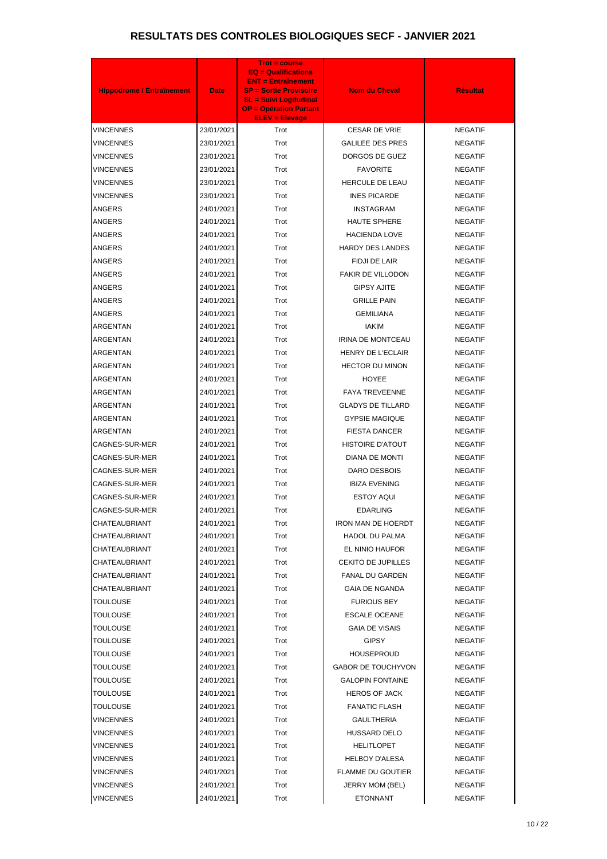| <b>Hippodrome / Entraînement</b> | <b>Date</b> | $Trot = course$<br>$EQ =$ Qualifications<br><b>ENT = Entraînement</b><br><b>SP = Sortie Provisoire</b><br><b>SL = Suivi Logitudinal</b><br><b>OP = Opération Partant</b> | <b>Nom du Cheval</b>      | <b>Résultat</b> |
|----------------------------------|-------------|--------------------------------------------------------------------------------------------------------------------------------------------------------------------------|---------------------------|-----------------|
| <b>VINCENNES</b>                 | 23/01/2021  | <b>ELEV = Elevage</b><br>Trot                                                                                                                                            | <b>CESAR DE VRIE</b>      | <b>NEGATIF</b>  |
| VINCENNES                        | 23/01/2021  | Trot                                                                                                                                                                     | <b>GALILEE DES PRES</b>   | <b>NEGATIF</b>  |
| VINCENNES                        | 23/01/2021  | Trot                                                                                                                                                                     | DORGOS DE GUEZ            | <b>NEGATIF</b>  |
| VINCENNES                        | 23/01/2021  | Trot                                                                                                                                                                     | <b>FAVORITE</b>           | <b>NEGATIF</b>  |
| <b>VINCENNES</b>                 | 23/01/2021  | Trot                                                                                                                                                                     | HERCULE DE LEAU           | <b>NEGATIF</b>  |
| VINCENNES                        | 23/01/2021  | Trot                                                                                                                                                                     | <b>INES PICARDE</b>       | <b>NEGATIF</b>  |
| ANGERS                           | 24/01/2021  | Trot                                                                                                                                                                     | <b>INSTAGRAM</b>          | <b>NEGATIF</b>  |
| ANGERS                           | 24/01/2021  | Trot                                                                                                                                                                     | <b>HAUTE SPHERE</b>       | <b>NEGATIF</b>  |
| ANGERS                           | 24/01/2021  | Trot                                                                                                                                                                     | <b>HACIENDA LOVE</b>      | <b>NEGATIF</b>  |
| ANGERS                           | 24/01/2021  | Trot                                                                                                                                                                     | <b>HARDY DES LANDES</b>   | <b>NEGATIF</b>  |
| ANGERS                           | 24/01/2021  | Trot                                                                                                                                                                     | FIDJI DE LAIR             | <b>NEGATIF</b>  |
| ANGERS                           | 24/01/2021  | Trot                                                                                                                                                                     | <b>FAKIR DE VILLODON</b>  | <b>NEGATIF</b>  |
| <b>ANGERS</b>                    | 24/01/2021  | Trot                                                                                                                                                                     | <b>GIPSY AJITE</b>        | <b>NEGATIF</b>  |
| ANGERS                           | 24/01/2021  | Trot                                                                                                                                                                     | <b>GRILLE PAIN</b>        | <b>NEGATIF</b>  |
| <b>ANGERS</b>                    | 24/01/2021  | Trot                                                                                                                                                                     | <b>GEMILIANA</b>          | <b>NEGATIF</b>  |
| ARGENTAN                         | 24/01/2021  | Trot                                                                                                                                                                     | <b>IAKIM</b>              | <b>NEGATIF</b>  |
| ARGENTAN                         | 24/01/2021  | Trot                                                                                                                                                                     | <b>IRINA DE MONTCEAU</b>  | <b>NEGATIF</b>  |
| ARGENTAN                         | 24/01/2021  | Trot                                                                                                                                                                     | <b>HENRY DE L'ECLAIR</b>  | <b>NEGATIF</b>  |
| ARGENTAN                         | 24/01/2021  | Trot                                                                                                                                                                     | <b>HECTOR DU MINON</b>    | <b>NEGATIF</b>  |
| ARGENTAN                         | 24/01/2021  | Trot                                                                                                                                                                     | <b>HOYEE</b>              | <b>NEGATIF</b>  |
| ARGENTAN                         | 24/01/2021  | Trot                                                                                                                                                                     | <b>FAYA TREVEENNE</b>     | <b>NEGATIF</b>  |
| ARGENTAN                         | 24/01/2021  | Trot                                                                                                                                                                     | <b>GLADYS DE TILLARD</b>  | <b>NEGATIF</b>  |
| ARGENTAN                         | 24/01/2021  | Trot                                                                                                                                                                     | <b>GYPSIE MAGIQUE</b>     | <b>NEGATIF</b>  |
| ARGENTAN                         | 24/01/2021  | Trot                                                                                                                                                                     | <b>FIESTA DANCER</b>      | <b>NEGATIF</b>  |
| CAGNES-SUR-MER                   | 24/01/2021  | Trot                                                                                                                                                                     | <b>HISTOIRE D'ATOUT</b>   | <b>NEGATIF</b>  |
| CAGNES-SUR-MER                   | 24/01/2021  | Trot                                                                                                                                                                     | DIANA DE MONTI            | <b>NEGATIF</b>  |
| CAGNES-SUR-MER                   | 24/01/2021  | Trot                                                                                                                                                                     | DARO DESBOIS              | <b>NEGATIF</b>  |
| <b>CAGNES-SUR-MER</b>            | 24/01/2021  | Trot                                                                                                                                                                     | <b>IBIZA EVENING</b>      | <b>NEGATIF</b>  |
| CAGNES-SUR-MER                   | 24/01/2021  | Trot                                                                                                                                                                     | <b>ESTOY AQUI</b>         | <b>NEGATIF</b>  |
| CAGNES-SUR-MER                   | 24/01/2021  | Trot                                                                                                                                                                     | <b>EDARLING</b>           | <b>NEGATIF</b>  |
| CHATEAUBRIANT                    | 24/01/2021  | Trot                                                                                                                                                                     | <b>IRON MAN DE HOERDT</b> | <b>NEGATIF</b>  |
| CHATEAUBRIANT                    | 24/01/2021  | Trot                                                                                                                                                                     | <b>HADOL DU PALMA</b>     | <b>NEGATIF</b>  |
| CHATEAUBRIANT                    | 24/01/2021  | Trot                                                                                                                                                                     | EL NINIO HAUFOR           | <b>NEGATIF</b>  |
| CHATEAUBRIANT                    | 24/01/2021  | Trot                                                                                                                                                                     | <b>CEKITO DE JUPILLES</b> | <b>NEGATIF</b>  |
| CHATEAUBRIANT                    | 24/01/2021  | Trot                                                                                                                                                                     | <b>FANAL DU GARDEN</b>    | <b>NEGATIF</b>  |
| CHATEAUBRIANT                    | 24/01/2021  | Trot                                                                                                                                                                     | <b>GAIA DE NGANDA</b>     | <b>NEGATIF</b>  |
| TOULOUSE                         | 24/01/2021  | Trot                                                                                                                                                                     | <b>FURIOUS BEY</b>        | <b>NEGATIF</b>  |
| TOULOUSE                         | 24/01/2021  | Trot                                                                                                                                                                     | <b>ESCALE OCEANE</b>      | <b>NEGATIF</b>  |
| TOULOUSE                         | 24/01/2021  | Trot                                                                                                                                                                     | <b>GAIA DE VISAIS</b>     | <b>NEGATIF</b>  |
| TOULOUSE                         | 24/01/2021  | Trot                                                                                                                                                                     | <b>GIPSY</b>              | <b>NEGATIF</b>  |
| TOULOUSE                         | 24/01/2021  | Trot                                                                                                                                                                     | HOUSEPROUD                | <b>NEGATIF</b>  |
| <b>TOULOUSE</b>                  | 24/01/2021  | Trot                                                                                                                                                                     | <b>GABOR DE TOUCHYVON</b> | <b>NEGATIF</b>  |
| TOULOUSE                         | 24/01/2021  | Trot                                                                                                                                                                     | <b>GALOPIN FONTAINE</b>   | <b>NEGATIF</b>  |
| <b>TOULOUSE</b>                  | 24/01/2021  | Trot                                                                                                                                                                     | <b>HEROS OF JACK</b>      | <b>NEGATIF</b>  |
| <b>TOULOUSE</b>                  | 24/01/2021  | Trot                                                                                                                                                                     | <b>FANATIC FLASH</b>      | <b>NEGATIF</b>  |
| VINCENNES                        | 24/01/2021  | Trot                                                                                                                                                                     | <b>GAULTHERIA</b>         | <b>NEGATIF</b>  |
| VINCENNES                        | 24/01/2021  | Trot                                                                                                                                                                     | <b>HUSSARD DELO</b>       | <b>NEGATIF</b>  |
| <b>VINCENNES</b>                 | 24/01/2021  | Trot                                                                                                                                                                     | <b>HELITLOPET</b>         | <b>NEGATIF</b>  |
| VINCENNES                        | 24/01/2021  | Trot                                                                                                                                                                     | <b>HELBOY D'ALESA</b>     | <b>NEGATIF</b>  |
| VINCENNES                        | 24/01/2021  | Trot                                                                                                                                                                     | <b>FLAMME DU GOUTIER</b>  | <b>NEGATIF</b>  |
| VINCENNES                        | 24/01/2021  | Trot                                                                                                                                                                     | JERRY MOM (BEL)           | <b>NEGATIF</b>  |
| <b>VINCENNES</b>                 | 24/01/2021  | Trot                                                                                                                                                                     | <b>ETONNANT</b>           | <b>NEGATIF</b>  |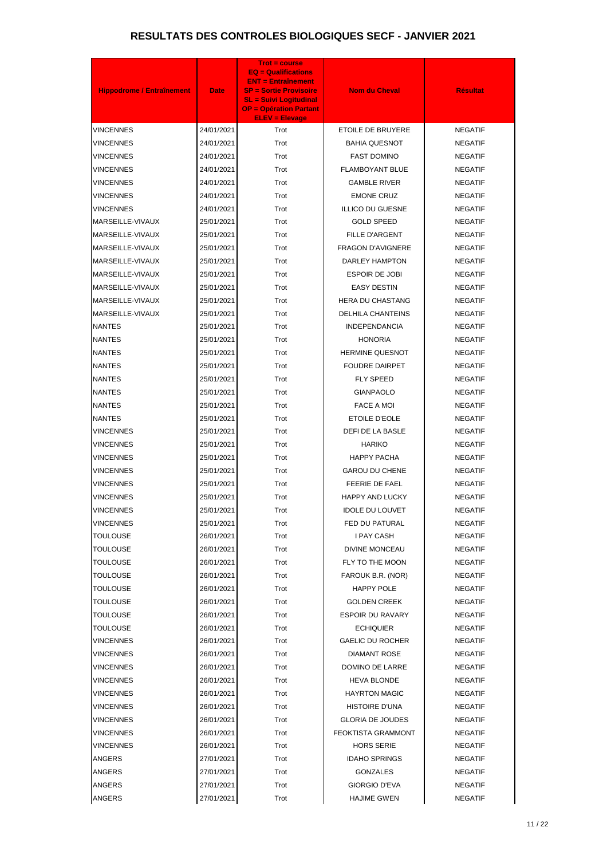| <b>Hippodrome / Entraînement</b><br><b>Nom du Cheval</b><br><b>Résultat</b><br><b>Date</b><br><b>SP = Sortie Provisoire</b><br><b>SL = Suivi Logitudinal</b><br><b>OP = Opération Partant</b><br><b>ELEV = Elevage</b><br>24/01/2021<br>ETOILE DE BRUYERE<br>VINCENNES<br>Trot<br><b>NEGATIF</b><br>Trot<br>VINCENNES<br>24/01/2021<br><b>BAHIA QUESNOT</b><br><b>NEGATIF</b><br>VINCENNES<br>24/01/2021<br>Trot<br><b>FAST DOMINO</b><br><b>NEGATIF</b><br>VINCENNES<br>24/01/2021<br>Trot<br><b>FLAMBOYANT BLUE</b><br><b>NEGATIF</b><br>VINCENNES<br>24/01/2021<br>Trot<br><b>GAMBLE RIVER</b><br><b>NEGATIF</b><br>VINCENNES<br>24/01/2021<br>Trot<br><b>EMONE CRUZ</b><br><b>NEGATIF</b><br>VINCENNES<br>24/01/2021<br>Trot<br><b>ILLICO DU GUESNE</b><br><b>NEGATIF</b><br>Trot<br>MARSEILLE-VIVAUX<br>25/01/2021<br><b>GOLD SPEED</b><br><b>NEGATIF</b><br>MARSEILLE-VIVAUX<br>25/01/2021<br>Trot<br><b>FILLE D'ARGENT</b><br><b>NEGATIF</b><br>Trot<br>MARSEILLE-VIVAUX<br>25/01/2021<br><b>FRAGON D'AVIGNERE</b><br><b>NEGATIF</b><br>MARSEILLE-VIVAUX<br>25/01/2021<br>Trot<br>DARLEY HAMPTON<br><b>NEGATIF</b><br>MARSEILLE-VIVAUX<br>Trot<br><b>ESPOIR DE JOBI</b><br><b>NEGATIF</b><br>25/01/2021<br>MARSEILLE-VIVAUX<br>25/01/2021<br>Trot<br><b>EASY DESTIN</b><br><b>NEGATIF</b><br>Trot<br>MARSEILLE-VIVAUX<br><b>HERA DU CHASTANG</b><br><b>NEGATIF</b><br>25/01/2021<br>MARSEILLE-VIVAUX<br>25/01/2021<br>Trot<br><b>DELHILA CHANTEINS</b><br><b>NEGATIF</b><br><b>NANTES</b><br>Trot<br><b>INDEPENDANCIA</b><br><b>NEGATIF</b><br>25/01/2021<br><b>NANTES</b><br>25/01/2021<br>Trot<br><b>HONORIA</b><br><b>NEGATIF</b><br>Trot<br><b>NANTES</b><br>25/01/2021<br><b>HERMINE QUESNOT</b><br><b>NEGATIF</b><br>Trot<br><b>FOUDRE DAIRPET</b><br><b>NEGATIF</b><br><b>NANTES</b><br>25/01/2021<br>Trot<br><b>NANTES</b><br>25/01/2021<br><b>FLY SPEED</b><br><b>NEGATIF</b><br><b>NANTES</b><br>25/01/2021<br>Trot<br><b>GIANPAOLO</b><br><b>NEGATIF</b><br>Trot<br><b>NANTES</b><br>25/01/2021<br><b>FACE A MOI</b><br><b>NEGATIF</b><br>ETOILE D'EOLE<br><b>NANTES</b><br>25/01/2021<br>Trot<br><b>NEGATIF</b><br>Trot<br><b>DEFI DE LA BASLE</b><br>VINCENNES<br>25/01/2021<br><b>NEGATIF</b><br>25/01/2021<br><b>HARIKO</b><br>VINCENNES<br>Trot<br><b>NEGATIF</b><br>25/01/2021<br>Trot<br><b>HAPPY PACHA</b><br>VINCENNES<br><b>NEGATIF</b><br>25/01/2021<br>Trot<br><b>GAROU DU CHENE</b><br><b>NEGATIF</b><br>VINCENNES<br>Trot<br>FEERIE DE FAEL<br><b>NEGATIF</b><br>VINCENNES<br>25/01/2021<br>Trot<br><b>HAPPY AND LUCKY</b><br><b>NEGATIF</b><br>VINCENNES<br>25/01/2021<br>Trot<br><b>IDOLE DU LOUVET</b><br><b>NEGATIF</b><br>VINCENNES<br>25/01/2021<br>VINCENNES<br>25/01/2021<br>Trot<br>FED DU PATURAL<br><b>NEGATIF</b><br>Trot<br><b>I PAY CASH</b><br><b>NEGATIF</b><br>TOULOUSE<br>26/01/2021<br>TOULOUSE<br>26/01/2021<br>Trot<br><b>DIVINE MONCEAU</b><br><b>NEGATIF</b><br>Trot<br>TOULOUSE<br>26/01/2021<br>FLY TO THE MOON<br><b>NEGATIF</b><br>Trot<br><b>NEGATIF</b><br>TOULOUSE<br>26/01/2021<br>FAROUK B.R. (NOR)<br>Trot<br>HAPPY POLE<br><b>NEGATIF</b><br>TOULOUSE<br>26/01/2021<br>Trot<br><b>NEGATIF</b><br>TOULOUSE<br>26/01/2021<br><b>GOLDEN CREEK</b><br>Trot<br>TOULOUSE<br>26/01/2021<br>ESPOIR DU RAVARY<br><b>NEGATIF</b><br>Trot<br><b>NEGATIF</b><br>TOULOUSE<br>26/01/2021<br><b>ECHIQUIER</b><br>Trot<br><b>GAELIC DU ROCHER</b><br>VINCENNES<br>26/01/2021<br><b>NEGATIF</b><br>Trot<br><b>DIAMANT ROSE</b><br>VINCENNES<br>26/01/2021<br><b>NEGATIF</b><br>Trot<br>DOMINO DE LARRE<br>VINCENNES<br>26/01/2021<br><b>NEGATIF</b><br>Trot<br>VINCENNES<br>26/01/2021<br><b>HEVA BLONDE</b><br><b>NEGATIF</b><br>Trot<br><b>HAYRTON MAGIC</b><br>VINCENNES<br>26/01/2021<br><b>NEGATIF</b><br>Trot<br><b>HISTOIRE D'UNA</b><br><b>NEGATIF</b><br>VINCENNES<br>26/01/2021<br>Trot<br><b>GLORIA DE JOUDES</b><br><b>NEGATIF</b><br>VINCENNES<br>26/01/2021<br>Trot<br><b>FEOKTISTA GRAMMONT</b><br>VINCENNES<br>26/01/2021<br><b>NEGATIF</b><br>VINCENNES<br>Trot<br><b>HORS SERIE</b><br><b>NEGATIF</b><br>26/01/2021<br>27/01/2021<br>Trot<br><b>IDAHO SPRINGS</b><br>ANGERS<br><b>NEGATIF</b><br><b>ANGERS</b><br>27/01/2021<br>Trot<br><b>GONZALES</b><br><b>NEGATIF</b><br><b>ANGERS</b><br>27/01/2021<br>Trot<br><b>GIORGIO D'EVA</b><br><b>NEGATIF</b> |               |            | <b>Trot = course</b><br><b>EQ = Qualifications</b><br><b>ENT = Entraînement</b> |                    |                |
|-------------------------------------------------------------------------------------------------------------------------------------------------------------------------------------------------------------------------------------------------------------------------------------------------------------------------------------------------------------------------------------------------------------------------------------------------------------------------------------------------------------------------------------------------------------------------------------------------------------------------------------------------------------------------------------------------------------------------------------------------------------------------------------------------------------------------------------------------------------------------------------------------------------------------------------------------------------------------------------------------------------------------------------------------------------------------------------------------------------------------------------------------------------------------------------------------------------------------------------------------------------------------------------------------------------------------------------------------------------------------------------------------------------------------------------------------------------------------------------------------------------------------------------------------------------------------------------------------------------------------------------------------------------------------------------------------------------------------------------------------------------------------------------------------------------------------------------------------------------------------------------------------------------------------------------------------------------------------------------------------------------------------------------------------------------------------------------------------------------------------------------------------------------------------------------------------------------------------------------------------------------------------------------------------------------------------------------------------------------------------------------------------------------------------------------------------------------------------------------------------------------------------------------------------------------------------------------------------------------------------------------------------------------------------------------------------------------------------------------------------------------------------------------------------------------------------------------------------------------------------------------------------------------------------------------------------------------------------------------------------------------------------------------------------------------------------------------------------------------------------------------------------------------------------------------------------------------------------------------------------------------------------------------------------------------------------------------------------------------------------------------------------------------------------------------------------------------------------------------------------------------------------------------------------------------------------------------------------------------------------------------------------------------------------------------------------------------------------------------------------------------------------------------------------------------------------------------------------------------------------------------------------------------------------------------------------------------------------------------------------------------------------------------------------------------------------------------------------------------------------------------------------------------------------------------------------------------------------------------------------------------------------------------------------------------------------------|---------------|------------|---------------------------------------------------------------------------------|--------------------|----------------|
|                                                                                                                                                                                                                                                                                                                                                                                                                                                                                                                                                                                                                                                                                                                                                                                                                                                                                                                                                                                                                                                                                                                                                                                                                                                                                                                                                                                                                                                                                                                                                                                                                                                                                                                                                                                                                                                                                                                                                                                                                                                                                                                                                                                                                                                                                                                                                                                                                                                                                                                                                                                                                                                                                                                                                                                                                                                                                                                                                                                                                                                                                                                                                                                                                                                                                                                                                                                                                                                                                                                                                                                                                                                                                                                                                                                                                                                                                                                                                                                                                                                                                                                                                                                                                                                                                                                               |               |            |                                                                                 |                    |                |
|                                                                                                                                                                                                                                                                                                                                                                                                                                                                                                                                                                                                                                                                                                                                                                                                                                                                                                                                                                                                                                                                                                                                                                                                                                                                                                                                                                                                                                                                                                                                                                                                                                                                                                                                                                                                                                                                                                                                                                                                                                                                                                                                                                                                                                                                                                                                                                                                                                                                                                                                                                                                                                                                                                                                                                                                                                                                                                                                                                                                                                                                                                                                                                                                                                                                                                                                                                                                                                                                                                                                                                                                                                                                                                                                                                                                                                                                                                                                                                                                                                                                                                                                                                                                                                                                                                                               |               |            |                                                                                 |                    |                |
|                                                                                                                                                                                                                                                                                                                                                                                                                                                                                                                                                                                                                                                                                                                                                                                                                                                                                                                                                                                                                                                                                                                                                                                                                                                                                                                                                                                                                                                                                                                                                                                                                                                                                                                                                                                                                                                                                                                                                                                                                                                                                                                                                                                                                                                                                                                                                                                                                                                                                                                                                                                                                                                                                                                                                                                                                                                                                                                                                                                                                                                                                                                                                                                                                                                                                                                                                                                                                                                                                                                                                                                                                                                                                                                                                                                                                                                                                                                                                                                                                                                                                                                                                                                                                                                                                                                               |               |            |                                                                                 |                    |                |
|                                                                                                                                                                                                                                                                                                                                                                                                                                                                                                                                                                                                                                                                                                                                                                                                                                                                                                                                                                                                                                                                                                                                                                                                                                                                                                                                                                                                                                                                                                                                                                                                                                                                                                                                                                                                                                                                                                                                                                                                                                                                                                                                                                                                                                                                                                                                                                                                                                                                                                                                                                                                                                                                                                                                                                                                                                                                                                                                                                                                                                                                                                                                                                                                                                                                                                                                                                                                                                                                                                                                                                                                                                                                                                                                                                                                                                                                                                                                                                                                                                                                                                                                                                                                                                                                                                                               |               |            |                                                                                 |                    |                |
|                                                                                                                                                                                                                                                                                                                                                                                                                                                                                                                                                                                                                                                                                                                                                                                                                                                                                                                                                                                                                                                                                                                                                                                                                                                                                                                                                                                                                                                                                                                                                                                                                                                                                                                                                                                                                                                                                                                                                                                                                                                                                                                                                                                                                                                                                                                                                                                                                                                                                                                                                                                                                                                                                                                                                                                                                                                                                                                                                                                                                                                                                                                                                                                                                                                                                                                                                                                                                                                                                                                                                                                                                                                                                                                                                                                                                                                                                                                                                                                                                                                                                                                                                                                                                                                                                                                               |               |            |                                                                                 |                    |                |
|                                                                                                                                                                                                                                                                                                                                                                                                                                                                                                                                                                                                                                                                                                                                                                                                                                                                                                                                                                                                                                                                                                                                                                                                                                                                                                                                                                                                                                                                                                                                                                                                                                                                                                                                                                                                                                                                                                                                                                                                                                                                                                                                                                                                                                                                                                                                                                                                                                                                                                                                                                                                                                                                                                                                                                                                                                                                                                                                                                                                                                                                                                                                                                                                                                                                                                                                                                                                                                                                                                                                                                                                                                                                                                                                                                                                                                                                                                                                                                                                                                                                                                                                                                                                                                                                                                                               |               |            |                                                                                 |                    |                |
|                                                                                                                                                                                                                                                                                                                                                                                                                                                                                                                                                                                                                                                                                                                                                                                                                                                                                                                                                                                                                                                                                                                                                                                                                                                                                                                                                                                                                                                                                                                                                                                                                                                                                                                                                                                                                                                                                                                                                                                                                                                                                                                                                                                                                                                                                                                                                                                                                                                                                                                                                                                                                                                                                                                                                                                                                                                                                                                                                                                                                                                                                                                                                                                                                                                                                                                                                                                                                                                                                                                                                                                                                                                                                                                                                                                                                                                                                                                                                                                                                                                                                                                                                                                                                                                                                                                               |               |            |                                                                                 |                    |                |
|                                                                                                                                                                                                                                                                                                                                                                                                                                                                                                                                                                                                                                                                                                                                                                                                                                                                                                                                                                                                                                                                                                                                                                                                                                                                                                                                                                                                                                                                                                                                                                                                                                                                                                                                                                                                                                                                                                                                                                                                                                                                                                                                                                                                                                                                                                                                                                                                                                                                                                                                                                                                                                                                                                                                                                                                                                                                                                                                                                                                                                                                                                                                                                                                                                                                                                                                                                                                                                                                                                                                                                                                                                                                                                                                                                                                                                                                                                                                                                                                                                                                                                                                                                                                                                                                                                                               |               |            |                                                                                 |                    |                |
|                                                                                                                                                                                                                                                                                                                                                                                                                                                                                                                                                                                                                                                                                                                                                                                                                                                                                                                                                                                                                                                                                                                                                                                                                                                                                                                                                                                                                                                                                                                                                                                                                                                                                                                                                                                                                                                                                                                                                                                                                                                                                                                                                                                                                                                                                                                                                                                                                                                                                                                                                                                                                                                                                                                                                                                                                                                                                                                                                                                                                                                                                                                                                                                                                                                                                                                                                                                                                                                                                                                                                                                                                                                                                                                                                                                                                                                                                                                                                                                                                                                                                                                                                                                                                                                                                                                               |               |            |                                                                                 |                    |                |
|                                                                                                                                                                                                                                                                                                                                                                                                                                                                                                                                                                                                                                                                                                                                                                                                                                                                                                                                                                                                                                                                                                                                                                                                                                                                                                                                                                                                                                                                                                                                                                                                                                                                                                                                                                                                                                                                                                                                                                                                                                                                                                                                                                                                                                                                                                                                                                                                                                                                                                                                                                                                                                                                                                                                                                                                                                                                                                                                                                                                                                                                                                                                                                                                                                                                                                                                                                                                                                                                                                                                                                                                                                                                                                                                                                                                                                                                                                                                                                                                                                                                                                                                                                                                                                                                                                                               |               |            |                                                                                 |                    |                |
|                                                                                                                                                                                                                                                                                                                                                                                                                                                                                                                                                                                                                                                                                                                                                                                                                                                                                                                                                                                                                                                                                                                                                                                                                                                                                                                                                                                                                                                                                                                                                                                                                                                                                                                                                                                                                                                                                                                                                                                                                                                                                                                                                                                                                                                                                                                                                                                                                                                                                                                                                                                                                                                                                                                                                                                                                                                                                                                                                                                                                                                                                                                                                                                                                                                                                                                                                                                                                                                                                                                                                                                                                                                                                                                                                                                                                                                                                                                                                                                                                                                                                                                                                                                                                                                                                                                               |               |            |                                                                                 |                    |                |
|                                                                                                                                                                                                                                                                                                                                                                                                                                                                                                                                                                                                                                                                                                                                                                                                                                                                                                                                                                                                                                                                                                                                                                                                                                                                                                                                                                                                                                                                                                                                                                                                                                                                                                                                                                                                                                                                                                                                                                                                                                                                                                                                                                                                                                                                                                                                                                                                                                                                                                                                                                                                                                                                                                                                                                                                                                                                                                                                                                                                                                                                                                                                                                                                                                                                                                                                                                                                                                                                                                                                                                                                                                                                                                                                                                                                                                                                                                                                                                                                                                                                                                                                                                                                                                                                                                                               |               |            |                                                                                 |                    |                |
|                                                                                                                                                                                                                                                                                                                                                                                                                                                                                                                                                                                                                                                                                                                                                                                                                                                                                                                                                                                                                                                                                                                                                                                                                                                                                                                                                                                                                                                                                                                                                                                                                                                                                                                                                                                                                                                                                                                                                                                                                                                                                                                                                                                                                                                                                                                                                                                                                                                                                                                                                                                                                                                                                                                                                                                                                                                                                                                                                                                                                                                                                                                                                                                                                                                                                                                                                                                                                                                                                                                                                                                                                                                                                                                                                                                                                                                                                                                                                                                                                                                                                                                                                                                                                                                                                                                               |               |            |                                                                                 |                    |                |
|                                                                                                                                                                                                                                                                                                                                                                                                                                                                                                                                                                                                                                                                                                                                                                                                                                                                                                                                                                                                                                                                                                                                                                                                                                                                                                                                                                                                                                                                                                                                                                                                                                                                                                                                                                                                                                                                                                                                                                                                                                                                                                                                                                                                                                                                                                                                                                                                                                                                                                                                                                                                                                                                                                                                                                                                                                                                                                                                                                                                                                                                                                                                                                                                                                                                                                                                                                                                                                                                                                                                                                                                                                                                                                                                                                                                                                                                                                                                                                                                                                                                                                                                                                                                                                                                                                                               |               |            |                                                                                 |                    |                |
|                                                                                                                                                                                                                                                                                                                                                                                                                                                                                                                                                                                                                                                                                                                                                                                                                                                                                                                                                                                                                                                                                                                                                                                                                                                                                                                                                                                                                                                                                                                                                                                                                                                                                                                                                                                                                                                                                                                                                                                                                                                                                                                                                                                                                                                                                                                                                                                                                                                                                                                                                                                                                                                                                                                                                                                                                                                                                                                                                                                                                                                                                                                                                                                                                                                                                                                                                                                                                                                                                                                                                                                                                                                                                                                                                                                                                                                                                                                                                                                                                                                                                                                                                                                                                                                                                                                               |               |            |                                                                                 |                    |                |
|                                                                                                                                                                                                                                                                                                                                                                                                                                                                                                                                                                                                                                                                                                                                                                                                                                                                                                                                                                                                                                                                                                                                                                                                                                                                                                                                                                                                                                                                                                                                                                                                                                                                                                                                                                                                                                                                                                                                                                                                                                                                                                                                                                                                                                                                                                                                                                                                                                                                                                                                                                                                                                                                                                                                                                                                                                                                                                                                                                                                                                                                                                                                                                                                                                                                                                                                                                                                                                                                                                                                                                                                                                                                                                                                                                                                                                                                                                                                                                                                                                                                                                                                                                                                                                                                                                                               |               |            |                                                                                 |                    |                |
|                                                                                                                                                                                                                                                                                                                                                                                                                                                                                                                                                                                                                                                                                                                                                                                                                                                                                                                                                                                                                                                                                                                                                                                                                                                                                                                                                                                                                                                                                                                                                                                                                                                                                                                                                                                                                                                                                                                                                                                                                                                                                                                                                                                                                                                                                                                                                                                                                                                                                                                                                                                                                                                                                                                                                                                                                                                                                                                                                                                                                                                                                                                                                                                                                                                                                                                                                                                                                                                                                                                                                                                                                                                                                                                                                                                                                                                                                                                                                                                                                                                                                                                                                                                                                                                                                                                               |               |            |                                                                                 |                    |                |
|                                                                                                                                                                                                                                                                                                                                                                                                                                                                                                                                                                                                                                                                                                                                                                                                                                                                                                                                                                                                                                                                                                                                                                                                                                                                                                                                                                                                                                                                                                                                                                                                                                                                                                                                                                                                                                                                                                                                                                                                                                                                                                                                                                                                                                                                                                                                                                                                                                                                                                                                                                                                                                                                                                                                                                                                                                                                                                                                                                                                                                                                                                                                                                                                                                                                                                                                                                                                                                                                                                                                                                                                                                                                                                                                                                                                                                                                                                                                                                                                                                                                                                                                                                                                                                                                                                                               |               |            |                                                                                 |                    |                |
|                                                                                                                                                                                                                                                                                                                                                                                                                                                                                                                                                                                                                                                                                                                                                                                                                                                                                                                                                                                                                                                                                                                                                                                                                                                                                                                                                                                                                                                                                                                                                                                                                                                                                                                                                                                                                                                                                                                                                                                                                                                                                                                                                                                                                                                                                                                                                                                                                                                                                                                                                                                                                                                                                                                                                                                                                                                                                                                                                                                                                                                                                                                                                                                                                                                                                                                                                                                                                                                                                                                                                                                                                                                                                                                                                                                                                                                                                                                                                                                                                                                                                                                                                                                                                                                                                                                               |               |            |                                                                                 |                    |                |
|                                                                                                                                                                                                                                                                                                                                                                                                                                                                                                                                                                                                                                                                                                                                                                                                                                                                                                                                                                                                                                                                                                                                                                                                                                                                                                                                                                                                                                                                                                                                                                                                                                                                                                                                                                                                                                                                                                                                                                                                                                                                                                                                                                                                                                                                                                                                                                                                                                                                                                                                                                                                                                                                                                                                                                                                                                                                                                                                                                                                                                                                                                                                                                                                                                                                                                                                                                                                                                                                                                                                                                                                                                                                                                                                                                                                                                                                                                                                                                                                                                                                                                                                                                                                                                                                                                                               |               |            |                                                                                 |                    |                |
|                                                                                                                                                                                                                                                                                                                                                                                                                                                                                                                                                                                                                                                                                                                                                                                                                                                                                                                                                                                                                                                                                                                                                                                                                                                                                                                                                                                                                                                                                                                                                                                                                                                                                                                                                                                                                                                                                                                                                                                                                                                                                                                                                                                                                                                                                                                                                                                                                                                                                                                                                                                                                                                                                                                                                                                                                                                                                                                                                                                                                                                                                                                                                                                                                                                                                                                                                                                                                                                                                                                                                                                                                                                                                                                                                                                                                                                                                                                                                                                                                                                                                                                                                                                                                                                                                                                               |               |            |                                                                                 |                    |                |
|                                                                                                                                                                                                                                                                                                                                                                                                                                                                                                                                                                                                                                                                                                                                                                                                                                                                                                                                                                                                                                                                                                                                                                                                                                                                                                                                                                                                                                                                                                                                                                                                                                                                                                                                                                                                                                                                                                                                                                                                                                                                                                                                                                                                                                                                                                                                                                                                                                                                                                                                                                                                                                                                                                                                                                                                                                                                                                                                                                                                                                                                                                                                                                                                                                                                                                                                                                                                                                                                                                                                                                                                                                                                                                                                                                                                                                                                                                                                                                                                                                                                                                                                                                                                                                                                                                                               |               |            |                                                                                 |                    |                |
|                                                                                                                                                                                                                                                                                                                                                                                                                                                                                                                                                                                                                                                                                                                                                                                                                                                                                                                                                                                                                                                                                                                                                                                                                                                                                                                                                                                                                                                                                                                                                                                                                                                                                                                                                                                                                                                                                                                                                                                                                                                                                                                                                                                                                                                                                                                                                                                                                                                                                                                                                                                                                                                                                                                                                                                                                                                                                                                                                                                                                                                                                                                                                                                                                                                                                                                                                                                                                                                                                                                                                                                                                                                                                                                                                                                                                                                                                                                                                                                                                                                                                                                                                                                                                                                                                                                               |               |            |                                                                                 |                    |                |
|                                                                                                                                                                                                                                                                                                                                                                                                                                                                                                                                                                                                                                                                                                                                                                                                                                                                                                                                                                                                                                                                                                                                                                                                                                                                                                                                                                                                                                                                                                                                                                                                                                                                                                                                                                                                                                                                                                                                                                                                                                                                                                                                                                                                                                                                                                                                                                                                                                                                                                                                                                                                                                                                                                                                                                                                                                                                                                                                                                                                                                                                                                                                                                                                                                                                                                                                                                                                                                                                                                                                                                                                                                                                                                                                                                                                                                                                                                                                                                                                                                                                                                                                                                                                                                                                                                                               |               |            |                                                                                 |                    |                |
|                                                                                                                                                                                                                                                                                                                                                                                                                                                                                                                                                                                                                                                                                                                                                                                                                                                                                                                                                                                                                                                                                                                                                                                                                                                                                                                                                                                                                                                                                                                                                                                                                                                                                                                                                                                                                                                                                                                                                                                                                                                                                                                                                                                                                                                                                                                                                                                                                                                                                                                                                                                                                                                                                                                                                                                                                                                                                                                                                                                                                                                                                                                                                                                                                                                                                                                                                                                                                                                                                                                                                                                                                                                                                                                                                                                                                                                                                                                                                                                                                                                                                                                                                                                                                                                                                                                               |               |            |                                                                                 |                    |                |
|                                                                                                                                                                                                                                                                                                                                                                                                                                                                                                                                                                                                                                                                                                                                                                                                                                                                                                                                                                                                                                                                                                                                                                                                                                                                                                                                                                                                                                                                                                                                                                                                                                                                                                                                                                                                                                                                                                                                                                                                                                                                                                                                                                                                                                                                                                                                                                                                                                                                                                                                                                                                                                                                                                                                                                                                                                                                                                                                                                                                                                                                                                                                                                                                                                                                                                                                                                                                                                                                                                                                                                                                                                                                                                                                                                                                                                                                                                                                                                                                                                                                                                                                                                                                                                                                                                                               |               |            |                                                                                 |                    |                |
|                                                                                                                                                                                                                                                                                                                                                                                                                                                                                                                                                                                                                                                                                                                                                                                                                                                                                                                                                                                                                                                                                                                                                                                                                                                                                                                                                                                                                                                                                                                                                                                                                                                                                                                                                                                                                                                                                                                                                                                                                                                                                                                                                                                                                                                                                                                                                                                                                                                                                                                                                                                                                                                                                                                                                                                                                                                                                                                                                                                                                                                                                                                                                                                                                                                                                                                                                                                                                                                                                                                                                                                                                                                                                                                                                                                                                                                                                                                                                                                                                                                                                                                                                                                                                                                                                                                               |               |            |                                                                                 |                    |                |
|                                                                                                                                                                                                                                                                                                                                                                                                                                                                                                                                                                                                                                                                                                                                                                                                                                                                                                                                                                                                                                                                                                                                                                                                                                                                                                                                                                                                                                                                                                                                                                                                                                                                                                                                                                                                                                                                                                                                                                                                                                                                                                                                                                                                                                                                                                                                                                                                                                                                                                                                                                                                                                                                                                                                                                                                                                                                                                                                                                                                                                                                                                                                                                                                                                                                                                                                                                                                                                                                                                                                                                                                                                                                                                                                                                                                                                                                                                                                                                                                                                                                                                                                                                                                                                                                                                                               |               |            |                                                                                 |                    |                |
|                                                                                                                                                                                                                                                                                                                                                                                                                                                                                                                                                                                                                                                                                                                                                                                                                                                                                                                                                                                                                                                                                                                                                                                                                                                                                                                                                                                                                                                                                                                                                                                                                                                                                                                                                                                                                                                                                                                                                                                                                                                                                                                                                                                                                                                                                                                                                                                                                                                                                                                                                                                                                                                                                                                                                                                                                                                                                                                                                                                                                                                                                                                                                                                                                                                                                                                                                                                                                                                                                                                                                                                                                                                                                                                                                                                                                                                                                                                                                                                                                                                                                                                                                                                                                                                                                                                               |               |            |                                                                                 |                    |                |
|                                                                                                                                                                                                                                                                                                                                                                                                                                                                                                                                                                                                                                                                                                                                                                                                                                                                                                                                                                                                                                                                                                                                                                                                                                                                                                                                                                                                                                                                                                                                                                                                                                                                                                                                                                                                                                                                                                                                                                                                                                                                                                                                                                                                                                                                                                                                                                                                                                                                                                                                                                                                                                                                                                                                                                                                                                                                                                                                                                                                                                                                                                                                                                                                                                                                                                                                                                                                                                                                                                                                                                                                                                                                                                                                                                                                                                                                                                                                                                                                                                                                                                                                                                                                                                                                                                                               |               |            |                                                                                 |                    |                |
|                                                                                                                                                                                                                                                                                                                                                                                                                                                                                                                                                                                                                                                                                                                                                                                                                                                                                                                                                                                                                                                                                                                                                                                                                                                                                                                                                                                                                                                                                                                                                                                                                                                                                                                                                                                                                                                                                                                                                                                                                                                                                                                                                                                                                                                                                                                                                                                                                                                                                                                                                                                                                                                                                                                                                                                                                                                                                                                                                                                                                                                                                                                                                                                                                                                                                                                                                                                                                                                                                                                                                                                                                                                                                                                                                                                                                                                                                                                                                                                                                                                                                                                                                                                                                                                                                                                               |               |            |                                                                                 |                    |                |
|                                                                                                                                                                                                                                                                                                                                                                                                                                                                                                                                                                                                                                                                                                                                                                                                                                                                                                                                                                                                                                                                                                                                                                                                                                                                                                                                                                                                                                                                                                                                                                                                                                                                                                                                                                                                                                                                                                                                                                                                                                                                                                                                                                                                                                                                                                                                                                                                                                                                                                                                                                                                                                                                                                                                                                                                                                                                                                                                                                                                                                                                                                                                                                                                                                                                                                                                                                                                                                                                                                                                                                                                                                                                                                                                                                                                                                                                                                                                                                                                                                                                                                                                                                                                                                                                                                                               |               |            |                                                                                 |                    |                |
|                                                                                                                                                                                                                                                                                                                                                                                                                                                                                                                                                                                                                                                                                                                                                                                                                                                                                                                                                                                                                                                                                                                                                                                                                                                                                                                                                                                                                                                                                                                                                                                                                                                                                                                                                                                                                                                                                                                                                                                                                                                                                                                                                                                                                                                                                                                                                                                                                                                                                                                                                                                                                                                                                                                                                                                                                                                                                                                                                                                                                                                                                                                                                                                                                                                                                                                                                                                                                                                                                                                                                                                                                                                                                                                                                                                                                                                                                                                                                                                                                                                                                                                                                                                                                                                                                                                               |               |            |                                                                                 |                    |                |
|                                                                                                                                                                                                                                                                                                                                                                                                                                                                                                                                                                                                                                                                                                                                                                                                                                                                                                                                                                                                                                                                                                                                                                                                                                                                                                                                                                                                                                                                                                                                                                                                                                                                                                                                                                                                                                                                                                                                                                                                                                                                                                                                                                                                                                                                                                                                                                                                                                                                                                                                                                                                                                                                                                                                                                                                                                                                                                                                                                                                                                                                                                                                                                                                                                                                                                                                                                                                                                                                                                                                                                                                                                                                                                                                                                                                                                                                                                                                                                                                                                                                                                                                                                                                                                                                                                                               |               |            |                                                                                 |                    |                |
|                                                                                                                                                                                                                                                                                                                                                                                                                                                                                                                                                                                                                                                                                                                                                                                                                                                                                                                                                                                                                                                                                                                                                                                                                                                                                                                                                                                                                                                                                                                                                                                                                                                                                                                                                                                                                                                                                                                                                                                                                                                                                                                                                                                                                                                                                                                                                                                                                                                                                                                                                                                                                                                                                                                                                                                                                                                                                                                                                                                                                                                                                                                                                                                                                                                                                                                                                                                                                                                                                                                                                                                                                                                                                                                                                                                                                                                                                                                                                                                                                                                                                                                                                                                                                                                                                                                               |               |            |                                                                                 |                    |                |
|                                                                                                                                                                                                                                                                                                                                                                                                                                                                                                                                                                                                                                                                                                                                                                                                                                                                                                                                                                                                                                                                                                                                                                                                                                                                                                                                                                                                                                                                                                                                                                                                                                                                                                                                                                                                                                                                                                                                                                                                                                                                                                                                                                                                                                                                                                                                                                                                                                                                                                                                                                                                                                                                                                                                                                                                                                                                                                                                                                                                                                                                                                                                                                                                                                                                                                                                                                                                                                                                                                                                                                                                                                                                                                                                                                                                                                                                                                                                                                                                                                                                                                                                                                                                                                                                                                                               |               |            |                                                                                 |                    |                |
|                                                                                                                                                                                                                                                                                                                                                                                                                                                                                                                                                                                                                                                                                                                                                                                                                                                                                                                                                                                                                                                                                                                                                                                                                                                                                                                                                                                                                                                                                                                                                                                                                                                                                                                                                                                                                                                                                                                                                                                                                                                                                                                                                                                                                                                                                                                                                                                                                                                                                                                                                                                                                                                                                                                                                                                                                                                                                                                                                                                                                                                                                                                                                                                                                                                                                                                                                                                                                                                                                                                                                                                                                                                                                                                                                                                                                                                                                                                                                                                                                                                                                                                                                                                                                                                                                                                               |               |            |                                                                                 |                    |                |
|                                                                                                                                                                                                                                                                                                                                                                                                                                                                                                                                                                                                                                                                                                                                                                                                                                                                                                                                                                                                                                                                                                                                                                                                                                                                                                                                                                                                                                                                                                                                                                                                                                                                                                                                                                                                                                                                                                                                                                                                                                                                                                                                                                                                                                                                                                                                                                                                                                                                                                                                                                                                                                                                                                                                                                                                                                                                                                                                                                                                                                                                                                                                                                                                                                                                                                                                                                                                                                                                                                                                                                                                                                                                                                                                                                                                                                                                                                                                                                                                                                                                                                                                                                                                                                                                                                                               |               |            |                                                                                 |                    |                |
|                                                                                                                                                                                                                                                                                                                                                                                                                                                                                                                                                                                                                                                                                                                                                                                                                                                                                                                                                                                                                                                                                                                                                                                                                                                                                                                                                                                                                                                                                                                                                                                                                                                                                                                                                                                                                                                                                                                                                                                                                                                                                                                                                                                                                                                                                                                                                                                                                                                                                                                                                                                                                                                                                                                                                                                                                                                                                                                                                                                                                                                                                                                                                                                                                                                                                                                                                                                                                                                                                                                                                                                                                                                                                                                                                                                                                                                                                                                                                                                                                                                                                                                                                                                                                                                                                                                               |               |            |                                                                                 |                    |                |
|                                                                                                                                                                                                                                                                                                                                                                                                                                                                                                                                                                                                                                                                                                                                                                                                                                                                                                                                                                                                                                                                                                                                                                                                                                                                                                                                                                                                                                                                                                                                                                                                                                                                                                                                                                                                                                                                                                                                                                                                                                                                                                                                                                                                                                                                                                                                                                                                                                                                                                                                                                                                                                                                                                                                                                                                                                                                                                                                                                                                                                                                                                                                                                                                                                                                                                                                                                                                                                                                                                                                                                                                                                                                                                                                                                                                                                                                                                                                                                                                                                                                                                                                                                                                                                                                                                                               |               |            |                                                                                 |                    |                |
|                                                                                                                                                                                                                                                                                                                                                                                                                                                                                                                                                                                                                                                                                                                                                                                                                                                                                                                                                                                                                                                                                                                                                                                                                                                                                                                                                                                                                                                                                                                                                                                                                                                                                                                                                                                                                                                                                                                                                                                                                                                                                                                                                                                                                                                                                                                                                                                                                                                                                                                                                                                                                                                                                                                                                                                                                                                                                                                                                                                                                                                                                                                                                                                                                                                                                                                                                                                                                                                                                                                                                                                                                                                                                                                                                                                                                                                                                                                                                                                                                                                                                                                                                                                                                                                                                                                               |               |            |                                                                                 |                    |                |
|                                                                                                                                                                                                                                                                                                                                                                                                                                                                                                                                                                                                                                                                                                                                                                                                                                                                                                                                                                                                                                                                                                                                                                                                                                                                                                                                                                                                                                                                                                                                                                                                                                                                                                                                                                                                                                                                                                                                                                                                                                                                                                                                                                                                                                                                                                                                                                                                                                                                                                                                                                                                                                                                                                                                                                                                                                                                                                                                                                                                                                                                                                                                                                                                                                                                                                                                                                                                                                                                                                                                                                                                                                                                                                                                                                                                                                                                                                                                                                                                                                                                                                                                                                                                                                                                                                                               |               |            |                                                                                 |                    |                |
|                                                                                                                                                                                                                                                                                                                                                                                                                                                                                                                                                                                                                                                                                                                                                                                                                                                                                                                                                                                                                                                                                                                                                                                                                                                                                                                                                                                                                                                                                                                                                                                                                                                                                                                                                                                                                                                                                                                                                                                                                                                                                                                                                                                                                                                                                                                                                                                                                                                                                                                                                                                                                                                                                                                                                                                                                                                                                                                                                                                                                                                                                                                                                                                                                                                                                                                                                                                                                                                                                                                                                                                                                                                                                                                                                                                                                                                                                                                                                                                                                                                                                                                                                                                                                                                                                                                               |               |            |                                                                                 |                    |                |
|                                                                                                                                                                                                                                                                                                                                                                                                                                                                                                                                                                                                                                                                                                                                                                                                                                                                                                                                                                                                                                                                                                                                                                                                                                                                                                                                                                                                                                                                                                                                                                                                                                                                                                                                                                                                                                                                                                                                                                                                                                                                                                                                                                                                                                                                                                                                                                                                                                                                                                                                                                                                                                                                                                                                                                                                                                                                                                                                                                                                                                                                                                                                                                                                                                                                                                                                                                                                                                                                                                                                                                                                                                                                                                                                                                                                                                                                                                                                                                                                                                                                                                                                                                                                                                                                                                                               |               |            |                                                                                 |                    |                |
|                                                                                                                                                                                                                                                                                                                                                                                                                                                                                                                                                                                                                                                                                                                                                                                                                                                                                                                                                                                                                                                                                                                                                                                                                                                                                                                                                                                                                                                                                                                                                                                                                                                                                                                                                                                                                                                                                                                                                                                                                                                                                                                                                                                                                                                                                                                                                                                                                                                                                                                                                                                                                                                                                                                                                                                                                                                                                                                                                                                                                                                                                                                                                                                                                                                                                                                                                                                                                                                                                                                                                                                                                                                                                                                                                                                                                                                                                                                                                                                                                                                                                                                                                                                                                                                                                                                               |               |            |                                                                                 |                    |                |
|                                                                                                                                                                                                                                                                                                                                                                                                                                                                                                                                                                                                                                                                                                                                                                                                                                                                                                                                                                                                                                                                                                                                                                                                                                                                                                                                                                                                                                                                                                                                                                                                                                                                                                                                                                                                                                                                                                                                                                                                                                                                                                                                                                                                                                                                                                                                                                                                                                                                                                                                                                                                                                                                                                                                                                                                                                                                                                                                                                                                                                                                                                                                                                                                                                                                                                                                                                                                                                                                                                                                                                                                                                                                                                                                                                                                                                                                                                                                                                                                                                                                                                                                                                                                                                                                                                                               |               |            |                                                                                 |                    |                |
|                                                                                                                                                                                                                                                                                                                                                                                                                                                                                                                                                                                                                                                                                                                                                                                                                                                                                                                                                                                                                                                                                                                                                                                                                                                                                                                                                                                                                                                                                                                                                                                                                                                                                                                                                                                                                                                                                                                                                                                                                                                                                                                                                                                                                                                                                                                                                                                                                                                                                                                                                                                                                                                                                                                                                                                                                                                                                                                                                                                                                                                                                                                                                                                                                                                                                                                                                                                                                                                                                                                                                                                                                                                                                                                                                                                                                                                                                                                                                                                                                                                                                                                                                                                                                                                                                                                               |               |            |                                                                                 |                    |                |
|                                                                                                                                                                                                                                                                                                                                                                                                                                                                                                                                                                                                                                                                                                                                                                                                                                                                                                                                                                                                                                                                                                                                                                                                                                                                                                                                                                                                                                                                                                                                                                                                                                                                                                                                                                                                                                                                                                                                                                                                                                                                                                                                                                                                                                                                                                                                                                                                                                                                                                                                                                                                                                                                                                                                                                                                                                                                                                                                                                                                                                                                                                                                                                                                                                                                                                                                                                                                                                                                                                                                                                                                                                                                                                                                                                                                                                                                                                                                                                                                                                                                                                                                                                                                                                                                                                                               |               |            |                                                                                 |                    |                |
|                                                                                                                                                                                                                                                                                                                                                                                                                                                                                                                                                                                                                                                                                                                                                                                                                                                                                                                                                                                                                                                                                                                                                                                                                                                                                                                                                                                                                                                                                                                                                                                                                                                                                                                                                                                                                                                                                                                                                                                                                                                                                                                                                                                                                                                                                                                                                                                                                                                                                                                                                                                                                                                                                                                                                                                                                                                                                                                                                                                                                                                                                                                                                                                                                                                                                                                                                                                                                                                                                                                                                                                                                                                                                                                                                                                                                                                                                                                                                                                                                                                                                                                                                                                                                                                                                                                               |               |            |                                                                                 |                    |                |
|                                                                                                                                                                                                                                                                                                                                                                                                                                                                                                                                                                                                                                                                                                                                                                                                                                                                                                                                                                                                                                                                                                                                                                                                                                                                                                                                                                                                                                                                                                                                                                                                                                                                                                                                                                                                                                                                                                                                                                                                                                                                                                                                                                                                                                                                                                                                                                                                                                                                                                                                                                                                                                                                                                                                                                                                                                                                                                                                                                                                                                                                                                                                                                                                                                                                                                                                                                                                                                                                                                                                                                                                                                                                                                                                                                                                                                                                                                                                                                                                                                                                                                                                                                                                                                                                                                                               |               |            |                                                                                 |                    |                |
|                                                                                                                                                                                                                                                                                                                                                                                                                                                                                                                                                                                                                                                                                                                                                                                                                                                                                                                                                                                                                                                                                                                                                                                                                                                                                                                                                                                                                                                                                                                                                                                                                                                                                                                                                                                                                                                                                                                                                                                                                                                                                                                                                                                                                                                                                                                                                                                                                                                                                                                                                                                                                                                                                                                                                                                                                                                                                                                                                                                                                                                                                                                                                                                                                                                                                                                                                                                                                                                                                                                                                                                                                                                                                                                                                                                                                                                                                                                                                                                                                                                                                                                                                                                                                                                                                                                               |               |            |                                                                                 |                    |                |
|                                                                                                                                                                                                                                                                                                                                                                                                                                                                                                                                                                                                                                                                                                                                                                                                                                                                                                                                                                                                                                                                                                                                                                                                                                                                                                                                                                                                                                                                                                                                                                                                                                                                                                                                                                                                                                                                                                                                                                                                                                                                                                                                                                                                                                                                                                                                                                                                                                                                                                                                                                                                                                                                                                                                                                                                                                                                                                                                                                                                                                                                                                                                                                                                                                                                                                                                                                                                                                                                                                                                                                                                                                                                                                                                                                                                                                                                                                                                                                                                                                                                                                                                                                                                                                                                                                                               |               |            |                                                                                 |                    |                |
|                                                                                                                                                                                                                                                                                                                                                                                                                                                                                                                                                                                                                                                                                                                                                                                                                                                                                                                                                                                                                                                                                                                                                                                                                                                                                                                                                                                                                                                                                                                                                                                                                                                                                                                                                                                                                                                                                                                                                                                                                                                                                                                                                                                                                                                                                                                                                                                                                                                                                                                                                                                                                                                                                                                                                                                                                                                                                                                                                                                                                                                                                                                                                                                                                                                                                                                                                                                                                                                                                                                                                                                                                                                                                                                                                                                                                                                                                                                                                                                                                                                                                                                                                                                                                                                                                                                               |               |            |                                                                                 |                    |                |
|                                                                                                                                                                                                                                                                                                                                                                                                                                                                                                                                                                                                                                                                                                                                                                                                                                                                                                                                                                                                                                                                                                                                                                                                                                                                                                                                                                                                                                                                                                                                                                                                                                                                                                                                                                                                                                                                                                                                                                                                                                                                                                                                                                                                                                                                                                                                                                                                                                                                                                                                                                                                                                                                                                                                                                                                                                                                                                                                                                                                                                                                                                                                                                                                                                                                                                                                                                                                                                                                                                                                                                                                                                                                                                                                                                                                                                                                                                                                                                                                                                                                                                                                                                                                                                                                                                                               |               |            |                                                                                 |                    |                |
|                                                                                                                                                                                                                                                                                                                                                                                                                                                                                                                                                                                                                                                                                                                                                                                                                                                                                                                                                                                                                                                                                                                                                                                                                                                                                                                                                                                                                                                                                                                                                                                                                                                                                                                                                                                                                                                                                                                                                                                                                                                                                                                                                                                                                                                                                                                                                                                                                                                                                                                                                                                                                                                                                                                                                                                                                                                                                                                                                                                                                                                                                                                                                                                                                                                                                                                                                                                                                                                                                                                                                                                                                                                                                                                                                                                                                                                                                                                                                                                                                                                                                                                                                                                                                                                                                                                               | <b>ANGERS</b> | 27/01/2021 | Trot                                                                            | <b>HAJIME GWEN</b> | <b>NEGATIF</b> |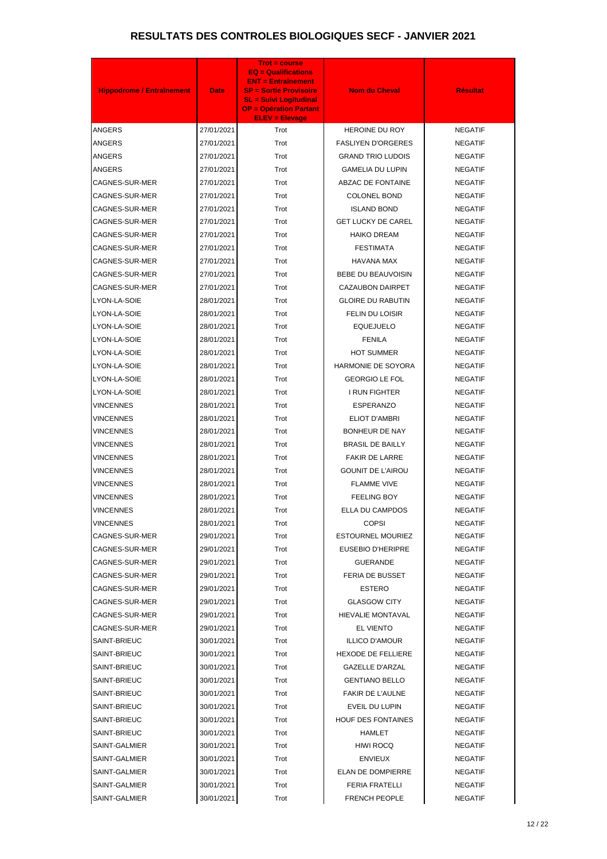| <b>Hippodrome / Entraînement</b> | <b>Date</b> | <b>Trot = course</b><br><b>EQ = Qualifications</b><br><b>ENT = Entraînement</b><br><b>SP = Sortie Provisoire</b><br><b>SL = Suivi Logitudinal</b> | <b>Nom du Cheval</b>      | <b>Résultat</b> |
|----------------------------------|-------------|---------------------------------------------------------------------------------------------------------------------------------------------------|---------------------------|-----------------|
|                                  |             | <b>OP = Opération Partant</b><br><b>ELEV = Elevage</b>                                                                                            |                           |                 |
| ANGERS                           | 27/01/2021  | Trot                                                                                                                                              | HEROINE DU ROY            | <b>NEGATIF</b>  |
| ANGERS                           | 27/01/2021  | Trot                                                                                                                                              | <b>FASLIYEN D'ORGERES</b> | <b>NEGATIF</b>  |
| <b>ANGERS</b>                    | 27/01/2021  | Trot                                                                                                                                              | <b>GRAND TRIO LUDOIS</b>  | <b>NEGATIF</b>  |
| <b>ANGERS</b>                    | 27/01/2021  | Trot                                                                                                                                              | <b>GAMELIA DU LUPIN</b>   | <b>NEGATIF</b>  |
| CAGNES-SUR-MER                   | 27/01/2021  | Trot                                                                                                                                              | ABZAC DE FONTAINE         | <b>NEGATIF</b>  |
| CAGNES-SUR-MER                   | 27/01/2021  | Trot                                                                                                                                              | <b>COLONEL BOND</b>       | <b>NEGATIF</b>  |
| CAGNES-SUR-MER                   | 27/01/2021  | Trot                                                                                                                                              | <b>ISLAND BOND</b>        | <b>NEGATIF</b>  |
| CAGNES-SUR-MER                   | 27/01/2021  | Trot                                                                                                                                              | <b>GET LUCKY DE CAREL</b> | <b>NEGATIF</b>  |
| CAGNES-SUR-MER                   | 27/01/2021  | Trot                                                                                                                                              | <b>HAIKO DREAM</b>        | <b>NEGATIF</b>  |
| CAGNES-SUR-MER                   | 27/01/2021  | Trot                                                                                                                                              | <b>FESTIMATA</b>          | <b>NEGATIF</b>  |
| <b>CAGNES-SUR-MER</b>            | 27/01/2021  | Trot                                                                                                                                              | <b>HAVANA MAX</b>         | <b>NEGATIF</b>  |
| CAGNES-SUR-MER                   | 27/01/2021  | Trot                                                                                                                                              | <b>BEBE DU BEAUVOISIN</b> | <b>NEGATIF</b>  |
| <b>CAGNES-SUR-MER</b>            | 27/01/2021  | Trot                                                                                                                                              | CAZAUBON DAIRPET          | <b>NEGATIF</b>  |
| LYON-LA-SOIE                     | 28/01/2021  | Trot                                                                                                                                              | <b>GLOIRE DU RABUTIN</b>  | <b>NEGATIF</b>  |
| LYON-LA-SOIE                     | 28/01/2021  | Trot                                                                                                                                              | FELIN DU LOISIR           | <b>NEGATIF</b>  |
| LYON-LA-SOIE                     | 28/01/2021  | Trot                                                                                                                                              | <b>EQUEJUELO</b>          | <b>NEGATIF</b>  |
| LYON-LA-SOIE                     | 28/01/2021  | Trot                                                                                                                                              | <b>FENILA</b>             | <b>NEGATIF</b>  |
| LYON-LA-SOIE                     | 28/01/2021  | Trot                                                                                                                                              | <b>HOT SUMMER</b>         | <b>NEGATIF</b>  |
| LYON-LA-SOIE                     | 28/01/2021  | Trot                                                                                                                                              | HARMONIE DE SOYORA        | <b>NEGATIF</b>  |
| LYON-LA-SOIE                     | 28/01/2021  | Trot                                                                                                                                              | <b>GEORGIO LE FOL</b>     | <b>NEGATIF</b>  |
| LYON-LA-SOIE                     | 28/01/2021  | Trot                                                                                                                                              | I RUN FIGHTER             | <b>NEGATIF</b>  |
| VINCENNES                        | 28/01/2021  | Trot                                                                                                                                              | <b>ESPERANZO</b>          | <b>NEGATIF</b>  |
| VINCENNES                        | 28/01/2021  | Trot                                                                                                                                              | <b>ELIOT D'AMBRI</b>      | <b>NEGATIF</b>  |
| <b>VINCENNES</b>                 | 28/01/2021  | Trot                                                                                                                                              | <b>BONHEUR DE NAY</b>     | <b>NEGATIF</b>  |
| <b>VINCENNES</b>                 | 28/01/2021  | Trot                                                                                                                                              | <b>BRASIL DE BAILLY</b>   | <b>NEGATIF</b>  |
| VINCENNES                        | 28/01/2021  | Trot                                                                                                                                              | <b>FAKIR DE LARRE</b>     | <b>NEGATIF</b>  |
| <b>VINCENNES</b>                 | 28/01/2021  | Trot                                                                                                                                              | <b>GOUNIT DE L'AIROU</b>  | <b>NEGATIF</b>  |
| VINCENNES                        | 28/01/2021  | Trot                                                                                                                                              | <b>FLAMME VIVE</b>        | <b>NEGATIF</b>  |
| VINCENNES                        | 28/01/2021  | Trot                                                                                                                                              | <b>FEELING BOY</b>        | <b>NEGATIF</b>  |
| <b>VINCENNES</b>                 | 28/01/2021  | Trot                                                                                                                                              | ELLA DU CAMPDOS           | <b>NEGATIF</b>  |
| <b>VINCENNES</b>                 | 28/01/2021  | Trot                                                                                                                                              | <b>COPSI</b>              | <b>NEGATIF</b>  |
| CAGNES-SUR-MER                   | 29/01/2021  | Trot                                                                                                                                              | <b>ESTOURNEL MOURIEZ</b>  | <b>NEGATIF</b>  |
| CAGNES-SUR-MER                   | 29/01/2021  | Trot                                                                                                                                              | <b>EUSEBIO D'HERIPRE</b>  | <b>NEGATIF</b>  |
| CAGNES-SUR-MER                   | 29/01/2021  | Trot                                                                                                                                              | <b>GUERANDE</b>           | <b>NEGATIF</b>  |
| CAGNES-SUR-MER                   | 29/01/2021  | Trot                                                                                                                                              | <b>FERIA DE BUSSET</b>    | <b>NEGATIF</b>  |
| CAGNES-SUR-MER                   | 29/01/2021  | Trot                                                                                                                                              | ESTERO                    | <b>NEGATIF</b>  |
| CAGNES-SUR-MER                   | 29/01/2021  | Trot                                                                                                                                              | <b>GLASGOW CITY</b>       | <b>NEGATIF</b>  |
| CAGNES-SUR-MER                   | 29/01/2021  | Trot                                                                                                                                              | HIEVALIE MONTAVAL         | <b>NEGATIF</b>  |
| CAGNES-SUR-MER                   | 29/01/2021  | Trot                                                                                                                                              | <b>EL VIENTO</b>          | <b>NEGATIF</b>  |
| SAINT-BRIEUC                     | 30/01/2021  | Trot                                                                                                                                              | <b>ILLICO D'AMOUR</b>     | <b>NEGATIF</b>  |
| SAINT-BRIEUC                     | 30/01/2021  | Trot                                                                                                                                              | <b>HEXODE DE FELLIERE</b> | <b>NEGATIF</b>  |
| SAINT-BRIEUC                     | 30/01/2021  | Trot                                                                                                                                              | <b>GAZELLE D'ARZAL</b>    | <b>NEGATIF</b>  |
| SAINT-BRIEUC                     | 30/01/2021  | Trot                                                                                                                                              | <b>GENTIANO BELLO</b>     | <b>NEGATIF</b>  |
| SAINT-BRIEUC                     | 30/01/2021  | Trot                                                                                                                                              | <b>FAKIR DE L'AULNE</b>   | <b>NEGATIF</b>  |
| SAINT-BRIEUC                     | 30/01/2021  | Trot                                                                                                                                              | EVEIL DU LUPIN            | <b>NEGATIF</b>  |
| SAINT-BRIEUC                     | 30/01/2021  | Trot                                                                                                                                              | <b>HOUF DES FONTAINES</b> | <b>NEGATIF</b>  |
| SAINT-BRIEUC                     | 30/01/2021  | Trot                                                                                                                                              | HAMLET                    | <b>NEGATIF</b>  |
| SAINT-GALMIER                    | 30/01/2021  | Trot                                                                                                                                              | <b>HIWI ROCQ</b>          | <b>NEGATIF</b>  |
| SAINT-GALMIER                    | 30/01/2021  | Trot                                                                                                                                              | <b>ENVIEUX</b>            | <b>NEGATIF</b>  |
| SAINT-GALMIER                    | 30/01/2021  | Trot                                                                                                                                              | ELAN DE DOMPIERRE         | <b>NEGATIF</b>  |
| SAINT-GALMIER                    | 30/01/2021  | Trot                                                                                                                                              | <b>FERIA FRATELLI</b>     | <b>NEGATIF</b>  |
| SAINT-GALMIER                    | 30/01/2021  | Trot                                                                                                                                              | <b>FRENCH PEOPLE</b>      | <b>NEGATIF</b>  |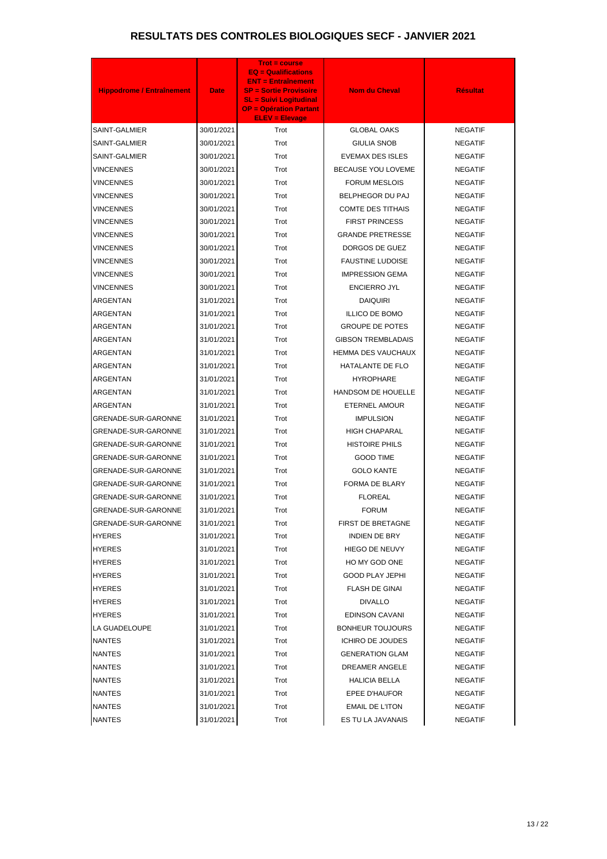| <b>Hippodrome / Entraînement</b> | <b>Date</b> | Trot = course<br><b>EQ = Qualifications</b><br><b>ENT = Entraînement</b><br><b>SP = Sortie Provisoire</b><br><b>SL = Suivi Logitudinal</b><br><b>OP = Opération Partant</b><br><b>ELEV = Elevage</b> | <b>Nom du Cheval</b>      | <b>Résultat</b> |
|----------------------------------|-------------|------------------------------------------------------------------------------------------------------------------------------------------------------------------------------------------------------|---------------------------|-----------------|
| SAINT-GALMIER                    | 30/01/2021  | Trot                                                                                                                                                                                                 | <b>GLOBAL OAKS</b>        | <b>NEGATIF</b>  |
| SAINT-GALMIER                    | 30/01/2021  | Trot                                                                                                                                                                                                 | <b>GIULIA SNOB</b>        | <b>NEGATIF</b>  |
| SAINT-GALMIER                    | 30/01/2021  | Trot                                                                                                                                                                                                 | <b>EVEMAX DES ISLES</b>   | <b>NEGATIF</b>  |
| <b>VINCENNES</b>                 | 30/01/2021  | Trot                                                                                                                                                                                                 | <b>BECAUSE YOU LOVEME</b> | <b>NEGATIF</b>  |
| <b>VINCENNES</b>                 | 30/01/2021  | Trot                                                                                                                                                                                                 | <b>FORUM MESLOIS</b>      | <b>NEGATIF</b>  |
| <b>VINCENNES</b>                 | 30/01/2021  | Trot                                                                                                                                                                                                 | BELPHEGOR DU PAJ          | <b>NEGATIF</b>  |
| <b>VINCENNES</b>                 | 30/01/2021  | Trot                                                                                                                                                                                                 | <b>COMTE DES TITHAIS</b>  | <b>NEGATIF</b>  |
| <b>VINCENNES</b>                 | 30/01/2021  | Trot                                                                                                                                                                                                 | <b>FIRST PRINCESS</b>     | <b>NEGATIF</b>  |
| <b>VINCENNES</b>                 | 30/01/2021  | Trot                                                                                                                                                                                                 | <b>GRANDE PRETRESSE</b>   | <b>NEGATIF</b>  |
| <b>VINCENNES</b>                 | 30/01/2021  | Trot                                                                                                                                                                                                 | DORGOS DE GUEZ            | <b>NEGATIF</b>  |
| <b>VINCENNES</b>                 | 30/01/2021  | Trot                                                                                                                                                                                                 | <b>FAUSTINE LUDOISE</b>   | <b>NEGATIF</b>  |
| <b>VINCENNES</b>                 | 30/01/2021  | Trot                                                                                                                                                                                                 | <b>IMPRESSION GEMA</b>    | <b>NEGATIF</b>  |
| <b>VINCENNES</b>                 | 30/01/2021  | Trot                                                                                                                                                                                                 | <b>ENCIERRO JYL</b>       | <b>NEGATIF</b>  |
| <b>ARGENTAN</b>                  | 31/01/2021  | Trot                                                                                                                                                                                                 | <b>DAIQUIRI</b>           | <b>NEGATIF</b>  |
| ARGENTAN                         | 31/01/2021  | Trot                                                                                                                                                                                                 | <b>ILLICO DE BOMO</b>     | <b>NEGATIF</b>  |
| ARGENTAN                         | 31/01/2021  | Trot                                                                                                                                                                                                 | <b>GROUPE DE POTES</b>    | <b>NEGATIF</b>  |
| ARGENTAN                         | 31/01/2021  | Trot                                                                                                                                                                                                 | <b>GIBSON TREMBLADAIS</b> | <b>NEGATIF</b>  |
| ARGENTAN                         | 31/01/2021  | Trot                                                                                                                                                                                                 | HEMMA DES VAUCHAUX        | <b>NEGATIF</b>  |
| ARGENTAN                         | 31/01/2021  | Trot                                                                                                                                                                                                 | HATALANTE DE FLO          | <b>NEGATIF</b>  |
| ARGENTAN                         | 31/01/2021  | Trot                                                                                                                                                                                                 | <b>HYROPHARE</b>          | <b>NEGATIF</b>  |
| ARGENTAN                         | 31/01/2021  | Trot                                                                                                                                                                                                 | HANDSOM DE HOUELLE        | <b>NEGATIF</b>  |
| ARGENTAN                         | 31/01/2021  | Trot                                                                                                                                                                                                 | ETERNEL AMOUR             | <b>NEGATIF</b>  |
| GRENADE-SUR-GARONNE              | 31/01/2021  | Trot                                                                                                                                                                                                 | <b>IMPULSION</b>          | <b>NEGATIF</b>  |
| GRENADE-SUR-GARONNE              | 31/01/2021  | Trot                                                                                                                                                                                                 | <b>HIGH CHAPARAL</b>      | <b>NEGATIF</b>  |
| <b>GRENADE-SUR-GARONNE</b>       | 31/01/2021  | Trot                                                                                                                                                                                                 | <b>HISTOIRE PHILS</b>     | <b>NEGATIF</b>  |
| GRENADE-SUR-GARONNE              | 31/01/2021  | Trot                                                                                                                                                                                                 | <b>GOOD TIME</b>          | <b>NEGATIF</b>  |
| GRENADE-SUR-GARONNE              | 31/01/2021  | Trot                                                                                                                                                                                                 | <b>GOLO KANTE</b>         | <b>NEGATIF</b>  |
| GRENADE-SUR-GARONNE              | 31/01/2021  | Trot                                                                                                                                                                                                 | FORMA DE BLARY            | <b>NEGATIF</b>  |
| GRENADE-SUR-GARONNE              | 31/01/2021  | Trot                                                                                                                                                                                                 | <b>FLOREAL</b>            | <b>NEGATIF</b>  |
| GRENADE-SUR-GARONNE              | 31/01/2021  | Trot                                                                                                                                                                                                 | <b>FORUM</b>              | <b>NEGATIF</b>  |
| GRENADE-SUR-GARONNE              | 31/01/2021  | Trot                                                                                                                                                                                                 | <b>FIRST DE BRETAGNE</b>  | <b>NEGATIF</b>  |
| <b>HYERES</b>                    | 31/01/2021  | Trot                                                                                                                                                                                                 | <b>INDIEN DE BRY</b>      | <b>NEGATIF</b>  |
| <b>HYERES</b>                    | 31/01/2021  | Trot                                                                                                                                                                                                 | HIEGO DE NEUVY            | <b>NEGATIF</b>  |
| <b>HYERES</b>                    | 31/01/2021  | Trot                                                                                                                                                                                                 | HO MY GOD ONE             | <b>NEGATIF</b>  |
| <b>HYERES</b>                    | 31/01/2021  | Trot                                                                                                                                                                                                 | <b>GOOD PLAY JEPHI</b>    | <b>NEGATIF</b>  |
| <b>HYERES</b>                    | 31/01/2021  | Trot                                                                                                                                                                                                 | <b>FLASH DE GINAI</b>     | <b>NEGATIF</b>  |
| <b>HYERES</b>                    | 31/01/2021  | Trot                                                                                                                                                                                                 | <b>DIVALLO</b>            | <b>NEGATIF</b>  |
| <b>HYERES</b>                    | 31/01/2021  | Trot                                                                                                                                                                                                 | <b>EDINSON CAVANI</b>     | <b>NEGATIF</b>  |
| LA GUADELOUPE                    | 31/01/2021  | Trot                                                                                                                                                                                                 | <b>BONHEUR TOUJOURS</b>   | <b>NEGATIF</b>  |
| <b>NANTES</b>                    | 31/01/2021  | Trot                                                                                                                                                                                                 | <b>ICHIRO DE JOUDES</b>   | <b>NEGATIF</b>  |
| <b>NANTES</b>                    | 31/01/2021  | Trot                                                                                                                                                                                                 | <b>GENERATION GLAM</b>    | <b>NEGATIF</b>  |
| <b>NANTES</b>                    | 31/01/2021  | Trot                                                                                                                                                                                                 | DREAMER ANGELE            | <b>NEGATIF</b>  |
| <b>NANTES</b>                    | 31/01/2021  | Trot                                                                                                                                                                                                 | <b>HALICIA BELLA</b>      | <b>NEGATIF</b>  |
| <b>NANTES</b>                    | 31/01/2021  | Trot                                                                                                                                                                                                 | EPEE D'HAUFOR             | <b>NEGATIF</b>  |
| <b>NANTES</b>                    | 31/01/2021  | Trot                                                                                                                                                                                                 | <b>EMAIL DE L'ITON</b>    | <b>NEGATIF</b>  |
| <b>NANTES</b>                    | 31/01/2021  | Trot                                                                                                                                                                                                 | ES TU LA JAVANAIS         | <b>NEGATIF</b>  |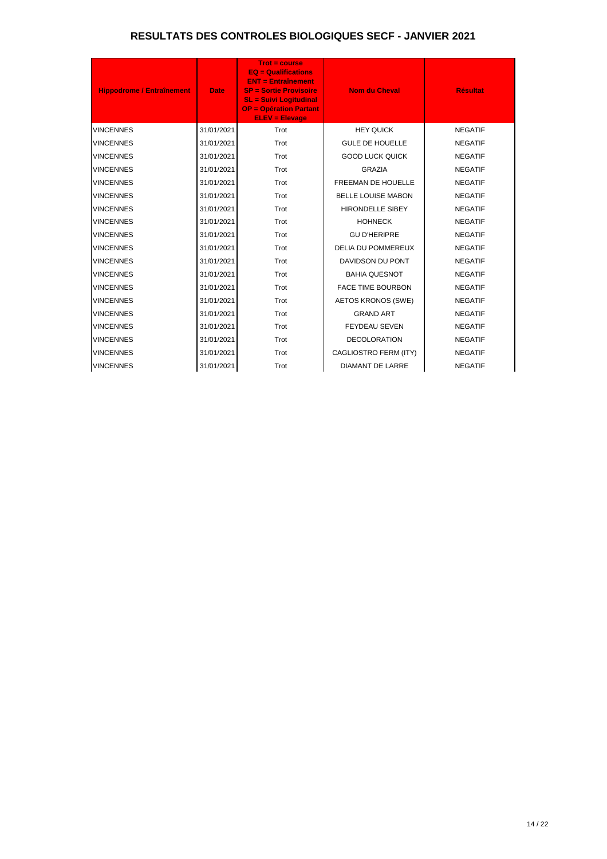| <b>Hippodrome / Entraînement</b> | <b>Date</b> | <b>Trot = course</b><br>$EQ = \text{Qualifications}$<br><b>ENT = Entraînement</b><br><b>SP = Sortie Provisoire</b><br><b>SL = Suivi Logitudinal</b><br><b>OP = Opération Partant</b><br><b>ELEV = Elevage</b> | <b>Nom du Cheval</b>      | <b>Résultat</b> |
|----------------------------------|-------------|---------------------------------------------------------------------------------------------------------------------------------------------------------------------------------------------------------------|---------------------------|-----------------|
| <b>VINCENNES</b>                 | 31/01/2021  | Trot                                                                                                                                                                                                          | <b>HEY QUICK</b>          | <b>NEGATIF</b>  |
| <b>VINCENNES</b>                 | 31/01/2021  | Trot                                                                                                                                                                                                          | <b>GULE DE HOUELLE</b>    | <b>NEGATIF</b>  |
| <b>VINCENNES</b>                 | 31/01/2021  | Trot                                                                                                                                                                                                          | <b>GOOD LUCK QUICK</b>    | <b>NEGATIF</b>  |
| <b>VINCENNES</b>                 | 31/01/2021  | Trot                                                                                                                                                                                                          | <b>GRAZIA</b>             | <b>NEGATIF</b>  |
| <b>VINCENNES</b>                 | 31/01/2021  | Trot                                                                                                                                                                                                          | <b>FREEMAN DE HOUELLE</b> | <b>NEGATIF</b>  |
| <b>VINCENNES</b>                 | 31/01/2021  | Trot                                                                                                                                                                                                          | <b>BELLE LOUISE MABON</b> | <b>NEGATIF</b>  |
| <b>VINCENNES</b>                 | 31/01/2021  | Trot                                                                                                                                                                                                          | <b>HIRONDELLE SIBEY</b>   | <b>NEGATIF</b>  |
| <b>VINCENNES</b>                 | 31/01/2021  | Trot                                                                                                                                                                                                          | <b>HOHNECK</b>            | <b>NEGATIF</b>  |
| <b>VINCENNES</b>                 | 31/01/2021  | Trot                                                                                                                                                                                                          | <b>GU D'HERIPRE</b>       | <b>NEGATIF</b>  |
| <b>VINCENNES</b>                 | 31/01/2021  | Trot                                                                                                                                                                                                          | <b>DELIA DU POMMEREUX</b> | <b>NEGATIF</b>  |
| <b>VINCENNES</b>                 | 31/01/2021  | Trot                                                                                                                                                                                                          | DAVIDSON DU PONT          | <b>NEGATIF</b>  |
| <b>VINCENNES</b>                 | 31/01/2021  | Trot                                                                                                                                                                                                          | <b>BAHIA QUESNOT</b>      | <b>NEGATIF</b>  |
| <b>VINCENNES</b>                 | 31/01/2021  | Trot                                                                                                                                                                                                          | <b>FACE TIME BOURBON</b>  | <b>NEGATIF</b>  |
| <b>VINCENNES</b>                 | 31/01/2021  | Trot                                                                                                                                                                                                          | <b>AETOS KRONOS (SWE)</b> | <b>NEGATIF</b>  |
| <b>VINCENNES</b>                 | 31/01/2021  | Trot                                                                                                                                                                                                          | <b>GRAND ART</b>          | <b>NEGATIF</b>  |
| <b>VINCENNES</b>                 | 31/01/2021  | Trot                                                                                                                                                                                                          | <b>FEYDEAU SEVEN</b>      | <b>NEGATIF</b>  |
| <b>VINCENNES</b>                 | 31/01/2021  | Trot                                                                                                                                                                                                          | <b>DECOLORATION</b>       | <b>NEGATIF</b>  |
| <b>VINCENNES</b>                 | 31/01/2021  | Trot                                                                                                                                                                                                          | CAGLIOSTRO FERM (ITY)     | <b>NEGATIF</b>  |
| <b>VINCENNES</b>                 | 31/01/2021  | Trot                                                                                                                                                                                                          | <b>DIAMANT DE LARRE</b>   | <b>NEGATIF</b>  |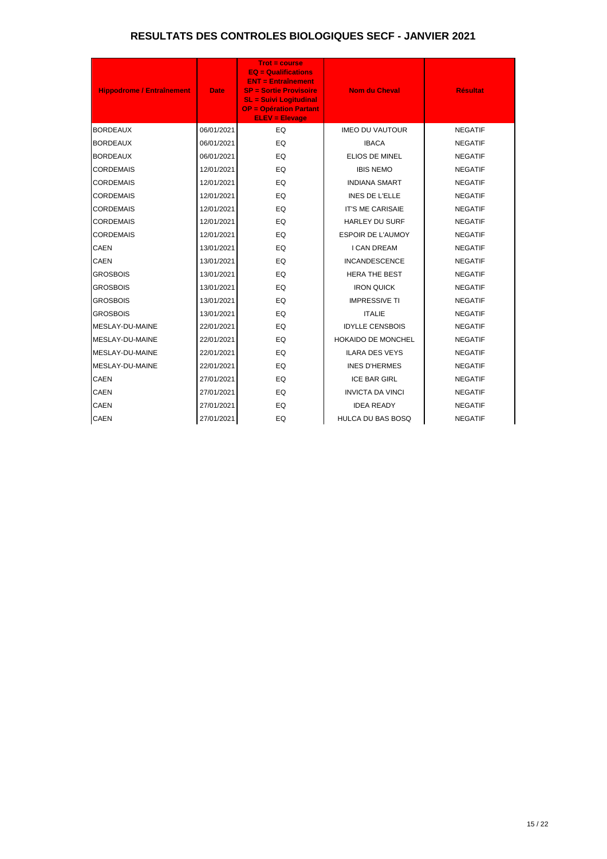| <b>Hippodrome / Entraînement</b> | <b>Date</b> | <b>Trot = course</b><br><b>EQ = Qualifications</b><br><b>ENT = Entraînement</b><br><b>SP = Sortie Provisoire</b><br><b>SL = Suivi Logitudinal</b><br><b>OP = Opération Partant</b><br><b>ELEV = Elevage</b> | <b>Nom du Cheval</b>      | <b>Résultat</b> |
|----------------------------------|-------------|-------------------------------------------------------------------------------------------------------------------------------------------------------------------------------------------------------------|---------------------------|-----------------|
| <b>BORDEAUX</b>                  | 06/01/2021  | EQ                                                                                                                                                                                                          | <b>IMEO DU VAUTOUR</b>    | <b>NEGATIF</b>  |
| <b>BORDEAUX</b>                  | 06/01/2021  | EQ                                                                                                                                                                                                          | <b>IBACA</b>              | <b>NEGATIF</b>  |
| <b>BORDEAUX</b>                  | 06/01/2021  | EQ                                                                                                                                                                                                          | ELIOS DE MINEL            | <b>NEGATIF</b>  |
| <b>CORDEMAIS</b>                 | 12/01/2021  | EQ                                                                                                                                                                                                          | <b>IBIS NEMO</b>          | <b>NEGATIF</b>  |
| <b>CORDEMAIS</b>                 | 12/01/2021  | EQ                                                                                                                                                                                                          | <b>INDIANA SMART</b>      | <b>NEGATIF</b>  |
| <b>CORDEMAIS</b>                 | 12/01/2021  | EQ                                                                                                                                                                                                          | <b>INES DE L'ELLE</b>     | <b>NEGATIF</b>  |
| <b>CORDEMAIS</b>                 | 12/01/2021  | EQ                                                                                                                                                                                                          | <b>IT'S ME CARISAIE</b>   | <b>NEGATIF</b>  |
| <b>CORDEMAIS</b>                 | 12/01/2021  | EQ                                                                                                                                                                                                          | <b>HARLEY DU SURF</b>     | <b>NEGATIF</b>  |
| <b>CORDEMAIS</b>                 | 12/01/2021  | EQ                                                                                                                                                                                                          | <b>ESPOIR DE L'AUMOY</b>  | <b>NEGATIF</b>  |
| <b>CAEN</b>                      | 13/01/2021  | EQ                                                                                                                                                                                                          | <b>I CAN DREAM</b>        | <b>NEGATIF</b>  |
| <b>CAEN</b>                      | 13/01/2021  | EQ                                                                                                                                                                                                          | <b>INCANDESCENCE</b>      | <b>NEGATIF</b>  |
| <b>GROSBOIS</b>                  | 13/01/2021  | EQ                                                                                                                                                                                                          | <b>HERA THE BEST</b>      | <b>NEGATIF</b>  |
| <b>GROSBOIS</b>                  | 13/01/2021  | EQ                                                                                                                                                                                                          | <b>IRON QUICK</b>         | <b>NEGATIF</b>  |
| <b>GROSBOIS</b>                  | 13/01/2021  | EQ                                                                                                                                                                                                          | <b>IMPRESSIVE TI</b>      | <b>NEGATIF</b>  |
| <b>GROSBOIS</b>                  | 13/01/2021  | EQ                                                                                                                                                                                                          | <b>ITALIE</b>             | <b>NEGATIF</b>  |
| MESLAY-DU-MAINE                  | 22/01/2021  | EQ                                                                                                                                                                                                          | <b>IDYLLE CENSBOIS</b>    | <b>NEGATIF</b>  |
| MESLAY-DU-MAINE                  | 22/01/2021  | EQ                                                                                                                                                                                                          | <b>HOKAIDO DE MONCHEL</b> | <b>NEGATIF</b>  |
| MESLAY-DU-MAINE                  | 22/01/2021  | EQ                                                                                                                                                                                                          | <b>ILARA DES VEYS</b>     | <b>NEGATIF</b>  |
| MESLAY-DU-MAINE                  | 22/01/2021  | EQ                                                                                                                                                                                                          | <b>INES D'HERMES</b>      | <b>NEGATIF</b>  |
| <b>CAEN</b>                      | 27/01/2021  | EQ                                                                                                                                                                                                          | <b>ICE BAR GIRL</b>       | <b>NEGATIF</b>  |
| <b>CAEN</b>                      | 27/01/2021  | EQ                                                                                                                                                                                                          | <b>INVICTA DA VINCI</b>   | <b>NEGATIF</b>  |
| <b>CAEN</b>                      | 27/01/2021  | EQ                                                                                                                                                                                                          | <b>IDEA READY</b>         | <b>NEGATIF</b>  |
| <b>CAEN</b>                      | 27/01/2021  | EQ                                                                                                                                                                                                          | <b>HULCA DU BAS BOSQ</b>  | <b>NEGATIF</b>  |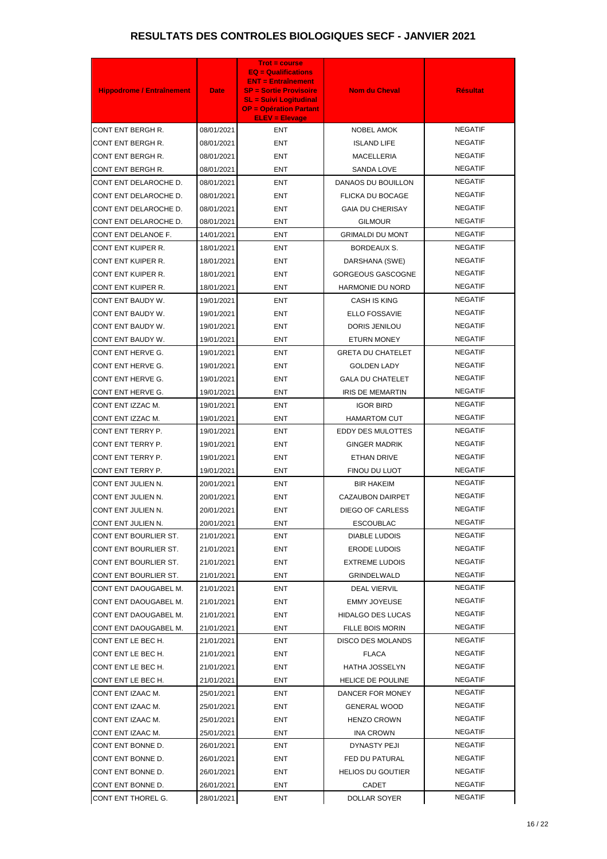| <b>Hippodrome / Entraînement</b> | <b>Date</b> | <b>Trot = course</b><br><b>EQ = Qualifications</b><br><b>ENT = Entraînement</b><br><b>SP = Sortie Provisoire</b> | <b>Nom du Cheval</b>     | <b>Résultat</b> |
|----------------------------------|-------------|------------------------------------------------------------------------------------------------------------------|--------------------------|-----------------|
|                                  |             | <b>SL = Suivi Logitudinal</b><br><b>OP = Opération Partant</b><br><b>ELEV = Elevage</b>                          |                          |                 |
| CONT ENT BERGH R.                | 08/01/2021  | <b>ENT</b>                                                                                                       | <b>NOBEL AMOK</b>        | <b>NEGATIF</b>  |
| CONT ENT BERGH R.                | 08/01/2021  | <b>ENT</b>                                                                                                       | <b>ISLAND LIFE</b>       | <b>NEGATIF</b>  |
| CONT ENT BERGH R.                | 08/01/2021  | ENT                                                                                                              | <b>MACELLERIA</b>        | <b>NEGATIF</b>  |
| CONT ENT BERGH R.                | 08/01/2021  | ENT                                                                                                              | <b>SANDA LOVE</b>        | <b>NEGATIF</b>  |
| CONT ENT DELAROCHE D.            | 08/01/2021  | ENT                                                                                                              | DANAOS DU BOUILLON       | <b>NEGATIF</b>  |
| CONT ENT DELAROCHE D.            | 08/01/2021  | ENT                                                                                                              | <b>FLICKA DU BOCAGE</b>  | <b>NEGATIF</b>  |
| CONT ENT DELAROCHE D.            | 08/01/2021  | ENT                                                                                                              | <b>GAIA DU CHERISAY</b>  | <b>NEGATIF</b>  |
| CONT ENT DELAROCHE D.            | 08/01/2021  | ENT                                                                                                              | <b>GILMOUR</b>           | <b>NEGATIF</b>  |
| CONT ENT DELANOE F.              | 14/01/2021  | <b>ENT</b>                                                                                                       | <b>GRIMALDI DU MONT</b>  | <b>NEGATIF</b>  |
| CONT ENT KUIPER R.               | 18/01/2021  | ENT                                                                                                              | BORDEAUX S.              | <b>NEGATIF</b>  |
| CONT ENT KUIPER R.               | 18/01/2021  | ENT                                                                                                              | DARSHANA (SWE)           | <b>NEGATIF</b>  |
| CONT ENT KUIPER R.               | 18/01/2021  | <b>ENT</b>                                                                                                       | <b>GORGEOUS GASCOGNE</b> | <b>NEGATIF</b>  |
| CONT ENT KUIPER R.               | 18/01/2021  | <b>ENT</b>                                                                                                       | HARMONIE DU NORD         | <b>NEGATIF</b>  |
| CONT ENT BAUDY W.                | 19/01/2021  | <b>ENT</b>                                                                                                       | CASH IS KING             | <b>NEGATIF</b>  |
| CONT ENT BAUDY W.                | 19/01/2021  | <b>ENT</b>                                                                                                       | <b>ELLO FOSSAVIE</b>     | <b>NEGATIF</b>  |
| CONT ENT BAUDY W.                | 19/01/2021  | <b>ENT</b>                                                                                                       | DORIS JENILOU            | <b>NEGATIF</b>  |
| CONT ENT BAUDY W.                | 19/01/2021  | <b>ENT</b>                                                                                                       | <b>ETURN MONEY</b>       | <b>NEGATIF</b>  |
| CONT ENT HERVE G.                | 19/01/2021  | <b>ENT</b>                                                                                                       | <b>GRETA DU CHATELET</b> | <b>NEGATIF</b>  |
| CONT ENT HERVE G.                | 19/01/2021  | <b>ENT</b>                                                                                                       | <b>GOLDEN LADY</b>       | <b>NEGATIF</b>  |
| CONT ENT HERVE G.                | 19/01/2021  | <b>ENT</b>                                                                                                       | <b>GALA DU CHATELET</b>  | <b>NEGATIF</b>  |
| CONT ENT HERVE G.                | 19/01/2021  | <b>ENT</b>                                                                                                       | <b>IRIS DE MEMARTIN</b>  | <b>NEGATIF</b>  |
| CONT ENT IZZAC M.                | 19/01/2021  | <b>ENT</b>                                                                                                       | <b>IGOR BIRD</b>         | <b>NEGATIF</b>  |
| CONT ENT IZZAC M.                | 19/01/2021  | <b>ENT</b>                                                                                                       | <b>HAMARTOM CUT</b>      | <b>NEGATIF</b>  |
| CONT ENT TERRY P.                | 19/01/2021  | <b>ENT</b>                                                                                                       | <b>EDDY DES MULOTTES</b> | <b>NEGATIF</b>  |
| CONT ENT TERRY P.                | 19/01/2021  | <b>ENT</b>                                                                                                       | <b>GINGER MADRIK</b>     | <b>NEGATIF</b>  |
| CONT ENT TERRY P.                | 19/01/2021  | ENT                                                                                                              | ETHAN DRIVE              | <b>NEGATIF</b>  |
| CONT ENT TERRY P.                | 19/01/2021  | ENT                                                                                                              | FINOU DU LUOT            | <b>NEGATIF</b>  |
| CONT ENT JULIEN N.               | 20/01/2021  | ENT                                                                                                              | <b>BIR HAKEIM</b>        | <b>NEGATIF</b>  |
| CONT ENT JULIEN N.               | 20/01/2021  | <b>ENT</b>                                                                                                       | CAZAUBON DAIRPET         | <b>NEGATIF</b>  |
| CONT ENT JULIEN N.               | 20/01/2021  | <b>ENT</b>                                                                                                       | DIEGO OF CARLESS         | <b>NEGATIF</b>  |
| CONT ENT JULIEN N.               | 20/01/2021  | ENT                                                                                                              | <b>ESCOUBLAC</b>         | <b>NEGATIF</b>  |
| CONT ENT BOURLIER ST.            | 21/01/2021  | ENT                                                                                                              | DIABLE LUDOIS            | <b>NEGATIF</b>  |
| CONT ENT BOURLIER ST.            | 21/01/2021  | ENT                                                                                                              | <b>ERODE LUDOIS</b>      | <b>NEGATIF</b>  |
| CONT ENT BOURLIER ST.            | 21/01/2021  | ENT                                                                                                              | <b>EXTREME LUDOIS</b>    | <b>NEGATIF</b>  |
| CONT ENT BOURLIER ST.            | 21/01/2021  | ENT                                                                                                              | <b>GRINDELWALD</b>       | <b>NEGATIF</b>  |
| CONT ENT DAOUGABEL M.            | 21/01/2021  | ENT                                                                                                              | DEAL VIERVIL             | <b>NEGATIF</b>  |
| CONT ENT DAOUGABEL M.            | 21/01/2021  | ENT                                                                                                              | <b>EMMY JOYEUSE</b>      | <b>NEGATIF</b>  |
| CONT ENT DAOUGABEL M.            | 21/01/2021  | <b>ENT</b>                                                                                                       | <b>HIDALGO DES LUCAS</b> | <b>NEGATIF</b>  |
| CONT ENT DAOUGABEL M.            | 21/01/2021  | ENT                                                                                                              | <b>FILLE BOIS MORIN</b>  | <b>NEGATIF</b>  |
| CONT ENT LE BEC H.               | 21/01/2021  | <b>ENT</b>                                                                                                       | <b>DISCO DES MOLANDS</b> | <b>NEGATIF</b>  |
| CONT ENT LE BEC H.               | 21/01/2021  | ENT                                                                                                              | <b>FLACA</b>             | <b>NEGATIF</b>  |
| CONT ENT LE BEC H.               | 21/01/2021  | ENT                                                                                                              | HATHA JOSSELYN           | <b>NEGATIF</b>  |
| CONT ENT LE BEC H.               | 21/01/2021  | ENT                                                                                                              | <b>HELICE DE POULINE</b> | <b>NEGATIF</b>  |
| CONT ENT IZAAC M.                | 25/01/2021  | ENT                                                                                                              | DANCER FOR MONEY         | <b>NEGATIF</b>  |
| CONT ENT IZAAC M.                | 25/01/2021  | ENT                                                                                                              | <b>GENERAL WOOD</b>      | <b>NEGATIF</b>  |
| CONT ENT IZAAC M.                | 25/01/2021  | ENT                                                                                                              | <b>HENZO CROWN</b>       | <b>NEGATIF</b>  |
| CONT ENT IZAAC M.                | 25/01/2021  | ENT                                                                                                              | <b>INA CROWN</b>         | <b>NEGATIF</b>  |
| CONT ENT BONNE D.                | 26/01/2021  | <b>ENT</b>                                                                                                       | DYNASTY PEJI             | <b>NEGATIF</b>  |
| CONT ENT BONNE D.                | 26/01/2021  | ENT                                                                                                              | <b>FED DU PATURAL</b>    | <b>NEGATIF</b>  |
| CONT ENT BONNE D.                | 26/01/2021  | ENT                                                                                                              | <b>HELIOS DU GOUTIER</b> | <b>NEGATIF</b>  |
| CONT ENT BONNE D.                | 26/01/2021  | ENT                                                                                                              | <b>CADET</b>             | <b>NEGATIF</b>  |
| CONT ENT THOREL G.               | 28/01/2021  | ENT                                                                                                              | DOLLAR SOYER             | <b>NEGATIF</b>  |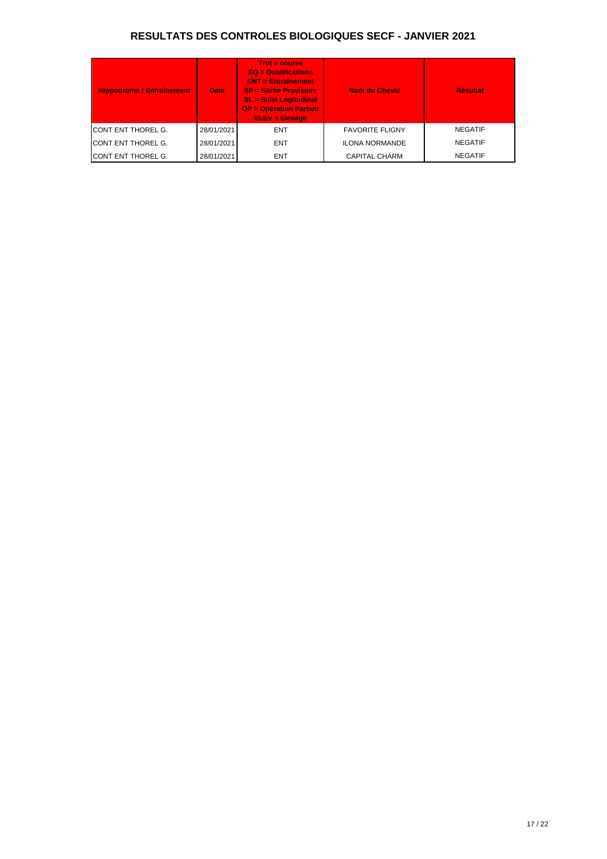| <b>Hippodrome / Entraînement</b> | <b>Date</b> | $Trot = course$<br>$EQ =$ Qualifications<br><b>ENT = Entraînement</b><br><b>SP = Sortie Provisoire</b><br><b>SL = Suivi Logitudinal</b><br><b>OP = Opération Partant</b><br><b>ELEV = Elevage</b> | <b>Nom du Cheval</b>   | <b>Résultat</b> |
|----------------------------------|-------------|---------------------------------------------------------------------------------------------------------------------------------------------------------------------------------------------------|------------------------|-----------------|
| <b>ICONT ENT THOREL G.</b>       | 28/01/2021  | <b>ENT</b>                                                                                                                                                                                        | <b>FAVORITE FLIGNY</b> | <b>NEGATIF</b>  |
| <b>CONT ENT THOREL G.</b>        | 28/01/2021  | <b>ENT</b>                                                                                                                                                                                        | <b>ILONA NORMANDE</b>  | <b>NEGATIF</b>  |
| <b>CONT ENT THOREL G.</b>        | 28/01/2021  | <b>ENT</b>                                                                                                                                                                                        | <b>CAPITAL CHARM</b>   | <b>NEGATIF</b>  |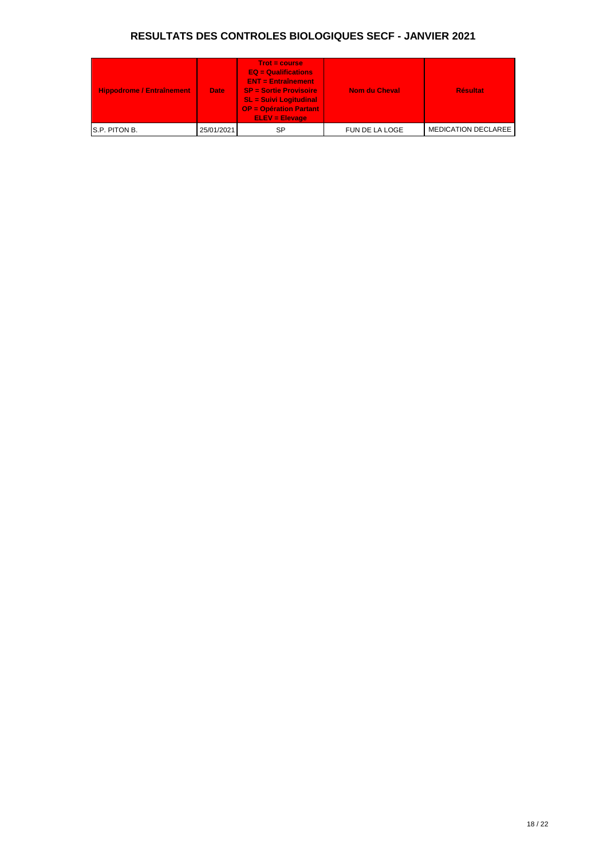| Hippodrome / Entraînement | <b>Date</b> | $Trot = course$<br>$EQ = \text{Qualifications}$<br><b>ENT = Entraînement</b><br><b>SP = Sortie Provisoire</b><br><b>SL = Suivi Logitudinal</b><br><b>OP = Opération Partant</b><br>$ELEV = Elevaae$ | <b>Nom du Cheval</b> | <b>Résultat</b>            |
|---------------------------|-------------|-----------------------------------------------------------------------------------------------------------------------------------------------------------------------------------------------------|----------------------|----------------------------|
| S.P. PITON B.             | 25/01/2021  | SP                                                                                                                                                                                                  | FUN DE LA LOGE       | <b>MEDICATION DECLAREE</b> |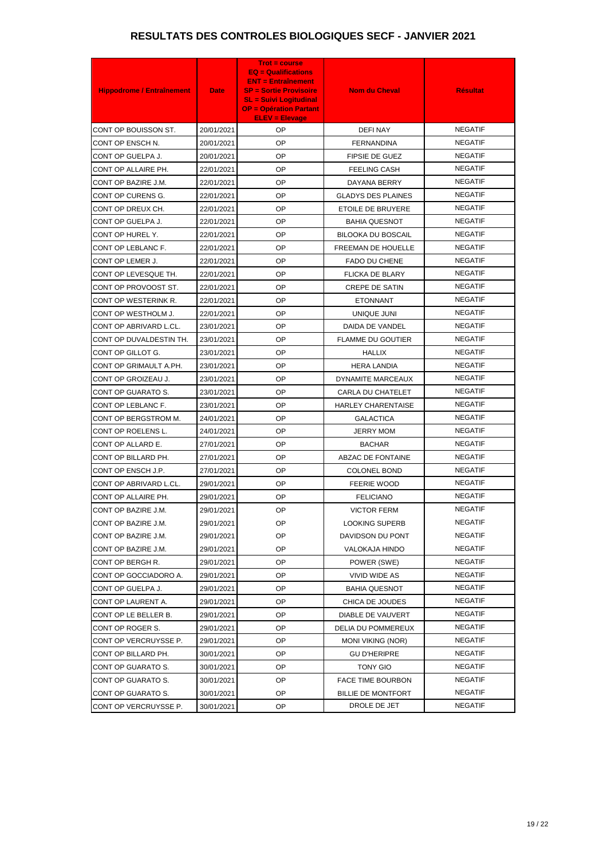| <b>Hippodrome / Entraînement</b> | <b>Date</b> | <b>Trot = course</b><br>$EQ =$ Qualifications<br><b>ENT = Entraînement</b><br><b>SP = Sortie Provisoire</b><br><b>SL = Suivi Logitudinal</b><br><b>OP = Opération Partant</b><br><b>ELEV = Elevage</b> | <b>Nom du Cheval</b>      | <b>Résultat</b> |
|----------------------------------|-------------|--------------------------------------------------------------------------------------------------------------------------------------------------------------------------------------------------------|---------------------------|-----------------|
| CONT OP BOUISSON ST.             | 20/01/2021  | OP                                                                                                                                                                                                     | <b>DEFINAY</b>            | <b>NEGATIF</b>  |
| CONT OP ENSCH N.                 | 20/01/2021  | <b>OP</b>                                                                                                                                                                                              | <b>FERNANDINA</b>         | <b>NEGATIF</b>  |
| CONT OP GUELPA J.                | 20/01/2021  | <b>OP</b>                                                                                                                                                                                              | <b>FIPSIE DE GUEZ</b>     | <b>NEGATIF</b>  |
| CONT OP ALLAIRE PH.              | 22/01/2021  | <b>OP</b>                                                                                                                                                                                              | <b>FEELING CASH</b>       | <b>NEGATIF</b>  |
| CONT OP BAZIRE J.M.              | 22/01/2021  | <b>OP</b>                                                                                                                                                                                              | DAYANA BERRY              | <b>NEGATIF</b>  |
| CONT OP CURENS G.                | 22/01/2021  | <b>OP</b>                                                                                                                                                                                              | <b>GLADYS DES PLAINES</b> | <b>NEGATIF</b>  |
| CONT OP DREUX CH.                | 22/01/2021  | <b>OP</b>                                                                                                                                                                                              | ETOILE DE BRUYERE         | <b>NEGATIF</b>  |
| CONT OP GUELPA J.                | 22/01/2021  | <b>OP</b>                                                                                                                                                                                              | <b>BAHIA QUESNOT</b>      | <b>NEGATIF</b>  |
| CONT OP HUREL Y.                 | 22/01/2021  | <b>OP</b>                                                                                                                                                                                              | <b>BILOOKA DU BOSCAIL</b> | <b>NEGATIF</b>  |
| CONT OP LEBLANC F.               | 22/01/2021  | <b>OP</b>                                                                                                                                                                                              | FREEMAN DE HOUELLE        | <b>NEGATIF</b>  |
| CONT OP LEMER J.                 | 22/01/2021  | <b>OP</b>                                                                                                                                                                                              | <b>FADO DU CHENE</b>      | <b>NEGATIF</b>  |
| CONT OP LEVESQUE TH.             | 22/01/2021  | <b>OP</b>                                                                                                                                                                                              | <b>FLICKA DE BLARY</b>    | <b>NEGATIF</b>  |
| CONT OP PROVOOST ST.             | 22/01/2021  | <b>OP</b>                                                                                                                                                                                              | <b>CREPE DE SATIN</b>     | <b>NEGATIF</b>  |
| CONT OP WESTERINK R.             | 22/01/2021  | <b>OP</b>                                                                                                                                                                                              | <b>ETONNANT</b>           | <b>NEGATIF</b>  |
| CONT OP WESTHOLM J.              | 22/01/2021  | <b>OP</b>                                                                                                                                                                                              | UNIQUE JUNI               | <b>NEGATIF</b>  |
| CONT OP ABRIVARD L.CL.           | 23/01/2021  | <b>OP</b>                                                                                                                                                                                              | DAIDA DE VANDEL           | <b>NEGATIF</b>  |
| CONT OP DUVALDESTIN TH.          | 23/01/2021  | <b>OP</b>                                                                                                                                                                                              | <b>FLAMME DU GOUTIER</b>  | <b>NEGATIF</b>  |
| CONT OP GILLOT G.                | 23/01/2021  | <b>OP</b>                                                                                                                                                                                              | <b>HALLIX</b>             | <b>NEGATIF</b>  |
| CONT OP GRIMAULT A.PH.           | 23/01/2021  | <b>OP</b>                                                                                                                                                                                              | <b>HERA LANDIA</b>        | <b>NEGATIF</b>  |
| CONT OP GROIZEAU J.              | 23/01/2021  | <b>OP</b>                                                                                                                                                                                              | DYNAMITE MARCEAUX         | <b>NEGATIF</b>  |
| CONT OP GUARATO S.               | 23/01/2021  | <b>OP</b>                                                                                                                                                                                              | CARLA DU CHATELET         | <b>NEGATIF</b>  |
| CONT OP LEBLANC F.               | 23/01/2021  | <b>OP</b>                                                                                                                                                                                              | <b>HARLEY CHARENTAISE</b> | <b>NEGATIF</b>  |
| CONT OP BERGSTROM M.             | 24/01/2021  | <b>OP</b>                                                                                                                                                                                              | <b>GALACTICA</b>          | <b>NEGATIF</b>  |
| CONT OP ROELENS L.               | 24/01/2021  | <b>OP</b>                                                                                                                                                                                              | <b>JERRY MOM</b>          | <b>NEGATIF</b>  |
| CONT OP ALLARD E.                | 27/01/2021  | <b>OP</b>                                                                                                                                                                                              | <b>BACHAR</b>             | <b>NEGATIF</b>  |
| CONT OP BILLARD PH.              | 27/01/2021  | OP                                                                                                                                                                                                     | <b>ABZAC DE FONTAINE</b>  | <b>NEGATIF</b>  |
| CONT OP ENSCH J.P.               | 27/01/2021  | <b>OP</b>                                                                                                                                                                                              | <b>COLONEL BOND</b>       | <b>NEGATIF</b>  |
| CONT OP ABRIVARD L.CL.           | 29/01/2021  | <b>OP</b>                                                                                                                                                                                              | <b>FEERIE WOOD</b>        | <b>NEGATIF</b>  |
| CONT OP ALLAIRE PH.              | 29/01/2021  | OP                                                                                                                                                                                                     | <b>FELICIANO</b>          | <b>NEGATIF</b>  |
| CONT OP BAZIRE J.M.              | 29/01/2021  | OP                                                                                                                                                                                                     | <b>VICTOR FERM</b>        | <b>NEGATIF</b>  |
| CONT OP BAZIRE J.M.              | 29/01/2021  | OP                                                                                                                                                                                                     | <b>LOOKING SUPERB</b>     | <b>NEGATIF</b>  |
| CONT OP BAZIRE J.M.              | 29/01/2021  | <b>OP</b>                                                                                                                                                                                              | DAVIDSON DU PONT          | <b>NEGATIF</b>  |
| CONT OP BAZIRE J.M.              | 29/01/2021  | <b>OP</b>                                                                                                                                                                                              | VALOKAJA HINDO            | <b>NEGATIF</b>  |
| CONT OP BERGH R.                 | 29/01/2021  | <b>OP</b>                                                                                                                                                                                              | POWER (SWE)               | <b>NEGATIF</b>  |
| CONT OP GOCCIADORO A.            | 29/01/2021  | OP                                                                                                                                                                                                     | <b>VIVID WIDE AS</b>      | <b>NEGATIF</b>  |
| CONT OP GUELPA J.                | 29/01/2021  | OP                                                                                                                                                                                                     | <b>BAHIA QUESNOT</b>      | <b>NEGATIF</b>  |
| CONT OP LAURENT A.               | 29/01/2021  | OP                                                                                                                                                                                                     | CHICA DE JOUDES           | <b>NEGATIF</b>  |
| CONT OP LE BELLER B.             | 29/01/2021  | <b>OP</b>                                                                                                                                                                                              | DIABLE DE VAUVERT         | <b>NEGATIF</b>  |
| CONT OP ROGER S.                 | 29/01/2021  | <b>OP</b>                                                                                                                                                                                              | DELIA DU POMMEREUX        | <b>NEGATIF</b>  |
| CONT OP VERCRUYSSE P.            | 29/01/2021  | <b>OP</b>                                                                                                                                                                                              | <b>MONI VIKING (NOR)</b>  | <b>NEGATIF</b>  |
| CONT OP BILLARD PH.              | 30/01/2021  | OP                                                                                                                                                                                                     | <b>GU D'HERIPRE</b>       | <b>NEGATIF</b>  |
| CONT OP GUARATO S.               | 30/01/2021  | <b>OP</b>                                                                                                                                                                                              | <b>TONY GIO</b>           | <b>NEGATIF</b>  |
| CONT OP GUARATO S.               | 30/01/2021  | OP                                                                                                                                                                                                     | FACE TIME BOURBON         | <b>NEGATIF</b>  |
| CONT OP GUARATO S.               | 30/01/2021  | <b>OP</b>                                                                                                                                                                                              | BILLIE DE MONTFORT        | <b>NEGATIF</b>  |
| CONT OP VERCRUYSSE P.            | 30/01/2021  | OP                                                                                                                                                                                                     | DROLE DE JET              | <b>NEGATIF</b>  |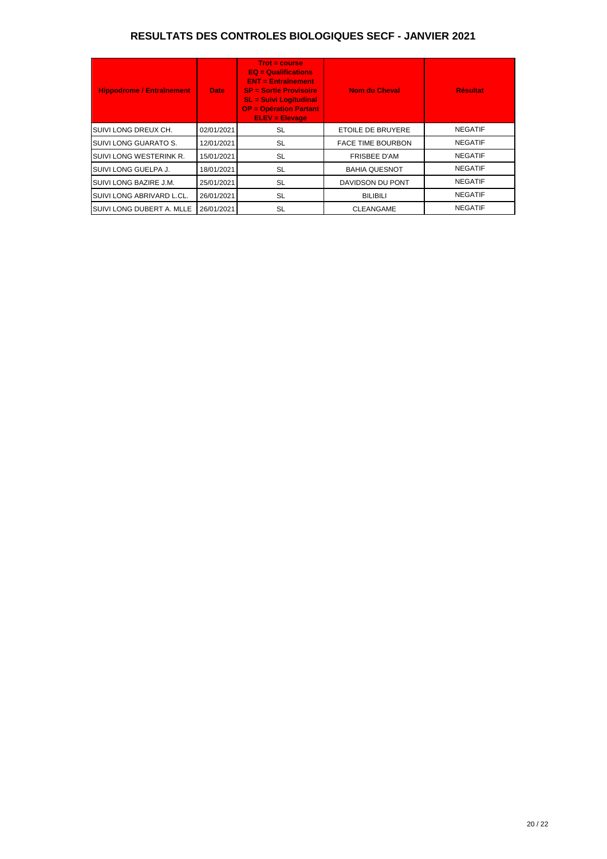| <b>Hippodrome / Entraînement</b> | <b>Date</b> | $Trot = course$<br>$EQ =$ Qualifications<br>$ENT = Entraînement$<br><b>SP = Sortie Provisoire</b><br><b>SL = Suivi Logitudinal</b><br><b>OP = Opération Partant</b><br><b>ELEV = Elevage</b> | <b>Nom du Cheval</b>     | <b>Résultat</b> |
|----------------------------------|-------------|----------------------------------------------------------------------------------------------------------------------------------------------------------------------------------------------|--------------------------|-----------------|
| SUIVI LONG DREUX CH.             | 02/01/2021  | SL                                                                                                                                                                                           | ETOILE DE BRUYERE        | <b>NEGATIF</b>  |
| SUIVI LONG GUARATO S.            | 12/01/2021  | <b>SL</b>                                                                                                                                                                                    | <b>FACE TIME BOURBON</b> | <b>NEGATIF</b>  |
| <b>SUIVI LONG WESTERINK R.</b>   | 15/01/2021  | <b>SL</b>                                                                                                                                                                                    | <b>FRISBEE D'AM</b>      | <b>NEGATIF</b>  |
| SUIVI LONG GUELPA J.             | 18/01/2021  | <b>SL</b>                                                                                                                                                                                    | <b>BAHIA QUESNOT</b>     | <b>NEGATIF</b>  |
| SUIVI LONG BAZIRE J.M.           | 25/01/2021  | <b>SL</b>                                                                                                                                                                                    | DAVIDSON DU PONT         | <b>NEGATIF</b>  |
| SUIVI LONG ABRIVARD L.CL.        | 26/01/2021  | <b>SL</b>                                                                                                                                                                                    | <b>BILIBILI</b>          | <b>NEGATIF</b>  |
| SUIVI LONG DUBERT A. MLLE        | 26/01/2021  | SL                                                                                                                                                                                           | <b>CLEANGAME</b>         | <b>NEGATIF</b>  |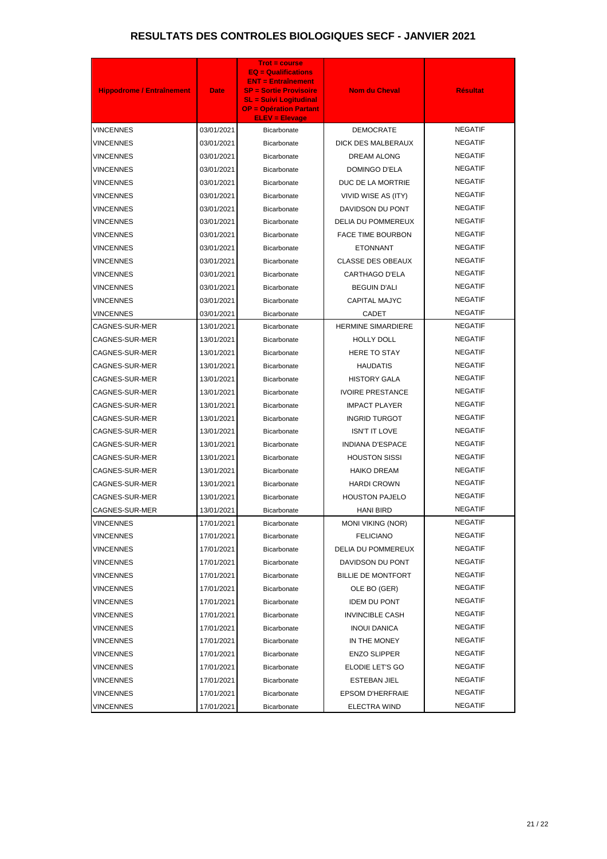| <b>Hippodrome / Entraînement</b> | <b>Date</b> | <b>Trot = course</b><br><b>EQ = Qualifications</b><br><b>ENT = Entraînement</b><br><b>SP = Sortie Provisoire</b><br><b>SL = Suivi Logitudinal</b><br><b>OP = Opération Partant</b><br><b>ELEV = Elevage</b> | <b>Nom du Cheval</b>      | <b>Résultat</b> |
|----------------------------------|-------------|-------------------------------------------------------------------------------------------------------------------------------------------------------------------------------------------------------------|---------------------------|-----------------|
| <b>VINCENNES</b>                 | 03/01/2021  | Bicarbonate                                                                                                                                                                                                 | <b>DEMOCRATE</b>          | <b>NEGATIF</b>  |
| <b>VINCENNES</b>                 | 03/01/2021  | <b>Bicarbonate</b>                                                                                                                                                                                          | DICK DES MALBERAUX        | <b>NEGATIF</b>  |
| <b>VINCENNES</b>                 | 03/01/2021  | Bicarbonate                                                                                                                                                                                                 | DREAM ALONG               | <b>NEGATIF</b>  |
| <b>VINCENNES</b>                 | 03/01/2021  | Bicarbonate                                                                                                                                                                                                 | DOMINGO D'ELA             | <b>NEGATIF</b>  |
| <b>VINCENNES</b>                 | 03/01/2021  | Bicarbonate                                                                                                                                                                                                 | DUC DE LA MORTRIE         | <b>NEGATIF</b>  |
| <b>VINCENNES</b>                 | 03/01/2021  | Bicarbonate                                                                                                                                                                                                 | VIVID WISE AS (ITY)       | <b>NEGATIF</b>  |
| <b>VINCENNES</b>                 | 03/01/2021  | Bicarbonate                                                                                                                                                                                                 | DAVIDSON DU PONT          | <b>NEGATIF</b>  |
| <b>VINCENNES</b>                 | 03/01/2021  | Bicarbonate                                                                                                                                                                                                 | DELIA DU POMMEREUX        | <b>NEGATIF</b>  |
| <b>VINCENNES</b>                 | 03/01/2021  | Bicarbonate                                                                                                                                                                                                 | <b>FACE TIME BOURBON</b>  | <b>NEGATIF</b>  |
| <b>VINCENNES</b>                 | 03/01/2021  | Bicarbonate                                                                                                                                                                                                 | <b>ETONNANT</b>           | <b>NEGATIF</b>  |
| <b>VINCENNES</b>                 | 03/01/2021  | Bicarbonate                                                                                                                                                                                                 | <b>CLASSE DES OBEAUX</b>  | <b>NEGATIF</b>  |
| <b>VINCENNES</b>                 | 03/01/2021  | Bicarbonate                                                                                                                                                                                                 | CARTHAGO D'ELA            | <b>NEGATIF</b>  |
| <b>VINCENNES</b>                 | 03/01/2021  | Bicarbonate                                                                                                                                                                                                 | <b>BEGUIN D'ALI</b>       | <b>NEGATIF</b>  |
| <b>VINCENNES</b>                 | 03/01/2021  | Bicarbonate                                                                                                                                                                                                 | <b>CAPITAL MAJYC</b>      | <b>NEGATIF</b>  |
| <b>VINCENNES</b>                 | 03/01/2021  | Bicarbonate                                                                                                                                                                                                 | <b>CADET</b>              | <b>NEGATIF</b>  |
| CAGNES-SUR-MER                   | 13/01/2021  | Bicarbonate                                                                                                                                                                                                 | <b>HERMINE SIMARDIERE</b> | <b>NEGATIF</b>  |
| CAGNES-SUR-MER                   | 13/01/2021  | Bicarbonate                                                                                                                                                                                                 | <b>HOLLY DOLL</b>         | <b>NEGATIF</b>  |
| CAGNES-SUR-MER                   | 13/01/2021  | Bicarbonate                                                                                                                                                                                                 | <b>HERE TO STAY</b>       | <b>NEGATIF</b>  |
| CAGNES-SUR-MER                   | 13/01/2021  | Bicarbonate                                                                                                                                                                                                 | <b>HAUDATIS</b>           | <b>NEGATIF</b>  |
| CAGNES-SUR-MER                   | 13/01/2021  | Bicarbonate                                                                                                                                                                                                 | <b>HISTORY GALA</b>       | <b>NEGATIF</b>  |
| CAGNES-SUR-MER                   | 13/01/2021  | Bicarbonate                                                                                                                                                                                                 | <b>IVOIRE PRESTANCE</b>   | <b>NEGATIF</b>  |
| CAGNES-SUR-MER                   | 13/01/2021  | Bicarbonate                                                                                                                                                                                                 | <b>IMPACT PLAYER</b>      | <b>NEGATIF</b>  |
| CAGNES-SUR-MER                   | 13/01/2021  | <b>Bicarbonate</b>                                                                                                                                                                                          | <b>INGRID TURGOT</b>      | <b>NEGATIF</b>  |
| CAGNES-SUR-MER                   | 13/01/2021  | Bicarbonate                                                                                                                                                                                                 | <b>ISN'T IT LOVE</b>      | <b>NEGATIF</b>  |
| <b>CAGNES-SUR-MER</b>            | 13/01/2021  | Bicarbonate                                                                                                                                                                                                 | <b>INDIANA D'ESPACE</b>   | <b>NEGATIF</b>  |
| CAGNES-SUR-MER                   | 13/01/2021  | Bicarbonate                                                                                                                                                                                                 | <b>HOUSTON SISSI</b>      | <b>NEGATIF</b>  |
| CAGNES-SUR-MER                   | 13/01/2021  | Bicarbonate                                                                                                                                                                                                 | <b>HAIKO DREAM</b>        | <b>NEGATIF</b>  |
| CAGNES-SUR-MER                   | 13/01/2021  | Bicarbonate                                                                                                                                                                                                 | <b>HARDI CROWN</b>        | <b>NEGATIF</b>  |
| CAGNES-SUR-MER                   | 13/01/2021  | <b>Bicarbonate</b>                                                                                                                                                                                          | <b>HOUSTON PAJELO</b>     | <b>NEGATIF</b>  |
| CAGNES-SUR-MER                   | 13/01/2021  | Bicarbonate                                                                                                                                                                                                 | <b>HANI BIRD</b>          | <b>NEGATIF</b>  |
| <b>VINCENNES</b>                 | 17/01/2021  | Bicarbonate                                                                                                                                                                                                 | <b>MONI VIKING (NOR)</b>  | <b>NEGATIF</b>  |
| <b>VINCENNES</b>                 | 17/01/2021  | Bicarbonate                                                                                                                                                                                                 | <b>FELICIANO</b>          | <b>NEGATIF</b>  |
| <b>VINCENNES</b>                 | 17/01/2021  | Bicarbonate                                                                                                                                                                                                 | DELIA DU POMMEREUX        | <b>NEGATIF</b>  |
| <b>VINCENNES</b>                 | 17/01/2021  | Bicarbonate                                                                                                                                                                                                 | DAVIDSON DU PONT          | <b>NEGATIF</b>  |
| <b>VINCENNES</b>                 | 17/01/2021  | Bicarbonate                                                                                                                                                                                                 | <b>BILLIE DE MONTFORT</b> | <b>NEGATIF</b>  |
| <b>VINCENNES</b>                 | 17/01/2021  | Bicarbonate                                                                                                                                                                                                 | OLE BO (GER)              | <b>NEGATIF</b>  |
| <b>VINCENNES</b>                 | 17/01/2021  | Bicarbonate                                                                                                                                                                                                 | <b>IDEM DU PONT</b>       | <b>NEGATIF</b>  |
| <b>VINCENNES</b>                 | 17/01/2021  | Bicarbonate                                                                                                                                                                                                 | <b>INVINCIBLE CASH</b>    | <b>NEGATIF</b>  |
| <b>VINCENNES</b>                 | 17/01/2021  | Bicarbonate                                                                                                                                                                                                 | <b>INOUI DANICA</b>       | <b>NEGATIF</b>  |
| <b>VINCENNES</b>                 | 17/01/2021  | Bicarbonate                                                                                                                                                                                                 | IN THE MONEY              | <b>NEGATIF</b>  |
| <b>VINCENNES</b>                 | 17/01/2021  | Bicarbonate                                                                                                                                                                                                 | <b>ENZO SLIPPER</b>       | <b>NEGATIF</b>  |
| <b>VINCENNES</b>                 | 17/01/2021  | Bicarbonate                                                                                                                                                                                                 | ELODIE LET'S GO           | <b>NEGATIF</b>  |
| VINCENNES                        | 17/01/2021  | Bicarbonate                                                                                                                                                                                                 | ESTEBAN JIEL              | <b>NEGATIF</b>  |
| VINCENNES                        | 17/01/2021  | Bicarbonate                                                                                                                                                                                                 | <b>EPSOM D'HERFRAIE</b>   | <b>NEGATIF</b>  |
| <b>VINCENNES</b>                 | 17/01/2021  | Bicarbonate                                                                                                                                                                                                 | <b>ELECTRA WIND</b>       | <b>NEGATIF</b>  |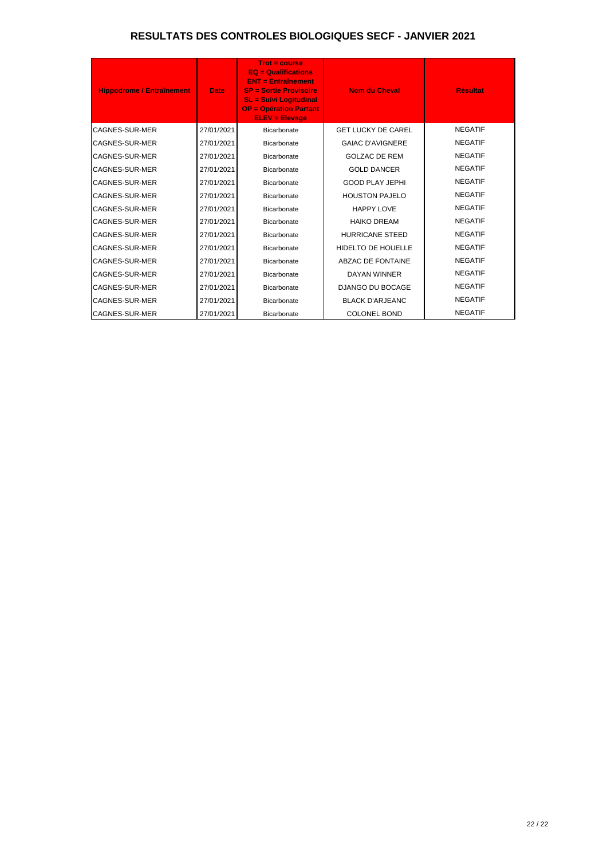| <b>Hippodrome / Entraînement</b> | <b>Date</b> | <b>Trot = course</b><br>$EQ = \text{Qualifications}$<br>$ENT = Entraînement$<br><b>SP = Sortie Provisoire</b><br><b>SL = Suivi Logitudinal</b><br><b>OP = Opération Partant</b><br><b>ELEV = Elevage</b> | <b>Nom du Cheval</b>      | <b>Résultat</b> |
|----------------------------------|-------------|----------------------------------------------------------------------------------------------------------------------------------------------------------------------------------------------------------|---------------------------|-----------------|
| CAGNES-SUR-MER                   | 27/01/2021  | Bicarbonate                                                                                                                                                                                              | <b>GET LUCKY DE CAREL</b> | <b>NEGATIF</b>  |
| <b>CAGNES-SUR-MER</b>            | 27/01/2021  | Bicarbonate                                                                                                                                                                                              | <b>GAIAC D'AVIGNERE</b>   | <b>NEGATIF</b>  |
| <b>CAGNES-SUR-MER</b>            | 27/01/2021  | Bicarbonate                                                                                                                                                                                              | <b>GOLZAC DE REM</b>      | <b>NEGATIF</b>  |
| CAGNES-SUR-MER                   | 27/01/2021  | Bicarbonate                                                                                                                                                                                              | <b>GOLD DANCER</b>        | <b>NEGATIF</b>  |
| CAGNES-SUR-MER                   | 27/01/2021  | Bicarbonate                                                                                                                                                                                              | <b>GOOD PLAY JEPHI</b>    | <b>NEGATIF</b>  |
| CAGNES-SUR-MER                   | 27/01/2021  | Bicarbonate                                                                                                                                                                                              | <b>HOUSTON PAJELO</b>     | <b>NEGATIF</b>  |
| <b>CAGNES-SUR-MER</b>            | 27/01/2021  | Bicarbonate                                                                                                                                                                                              | <b>HAPPY LOVE</b>         | <b>NEGATIF</b>  |
| <b>CAGNES-SUR-MER</b>            | 27/01/2021  | Bicarbonate                                                                                                                                                                                              | <b>HAIKO DREAM</b>        | <b>NEGATIF</b>  |
| <b>CAGNES-SUR-MER</b>            | 27/01/2021  | Bicarbonate                                                                                                                                                                                              | <b>HURRICANE STEED</b>    | <b>NEGATIF</b>  |
| <b>CAGNES-SUR-MER</b>            | 27/01/2021  | Bicarbonate                                                                                                                                                                                              | <b>HIDELTO DE HOUELLE</b> | <b>NEGATIF</b>  |
| <b>CAGNES-SUR-MER</b>            | 27/01/2021  | Bicarbonate                                                                                                                                                                                              | <b>ABZAC DE FONTAINE</b>  | <b>NEGATIF</b>  |
| <b>CAGNES-SUR-MER</b>            | 27/01/2021  | Bicarbonate                                                                                                                                                                                              | <b>DAYAN WINNER</b>       | <b>NEGATIF</b>  |
| <b>CAGNES-SUR-MER</b>            | 27/01/2021  | Bicarbonate                                                                                                                                                                                              | <b>DJANGO DU BOCAGE</b>   | <b>NEGATIF</b>  |
| <b>CAGNES-SUR-MER</b>            | 27/01/2021  | Bicarbonate                                                                                                                                                                                              | <b>BLACK D'ARJEANC</b>    | <b>NEGATIF</b>  |
| <b>CAGNES-SUR-MER</b>            | 27/01/2021  | Bicarbonate                                                                                                                                                                                              | <b>COLONEL BOND</b>       | <b>NEGATIF</b>  |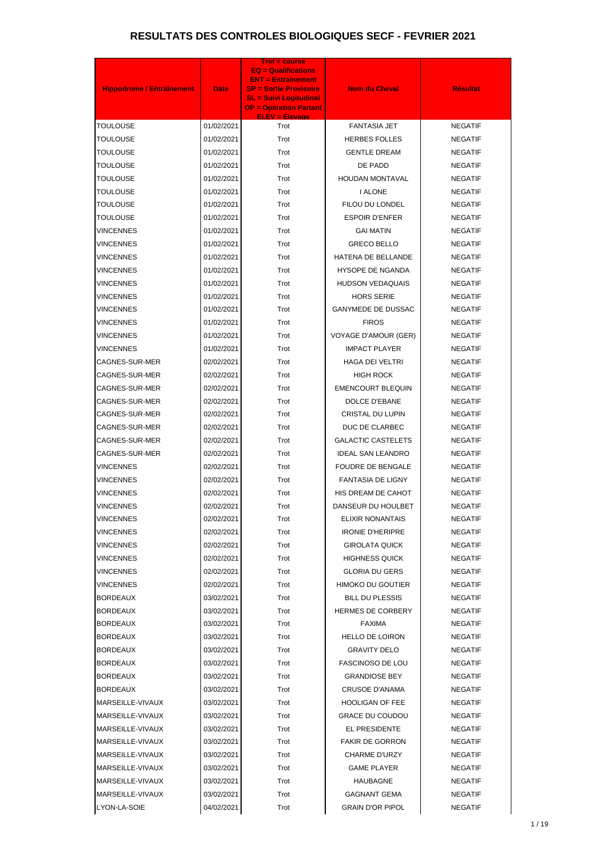| <b>ELEV = Elevage</b><br><b>TOULOUSE</b><br>01/02/2021<br>Trot<br><b>FANTASIA JET</b><br><b>NEGATIF</b><br>TOULOUSE<br>01/02/2021<br>Trot<br><b>HERBES FOLLES</b><br><b>NEGATIF</b><br>01/02/2021<br><b>GENTLE DREAM</b><br>TOULOUSE<br>Trot<br><b>NEGATIF</b><br>TOULOUSE<br>01/02/2021<br>Trot<br>DE PADD<br><b>NEGATIF</b><br>TOULOUSE<br>01/02/2021<br>Trot<br><b>HOUDAN MONTAVAL</b><br><b>NEGATIF</b><br>TOULOUSE<br>01/02/2021<br>Trot<br>I ALONE<br><b>NEGATIF</b><br>FILOU DU LONDEL<br>TOULOUSE<br>01/02/2021<br>Trot<br><b>NEGATIF</b><br>Trot<br><b>ESPOIR D'ENFER</b><br>TOULOUSE<br>01/02/2021<br><b>NEGATIF</b><br>VINCENNES<br>01/02/2021<br>Trot<br><b>GAI MATIN</b><br><b>NEGATIF</b><br><b>GRECO BELLO</b><br><b>VINCENNES</b><br>01/02/2021<br>Trot<br><b>NEGATIF</b><br>01/02/2021<br>Trot<br>HATENA DE BELLANDE<br>VINCENNES<br><b>NEGATIF</b><br>01/02/2021<br>Trot<br>HYSOPE DE NGANDA<br>VINCENNES<br><b>NEGATIF</b><br>01/02/2021<br><b>VINCENNES</b><br>Trot<br><b>HUDSON VEDAQUAIS</b><br><b>NEGATIF</b><br>01/02/2021<br>VINCENNES<br>Trot<br><b>HORS SERIE</b><br><b>NEGATIF</b><br>01/02/2021<br>Trot<br><b>GANYMEDE DE DUSSAC</b><br><b>VINCENNES</b><br><b>NEGATIF</b><br><b>FIROS</b><br>VINCENNES<br>01/02/2021<br>Trot<br><b>NEGATIF</b><br>01/02/2021<br><b>VOYAGE D'AMOUR (GER)</b><br>VINCENNES<br>Trot<br><b>NEGATIF</b><br>VINCENNES<br>01/02/2021<br>Trot<br><b>IMPACT PLAYER</b><br><b>NEGATIF</b><br>02/02/2021<br>Trot<br><b>HAGA DEI VELTRI</b><br>CAGNES-SUR-MER<br><b>NEGATIF</b><br>Trot<br>CAGNES-SUR-MER<br>02/02/2021<br><b>HIGH ROCK</b><br><b>NEGATIF</b><br>02/02/2021<br>Trot<br><b>EMENCOURT BLEQUIN</b><br>CAGNES-SUR-MER<br><b>NEGATIF</b><br>CAGNES-SUR-MER<br>02/02/2021<br>Trot<br>DOLCE D'EBANE<br><b>NEGATIF</b><br>CAGNES-SUR-MER<br>02/02/2021<br>Trot<br><b>CRISTAL DU LUPIN</b><br><b>NEGATIF</b><br>DUC DE CLARBEC<br>CAGNES-SUR-MER<br>02/02/2021<br>Trot<br><b>NEGATIF</b><br><b>GALACTIC CASTELETS</b><br><b>CAGNES-SUR-MER</b><br>02/02/2021<br>Trot<br><b>NEGATIF</b><br>CAGNES-SUR-MER<br>02/02/2021<br><b>IDEAL SAN LEANDRO</b><br><b>NEGATIF</b><br>Trot<br>VINCENNES<br>02/02/2021<br>Trot<br><b>FOUDRE DE BENGALE</b><br><b>NEGATIF</b><br>Trot<br>VINCENNES<br>02/02/2021<br><b>FANTASIA DE LIGNY</b><br><b>NEGATIF</b><br>HIS DREAM DE CAHOT<br>VINCENNES<br>02/02/2021<br>Trot<br><b>NEGATIF</b><br>VINCENNES<br>02/02/2021<br>Trot<br>DANSEUR DU HOULBET<br><b>NEGATIF</b><br>Trot<br>VINCENNES<br>02/02/2021<br>ELIXIR NONANTAIS<br><b>NEGATIF</b><br>Trot<br><b>IRONIE D'HERIPRE</b><br>VINCENNES<br>02/02/2021<br><b>NEGATIF</b><br>VINCENNES<br>02/02/2021<br>Trot<br><b>GIROLATA QUICK</b><br><b>NEGATIF</b><br>VINCENNES<br>02/02/2021<br>Trot<br><b>HIGHNESS QUICK</b><br><b>NEGATIF</b><br>Trot<br>VINCENNES<br>02/02/2021<br>GLORIA DU GERS<br><b>NEGATIF</b><br>Trot<br><b>HIMOKO DU GOUTIER</b><br>VINCENNES<br>02/02/2021<br><b>NEGATIF</b><br><b>BILL DU PLESSIS</b><br><b>BORDEAUX</b><br>03/02/2021<br>Trot<br><b>NEGATIF</b><br>Trot<br><b>HERMES DE CORBERY</b><br><b>BORDEAUX</b><br>03/02/2021<br><b>NEGATIF</b><br>Trot<br><b>BORDEAUX</b><br>03/02/2021<br>FAXIMA<br><b>NEGATIF</b><br>Trot<br><b>HELLO DE LOIRON</b><br><b>BORDEAUX</b><br>03/02/2021<br><b>NEGATIF</b><br><b>GRAVITY DELO</b><br><b>BORDEAUX</b><br>03/02/2021<br>Trot<br><b>NEGATIF</b><br>03/02/2021<br>Trot<br><b>FASCINOSO DE LOU</b><br><b>BORDEAUX</b><br><b>NEGATIF</b><br>Trot<br><b>GRANDIOSE BEY</b><br><b>BORDEAUX</b><br>03/02/2021<br><b>NEGATIF</b><br>Trot<br><b>CRUSOE D'ANAMA</b><br><b>NEGATIF</b><br><b>BORDEAUX</b><br>03/02/2021<br>MARSEILLE-VIVAUX<br>Trot<br><b>HOOLIGAN OF FEE</b><br>03/02/2021<br><b>NEGATIF</b><br>MARSEILLE-VIVAUX<br>Trot<br><b>GRACE DU COUDOU</b><br><b>NEGATIF</b><br>03/02/2021<br>MARSEILLE-VIVAUX<br>Trot<br>EL PRESIDENTE<br>03/02/2021<br><b>NEGATIF</b><br>MARSEILLE-VIVAUX<br>Trot<br><b>FAKIR DE GORRON</b><br><b>NEGATIF</b><br>03/02/2021<br>MARSEILLE-VIVAUX<br>03/02/2021<br>Trot<br><b>CHARME D'URZY</b><br><b>NEGATIF</b><br><b>GAME PLAYER</b><br>MARSEILLE-VIVAUX<br>03/02/2021<br>Trot<br><b>NEGATIF</b><br>MARSEILLE-VIVAUX<br>03/02/2021<br>Trot<br>HAUBAGNE<br><b>NEGATIF</b> | <b>Hippodrome / Entraînement</b> | <b>Date</b> | <b>Trot = course</b><br><b>EQ = Qualifications</b><br><b>ENT = Entraînement</b><br><b>SP = Sortie Provisoire</b><br><b>SL = Suivi Logitudinal</b><br><b>OP = Opération Partant</b> | <b>Nom du Cheval</b> | <b>Résultat</b> |
|------------------------------------------------------------------------------------------------------------------------------------------------------------------------------------------------------------------------------------------------------------------------------------------------------------------------------------------------------------------------------------------------------------------------------------------------------------------------------------------------------------------------------------------------------------------------------------------------------------------------------------------------------------------------------------------------------------------------------------------------------------------------------------------------------------------------------------------------------------------------------------------------------------------------------------------------------------------------------------------------------------------------------------------------------------------------------------------------------------------------------------------------------------------------------------------------------------------------------------------------------------------------------------------------------------------------------------------------------------------------------------------------------------------------------------------------------------------------------------------------------------------------------------------------------------------------------------------------------------------------------------------------------------------------------------------------------------------------------------------------------------------------------------------------------------------------------------------------------------------------------------------------------------------------------------------------------------------------------------------------------------------------------------------------------------------------------------------------------------------------------------------------------------------------------------------------------------------------------------------------------------------------------------------------------------------------------------------------------------------------------------------------------------------------------------------------------------------------------------------------------------------------------------------------------------------------------------------------------------------------------------------------------------------------------------------------------------------------------------------------------------------------------------------------------------------------------------------------------------------------------------------------------------------------------------------------------------------------------------------------------------------------------------------------------------------------------------------------------------------------------------------------------------------------------------------------------------------------------------------------------------------------------------------------------------------------------------------------------------------------------------------------------------------------------------------------------------------------------------------------------------------------------------------------------------------------------------------------------------------------------------------------------------------------------------------------------------------------------------------------------------------------------------------------------------------------------------------------------------------------------------------------------------------------------------------------------------------------------------------------------------------------------------------------------------------------------------------------------------------------------------------------------------------------------------------------------------------------------|----------------------------------|-------------|------------------------------------------------------------------------------------------------------------------------------------------------------------------------------------|----------------------|-----------------|
|                                                                                                                                                                                                                                                                                                                                                                                                                                                                                                                                                                                                                                                                                                                                                                                                                                                                                                                                                                                                                                                                                                                                                                                                                                                                                                                                                                                                                                                                                                                                                                                                                                                                                                                                                                                                                                                                                                                                                                                                                                                                                                                                                                                                                                                                                                                                                                                                                                                                                                                                                                                                                                                                                                                                                                                                                                                                                                                                                                                                                                                                                                                                                                                                                                                                                                                                                                                                                                                                                                                                                                                                                                                                                                                                                                                                                                                                                                                                                                                                                                                                                                                                                                                                                              |                                  |             |                                                                                                                                                                                    |                      |                 |
|                                                                                                                                                                                                                                                                                                                                                                                                                                                                                                                                                                                                                                                                                                                                                                                                                                                                                                                                                                                                                                                                                                                                                                                                                                                                                                                                                                                                                                                                                                                                                                                                                                                                                                                                                                                                                                                                                                                                                                                                                                                                                                                                                                                                                                                                                                                                                                                                                                                                                                                                                                                                                                                                                                                                                                                                                                                                                                                                                                                                                                                                                                                                                                                                                                                                                                                                                                                                                                                                                                                                                                                                                                                                                                                                                                                                                                                                                                                                                                                                                                                                                                                                                                                                                              |                                  |             |                                                                                                                                                                                    |                      |                 |
|                                                                                                                                                                                                                                                                                                                                                                                                                                                                                                                                                                                                                                                                                                                                                                                                                                                                                                                                                                                                                                                                                                                                                                                                                                                                                                                                                                                                                                                                                                                                                                                                                                                                                                                                                                                                                                                                                                                                                                                                                                                                                                                                                                                                                                                                                                                                                                                                                                                                                                                                                                                                                                                                                                                                                                                                                                                                                                                                                                                                                                                                                                                                                                                                                                                                                                                                                                                                                                                                                                                                                                                                                                                                                                                                                                                                                                                                                                                                                                                                                                                                                                                                                                                                                              |                                  |             |                                                                                                                                                                                    |                      |                 |
|                                                                                                                                                                                                                                                                                                                                                                                                                                                                                                                                                                                                                                                                                                                                                                                                                                                                                                                                                                                                                                                                                                                                                                                                                                                                                                                                                                                                                                                                                                                                                                                                                                                                                                                                                                                                                                                                                                                                                                                                                                                                                                                                                                                                                                                                                                                                                                                                                                                                                                                                                                                                                                                                                                                                                                                                                                                                                                                                                                                                                                                                                                                                                                                                                                                                                                                                                                                                                                                                                                                                                                                                                                                                                                                                                                                                                                                                                                                                                                                                                                                                                                                                                                                                                              |                                  |             |                                                                                                                                                                                    |                      |                 |
|                                                                                                                                                                                                                                                                                                                                                                                                                                                                                                                                                                                                                                                                                                                                                                                                                                                                                                                                                                                                                                                                                                                                                                                                                                                                                                                                                                                                                                                                                                                                                                                                                                                                                                                                                                                                                                                                                                                                                                                                                                                                                                                                                                                                                                                                                                                                                                                                                                                                                                                                                                                                                                                                                                                                                                                                                                                                                                                                                                                                                                                                                                                                                                                                                                                                                                                                                                                                                                                                                                                                                                                                                                                                                                                                                                                                                                                                                                                                                                                                                                                                                                                                                                                                                              |                                  |             |                                                                                                                                                                                    |                      |                 |
|                                                                                                                                                                                                                                                                                                                                                                                                                                                                                                                                                                                                                                                                                                                                                                                                                                                                                                                                                                                                                                                                                                                                                                                                                                                                                                                                                                                                                                                                                                                                                                                                                                                                                                                                                                                                                                                                                                                                                                                                                                                                                                                                                                                                                                                                                                                                                                                                                                                                                                                                                                                                                                                                                                                                                                                                                                                                                                                                                                                                                                                                                                                                                                                                                                                                                                                                                                                                                                                                                                                                                                                                                                                                                                                                                                                                                                                                                                                                                                                                                                                                                                                                                                                                                              |                                  |             |                                                                                                                                                                                    |                      |                 |
|                                                                                                                                                                                                                                                                                                                                                                                                                                                                                                                                                                                                                                                                                                                                                                                                                                                                                                                                                                                                                                                                                                                                                                                                                                                                                                                                                                                                                                                                                                                                                                                                                                                                                                                                                                                                                                                                                                                                                                                                                                                                                                                                                                                                                                                                                                                                                                                                                                                                                                                                                                                                                                                                                                                                                                                                                                                                                                                                                                                                                                                                                                                                                                                                                                                                                                                                                                                                                                                                                                                                                                                                                                                                                                                                                                                                                                                                                                                                                                                                                                                                                                                                                                                                                              |                                  |             |                                                                                                                                                                                    |                      |                 |
|                                                                                                                                                                                                                                                                                                                                                                                                                                                                                                                                                                                                                                                                                                                                                                                                                                                                                                                                                                                                                                                                                                                                                                                                                                                                                                                                                                                                                                                                                                                                                                                                                                                                                                                                                                                                                                                                                                                                                                                                                                                                                                                                                                                                                                                                                                                                                                                                                                                                                                                                                                                                                                                                                                                                                                                                                                                                                                                                                                                                                                                                                                                                                                                                                                                                                                                                                                                                                                                                                                                                                                                                                                                                                                                                                                                                                                                                                                                                                                                                                                                                                                                                                                                                                              |                                  |             |                                                                                                                                                                                    |                      |                 |
|                                                                                                                                                                                                                                                                                                                                                                                                                                                                                                                                                                                                                                                                                                                                                                                                                                                                                                                                                                                                                                                                                                                                                                                                                                                                                                                                                                                                                                                                                                                                                                                                                                                                                                                                                                                                                                                                                                                                                                                                                                                                                                                                                                                                                                                                                                                                                                                                                                                                                                                                                                                                                                                                                                                                                                                                                                                                                                                                                                                                                                                                                                                                                                                                                                                                                                                                                                                                                                                                                                                                                                                                                                                                                                                                                                                                                                                                                                                                                                                                                                                                                                                                                                                                                              |                                  |             |                                                                                                                                                                                    |                      |                 |
|                                                                                                                                                                                                                                                                                                                                                                                                                                                                                                                                                                                                                                                                                                                                                                                                                                                                                                                                                                                                                                                                                                                                                                                                                                                                                                                                                                                                                                                                                                                                                                                                                                                                                                                                                                                                                                                                                                                                                                                                                                                                                                                                                                                                                                                                                                                                                                                                                                                                                                                                                                                                                                                                                                                                                                                                                                                                                                                                                                                                                                                                                                                                                                                                                                                                                                                                                                                                                                                                                                                                                                                                                                                                                                                                                                                                                                                                                                                                                                                                                                                                                                                                                                                                                              |                                  |             |                                                                                                                                                                                    |                      |                 |
|                                                                                                                                                                                                                                                                                                                                                                                                                                                                                                                                                                                                                                                                                                                                                                                                                                                                                                                                                                                                                                                                                                                                                                                                                                                                                                                                                                                                                                                                                                                                                                                                                                                                                                                                                                                                                                                                                                                                                                                                                                                                                                                                                                                                                                                                                                                                                                                                                                                                                                                                                                                                                                                                                                                                                                                                                                                                                                                                                                                                                                                                                                                                                                                                                                                                                                                                                                                                                                                                                                                                                                                                                                                                                                                                                                                                                                                                                                                                                                                                                                                                                                                                                                                                                              |                                  |             |                                                                                                                                                                                    |                      |                 |
|                                                                                                                                                                                                                                                                                                                                                                                                                                                                                                                                                                                                                                                                                                                                                                                                                                                                                                                                                                                                                                                                                                                                                                                                                                                                                                                                                                                                                                                                                                                                                                                                                                                                                                                                                                                                                                                                                                                                                                                                                                                                                                                                                                                                                                                                                                                                                                                                                                                                                                                                                                                                                                                                                                                                                                                                                                                                                                                                                                                                                                                                                                                                                                                                                                                                                                                                                                                                                                                                                                                                                                                                                                                                                                                                                                                                                                                                                                                                                                                                                                                                                                                                                                                                                              |                                  |             |                                                                                                                                                                                    |                      |                 |
|                                                                                                                                                                                                                                                                                                                                                                                                                                                                                                                                                                                                                                                                                                                                                                                                                                                                                                                                                                                                                                                                                                                                                                                                                                                                                                                                                                                                                                                                                                                                                                                                                                                                                                                                                                                                                                                                                                                                                                                                                                                                                                                                                                                                                                                                                                                                                                                                                                                                                                                                                                                                                                                                                                                                                                                                                                                                                                                                                                                                                                                                                                                                                                                                                                                                                                                                                                                                                                                                                                                                                                                                                                                                                                                                                                                                                                                                                                                                                                                                                                                                                                                                                                                                                              |                                  |             |                                                                                                                                                                                    |                      |                 |
|                                                                                                                                                                                                                                                                                                                                                                                                                                                                                                                                                                                                                                                                                                                                                                                                                                                                                                                                                                                                                                                                                                                                                                                                                                                                                                                                                                                                                                                                                                                                                                                                                                                                                                                                                                                                                                                                                                                                                                                                                                                                                                                                                                                                                                                                                                                                                                                                                                                                                                                                                                                                                                                                                                                                                                                                                                                                                                                                                                                                                                                                                                                                                                                                                                                                                                                                                                                                                                                                                                                                                                                                                                                                                                                                                                                                                                                                                                                                                                                                                                                                                                                                                                                                                              |                                  |             |                                                                                                                                                                                    |                      |                 |
|                                                                                                                                                                                                                                                                                                                                                                                                                                                                                                                                                                                                                                                                                                                                                                                                                                                                                                                                                                                                                                                                                                                                                                                                                                                                                                                                                                                                                                                                                                                                                                                                                                                                                                                                                                                                                                                                                                                                                                                                                                                                                                                                                                                                                                                                                                                                                                                                                                                                                                                                                                                                                                                                                                                                                                                                                                                                                                                                                                                                                                                                                                                                                                                                                                                                                                                                                                                                                                                                                                                                                                                                                                                                                                                                                                                                                                                                                                                                                                                                                                                                                                                                                                                                                              |                                  |             |                                                                                                                                                                                    |                      |                 |
|                                                                                                                                                                                                                                                                                                                                                                                                                                                                                                                                                                                                                                                                                                                                                                                                                                                                                                                                                                                                                                                                                                                                                                                                                                                                                                                                                                                                                                                                                                                                                                                                                                                                                                                                                                                                                                                                                                                                                                                                                                                                                                                                                                                                                                                                                                                                                                                                                                                                                                                                                                                                                                                                                                                                                                                                                                                                                                                                                                                                                                                                                                                                                                                                                                                                                                                                                                                                                                                                                                                                                                                                                                                                                                                                                                                                                                                                                                                                                                                                                                                                                                                                                                                                                              |                                  |             |                                                                                                                                                                                    |                      |                 |
|                                                                                                                                                                                                                                                                                                                                                                                                                                                                                                                                                                                                                                                                                                                                                                                                                                                                                                                                                                                                                                                                                                                                                                                                                                                                                                                                                                                                                                                                                                                                                                                                                                                                                                                                                                                                                                                                                                                                                                                                                                                                                                                                                                                                                                                                                                                                                                                                                                                                                                                                                                                                                                                                                                                                                                                                                                                                                                                                                                                                                                                                                                                                                                                                                                                                                                                                                                                                                                                                                                                                                                                                                                                                                                                                                                                                                                                                                                                                                                                                                                                                                                                                                                                                                              |                                  |             |                                                                                                                                                                                    |                      |                 |
|                                                                                                                                                                                                                                                                                                                                                                                                                                                                                                                                                                                                                                                                                                                                                                                                                                                                                                                                                                                                                                                                                                                                                                                                                                                                                                                                                                                                                                                                                                                                                                                                                                                                                                                                                                                                                                                                                                                                                                                                                                                                                                                                                                                                                                                                                                                                                                                                                                                                                                                                                                                                                                                                                                                                                                                                                                                                                                                                                                                                                                                                                                                                                                                                                                                                                                                                                                                                                                                                                                                                                                                                                                                                                                                                                                                                                                                                                                                                                                                                                                                                                                                                                                                                                              |                                  |             |                                                                                                                                                                                    |                      |                 |
|                                                                                                                                                                                                                                                                                                                                                                                                                                                                                                                                                                                                                                                                                                                                                                                                                                                                                                                                                                                                                                                                                                                                                                                                                                                                                                                                                                                                                                                                                                                                                                                                                                                                                                                                                                                                                                                                                                                                                                                                                                                                                                                                                                                                                                                                                                                                                                                                                                                                                                                                                                                                                                                                                                                                                                                                                                                                                                                                                                                                                                                                                                                                                                                                                                                                                                                                                                                                                                                                                                                                                                                                                                                                                                                                                                                                                                                                                                                                                                                                                                                                                                                                                                                                                              |                                  |             |                                                                                                                                                                                    |                      |                 |
|                                                                                                                                                                                                                                                                                                                                                                                                                                                                                                                                                                                                                                                                                                                                                                                                                                                                                                                                                                                                                                                                                                                                                                                                                                                                                                                                                                                                                                                                                                                                                                                                                                                                                                                                                                                                                                                                                                                                                                                                                                                                                                                                                                                                                                                                                                                                                                                                                                                                                                                                                                                                                                                                                                                                                                                                                                                                                                                                                                                                                                                                                                                                                                                                                                                                                                                                                                                                                                                                                                                                                                                                                                                                                                                                                                                                                                                                                                                                                                                                                                                                                                                                                                                                                              |                                  |             |                                                                                                                                                                                    |                      |                 |
|                                                                                                                                                                                                                                                                                                                                                                                                                                                                                                                                                                                                                                                                                                                                                                                                                                                                                                                                                                                                                                                                                                                                                                                                                                                                                                                                                                                                                                                                                                                                                                                                                                                                                                                                                                                                                                                                                                                                                                                                                                                                                                                                                                                                                                                                                                                                                                                                                                                                                                                                                                                                                                                                                                                                                                                                                                                                                                                                                                                                                                                                                                                                                                                                                                                                                                                                                                                                                                                                                                                                                                                                                                                                                                                                                                                                                                                                                                                                                                                                                                                                                                                                                                                                                              |                                  |             |                                                                                                                                                                                    |                      |                 |
|                                                                                                                                                                                                                                                                                                                                                                                                                                                                                                                                                                                                                                                                                                                                                                                                                                                                                                                                                                                                                                                                                                                                                                                                                                                                                                                                                                                                                                                                                                                                                                                                                                                                                                                                                                                                                                                                                                                                                                                                                                                                                                                                                                                                                                                                                                                                                                                                                                                                                                                                                                                                                                                                                                                                                                                                                                                                                                                                                                                                                                                                                                                                                                                                                                                                                                                                                                                                                                                                                                                                                                                                                                                                                                                                                                                                                                                                                                                                                                                                                                                                                                                                                                                                                              |                                  |             |                                                                                                                                                                                    |                      |                 |
|                                                                                                                                                                                                                                                                                                                                                                                                                                                                                                                                                                                                                                                                                                                                                                                                                                                                                                                                                                                                                                                                                                                                                                                                                                                                                                                                                                                                                                                                                                                                                                                                                                                                                                                                                                                                                                                                                                                                                                                                                                                                                                                                                                                                                                                                                                                                                                                                                                                                                                                                                                                                                                                                                                                                                                                                                                                                                                                                                                                                                                                                                                                                                                                                                                                                                                                                                                                                                                                                                                                                                                                                                                                                                                                                                                                                                                                                                                                                                                                                                                                                                                                                                                                                                              |                                  |             |                                                                                                                                                                                    |                      |                 |
|                                                                                                                                                                                                                                                                                                                                                                                                                                                                                                                                                                                                                                                                                                                                                                                                                                                                                                                                                                                                                                                                                                                                                                                                                                                                                                                                                                                                                                                                                                                                                                                                                                                                                                                                                                                                                                                                                                                                                                                                                                                                                                                                                                                                                                                                                                                                                                                                                                                                                                                                                                                                                                                                                                                                                                                                                                                                                                                                                                                                                                                                                                                                                                                                                                                                                                                                                                                                                                                                                                                                                                                                                                                                                                                                                                                                                                                                                                                                                                                                                                                                                                                                                                                                                              |                                  |             |                                                                                                                                                                                    |                      |                 |
|                                                                                                                                                                                                                                                                                                                                                                                                                                                                                                                                                                                                                                                                                                                                                                                                                                                                                                                                                                                                                                                                                                                                                                                                                                                                                                                                                                                                                                                                                                                                                                                                                                                                                                                                                                                                                                                                                                                                                                                                                                                                                                                                                                                                                                                                                                                                                                                                                                                                                                                                                                                                                                                                                                                                                                                                                                                                                                                                                                                                                                                                                                                                                                                                                                                                                                                                                                                                                                                                                                                                                                                                                                                                                                                                                                                                                                                                                                                                                                                                                                                                                                                                                                                                                              |                                  |             |                                                                                                                                                                                    |                      |                 |
|                                                                                                                                                                                                                                                                                                                                                                                                                                                                                                                                                                                                                                                                                                                                                                                                                                                                                                                                                                                                                                                                                                                                                                                                                                                                                                                                                                                                                                                                                                                                                                                                                                                                                                                                                                                                                                                                                                                                                                                                                                                                                                                                                                                                                                                                                                                                                                                                                                                                                                                                                                                                                                                                                                                                                                                                                                                                                                                                                                                                                                                                                                                                                                                                                                                                                                                                                                                                                                                                                                                                                                                                                                                                                                                                                                                                                                                                                                                                                                                                                                                                                                                                                                                                                              |                                  |             |                                                                                                                                                                                    |                      |                 |
|                                                                                                                                                                                                                                                                                                                                                                                                                                                                                                                                                                                                                                                                                                                                                                                                                                                                                                                                                                                                                                                                                                                                                                                                                                                                                                                                                                                                                                                                                                                                                                                                                                                                                                                                                                                                                                                                                                                                                                                                                                                                                                                                                                                                                                                                                                                                                                                                                                                                                                                                                                                                                                                                                                                                                                                                                                                                                                                                                                                                                                                                                                                                                                                                                                                                                                                                                                                                                                                                                                                                                                                                                                                                                                                                                                                                                                                                                                                                                                                                                                                                                                                                                                                                                              |                                  |             |                                                                                                                                                                                    |                      |                 |
|                                                                                                                                                                                                                                                                                                                                                                                                                                                                                                                                                                                                                                                                                                                                                                                                                                                                                                                                                                                                                                                                                                                                                                                                                                                                                                                                                                                                                                                                                                                                                                                                                                                                                                                                                                                                                                                                                                                                                                                                                                                                                                                                                                                                                                                                                                                                                                                                                                                                                                                                                                                                                                                                                                                                                                                                                                                                                                                                                                                                                                                                                                                                                                                                                                                                                                                                                                                                                                                                                                                                                                                                                                                                                                                                                                                                                                                                                                                                                                                                                                                                                                                                                                                                                              |                                  |             |                                                                                                                                                                                    |                      |                 |
|                                                                                                                                                                                                                                                                                                                                                                                                                                                                                                                                                                                                                                                                                                                                                                                                                                                                                                                                                                                                                                                                                                                                                                                                                                                                                                                                                                                                                                                                                                                                                                                                                                                                                                                                                                                                                                                                                                                                                                                                                                                                                                                                                                                                                                                                                                                                                                                                                                                                                                                                                                                                                                                                                                                                                                                                                                                                                                                                                                                                                                                                                                                                                                                                                                                                                                                                                                                                                                                                                                                                                                                                                                                                                                                                                                                                                                                                                                                                                                                                                                                                                                                                                                                                                              |                                  |             |                                                                                                                                                                                    |                      |                 |
|                                                                                                                                                                                                                                                                                                                                                                                                                                                                                                                                                                                                                                                                                                                                                                                                                                                                                                                                                                                                                                                                                                                                                                                                                                                                                                                                                                                                                                                                                                                                                                                                                                                                                                                                                                                                                                                                                                                                                                                                                                                                                                                                                                                                                                                                                                                                                                                                                                                                                                                                                                                                                                                                                                                                                                                                                                                                                                                                                                                                                                                                                                                                                                                                                                                                                                                                                                                                                                                                                                                                                                                                                                                                                                                                                                                                                                                                                                                                                                                                                                                                                                                                                                                                                              |                                  |             |                                                                                                                                                                                    |                      |                 |
|                                                                                                                                                                                                                                                                                                                                                                                                                                                                                                                                                                                                                                                                                                                                                                                                                                                                                                                                                                                                                                                                                                                                                                                                                                                                                                                                                                                                                                                                                                                                                                                                                                                                                                                                                                                                                                                                                                                                                                                                                                                                                                                                                                                                                                                                                                                                                                                                                                                                                                                                                                                                                                                                                                                                                                                                                                                                                                                                                                                                                                                                                                                                                                                                                                                                                                                                                                                                                                                                                                                                                                                                                                                                                                                                                                                                                                                                                                                                                                                                                                                                                                                                                                                                                              |                                  |             |                                                                                                                                                                                    |                      |                 |
|                                                                                                                                                                                                                                                                                                                                                                                                                                                                                                                                                                                                                                                                                                                                                                                                                                                                                                                                                                                                                                                                                                                                                                                                                                                                                                                                                                                                                                                                                                                                                                                                                                                                                                                                                                                                                                                                                                                                                                                                                                                                                                                                                                                                                                                                                                                                                                                                                                                                                                                                                                                                                                                                                                                                                                                                                                                                                                                                                                                                                                                                                                                                                                                                                                                                                                                                                                                                                                                                                                                                                                                                                                                                                                                                                                                                                                                                                                                                                                                                                                                                                                                                                                                                                              |                                  |             |                                                                                                                                                                                    |                      |                 |
|                                                                                                                                                                                                                                                                                                                                                                                                                                                                                                                                                                                                                                                                                                                                                                                                                                                                                                                                                                                                                                                                                                                                                                                                                                                                                                                                                                                                                                                                                                                                                                                                                                                                                                                                                                                                                                                                                                                                                                                                                                                                                                                                                                                                                                                                                                                                                                                                                                                                                                                                                                                                                                                                                                                                                                                                                                                                                                                                                                                                                                                                                                                                                                                                                                                                                                                                                                                                                                                                                                                                                                                                                                                                                                                                                                                                                                                                                                                                                                                                                                                                                                                                                                                                                              |                                  |             |                                                                                                                                                                                    |                      |                 |
|                                                                                                                                                                                                                                                                                                                                                                                                                                                                                                                                                                                                                                                                                                                                                                                                                                                                                                                                                                                                                                                                                                                                                                                                                                                                                                                                                                                                                                                                                                                                                                                                                                                                                                                                                                                                                                                                                                                                                                                                                                                                                                                                                                                                                                                                                                                                                                                                                                                                                                                                                                                                                                                                                                                                                                                                                                                                                                                                                                                                                                                                                                                                                                                                                                                                                                                                                                                                                                                                                                                                                                                                                                                                                                                                                                                                                                                                                                                                                                                                                                                                                                                                                                                                                              |                                  |             |                                                                                                                                                                                    |                      |                 |
|                                                                                                                                                                                                                                                                                                                                                                                                                                                                                                                                                                                                                                                                                                                                                                                                                                                                                                                                                                                                                                                                                                                                                                                                                                                                                                                                                                                                                                                                                                                                                                                                                                                                                                                                                                                                                                                                                                                                                                                                                                                                                                                                                                                                                                                                                                                                                                                                                                                                                                                                                                                                                                                                                                                                                                                                                                                                                                                                                                                                                                                                                                                                                                                                                                                                                                                                                                                                                                                                                                                                                                                                                                                                                                                                                                                                                                                                                                                                                                                                                                                                                                                                                                                                                              |                                  |             |                                                                                                                                                                                    |                      |                 |
|                                                                                                                                                                                                                                                                                                                                                                                                                                                                                                                                                                                                                                                                                                                                                                                                                                                                                                                                                                                                                                                                                                                                                                                                                                                                                                                                                                                                                                                                                                                                                                                                                                                                                                                                                                                                                                                                                                                                                                                                                                                                                                                                                                                                                                                                                                                                                                                                                                                                                                                                                                                                                                                                                                                                                                                                                                                                                                                                                                                                                                                                                                                                                                                                                                                                                                                                                                                                                                                                                                                                                                                                                                                                                                                                                                                                                                                                                                                                                                                                                                                                                                                                                                                                                              |                                  |             |                                                                                                                                                                                    |                      |                 |
|                                                                                                                                                                                                                                                                                                                                                                                                                                                                                                                                                                                                                                                                                                                                                                                                                                                                                                                                                                                                                                                                                                                                                                                                                                                                                                                                                                                                                                                                                                                                                                                                                                                                                                                                                                                                                                                                                                                                                                                                                                                                                                                                                                                                                                                                                                                                                                                                                                                                                                                                                                                                                                                                                                                                                                                                                                                                                                                                                                                                                                                                                                                                                                                                                                                                                                                                                                                                                                                                                                                                                                                                                                                                                                                                                                                                                                                                                                                                                                                                                                                                                                                                                                                                                              |                                  |             |                                                                                                                                                                                    |                      |                 |
|                                                                                                                                                                                                                                                                                                                                                                                                                                                                                                                                                                                                                                                                                                                                                                                                                                                                                                                                                                                                                                                                                                                                                                                                                                                                                                                                                                                                                                                                                                                                                                                                                                                                                                                                                                                                                                                                                                                                                                                                                                                                                                                                                                                                                                                                                                                                                                                                                                                                                                                                                                                                                                                                                                                                                                                                                                                                                                                                                                                                                                                                                                                                                                                                                                                                                                                                                                                                                                                                                                                                                                                                                                                                                                                                                                                                                                                                                                                                                                                                                                                                                                                                                                                                                              |                                  |             |                                                                                                                                                                                    |                      |                 |
|                                                                                                                                                                                                                                                                                                                                                                                                                                                                                                                                                                                                                                                                                                                                                                                                                                                                                                                                                                                                                                                                                                                                                                                                                                                                                                                                                                                                                                                                                                                                                                                                                                                                                                                                                                                                                                                                                                                                                                                                                                                                                                                                                                                                                                                                                                                                                                                                                                                                                                                                                                                                                                                                                                                                                                                                                                                                                                                                                                                                                                                                                                                                                                                                                                                                                                                                                                                                                                                                                                                                                                                                                                                                                                                                                                                                                                                                                                                                                                                                                                                                                                                                                                                                                              |                                  |             |                                                                                                                                                                                    |                      |                 |
|                                                                                                                                                                                                                                                                                                                                                                                                                                                                                                                                                                                                                                                                                                                                                                                                                                                                                                                                                                                                                                                                                                                                                                                                                                                                                                                                                                                                                                                                                                                                                                                                                                                                                                                                                                                                                                                                                                                                                                                                                                                                                                                                                                                                                                                                                                                                                                                                                                                                                                                                                                                                                                                                                                                                                                                                                                                                                                                                                                                                                                                                                                                                                                                                                                                                                                                                                                                                                                                                                                                                                                                                                                                                                                                                                                                                                                                                                                                                                                                                                                                                                                                                                                                                                              |                                  |             |                                                                                                                                                                                    |                      |                 |
|                                                                                                                                                                                                                                                                                                                                                                                                                                                                                                                                                                                                                                                                                                                                                                                                                                                                                                                                                                                                                                                                                                                                                                                                                                                                                                                                                                                                                                                                                                                                                                                                                                                                                                                                                                                                                                                                                                                                                                                                                                                                                                                                                                                                                                                                                                                                                                                                                                                                                                                                                                                                                                                                                                                                                                                                                                                                                                                                                                                                                                                                                                                                                                                                                                                                                                                                                                                                                                                                                                                                                                                                                                                                                                                                                                                                                                                                                                                                                                                                                                                                                                                                                                                                                              |                                  |             |                                                                                                                                                                                    |                      |                 |
|                                                                                                                                                                                                                                                                                                                                                                                                                                                                                                                                                                                                                                                                                                                                                                                                                                                                                                                                                                                                                                                                                                                                                                                                                                                                                                                                                                                                                                                                                                                                                                                                                                                                                                                                                                                                                                                                                                                                                                                                                                                                                                                                                                                                                                                                                                                                                                                                                                                                                                                                                                                                                                                                                                                                                                                                                                                                                                                                                                                                                                                                                                                                                                                                                                                                                                                                                                                                                                                                                                                                                                                                                                                                                                                                                                                                                                                                                                                                                                                                                                                                                                                                                                                                                              |                                  |             |                                                                                                                                                                                    |                      |                 |
|                                                                                                                                                                                                                                                                                                                                                                                                                                                                                                                                                                                                                                                                                                                                                                                                                                                                                                                                                                                                                                                                                                                                                                                                                                                                                                                                                                                                                                                                                                                                                                                                                                                                                                                                                                                                                                                                                                                                                                                                                                                                                                                                                                                                                                                                                                                                                                                                                                                                                                                                                                                                                                                                                                                                                                                                                                                                                                                                                                                                                                                                                                                                                                                                                                                                                                                                                                                                                                                                                                                                                                                                                                                                                                                                                                                                                                                                                                                                                                                                                                                                                                                                                                                                                              |                                  |             |                                                                                                                                                                                    |                      |                 |
|                                                                                                                                                                                                                                                                                                                                                                                                                                                                                                                                                                                                                                                                                                                                                                                                                                                                                                                                                                                                                                                                                                                                                                                                                                                                                                                                                                                                                                                                                                                                                                                                                                                                                                                                                                                                                                                                                                                                                                                                                                                                                                                                                                                                                                                                                                                                                                                                                                                                                                                                                                                                                                                                                                                                                                                                                                                                                                                                                                                                                                                                                                                                                                                                                                                                                                                                                                                                                                                                                                                                                                                                                                                                                                                                                                                                                                                                                                                                                                                                                                                                                                                                                                                                                              |                                  |             |                                                                                                                                                                                    |                      |                 |
|                                                                                                                                                                                                                                                                                                                                                                                                                                                                                                                                                                                                                                                                                                                                                                                                                                                                                                                                                                                                                                                                                                                                                                                                                                                                                                                                                                                                                                                                                                                                                                                                                                                                                                                                                                                                                                                                                                                                                                                                                                                                                                                                                                                                                                                                                                                                                                                                                                                                                                                                                                                                                                                                                                                                                                                                                                                                                                                                                                                                                                                                                                                                                                                                                                                                                                                                                                                                                                                                                                                                                                                                                                                                                                                                                                                                                                                                                                                                                                                                                                                                                                                                                                                                                              |                                  |             |                                                                                                                                                                                    |                      |                 |
|                                                                                                                                                                                                                                                                                                                                                                                                                                                                                                                                                                                                                                                                                                                                                                                                                                                                                                                                                                                                                                                                                                                                                                                                                                                                                                                                                                                                                                                                                                                                                                                                                                                                                                                                                                                                                                                                                                                                                                                                                                                                                                                                                                                                                                                                                                                                                                                                                                                                                                                                                                                                                                                                                                                                                                                                                                                                                                                                                                                                                                                                                                                                                                                                                                                                                                                                                                                                                                                                                                                                                                                                                                                                                                                                                                                                                                                                                                                                                                                                                                                                                                                                                                                                                              |                                  |             |                                                                                                                                                                                    |                      |                 |
|                                                                                                                                                                                                                                                                                                                                                                                                                                                                                                                                                                                                                                                                                                                                                                                                                                                                                                                                                                                                                                                                                                                                                                                                                                                                                                                                                                                                                                                                                                                                                                                                                                                                                                                                                                                                                                                                                                                                                                                                                                                                                                                                                                                                                                                                                                                                                                                                                                                                                                                                                                                                                                                                                                                                                                                                                                                                                                                                                                                                                                                                                                                                                                                                                                                                                                                                                                                                                                                                                                                                                                                                                                                                                                                                                                                                                                                                                                                                                                                                                                                                                                                                                                                                                              |                                  |             |                                                                                                                                                                                    |                      |                 |
|                                                                                                                                                                                                                                                                                                                                                                                                                                                                                                                                                                                                                                                                                                                                                                                                                                                                                                                                                                                                                                                                                                                                                                                                                                                                                                                                                                                                                                                                                                                                                                                                                                                                                                                                                                                                                                                                                                                                                                                                                                                                                                                                                                                                                                                                                                                                                                                                                                                                                                                                                                                                                                                                                                                                                                                                                                                                                                                                                                                                                                                                                                                                                                                                                                                                                                                                                                                                                                                                                                                                                                                                                                                                                                                                                                                                                                                                                                                                                                                                                                                                                                                                                                                                                              |                                  |             |                                                                                                                                                                                    |                      |                 |
|                                                                                                                                                                                                                                                                                                                                                                                                                                                                                                                                                                                                                                                                                                                                                                                                                                                                                                                                                                                                                                                                                                                                                                                                                                                                                                                                                                                                                                                                                                                                                                                                                                                                                                                                                                                                                                                                                                                                                                                                                                                                                                                                                                                                                                                                                                                                                                                                                                                                                                                                                                                                                                                                                                                                                                                                                                                                                                                                                                                                                                                                                                                                                                                                                                                                                                                                                                                                                                                                                                                                                                                                                                                                                                                                                                                                                                                                                                                                                                                                                                                                                                                                                                                                                              |                                  |             |                                                                                                                                                                                    |                      |                 |
|                                                                                                                                                                                                                                                                                                                                                                                                                                                                                                                                                                                                                                                                                                                                                                                                                                                                                                                                                                                                                                                                                                                                                                                                                                                                                                                                                                                                                                                                                                                                                                                                                                                                                                                                                                                                                                                                                                                                                                                                                                                                                                                                                                                                                                                                                                                                                                                                                                                                                                                                                                                                                                                                                                                                                                                                                                                                                                                                                                                                                                                                                                                                                                                                                                                                                                                                                                                                                                                                                                                                                                                                                                                                                                                                                                                                                                                                                                                                                                                                                                                                                                                                                                                                                              |                                  |             |                                                                                                                                                                                    |                      |                 |
|                                                                                                                                                                                                                                                                                                                                                                                                                                                                                                                                                                                                                                                                                                                                                                                                                                                                                                                                                                                                                                                                                                                                                                                                                                                                                                                                                                                                                                                                                                                                                                                                                                                                                                                                                                                                                                                                                                                                                                                                                                                                                                                                                                                                                                                                                                                                                                                                                                                                                                                                                                                                                                                                                                                                                                                                                                                                                                                                                                                                                                                                                                                                                                                                                                                                                                                                                                                                                                                                                                                                                                                                                                                                                                                                                                                                                                                                                                                                                                                                                                                                                                                                                                                                                              |                                  |             |                                                                                                                                                                                    |                      |                 |
|                                                                                                                                                                                                                                                                                                                                                                                                                                                                                                                                                                                                                                                                                                                                                                                                                                                                                                                                                                                                                                                                                                                                                                                                                                                                                                                                                                                                                                                                                                                                                                                                                                                                                                                                                                                                                                                                                                                                                                                                                                                                                                                                                                                                                                                                                                                                                                                                                                                                                                                                                                                                                                                                                                                                                                                                                                                                                                                                                                                                                                                                                                                                                                                                                                                                                                                                                                                                                                                                                                                                                                                                                                                                                                                                                                                                                                                                                                                                                                                                                                                                                                                                                                                                                              | MARSEILLE-VIVAUX                 | 03/02/2021  | Trot                                                                                                                                                                               | <b>GAGNANT GEMA</b>  | <b>NEGATIF</b>  |
| LYON-LA-SOIE<br>04/02/2021<br><b>GRAIN D'OR PIPOL</b><br><b>NEGATIF</b><br>Trot                                                                                                                                                                                                                                                                                                                                                                                                                                                                                                                                                                                                                                                                                                                                                                                                                                                                                                                                                                                                                                                                                                                                                                                                                                                                                                                                                                                                                                                                                                                                                                                                                                                                                                                                                                                                                                                                                                                                                                                                                                                                                                                                                                                                                                                                                                                                                                                                                                                                                                                                                                                                                                                                                                                                                                                                                                                                                                                                                                                                                                                                                                                                                                                                                                                                                                                                                                                                                                                                                                                                                                                                                                                                                                                                                                                                                                                                                                                                                                                                                                                                                                                                              |                                  |             |                                                                                                                                                                                    |                      |                 |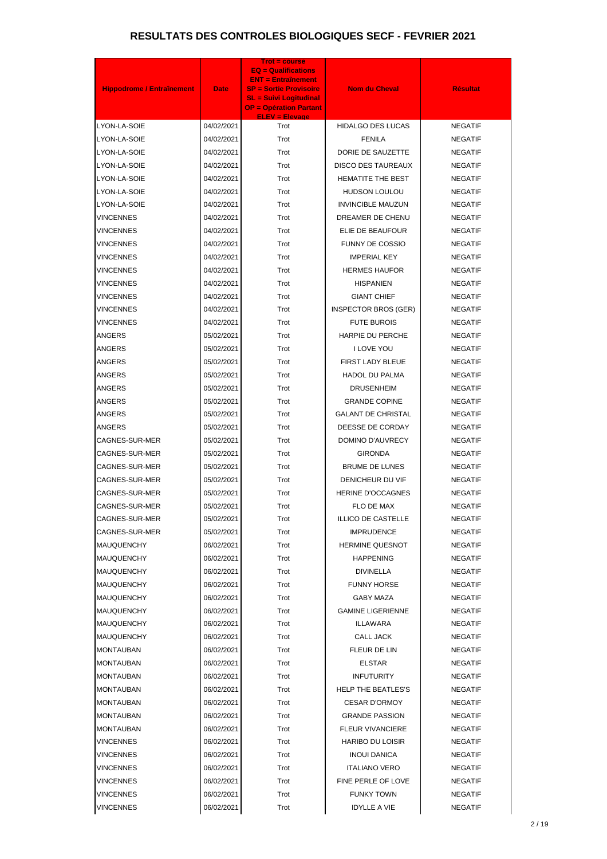| <b>Hippodrome / Entraînement</b> | <b>Date</b> | Trot = course<br><b>EQ = Qualifications</b><br><b>ENT = Entraînement</b><br><b>SP = Sortie Provisoire</b><br><b>SL = Suivi Logitudinal</b><br><b>OP = Opération Partant</b> | <b>Nom du Cheval</b>        | <b>Résultat</b> |
|----------------------------------|-------------|-----------------------------------------------------------------------------------------------------------------------------------------------------------------------------|-----------------------------|-----------------|
| LYON-LA-SOIE                     | 04/02/2021  | <b>ELEV = Elevage</b><br>Trot                                                                                                                                               | <b>HIDALGO DES LUCAS</b>    | <b>NEGATIF</b>  |
| LYON-LA-SOIE                     | 04/02/2021  | Trot                                                                                                                                                                        | <b>FENILA</b>               | <b>NEGATIF</b>  |
| LYON-LA-SOIE                     | 04/02/2021  | Trot                                                                                                                                                                        | DORIE DE SAUZETTE           | <b>NEGATIF</b>  |
| LYON-LA-SOIE                     | 04/02/2021  | Trot                                                                                                                                                                        | <b>DISCO DES TAUREAUX</b>   | <b>NEGATIF</b>  |
| LYON-LA-SOIE                     | 04/02/2021  | Trot                                                                                                                                                                        | <b>HEMATITE THE BEST</b>    | <b>NEGATIF</b>  |
| LYON-LA-SOIE                     | 04/02/2021  | Trot                                                                                                                                                                        | <b>HUDSON LOULOU</b>        | <b>NEGATIF</b>  |
| LYON-LA-SOIE                     | 04/02/2021  | Trot                                                                                                                                                                        | <b>INVINCIBLE MAUZUN</b>    | <b>NEGATIF</b>  |
| VINCENNES                        | 04/02/2021  | Trot                                                                                                                                                                        | DREAMER DE CHENU            | <b>NEGATIF</b>  |
| <b>VINCENNES</b>                 | 04/02/2021  | Trot                                                                                                                                                                        | ELIE DE BEAUFOUR            | <b>NEGATIF</b>  |
| <b>VINCENNES</b>                 | 04/02/2021  | Trot                                                                                                                                                                        | <b>FUNNY DE COSSIO</b>      | <b>NEGATIF</b>  |
| <b>VINCENNES</b>                 | 04/02/2021  | Trot                                                                                                                                                                        | <b>IMPERIAL KEY</b>         | <b>NEGATIF</b>  |
| VINCENNES                        | 04/02/2021  | Trot                                                                                                                                                                        | <b>HERMES HAUFOR</b>        | <b>NEGATIF</b>  |
| <b>VINCENNES</b>                 | 04/02/2021  | Trot                                                                                                                                                                        | <b>HISPANIEN</b>            | <b>NEGATIF</b>  |
| VINCENNES                        | 04/02/2021  | Trot                                                                                                                                                                        | <b>GIANT CHIEF</b>          | <b>NEGATIF</b>  |
| <b>VINCENNES</b>                 | 04/02/2021  | Trot                                                                                                                                                                        | <b>INSPECTOR BROS (GER)</b> | <b>NEGATIF</b>  |
| VINCENNES                        | 04/02/2021  | Trot                                                                                                                                                                        | <b>FUTE BUROIS</b>          | <b>NEGATIF</b>  |
| ANGERS                           | 05/02/2021  | Trot                                                                                                                                                                        | HARPIE DU PERCHE            | <b>NEGATIF</b>  |
| ANGERS                           | 05/02/2021  | Trot                                                                                                                                                                        | I LOVE YOU                  | <b>NEGATIF</b>  |
| ANGERS                           | 05/02/2021  | Trot                                                                                                                                                                        | FIRST LADY BLEUE            | <b>NEGATIF</b>  |
| ANGERS                           | 05/02/2021  | Trot                                                                                                                                                                        | <b>HADOL DU PALMA</b>       | <b>NEGATIF</b>  |
| ANGERS                           | 05/02/2021  | Trot                                                                                                                                                                        | <b>DRUSENHEIM</b>           | <b>NEGATIF</b>  |
| <b>ANGERS</b>                    | 05/02/2021  | Trot                                                                                                                                                                        | <b>GRANDE COPINE</b>        | <b>NEGATIF</b>  |
| ANGERS                           | 05/02/2021  | Trot                                                                                                                                                                        | <b>GALANT DE CHRISTAL</b>   | <b>NEGATIF</b>  |
| <b>ANGERS</b>                    | 05/02/2021  | Trot                                                                                                                                                                        | DEESSE DE CORDAY            | <b>NEGATIF</b>  |
| CAGNES-SUR-MER                   | 05/02/2021  | Trot                                                                                                                                                                        | DOMINO D'AUVRECY            | <b>NEGATIF</b>  |
| CAGNES-SUR-MER                   | 05/02/2021  | Trot                                                                                                                                                                        | <b>GIRONDA</b>              | <b>NEGATIF</b>  |
| CAGNES-SUR-MER                   | 05/02/2021  | Trot                                                                                                                                                                        | <b>BRUME DE LUNES</b>       | <b>NEGATIF</b>  |
| CAGNES-SUR-MER                   | 05/02/2021  | Trot                                                                                                                                                                        | DENICHEUR DU VIF            | <b>NEGATIF</b>  |
| CAGNES-SUR-MER                   | 05/02/2021  | Trot                                                                                                                                                                        | <b>HERINE D'OCCAGNES</b>    | <b>NEGATIF</b>  |
| CAGNES-SUR-MER                   | 05/02/2021  | Trot                                                                                                                                                                        | FLO DE MAX                  | <b>NEGATIF</b>  |
| CAGNES-SUR-MER                   | 05/02/2021  | Trot                                                                                                                                                                        | <b>ILLICO DE CASTELLE</b>   | <b>NEGATIF</b>  |
| CAGNES-SUR-MER                   | 05/02/2021  | Trot                                                                                                                                                                        | <b>IMPRUDENCE</b>           | <b>NEGATIF</b>  |
| <b>MAUQUENCHY</b>                | 06/02/2021  | Trot                                                                                                                                                                        | <b>HERMINE QUESNOT</b>      | <b>NEGATIF</b>  |
| MAUQUENCHY                       | 06/02/2021  | Trot                                                                                                                                                                        | <b>HAPPENING</b>            | <b>NEGATIF</b>  |
| <b>MAUQUENCHY</b>                | 06/02/2021  | Trot                                                                                                                                                                        | <b>DIVINELLA</b>            | <b>NEGATIF</b>  |
| <b>MAUQUENCHY</b>                | 06/02/2021  | Trot                                                                                                                                                                        | <b>FUNNY HORSE</b>          | <b>NEGATIF</b>  |
| <b>MAUQUENCHY</b>                | 06/02/2021  | Trot                                                                                                                                                                        | <b>GABY MAZA</b>            | <b>NEGATIF</b>  |
| MAUQUENCHY                       | 06/02/2021  | Trot                                                                                                                                                                        | <b>GAMINE LIGERIENNE</b>    | <b>NEGATIF</b>  |
| <b>MAUQUENCHY</b>                | 06/02/2021  | Trot                                                                                                                                                                        | ILLAWARA                    | <b>NEGATIF</b>  |
| <b>MAUQUENCHY</b>                | 06/02/2021  | Trot                                                                                                                                                                        | CALL JACK                   | <b>NEGATIF</b>  |
| MONTAUBAN                        | 06/02/2021  | Trot                                                                                                                                                                        | FLEUR DE LIN                | <b>NEGATIF</b>  |
| MONTAUBAN                        | 06/02/2021  | Trot                                                                                                                                                                        | <b>ELSTAR</b>               | <b>NEGATIF</b>  |
| MONTAUBAN                        | 06/02/2021  | Trot                                                                                                                                                                        | <b>INFUTURITY</b>           | <b>NEGATIF</b>  |
| MONTAUBAN                        | 06/02/2021  | Trot                                                                                                                                                                        | <b>HELP THE BEATLES'S</b>   | <b>NEGATIF</b>  |
| MONTAUBAN                        | 06/02/2021  | Trot                                                                                                                                                                        | <b>CESAR D'ORMOY</b>        | <b>NEGATIF</b>  |
| MONTAUBAN                        | 06/02/2021  | Trot                                                                                                                                                                        | <b>GRANDE PASSION</b>       | <b>NEGATIF</b>  |
| MONTAUBAN                        | 06/02/2021  | Trot                                                                                                                                                                        | <b>FLEUR VIVANCIERE</b>     | <b>NEGATIF</b>  |
| <b>VINCENNES</b>                 | 06/02/2021  | Trot                                                                                                                                                                        | <b>HARIBO DU LOISIR</b>     | <b>NEGATIF</b>  |
| <b>VINCENNES</b>                 | 06/02/2021  | Trot                                                                                                                                                                        | <b>INOUI DANICA</b>         | <b>NEGATIF</b>  |
| VINCENNES                        | 06/02/2021  | Trot                                                                                                                                                                        | <b>ITALIANO VERO</b>        | <b>NEGATIF</b>  |
| VINCENNES                        | 06/02/2021  | Trot                                                                                                                                                                        | FINE PERLE OF LOVE          | <b>NEGATIF</b>  |
| <b>VINCENNES</b>                 | 06/02/2021  | Trot                                                                                                                                                                        | <b>FUNKY TOWN</b>           | <b>NEGATIF</b>  |
| <b>VINCENNES</b>                 | 06/02/2021  | Trot                                                                                                                                                                        | <b>IDYLLE A VIE</b>         | <b>NEGATIF</b>  |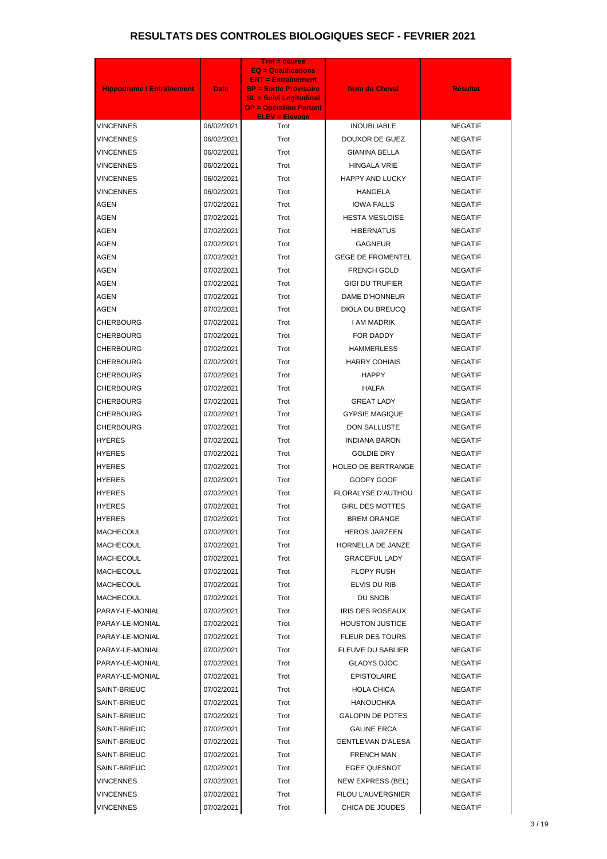| <b>Hippodrome / Entraînement</b> | <b>Date</b>              | <b>Trot = course</b><br><b>EQ = Qualifications</b><br><b>ENT = Entraînement</b><br><b>SP = Sortie Provisoire</b><br><b>SL = Suivi Logitudinal</b><br><b>OP = Opération Partant</b> | <b>Nom du Cheval</b>                        | <b>Résultat</b>                  |
|----------------------------------|--------------------------|------------------------------------------------------------------------------------------------------------------------------------------------------------------------------------|---------------------------------------------|----------------------------------|
| VINCENNES                        | 06/02/2021               | <b>ELEV = Elevage</b><br>Trot                                                                                                                                                      | <b>INOUBLIABLE</b>                          | <b>NEGATIF</b>                   |
| VINCENNES                        | 06/02/2021               | Trot                                                                                                                                                                               | <b>DOUXOR DE GUEZ</b>                       | <b>NEGATIF</b>                   |
| VINCENNES                        | 06/02/2021               | Trot                                                                                                                                                                               | <b>GIANINA BELLA</b>                        | <b>NEGATIF</b>                   |
| VINCENNES                        | 06/02/2021               | Trot                                                                                                                                                                               | <b>HINGALA VRIE</b>                         | <b>NEGATIF</b>                   |
| VINCENNES                        | 06/02/2021               | Trot                                                                                                                                                                               | <b>HAPPY AND LUCKY</b>                      | <b>NEGATIF</b>                   |
| VINCENNES                        | 06/02/2021               | Trot                                                                                                                                                                               | HANGELA                                     | <b>NEGATIF</b>                   |
| <b>AGEN</b>                      | 07/02/2021               | Trot                                                                                                                                                                               | <b>IOWA FALLS</b>                           | <b>NEGATIF</b>                   |
| <b>AGEN</b>                      | 07/02/2021               | Trot                                                                                                                                                                               | <b>HESTA MESLOISE</b>                       | <b>NEGATIF</b>                   |
| <b>AGEN</b>                      | 07/02/2021               | Trot                                                                                                                                                                               | <b>HIBERNATUS</b>                           | <b>NEGATIF</b>                   |
| <b>AGEN</b>                      | 07/02/2021               | Trot                                                                                                                                                                               | <b>GAGNEUR</b>                              | <b>NEGATIF</b>                   |
| <b>AGEN</b>                      | 07/02/2021               | Trot                                                                                                                                                                               | <b>GEGE DE FROMENTEL</b>                    | <b>NEGATIF</b>                   |
| AGEN                             | 07/02/2021               | Trot                                                                                                                                                                               | <b>FRENCH GOLD</b>                          | <b>NEGATIF</b>                   |
| <b>AGEN</b>                      | 07/02/2021               | Trot                                                                                                                                                                               | <b>GIGI DU TRUFIER</b>                      | <b>NEGATIF</b>                   |
| AGEN                             | 07/02/2021               | Trot                                                                                                                                                                               | DAME D'HONNEUR                              | <b>NEGATIF</b>                   |
| <b>AGEN</b>                      | 07/02/2021               | Trot                                                                                                                                                                               | DIOLA DU BREUCQ                             | <b>NEGATIF</b>                   |
| CHERBOURG                        | 07/02/2021               | Trot                                                                                                                                                                               | I AM MADRIK                                 | <b>NEGATIF</b>                   |
| CHERBOURG                        | 07/02/2021               | Trot                                                                                                                                                                               | FOR DADDY                                   | <b>NEGATIF</b>                   |
| CHERBOURG                        | 07/02/2021               | Trot                                                                                                                                                                               | <b>HAMMERLESS</b>                           | <b>NEGATIF</b>                   |
| CHERBOURG                        | 07/02/2021               | Trot                                                                                                                                                                               | <b>HARRY COHIAIS</b>                        | <b>NEGATIF</b>                   |
| CHERBOURG                        | 07/02/2021               | Trot                                                                                                                                                                               | <b>HAPPY</b>                                | <b>NEGATIF</b>                   |
| CHERBOURG                        | 07/02/2021               | Trot                                                                                                                                                                               | <b>HALFA</b>                                | <b>NEGATIF</b>                   |
| <b>CHERBOURG</b>                 | 07/02/2021               | Trot                                                                                                                                                                               | <b>GREAT LADY</b>                           | <b>NEGATIF</b>                   |
| CHERBOURG                        | 07/02/2021               | Trot                                                                                                                                                                               | <b>GYPSIE MAGIQUE</b>                       | <b>NEGATIF</b>                   |
| <b>CHERBOURG</b>                 | 07/02/2021               | Trot                                                                                                                                                                               | <b>DON SALLUSTE</b>                         | <b>NEGATIF</b>                   |
| <b>HYERES</b>                    | 07/02/2021               | Trot                                                                                                                                                                               | <b>INDIANA BARON</b>                        | <b>NEGATIF</b>                   |
| HYERES                           | 07/02/2021               | Trot                                                                                                                                                                               | <b>GOLDIE DRY</b>                           | <b>NEGATIF</b>                   |
| <b>HYERES</b>                    | 07/02/2021               | Trot                                                                                                                                                                               | <b>HOLEO DE BERTRANGE</b>                   | <b>NEGATIF</b>                   |
| <b>HYERES</b>                    | 07/02/2021               | Trot                                                                                                                                                                               | GOOFY GOOF                                  | <b>NEGATIF</b>                   |
| HYERES                           | 07/02/2021               | Trot                                                                                                                                                                               | FLORALYSE D'AUTHOU                          | <b>NEGATIF</b>                   |
| HYERES                           | 07/02/2021               | Trot                                                                                                                                                                               | <b>GIRL DES MOTTES</b>                      | <b>NEGATIF</b>                   |
| HYERES                           | 07/02/2021               | Trot                                                                                                                                                                               | <b>BREM ORANGE</b>                          | <b>NEGATIF</b>                   |
| MACHECOUL                        | 07/02/2021               | Trot                                                                                                                                                                               | <b>HEROS JARZEEN</b>                        | <b>NEGATIF</b>                   |
| MACHECOUL                        | 07/02/2021               | Trot                                                                                                                                                                               | HORNELLA DE JANZE                           | <b>NEGATIF</b>                   |
| MACHECOUL                        | 07/02/2021               | Trot                                                                                                                                                                               | <b>GRACEFUL LADY</b>                        | <b>NEGATIF</b>                   |
| MACHECOUL                        | 07/02/2021               | Trot                                                                                                                                                                               | <b>FLOPY RUSH</b>                           | <b>NEGATIF</b>                   |
| MACHECOUL                        | 07/02/2021               | Trot                                                                                                                                                                               | ELVIS DU RIB                                | <b>NEGATIF</b>                   |
| MACHECOUL                        | 07/02/2021               | Trot                                                                                                                                                                               | DU SNOB                                     | <b>NEGATIF</b>                   |
| PARAY-LE-MONIAL                  | 07/02/2021               | Trot                                                                                                                                                                               | IRIS DES ROSEAUX                            | <b>NEGATIF</b>                   |
| PARAY-LE-MONIAL                  | 07/02/2021               | Trot                                                                                                                                                                               | <b>HOUSTON JUSTICE</b>                      | <b>NEGATIF</b>                   |
| PARAY-LE-MONIAL                  | 07/02/2021               | Trot                                                                                                                                                                               | <b>FLEUR DES TOURS</b>                      | <b>NEGATIF</b>                   |
| PARAY-LE-MONIAL                  | 07/02/2021               | Trot                                                                                                                                                                               | FLEUVE DU SABLIER                           | <b>NEGATIF</b>                   |
| PARAY-LE-MONIAL                  | 07/02/2021               | Trot                                                                                                                                                                               | <b>GLADYS DJOC</b>                          | <b>NEGATIF</b>                   |
| PARAY-LE-MONIAL                  | 07/02/2021               | Trot                                                                                                                                                                               | <b>EPISTOLAIRE</b>                          | <b>NEGATIF</b>                   |
| SAINT-BRIEUC                     | 07/02/2021               | Trot<br>Trot                                                                                                                                                                       | HOLA CHICA                                  | <b>NEGATIF</b>                   |
| SAINT-BRIEUC<br>SAINT-BRIEUC     | 07/02/2021               | Trot                                                                                                                                                                               | <b>HANOUCHKA</b><br><b>GALOPIN DE POTES</b> | <b>NEGATIF</b><br><b>NEGATIF</b> |
| SAINT-BRIEUC                     | 07/02/2021               | Trot                                                                                                                                                                               | <b>GALINE ERCA</b>                          | <b>NEGATIF</b>                   |
| SAINT-BRIEUC                     | 07/02/2021               | Trot                                                                                                                                                                               | <b>GENTLEMAN D'ALESA</b>                    | <b>NEGATIF</b>                   |
| SAINT-BRIEUC                     | 07/02/2021<br>07/02/2021 | Trot                                                                                                                                                                               | <b>FRENCH MAN</b>                           | <b>NEGATIF</b>                   |
| SAINT-BRIEUC                     | 07/02/2021               | Trot                                                                                                                                                                               | EGEE QUESNOT                                | <b>NEGATIF</b>                   |
| VINCENNES                        | 07/02/2021               | Trot                                                                                                                                                                               | NEW EXPRESS (BEL)                           | <b>NEGATIF</b>                   |
| VINCENNES                        | 07/02/2021               | Trot                                                                                                                                                                               | FILOU L'AUVERGNIER                          | <b>NEGATIF</b>                   |
| <b>VINCENNES</b>                 | 07/02/2021               | Trot                                                                                                                                                                               | CHICA DE JOUDES                             | <b>NEGATIF</b>                   |
|                                  |                          |                                                                                                                                                                                    |                                             |                                  |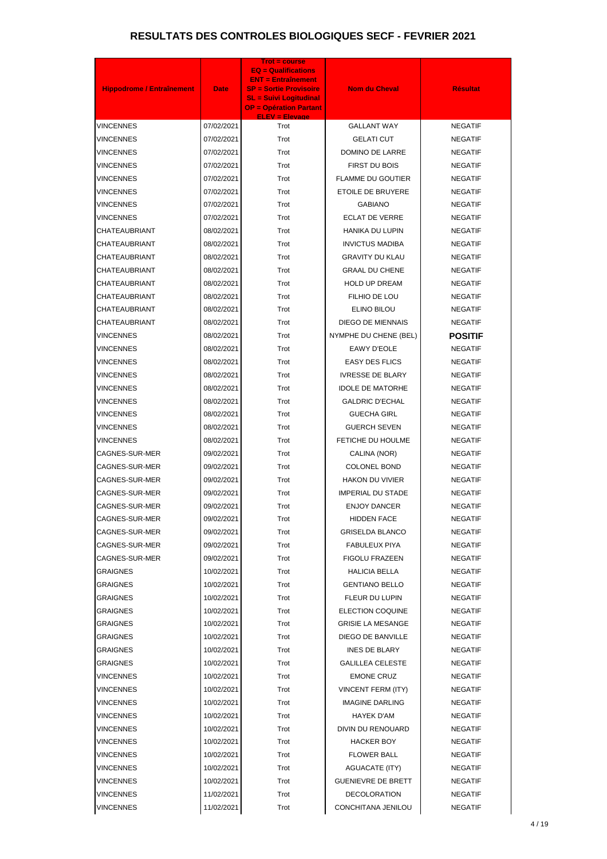| <b>Hippodrome / Entraînement</b> | <b>Date</b> | <b>Trot = course</b><br><b>EQ = Qualifications</b><br><b>ENT = Entraînement</b><br><b>SP = Sortie Provisoire</b><br><b>SL = Suivi Logitudinal</b><br><b>OP = Opération Partant</b> | <b>Nom du Cheval</b>      | <b>Résultat</b> |
|----------------------------------|-------------|------------------------------------------------------------------------------------------------------------------------------------------------------------------------------------|---------------------------|-----------------|
| <b>VINCENNES</b>                 | 07/02/2021  | <b>ELEV = Elevage</b><br>Trot                                                                                                                                                      | <b>GALLANT WAY</b>        | <b>NEGATIF</b>  |
| VINCENNES                        | 07/02/2021  | Trot                                                                                                                                                                               | <b>GELATI CUT</b>         | <b>NEGATIF</b>  |
| <b>VINCENNES</b>                 | 07/02/2021  | Trot                                                                                                                                                                               | DOMINO DE LARRE           | <b>NEGATIF</b>  |
| VINCENNES                        | 07/02/2021  | Trot                                                                                                                                                                               | FIRST DU BOIS             | <b>NEGATIF</b>  |
| <b>VINCENNES</b>                 | 07/02/2021  | Trot                                                                                                                                                                               | <b>FLAMME DU GOUTIER</b>  | <b>NEGATIF</b>  |
| VINCENNES                        | 07/02/2021  | Trot                                                                                                                                                                               | ETOILE DE BRUYERE         | <b>NEGATIF</b>  |
| <b>VINCENNES</b>                 | 07/02/2021  | Trot                                                                                                                                                                               | <b>GABIANO</b>            | <b>NEGATIF</b>  |
| VINCENNES                        | 07/02/2021  | Trot                                                                                                                                                                               | <b>ECLAT DE VERRE</b>     | <b>NEGATIF</b>  |
| <b>CHATEAUBRIANT</b>             | 08/02/2021  | Trot                                                                                                                                                                               | <b>HANIKA DU LUPIN</b>    | <b>NEGATIF</b>  |
| CHATEAUBRIANT                    | 08/02/2021  | Trot                                                                                                                                                                               | <b>INVICTUS MADIBA</b>    | <b>NEGATIF</b>  |
| CHATEAUBRIANT                    | 08/02/2021  | Trot                                                                                                                                                                               | <b>GRAVITY DU KLAU</b>    | <b>NEGATIF</b>  |
| CHATEAUBRIANT                    | 08/02/2021  | Trot                                                                                                                                                                               | <b>GRAAL DU CHENE</b>     | <b>NEGATIF</b>  |
| CHATEAUBRIANT                    | 08/02/2021  | Trot                                                                                                                                                                               | <b>HOLD UP DREAM</b>      | <b>NEGATIF</b>  |
| CHATEAUBRIANT                    | 08/02/2021  | Trot                                                                                                                                                                               | FILHIO DE LOU             | <b>NEGATIF</b>  |
| <b>CHATEAUBRIANT</b>             | 08/02/2021  | Trot                                                                                                                                                                               | ELINO BILOU               | <b>NEGATIF</b>  |
| CHATEAUBRIANT                    | 08/02/2021  | Trot                                                                                                                                                                               | <b>DIEGO DE MIENNAIS</b>  | <b>NEGATIF</b>  |
| <b>VINCENNES</b>                 | 08/02/2021  | Trot                                                                                                                                                                               | NYMPHE DU CHENE (BEL)     | <b>POSITIF</b>  |
| VINCENNES                        | 08/02/2021  | Trot                                                                                                                                                                               | <b>EAWY D'EOLE</b>        | <b>NEGATIF</b>  |
| <b>VINCENNES</b>                 | 08/02/2021  | Trot                                                                                                                                                                               | <b>EASY DES FLICS</b>     | <b>NEGATIF</b>  |
| VINCENNES                        | 08/02/2021  | Trot                                                                                                                                                                               | <b>IVRESSE DE BLARY</b>   | <b>NEGATIF</b>  |
| <b>VINCENNES</b>                 | 08/02/2021  | Trot                                                                                                                                                                               | <b>IDOLE DE MATORHE</b>   | <b>NEGATIF</b>  |
| <b>VINCENNES</b>                 | 08/02/2021  | Trot                                                                                                                                                                               | <b>GALDRIC D'ECHAL</b>    | <b>NEGATIF</b>  |
| <b>VINCENNES</b>                 | 08/02/2021  | Trot                                                                                                                                                                               | <b>GUECHA GIRL</b>        | <b>NEGATIF</b>  |
| <b>VINCENNES</b>                 | 08/02/2021  | Trot                                                                                                                                                                               | <b>GUERCH SEVEN</b>       | <b>NEGATIF</b>  |
| <b>VINCENNES</b>                 | 08/02/2021  | Trot                                                                                                                                                                               | FETICHE DU HOULME         | <b>NEGATIF</b>  |
| CAGNES-SUR-MER                   | 09/02/2021  | Trot                                                                                                                                                                               | CALINA (NOR)              | <b>NEGATIF</b>  |
| CAGNES-SUR-MER                   | 09/02/2021  | Trot                                                                                                                                                                               | COLONEL BOND              | <b>NEGATIF</b>  |
| CAGNES-SUR-MER                   | 09/02/2021  | Trot                                                                                                                                                                               | <b>HAKON DU VIVIER</b>    | <b>NEGATIF</b>  |
| CAGNES-SUR-MER                   | 09/02/2021  | Trot                                                                                                                                                                               | <b>IMPERIAL DU STADE</b>  | <b>NEGATIF</b>  |
| CAGNES-SUR-MER                   | 09/02/2021  | Trot                                                                                                                                                                               | <b>ENJOY DANCER</b>       | <b>NEGATIF</b>  |
| CAGNES-SUR-MER                   | 09/02/2021  | Trot                                                                                                                                                                               | <b>HIDDEN FACE</b>        | <b>NEGATIF</b>  |
| CAGNES-SUR-MER                   | 09/02/2021  | Trot                                                                                                                                                                               | <b>GRISELDA BLANCO</b>    | <b>NEGATIF</b>  |
| CAGNES-SUR-MER                   | 09/02/2021  | Trot                                                                                                                                                                               | FABULEUX PIYA             | <b>NEGATIF</b>  |
| CAGNES-SUR-MER                   | 09/02/2021  | Trot                                                                                                                                                                               | <b>FIGOLU FRAZEEN</b>     | <b>NEGATIF</b>  |
| GRAIGNES                         | 10/02/2021  | Trot                                                                                                                                                                               | <b>HALICIA BELLA</b>      | <b>NEGATIF</b>  |
| GRAIGNES                         | 10/02/2021  | Trot                                                                                                                                                                               | <b>GENTIANO BELLO</b>     | <b>NEGATIF</b>  |
| <b>GRAIGNES</b>                  | 10/02/2021  | Trot                                                                                                                                                                               | FLEUR DU LUPIN            | <b>NEGATIF</b>  |
| GRAIGNES                         | 10/02/2021  | Trot                                                                                                                                                                               | <b>ELECTION COQUINE</b>   | <b>NEGATIF</b>  |
| <b>GRAIGNES</b>                  | 10/02/2021  | Trot                                                                                                                                                                               | <b>GRISIE LA MESANGE</b>  | <b>NEGATIF</b>  |
| <b>GRAIGNES</b>                  | 10/02/2021  | Trot                                                                                                                                                                               | DIEGO DE BANVILLE         | <b>NEGATIF</b>  |
| <b>GRAIGNES</b>                  | 10/02/2021  | Trot                                                                                                                                                                               | <b>INES DE BLARY</b>      | <b>NEGATIF</b>  |
| <b>GRAIGNES</b>                  | 10/02/2021  | Trot                                                                                                                                                                               | <b>GALILLEA CELESTE</b>   | <b>NEGATIF</b>  |
| VINCENNES                        | 10/02/2021  | Trot                                                                                                                                                                               | <b>EMONE CRUZ</b>         | <b>NEGATIF</b>  |
| <b>VINCENNES</b>                 | 10/02/2021  | Trot                                                                                                                                                                               | <b>VINCENT FERM (ITY)</b> | <b>NEGATIF</b>  |
| <b>VINCENNES</b>                 | 10/02/2021  | Trot                                                                                                                                                                               | <b>IMAGINE DARLING</b>    | <b>NEGATIF</b>  |
| <b>VINCENNES</b>                 | 10/02/2021  | Trot                                                                                                                                                                               | HAYEK D'AM                | <b>NEGATIF</b>  |
| <b>VINCENNES</b>                 | 10/02/2021  | Trot                                                                                                                                                                               | DIVIN DU RENOUARD         | <b>NEGATIF</b>  |
| <b>VINCENNES</b>                 | 10/02/2021  | Trot                                                                                                                                                                               | <b>HACKER BOY</b>         | <b>NEGATIF</b>  |
| VINCENNES                        | 10/02/2021  | Trot                                                                                                                                                                               | <b>FLOWER BALL</b>        | <b>NEGATIF</b>  |
| VINCENNES                        | 10/02/2021  | Trot                                                                                                                                                                               | <b>AGUACATE (ITY)</b>     | <b>NEGATIF</b>  |
| VINCENNES                        | 10/02/2021  | Trot                                                                                                                                                                               | <b>GUENIEVRE DE BRETT</b> | <b>NEGATIF</b>  |
| <b>VINCENNES</b>                 | 11/02/2021  | Trot                                                                                                                                                                               | <b>DECOLORATION</b>       | <b>NEGATIF</b>  |
| <b>VINCENNES</b>                 | 11/02/2021  | Trot                                                                                                                                                                               | CONCHITANA JENILOU        | <b>NEGATIF</b>  |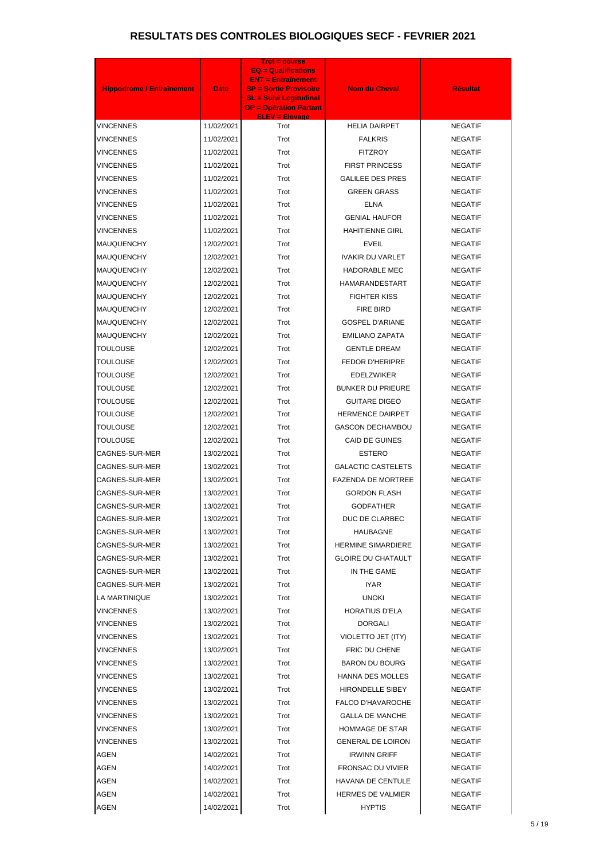| <b>Hippodrome / Entraînement</b> | <b>Date</b> | Trot = course<br><b>EQ = Qualifications</b><br><b>ENT = Entraînement</b><br><b>SP = Sortie Provisoire</b><br><b>SL = Suivi Logitudinal</b><br><b>OP = Opération Partant</b> | <b>Nom du Cheval</b>      | <b>Résultat</b> |
|----------------------------------|-------------|-----------------------------------------------------------------------------------------------------------------------------------------------------------------------------|---------------------------|-----------------|
| VINCENNES                        | 11/02/2021  | <b>ELEV = Elevage</b><br>Trot                                                                                                                                               | <b>HELIA DAIRPET</b>      | <b>NEGATIF</b>  |
| VINCENNES                        | 11/02/2021  | Trot                                                                                                                                                                        | <b>FALKRIS</b>            | <b>NEGATIF</b>  |
| VINCENNES                        | 11/02/2021  | Trot                                                                                                                                                                        | <b>FITZROY</b>            | <b>NEGATIF</b>  |
| VINCENNES                        | 11/02/2021  | Trot                                                                                                                                                                        | <b>FIRST PRINCESS</b>     | <b>NEGATIF</b>  |
| VINCENNES                        | 11/02/2021  | Trot                                                                                                                                                                        | <b>GALILEE DES PRES</b>   | <b>NEGATIF</b>  |
| VINCENNES                        | 11/02/2021  | Trot                                                                                                                                                                        | <b>GREEN GRASS</b>        | <b>NEGATIF</b>  |
| VINCENNES                        | 11/02/2021  | Trot                                                                                                                                                                        | <b>ELNA</b>               | <b>NEGATIF</b>  |
| VINCENNES                        | 11/02/2021  | Trot                                                                                                                                                                        | <b>GENIAL HAUFOR</b>      | <b>NEGATIF</b>  |
| VINCENNES                        | 11/02/2021  | Trot                                                                                                                                                                        | <b>HAHITIENNE GIRL</b>    | <b>NEGATIF</b>  |
| MAUQUENCHY                       | 12/02/2021  | Trot                                                                                                                                                                        | <b>EVEIL</b>              | <b>NEGATIF</b>  |
| <b>MAUQUENCHY</b>                | 12/02/2021  | Trot                                                                                                                                                                        | <b>IVAKIR DU VARLET</b>   | <b>NEGATIF</b>  |
| <b>MAUQUENCHY</b>                | 12/02/2021  | Trot                                                                                                                                                                        | <b>HADORABLE MEC</b>      | <b>NEGATIF</b>  |
| <b>MAUQUENCHY</b>                | 12/02/2021  | Trot                                                                                                                                                                        | <b>HAMARANDESTART</b>     | <b>NEGATIF</b>  |
| <b>MAUQUENCHY</b>                | 12/02/2021  | Trot                                                                                                                                                                        | <b>FIGHTER KISS</b>       | <b>NEGATIF</b>  |
| <b>MAUQUENCHY</b>                | 12/02/2021  | Trot                                                                                                                                                                        | <b>FIRE BIRD</b>          | <b>NEGATIF</b>  |
| MAUQUENCHY                       | 12/02/2021  | Trot                                                                                                                                                                        | <b>GOSPEL D'ARIANE</b>    | <b>NEGATIF</b>  |
| MAUQUENCHY                       | 12/02/2021  | Trot                                                                                                                                                                        | EMILIANO ZAPATA           | <b>NEGATIF</b>  |
| <b>TOULOUSE</b>                  | 12/02/2021  | Trot                                                                                                                                                                        | <b>GENTLE DREAM</b>       | <b>NEGATIF</b>  |
| <b>TOULOUSE</b>                  | 12/02/2021  | Trot                                                                                                                                                                        | <b>FEDOR D'HERIPRE</b>    | <b>NEGATIF</b>  |
| <b>TOULOUSE</b>                  | 12/02/2021  | Trot                                                                                                                                                                        | <b>EDELZWIKER</b>         | <b>NEGATIF</b>  |
| <b>TOULOUSE</b>                  | 12/02/2021  | Trot                                                                                                                                                                        | <b>BUNKER DU PRIEURE</b>  | <b>NEGATIF</b>  |
| <b>TOULOUSE</b>                  | 12/02/2021  | Trot                                                                                                                                                                        | <b>GUITARE DIGEO</b>      | <b>NEGATIF</b>  |
| <b>TOULOUSE</b>                  | 12/02/2021  | Trot                                                                                                                                                                        | <b>HERMENCE DAIRPET</b>   | <b>NEGATIF</b>  |
| <b>TOULOUSE</b>                  | 12/02/2021  | Trot                                                                                                                                                                        | <b>GASCON DECHAMBOU</b>   | <b>NEGATIF</b>  |
| <b>TOULOUSE</b>                  | 12/02/2021  | Trot                                                                                                                                                                        | <b>CAID DE GUINES</b>     | <b>NEGATIF</b>  |
| CAGNES-SUR-MER                   | 13/02/2021  | Trot                                                                                                                                                                        | <b>ESTERO</b>             | <b>NEGATIF</b>  |
| CAGNES-SUR-MER                   | 13/02/2021  | Trot                                                                                                                                                                        | <b>GALACTIC CASTELETS</b> | <b>NEGATIF</b>  |
| CAGNES-SUR-MER                   | 13/02/2021  | Trot                                                                                                                                                                        | <b>FAZENDA DE MORTREE</b> | <b>NEGATIF</b>  |
| CAGNES-SUR-MER                   | 13/02/2021  | Trot                                                                                                                                                                        | <b>GORDON FLASH</b>       | <b>NEGATIF</b>  |
| CAGNES-SUR-MER                   | 13/02/2021  | Trot                                                                                                                                                                        | <b>GODFATHER</b>          | <b>NEGATIF</b>  |
| CAGNES-SUR-MER                   | 13/02/2021  | Trot                                                                                                                                                                        | DUC DE CLARBEC            | <b>NEGATIF</b>  |
| CAGNES-SUR-MER                   | 13/02/2021  | Trot                                                                                                                                                                        | HAUBAGNE                  | <b>NEGATIF</b>  |
| CAGNES-SUR-MER                   | 13/02/2021  | Trot                                                                                                                                                                        | <b>HERMINE SIMARDIERE</b> | <b>NEGATIF</b>  |
| CAGNES-SUR-MER                   | 13/02/2021  | Trot                                                                                                                                                                        | <b>GLOIRE DU CHATAULT</b> | <b>NEGATIF</b>  |
| CAGNES-SUR-MER                   | 13/02/2021  | Trot                                                                                                                                                                        | IN THE GAME               | <b>NEGATIF</b>  |
| CAGNES-SUR-MER                   | 13/02/2021  | Trot                                                                                                                                                                        | <b>IYAR</b>               | <b>NEGATIF</b>  |
| LA MARTINIQUE                    | 13/02/2021  | Trot                                                                                                                                                                        | <b>UNOKI</b>              | <b>NEGATIF</b>  |
| VINCENNES                        | 13/02/2021  | Trot                                                                                                                                                                        | <b>HORATIUS D'ELA</b>     | <b>NEGATIF</b>  |
| VINCENNES                        | 13/02/2021  | Trot                                                                                                                                                                        | <b>DORGALI</b>            | <b>NEGATIF</b>  |
| VINCENNES                        | 13/02/2021  | Trot                                                                                                                                                                        | VIOLETTO JET (ITY)        | <b>NEGATIF</b>  |
| VINCENNES                        | 13/02/2021  | Trot                                                                                                                                                                        | FRIC DU CHENE             | <b>NEGATIF</b>  |
| VINCENNES                        | 13/02/2021  | Trot                                                                                                                                                                        | <b>BARON DU BOURG</b>     | <b>NEGATIF</b>  |
| VINCENNES                        | 13/02/2021  | Trot                                                                                                                                                                        | HANNA DES MOLLES          | <b>NEGATIF</b>  |
| VINCENNES                        | 13/02/2021  | Trot                                                                                                                                                                        | <b>HIRONDELLE SIBEY</b>   | <b>NEGATIF</b>  |
| VINCENNES                        | 13/02/2021  | Trot                                                                                                                                                                        | <b>FALCO D'HAVAROCHE</b>  | <b>NEGATIF</b>  |
| VINCENNES                        | 13/02/2021  | Trot                                                                                                                                                                        | <b>GALLA DE MANCHE</b>    | <b>NEGATIF</b>  |
| VINCENNES                        | 13/02/2021  | Trot                                                                                                                                                                        | <b>HOMMAGE DE STAR</b>    | <b>NEGATIF</b>  |
| <b>VINCENNES</b>                 | 13/02/2021  | Trot                                                                                                                                                                        | <b>GENERAL DE LOIRON</b>  | <b>NEGATIF</b>  |
| AGEN                             | 14/02/2021  | Trot                                                                                                                                                                        | <b>IRWINN GRIFF</b>       | <b>NEGATIF</b>  |
| <b>AGEN</b>                      | 14/02/2021  | Trot                                                                                                                                                                        | FRONSAC DU VIVIER         | <b>NEGATIF</b>  |
| AGEN                             | 14/02/2021  | Trot                                                                                                                                                                        | HAVANA DE CENTULE         | <b>NEGATIF</b>  |
| <b>AGEN</b>                      | 14/02/2021  | Trot                                                                                                                                                                        | <b>HERMES DE VALMIER</b>  | <b>NEGATIF</b>  |
| AGEN                             | 14/02/2021  | Trot                                                                                                                                                                        | <b>HYPTIS</b>             | <b>NEGATIF</b>  |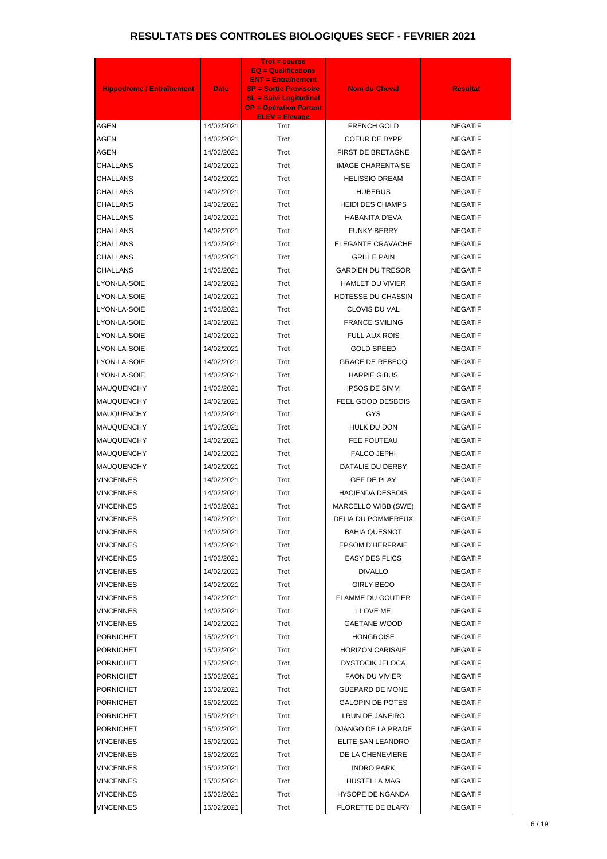| <b>Hippodrome / Entraînement</b> | <b>Date</b> | <b>Trot = course</b><br><b>EQ = Qualifications</b><br><b>ENT = Entraînement</b><br><b>SP = Sortie Provisoire</b><br><b>SL = Suivi Logitudinal</b><br><b>OP = Opération Partant</b> | <b>Nom du Cheval</b>     | <b>Résultat</b> |
|----------------------------------|-------------|------------------------------------------------------------------------------------------------------------------------------------------------------------------------------------|--------------------------|-----------------|
| <b>AGEN</b>                      | 14/02/2021  | <b>ELEV = Elevage</b><br>Trot                                                                                                                                                      | FRENCH GOLD              | <b>NEGATIF</b>  |
| AGEN                             | 14/02/2021  | Trot                                                                                                                                                                               | COEUR DE DYPP            | <b>NEGATIF</b>  |
| <b>AGEN</b>                      | 14/02/2021  | Trot                                                                                                                                                                               | FIRST DE BRETAGNE        | <b>NEGATIF</b>  |
| CHALLANS                         | 14/02/2021  | Trot                                                                                                                                                                               | <b>IMAGE CHARENTAISE</b> | <b>NEGATIF</b>  |
| CHALLANS                         | 14/02/2021  | Trot                                                                                                                                                                               | <b>HELISSIO DREAM</b>    | <b>NEGATIF</b>  |
| CHALLANS                         | 14/02/2021  | Trot                                                                                                                                                                               | <b>HUBERUS</b>           | <b>NEGATIF</b>  |
| CHALLANS                         | 14/02/2021  | Trot                                                                                                                                                                               | <b>HEIDI DES CHAMPS</b>  | <b>NEGATIF</b>  |
| CHALLANS                         | 14/02/2021  | Trot                                                                                                                                                                               | <b>HABANITA D'EVA</b>    | <b>NEGATIF</b>  |
| CHALLANS                         | 14/02/2021  | Trot                                                                                                                                                                               | <b>FUNKY BERRY</b>       | <b>NEGATIF</b>  |
| CHALLANS                         | 14/02/2021  | Trot                                                                                                                                                                               | <b>ELEGANTE CRAVACHE</b> | <b>NEGATIF</b>  |
| CHALLANS                         | 14/02/2021  | Trot                                                                                                                                                                               | <b>GRILLE PAIN</b>       | <b>NEGATIF</b>  |
| <b>CHALLANS</b>                  | 14/02/2021  | Trot                                                                                                                                                                               | <b>GARDIEN DU TRESOR</b> | <b>NEGATIF</b>  |
| LYON-LA-SOIE                     | 14/02/2021  | Trot                                                                                                                                                                               | HAMLET DU VIVIER         | <b>NEGATIF</b>  |
| LYON-LA-SOIE                     | 14/02/2021  | Trot                                                                                                                                                                               | HOTESSE DU CHASSIN       | <b>NEGATIF</b>  |
| LYON-LA-SOIE                     | 14/02/2021  | Trot                                                                                                                                                                               | CLOVIS DU VAL            | <b>NEGATIF</b>  |
| LYON-LA-SOIE                     | 14/02/2021  | Trot                                                                                                                                                                               | <b>FRANCE SMILING</b>    | <b>NEGATIF</b>  |
| LYON-LA-SOIE                     | 14/02/2021  | Trot                                                                                                                                                                               | FULL AUX ROIS            | <b>NEGATIF</b>  |
| LYON-LA-SOIE                     | 14/02/2021  | Trot                                                                                                                                                                               | <b>GOLD SPEED</b>        | <b>NEGATIF</b>  |
| LYON-LA-SOIE                     | 14/02/2021  | Trot                                                                                                                                                                               | <b>GRACE DE REBECQ</b>   | <b>NEGATIF</b>  |
| LYON-LA-SOIE                     | 14/02/2021  | Trot                                                                                                                                                                               | <b>HARPIE GIBUS</b>      | <b>NEGATIF</b>  |
| <b>MAUQUENCHY</b>                | 14/02/2021  | Trot                                                                                                                                                                               | <b>IPSOS DE SIMM</b>     | <b>NEGATIF</b>  |
| <b>MAUQUENCHY</b>                | 14/02/2021  | Trot                                                                                                                                                                               | FEEL GOOD DESBOIS        | <b>NEGATIF</b>  |
| <b>MAUQUENCHY</b>                | 14/02/2021  | Trot                                                                                                                                                                               | GYS                      | <b>NEGATIF</b>  |
| <b>MAUQUENCHY</b>                | 14/02/2021  | Trot                                                                                                                                                                               | HULK DU DON              | <b>NEGATIF</b>  |
| <b>MAUQUENCHY</b>                | 14/02/2021  | Trot                                                                                                                                                                               | FEE FOUTEAU              | <b>NEGATIF</b>  |
| <b>MAUQUENCHY</b>                | 14/02/2021  | Trot                                                                                                                                                                               | FALCO JEPHI              | <b>NEGATIF</b>  |
| MAUQUENCHY                       | 14/02/2021  | Trot                                                                                                                                                                               | DATALIE DU DERBY         | <b>NEGATIF</b>  |
| VINCENNES                        | 14/02/2021  | Trot                                                                                                                                                                               | <b>GEF DE PLAY</b>       | <b>NEGATIF</b>  |
| VINCENNES                        | 14/02/2021  | Trot                                                                                                                                                                               | <b>HACIENDA DESBOIS</b>  | <b>NEGATIF</b>  |
| VINCENNES                        | 14/02/2021  | Trot                                                                                                                                                                               | MARCELLO WIBB (SWE)      | <b>NEGATIF</b>  |
| VINCENNES                        | 14/02/2021  | Trot                                                                                                                                                                               | DELIA DU POMMEREUX       | <b>NEGATIF</b>  |
| VINCENNES                        | 14/02/2021  | Trot                                                                                                                                                                               | <b>BAHIA QUESNOT</b>     | <b>NEGATIF</b>  |
| VINCENNES                        | 14/02/2021  | Trot                                                                                                                                                                               | <b>EPSOM D'HERFRAIE</b>  | <b>NEGATIF</b>  |
| VINCENNES                        | 14/02/2021  | Trot                                                                                                                                                                               | <b>EASY DES FLICS</b>    | <b>NEGATIF</b>  |
| VINCENNES                        | 14/02/2021  | Trot                                                                                                                                                                               | <b>DIVALLO</b>           | <b>NEGATIF</b>  |
| VINCENNES                        | 14/02/2021  | Trot                                                                                                                                                                               | <b>GIRLY BECO</b>        | <b>NEGATIF</b>  |
| VINCENNES                        | 14/02/2021  | Trot                                                                                                                                                                               | <b>FLAMME DU GOUTIER</b> | <b>NEGATIF</b>  |
| VINCENNES                        | 14/02/2021  | Trot                                                                                                                                                                               | <b>I LOVE ME</b>         | <b>NEGATIF</b>  |
| VINCENNES                        | 14/02/2021  | Trot                                                                                                                                                                               | <b>GAETANE WOOD</b>      | <b>NEGATIF</b>  |
| <b>PORNICHET</b>                 | 15/02/2021  | Trot                                                                                                                                                                               | <b>HONGROISE</b>         | <b>NEGATIF</b>  |
| <b>PORNICHET</b>                 | 15/02/2021  | Trot                                                                                                                                                                               | <b>HORIZON CARISAIE</b>  | <b>NEGATIF</b>  |
| <b>PORNICHET</b>                 | 15/02/2021  | Trot                                                                                                                                                                               | <b>DYSTOCIK JELOCA</b>   | <b>NEGATIF</b>  |
| <b>PORNICHET</b>                 | 15/02/2021  | Trot                                                                                                                                                                               | <b>FAON DU VIVIER</b>    | <b>NEGATIF</b>  |
| <b>PORNICHET</b>                 | 15/02/2021  | Trot                                                                                                                                                                               | <b>GUEPARD DE MONE</b>   | <b>NEGATIF</b>  |
| <b>PORNICHET</b>                 | 15/02/2021  | Trot                                                                                                                                                                               | <b>GALOPIN DE POTES</b>  | <b>NEGATIF</b>  |
| <b>PORNICHET</b>                 | 15/02/2021  | Trot                                                                                                                                                                               | I RUN DE JANEIRO         | <b>NEGATIF</b>  |
| <b>PORNICHET</b>                 | 15/02/2021  | Trot                                                                                                                                                                               | DJANGO DE LA PRADE       | <b>NEGATIF</b>  |
| VINCENNES                        | 15/02/2021  | Trot                                                                                                                                                                               | ELITE SAN LEANDRO        | <b>NEGATIF</b>  |
| VINCENNES                        | 15/02/2021  | Trot                                                                                                                                                                               | DE LA CHENEVIERE         | <b>NEGATIF</b>  |
| VINCENNES                        | 15/02/2021  | Trot                                                                                                                                                                               | <b>INDRO PARK</b>        | <b>NEGATIF</b>  |
| VINCENNES                        | 15/02/2021  | Trot                                                                                                                                                                               | HUSTELLA MAG             | <b>NEGATIF</b>  |
| VINCENNES                        | 15/02/2021  | Trot                                                                                                                                                                               | <b>HYSOPE DE NGANDA</b>  | <b>NEGATIF</b>  |
| <b>VINCENNES</b>                 | 15/02/2021  | Trot                                                                                                                                                                               | FLORETTE DE BLARY        | <b>NEGATIF</b>  |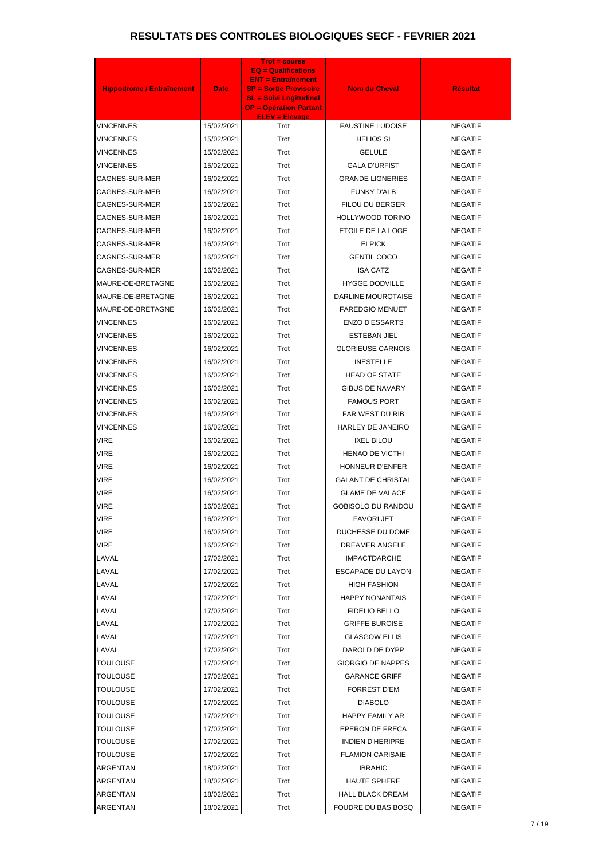| <b>Hippodrome / Entraînement</b> | <b>Date</b> | <b>Trot = course</b><br><b>EQ = Qualifications</b><br><b>ENT = Entraînement</b><br><b>SP = Sortie Provisoire</b><br><b>SL = Suivi Logitudinal</b><br><b>OP = Opération Partant</b> | <b>Nom du Cheval</b>      | <b>Résultat</b> |
|----------------------------------|-------------|------------------------------------------------------------------------------------------------------------------------------------------------------------------------------------|---------------------------|-----------------|
| VINCENNES                        | 15/02/2021  | <b>ELEV = Elevage</b><br>Trot                                                                                                                                                      | <b>FAUSTINE LUDOISE</b>   | <b>NEGATIF</b>  |
| VINCENNES                        | 15/02/2021  | Trot                                                                                                                                                                               | <b>HELIOS SI</b>          | <b>NEGATIF</b>  |
| <b>VINCENNES</b>                 | 15/02/2021  | Trot                                                                                                                                                                               | <b>GELULE</b>             | <b>NEGATIF</b>  |
| VINCENNES                        | 15/02/2021  | Trot                                                                                                                                                                               | <b>GALA D'URFIST</b>      | <b>NEGATIF</b>  |
| CAGNES-SUR-MER                   | 16/02/2021  | Trot                                                                                                                                                                               | <b>GRANDE LIGNERIES</b>   | <b>NEGATIF</b>  |
| CAGNES-SUR-MER                   | 16/02/2021  | Trot                                                                                                                                                                               | <b>FUNKY D'ALB</b>        | <b>NEGATIF</b>  |
| CAGNES-SUR-MER                   | 16/02/2021  | Trot                                                                                                                                                                               | FILOU DU BERGER           | <b>NEGATIF</b>  |
| CAGNES-SUR-MER                   | 16/02/2021  | Trot                                                                                                                                                                               | HOLLYWOOD TORINO          | <b>NEGATIF</b>  |
| CAGNES-SUR-MER                   | 16/02/2021  | Trot                                                                                                                                                                               | ETOILE DE LA LOGE         | <b>NEGATIF</b>  |
| CAGNES-SUR-MER                   | 16/02/2021  | Trot                                                                                                                                                                               | <b>ELPICK</b>             | <b>NEGATIF</b>  |
| CAGNES-SUR-MER                   | 16/02/2021  | Trot                                                                                                                                                                               | <b>GENTIL COCO</b>        | <b>NEGATIF</b>  |
| CAGNES-SUR-MER                   | 16/02/2021  | Trot                                                                                                                                                                               | <b>ISA CATZ</b>           | <b>NEGATIF</b>  |
| MAURE-DE-BRETAGNE                | 16/02/2021  | Trot                                                                                                                                                                               | <b>HYGGE DODVILLE</b>     | <b>NEGATIF</b>  |
| MAURE-DE-BRETAGNE                | 16/02/2021  | Trot                                                                                                                                                                               | DARLINE MOUROTAISE        | <b>NEGATIF</b>  |
| MAURE-DE-BRETAGNE                | 16/02/2021  | Trot                                                                                                                                                                               | <b>FAREDGIO MENUET</b>    | <b>NEGATIF</b>  |
| VINCENNES                        | 16/02/2021  | Trot                                                                                                                                                                               | <b>ENZO D'ESSARTS</b>     | <b>NEGATIF</b>  |
| VINCENNES                        | 16/02/2021  | Trot                                                                                                                                                                               | ESTEBAN JIEL              | <b>NEGATIF</b>  |
| VINCENNES                        | 16/02/2021  | Trot                                                                                                                                                                               | <b>GLORIEUSE CARNOIS</b>  | <b>NEGATIF</b>  |
| VINCENNES                        | 16/02/2021  | Trot                                                                                                                                                                               | <b>INESTELLE</b>          | <b>NEGATIF</b>  |
| VINCENNES                        | 16/02/2021  | Trot                                                                                                                                                                               | <b>HEAD OF STATE</b>      | <b>NEGATIF</b>  |
| VINCENNES                        | 16/02/2021  | Trot                                                                                                                                                                               | <b>GIBUS DE NAVARY</b>    | <b>NEGATIF</b>  |
| <b>VINCENNES</b>                 | 16/02/2021  | Trot                                                                                                                                                                               | <b>FAMOUS PORT</b>        | <b>NEGATIF</b>  |
| VINCENNES                        | 16/02/2021  | Trot                                                                                                                                                                               | FAR WEST DU RIB           | <b>NEGATIF</b>  |
| VINCENNES                        | 16/02/2021  | Trot                                                                                                                                                                               | <b>HARLEY DE JANEIRO</b>  | <b>NEGATIF</b>  |
| <b>VIRE</b>                      | 16/02/2021  | Trot                                                                                                                                                                               | <b>IXEL BILOU</b>         | <b>NEGATIF</b>  |
| VIRE                             | 16/02/2021  | Trot                                                                                                                                                                               | HENAO DE VICTHI           | <b>NEGATIF</b>  |
| VIRE                             | 16/02/2021  | Trot                                                                                                                                                                               | <b>HONNEUR D'ENFER</b>    | <b>NEGATIF</b>  |
| VIRE                             | 16/02/2021  | Trot                                                                                                                                                                               | <b>GALANT DE CHRISTAL</b> | <b>NEGATIF</b>  |
| VIRE                             | 16/02/2021  | Trot                                                                                                                                                                               | <b>GLAME DE VALACE</b>    | <b>NEGATIF</b>  |
| VIRE                             | 16/02/2021  | Trot                                                                                                                                                                               | <b>GOBISOLO DU RANDOU</b> | <b>NEGATIF</b>  |
| VIRE                             | 16/02/2021  | Trot                                                                                                                                                                               | <b>FAVORI JET</b>         | <b>NEGATIF</b>  |
| VIRE                             | 16/02/2021  | Trot                                                                                                                                                                               | DUCHESSE DU DOME          | <b>NEGATIF</b>  |
| VIRE                             | 16/02/2021  | Trot                                                                                                                                                                               | DREAMER ANGELE            | <b>NEGATIF</b>  |
| LAVAL                            | 17/02/2021  | Trot                                                                                                                                                                               | <b>IMPACTDARCHE</b>       | <b>NEGATIF</b>  |
| LAVAL                            | 17/02/2021  | Trot                                                                                                                                                                               | ESCAPADE DU LAYON         | <b>NEGATIF</b>  |
| LAVAL                            | 17/02/2021  | Trot                                                                                                                                                                               | <b>HIGH FASHION</b>       | <b>NEGATIF</b>  |
| LAVAL                            | 17/02/2021  | Trot                                                                                                                                                                               | <b>HAPPY NONANTAIS</b>    | <b>NEGATIF</b>  |
| LAVAL                            | 17/02/2021  | Trot                                                                                                                                                                               | <b>FIDELIO BELLO</b>      | <b>NEGATIF</b>  |
| LAVAL                            | 17/02/2021  | Trot                                                                                                                                                                               | <b>GRIFFE BUROISE</b>     | <b>NEGATIF</b>  |
| LAVAL                            | 17/02/2021  | Trot                                                                                                                                                                               | <b>GLASGOW ELLIS</b>      | <b>NEGATIF</b>  |
| LAVAL                            | 17/02/2021  | Trot                                                                                                                                                                               | DAROLD DE DYPP            | <b>NEGATIF</b>  |
| TOULOUSE                         | 17/02/2021  | Trot                                                                                                                                                                               | <b>GIORGIO DE NAPPES</b>  | <b>NEGATIF</b>  |
| TOULOUSE                         | 17/02/2021  | Trot                                                                                                                                                                               | <b>GARANCE GRIFF</b>      | <b>NEGATIF</b>  |
| TOULOUSE                         | 17/02/2021  | Trot                                                                                                                                                                               | <b>FORREST D'EM</b>       | <b>NEGATIF</b>  |
| TOULOUSE                         | 17/02/2021  | Trot                                                                                                                                                                               | <b>DIABOLO</b>            | <b>NEGATIF</b>  |
| TOULOUSE                         | 17/02/2021  | Trot                                                                                                                                                                               | HAPPY FAMILY AR           | <b>NEGATIF</b>  |
| TOULOUSE                         | 17/02/2021  | Trot                                                                                                                                                                               | EPERON DE FRECA           | <b>NEGATIF</b>  |
| TOULOUSE                         | 17/02/2021  | Trot                                                                                                                                                                               | <b>INDIEN D'HERIPRE</b>   | <b>NEGATIF</b>  |
| TOULOUSE                         | 17/02/2021  | Trot                                                                                                                                                                               | <b>FLAMION CARISAIE</b>   | <b>NEGATIF</b>  |
| ARGENTAN                         | 18/02/2021  | Trot                                                                                                                                                                               | <b>IBRAHIC</b>            | <b>NEGATIF</b>  |
| ARGENTAN                         | 18/02/2021  | Trot                                                                                                                                                                               | <b>HAUTE SPHERE</b>       | <b>NEGATIF</b>  |
| ARGENTAN                         | 18/02/2021  | Trot                                                                                                                                                                               | <b>HALL BLACK DREAM</b>   | <b>NEGATIF</b>  |
| ARGENTAN                         | 18/02/2021  | Trot                                                                                                                                                                               | FOUDRE DU BAS BOSQ        | <b>NEGATIF</b>  |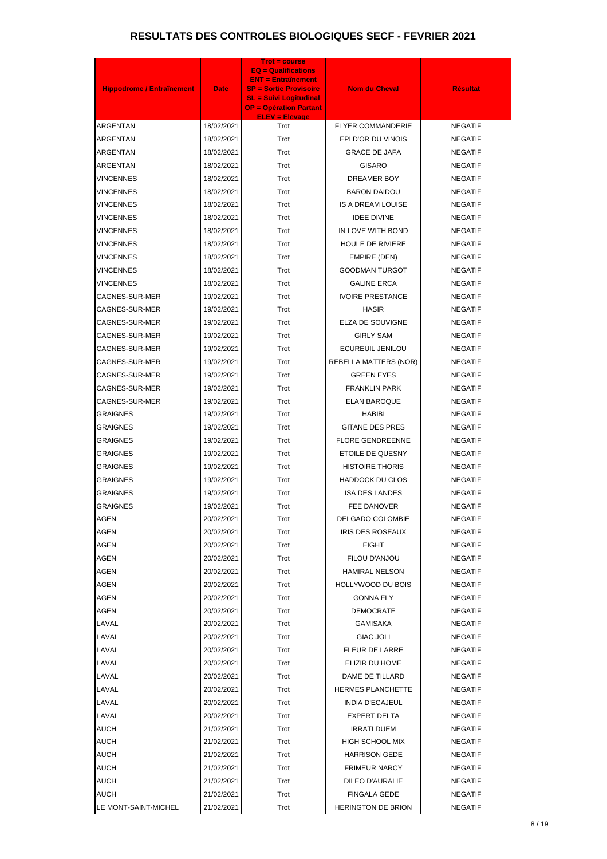| <b>Hippodrome / Entraînement</b> | <b>Date</b>              | <b>Trot = course</b><br><b>EQ = Qualifications</b><br><b>ENT = Entraînement</b><br><b>SP = Sortie Provisoire</b><br><b>SL = Suivi Logitudinal</b><br><b>OP = Opération Partant</b> | <b>Nom du Cheval</b>                   | <b>Résultat</b>                  |
|----------------------------------|--------------------------|------------------------------------------------------------------------------------------------------------------------------------------------------------------------------------|----------------------------------------|----------------------------------|
| <b>ARGENTAN</b>                  | 18/02/2021               | <b>ELEV = Elevage</b><br>Trot                                                                                                                                                      | <b>FLYER COMMANDERIE</b>               | <b>NEGATIF</b>                   |
| ARGENTAN                         | 18/02/2021               | Trot                                                                                                                                                                               | EPI D'OR DU VINOIS                     | <b>NEGATIF</b>                   |
| ARGENTAN                         | 18/02/2021               | Trot                                                                                                                                                                               | <b>GRACE DE JAFA</b>                   | <b>NEGATIF</b>                   |
| ARGENTAN                         | 18/02/2021               | Trot                                                                                                                                                                               | <b>GISARO</b>                          | <b>NEGATIF</b>                   |
| <b>VINCENNES</b>                 | 18/02/2021               | Trot                                                                                                                                                                               | DREAMER BOY                            | <b>NEGATIF</b>                   |
| <b>VINCENNES</b>                 | 18/02/2021               | Trot                                                                                                                                                                               | <b>BARON DAIDOU</b>                    | <b>NEGATIF</b>                   |
| <b>VINCENNES</b>                 | 18/02/2021               | Trot                                                                                                                                                                               | <b>IS A DREAM LOUISE</b>               | <b>NEGATIF</b>                   |
| <b>VINCENNES</b>                 | 18/02/2021               | Trot                                                                                                                                                                               | <b>IDEE DIVINE</b>                     | <b>NEGATIF</b>                   |
| <b>VINCENNES</b>                 | 18/02/2021               | Trot                                                                                                                                                                               | IN LOVE WITH BOND                      | <b>NEGATIF</b>                   |
| VINCENNES                        | 18/02/2021               | Trot                                                                                                                                                                               | <b>HOULE DE RIVIERE</b>                | <b>NEGATIF</b>                   |
| <b>VINCENNES</b>                 | 18/02/2021               | Trot                                                                                                                                                                               | EMPIRE (DEN)                           | <b>NEGATIF</b>                   |
| <b>VINCENNES</b>                 | 18/02/2021               | Trot                                                                                                                                                                               | <b>GOODMAN TURGOT</b>                  | <b>NEGATIF</b>                   |
| <b>VINCENNES</b>                 | 18/02/2021               | Trot                                                                                                                                                                               | <b>GALINE ERCA</b>                     | <b>NEGATIF</b>                   |
| CAGNES-SUR-MER                   | 19/02/2021               | Trot                                                                                                                                                                               | <b>IVOIRE PRESTANCE</b>                | <b>NEGATIF</b>                   |
| CAGNES-SUR-MER                   | 19/02/2021               | Trot                                                                                                                                                                               | <b>HASIR</b>                           | <b>NEGATIF</b>                   |
| CAGNES-SUR-MER                   | 19/02/2021               | Trot                                                                                                                                                                               | ELZA DE SOUVIGNE                       | <b>NEGATIF</b>                   |
| CAGNES-SUR-MER                   | 19/02/2021               | Trot                                                                                                                                                                               | <b>GIRLY SAM</b>                       | <b>NEGATIF</b>                   |
| CAGNES-SUR-MER                   | 19/02/2021               | Trot                                                                                                                                                                               | ECUREUIL JENILOU                       | <b>NEGATIF</b>                   |
| CAGNES-SUR-MER                   | 19/02/2021               | Trot                                                                                                                                                                               | <b>REBELLA MATTERS (NOR)</b>           | <b>NEGATIF</b>                   |
| CAGNES-SUR-MER                   | 19/02/2021               | Trot                                                                                                                                                                               | <b>GREEN EYES</b>                      | <b>NEGATIF</b>                   |
| CAGNES-SUR-MER                   | 19/02/2021               | Trot                                                                                                                                                                               | <b>FRANKLIN PARK</b>                   | <b>NEGATIF</b>                   |
| CAGNES-SUR-MER                   | 19/02/2021               | Trot                                                                                                                                                                               | <b>ELAN BAROQUE</b>                    | <b>NEGATIF</b>                   |
| <b>GRAIGNES</b>                  | 19/02/2021               | Trot                                                                                                                                                                               | <b>HABIBI</b>                          | <b>NEGATIF</b>                   |
| <b>GRAIGNES</b>                  | 19/02/2021               | Trot                                                                                                                                                                               | <b>GITANE DES PRES</b>                 | <b>NEGATIF</b>                   |
| <b>GRAIGNES</b>                  | 19/02/2021               | Trot                                                                                                                                                                               | <b>FLORE GENDREENNE</b>                | <b>NEGATIF</b>                   |
| GRAIGNES                         | 19/02/2021               | Trot                                                                                                                                                                               | ETOILE DE QUESNY                       | <b>NEGATIF</b>                   |
| GRAIGNES                         | 19/02/2021               | Trot                                                                                                                                                                               | <b>HISTOIRE THORIS</b>                 | <b>NEGATIF</b>                   |
| GRAIGNES                         | 19/02/2021               | Trot                                                                                                                                                                               | <b>HADDOCK DU CLOS</b>                 | <b>NEGATIF</b>                   |
| <b>GRAIGNES</b>                  | 19/02/2021               | Trot                                                                                                                                                                               | <b>ISA DES LANDES</b>                  | <b>NEGATIF</b>                   |
| <b>GRAIGNES</b>                  | 19/02/2021               | Trot                                                                                                                                                                               | FEE DANOVER                            | <b>NEGATIF</b>                   |
| AGEN                             | 20/02/2021               | Trot                                                                                                                                                                               | DELGADO COLOMBIE                       | <b>NEGATIF</b>                   |
| <b>AGEN</b>                      | 20/02/2021               | Trot                                                                                                                                                                               | <b>IRIS DES ROSEAUX</b>                | <b>NEGATIF</b>                   |
| AGEN                             | 20/02/2021               | Trot                                                                                                                                                                               | <b>EIGHT</b>                           | <b>NEGATIF</b>                   |
| AGEN                             | 20/02/2021               | Trot                                                                                                                                                                               | FILOU D'ANJOU                          | <b>NEGATIF</b>                   |
| AGEN                             | 20/02/2021               | Trot                                                                                                                                                                               | <b>HAMIRAL NELSON</b>                  | <b>NEGATIF</b>                   |
| AGEN                             | 20/02/2021               | Trot                                                                                                                                                                               | <b>HOLLYWOOD DU BOIS</b>               | <b>NEGATIF</b>                   |
| AGEN                             | 20/02/2021               | Trot                                                                                                                                                                               | <b>GONNA FLY</b>                       | <b>NEGATIF</b>                   |
| AGEN                             | 20/02/2021               | Trot                                                                                                                                                                               | <b>DEMOCRATE</b>                       | <b>NEGATIF</b>                   |
| LAVAL                            | 20/02/2021               | Trot                                                                                                                                                                               | GAMISAKA                               | <b>NEGATIF</b>                   |
| LAVAL                            | 20/02/2021               | Trot                                                                                                                                                                               | <b>GIAC JOLI</b>                       | <b>NEGATIF</b>                   |
| LAVAL                            | 20/02/2021               | Trot                                                                                                                                                                               | FLEUR DE LARRE                         | <b>NEGATIF</b>                   |
| LAVAL                            | 20/02/2021               | Trot                                                                                                                                                                               | ELIZIR DU HOME                         | <b>NEGATIF</b>                   |
| LAVAL                            | 20/02/2021               | Trot                                                                                                                                                                               | DAME DE TILLARD                        | <b>NEGATIF</b>                   |
| LAVAL                            | 20/02/2021               | Trot                                                                                                                                                                               | <b>HERMES PLANCHETTE</b>               | <b>NEGATIF</b>                   |
| LAVAL                            | 20/02/2021               | Trot                                                                                                                                                                               | <b>INDIA D'ECAJEUL</b>                 | <b>NEGATIF</b>                   |
| LAVAL                            | 20/02/2021               | Trot                                                                                                                                                                               | <b>EXPERT DELTA</b>                    | <b>NEGATIF</b>                   |
| <b>AUCH</b>                      | 21/02/2021               | Trot                                                                                                                                                                               | <b>IRRATI DUEM</b>                     | <b>NEGATIF</b>                   |
| <b>AUCH</b><br><b>AUCH</b>       | 21/02/2021<br>21/02/2021 | Trot<br>Trot                                                                                                                                                                       | <b>HIGH SCHOOL MIX</b>                 | <b>NEGATIF</b>                   |
|                                  |                          |                                                                                                                                                                                    | <b>HARRISON GEDE</b>                   | <b>NEGATIF</b>                   |
| <b>AUCH</b><br><b>AUCH</b>       | 21/02/2021               | Trot<br>Trot                                                                                                                                                                       | <b>FRIMEUR NARCY</b>                   | <b>NEGATIF</b>                   |
| <b>AUCH</b>                      | 21/02/2021<br>21/02/2021 | Trot                                                                                                                                                                               | DILEO D'AURALIE<br><b>FINGALA GEDE</b> | <b>NEGATIF</b><br><b>NEGATIF</b> |
| LE MONT-SAINT-MICHEL             | 21/02/2021               | Trot                                                                                                                                                                               | <b>HERINGTON DE BRION</b>              | <b>NEGATIF</b>                   |
|                                  |                          |                                                                                                                                                                                    |                                        |                                  |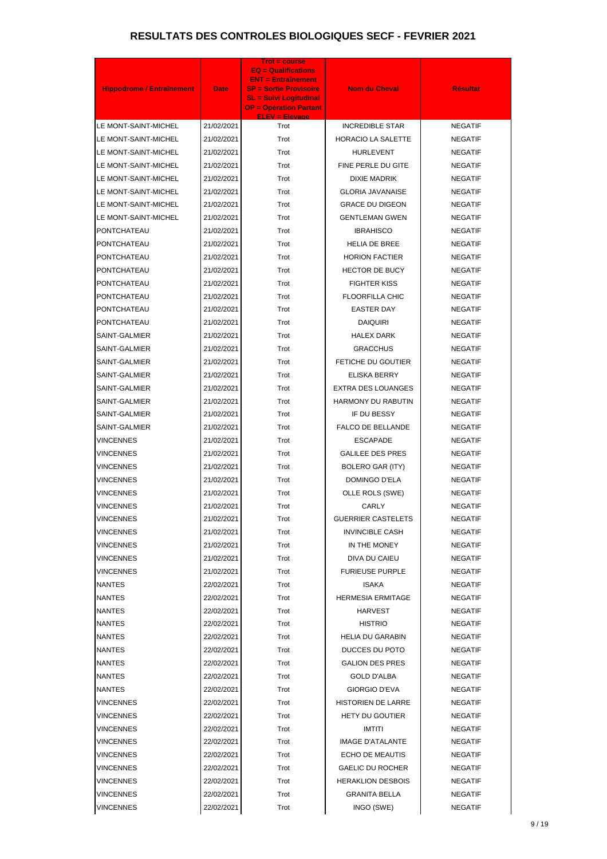| <b>Hippodrome / Entraînement</b> | <b>Date</b> | <b>Trot = course</b><br>$EQ =$ Qualifications<br><b>ENT = Entraînement</b><br><b>SP = Sortie Provisoire</b><br><b>SL = Suivi Logitudinal</b><br><b>OP = Opération Partant</b> | <b>Nom du Cheval</b>      | <b>Résultat</b> |
|----------------------------------|-------------|-------------------------------------------------------------------------------------------------------------------------------------------------------------------------------|---------------------------|-----------------|
| LE MONT-SAINT-MICHEL             | 21/02/2021  | <b>ELEV = Elevage</b><br>Trot                                                                                                                                                 | <b>INCREDIBLE STAR</b>    | <b>NEGATIF</b>  |
| LE MONT-SAINT-MICHEL             | 21/02/2021  | Trot                                                                                                                                                                          | <b>HORACIO LA SALETTE</b> | <b>NEGATIF</b>  |
| LE MONT-SAINT-MICHEL             | 21/02/2021  | Trot                                                                                                                                                                          | <b>HURLEVENT</b>          | <b>NEGATIF</b>  |
| LE MONT-SAINT-MICHEL             | 21/02/2021  | Trot                                                                                                                                                                          | FINE PERLE DU GITE        | <b>NEGATIF</b>  |
| LE MONT-SAINT-MICHEL             | 21/02/2021  | Trot                                                                                                                                                                          | <b>DIXIE MADRIK</b>       | <b>NEGATIF</b>  |
| LE MONT-SAINT-MICHEL             | 21/02/2021  | Trot                                                                                                                                                                          | <b>GLORIA JAVANAISE</b>   | <b>NEGATIF</b>  |
| LE MONT-SAINT-MICHEL             | 21/02/2021  | Trot                                                                                                                                                                          | <b>GRACE DU DIGEON</b>    | <b>NEGATIF</b>  |
| LE MONT-SAINT-MICHEL             | 21/02/2021  | Trot                                                                                                                                                                          | <b>GENTLEMAN GWEN</b>     | <b>NEGATIF</b>  |
| PONTCHATEAU                      | 21/02/2021  | Trot                                                                                                                                                                          | <b>IBRAHISCO</b>          | <b>NEGATIF</b>  |
| PONTCHATEAU                      | 21/02/2021  | Trot                                                                                                                                                                          | <b>HELIA DE BREE</b>      | <b>NEGATIF</b>  |
| PONTCHATEAU                      | 21/02/2021  | Trot                                                                                                                                                                          | <b>HORION FACTIER</b>     | <b>NEGATIF</b>  |
| PONTCHATEAU                      | 21/02/2021  | Trot                                                                                                                                                                          | <b>HECTOR DE BUCY</b>     | <b>NEGATIF</b>  |
| PONTCHATEAU                      | 21/02/2021  | Trot                                                                                                                                                                          | <b>FIGHTER KISS</b>       | <b>NEGATIF</b>  |
| PONTCHATEAU                      | 21/02/2021  | Trot                                                                                                                                                                          | <b>FLOORFILLA CHIC</b>    | <b>NEGATIF</b>  |
| PONTCHATEAU                      | 21/02/2021  | Trot                                                                                                                                                                          | <b>EASTER DAY</b>         | <b>NEGATIF</b>  |
| PONTCHATEAU                      | 21/02/2021  | Trot                                                                                                                                                                          | <b>DAIQUIRI</b>           | <b>NEGATIF</b>  |
| SAINT-GALMIER                    | 21/02/2021  | Trot                                                                                                                                                                          | <b>HALEX DARK</b>         | <b>NEGATIF</b>  |
| SAINT-GALMIER                    | 21/02/2021  | Trot                                                                                                                                                                          | <b>GRACCHUS</b>           | <b>NEGATIF</b>  |
| SAINT-GALMIER                    | 21/02/2021  | Trot                                                                                                                                                                          | FETICHE DU GOUTIER        | <b>NEGATIF</b>  |
| SAINT-GALMIER                    | 21/02/2021  | Trot                                                                                                                                                                          | <b>ELISKA BERRY</b>       | <b>NEGATIF</b>  |
| SAINT-GALMIER                    | 21/02/2021  | Trot                                                                                                                                                                          | <b>EXTRA DES LOUANGES</b> | <b>NEGATIF</b>  |
| <b>SAINT-GALMIER</b>             | 21/02/2021  | Trot                                                                                                                                                                          | <b>HARMONY DU RABUTIN</b> | <b>NEGATIF</b>  |
| <b>SAINT-GALMIER</b>             | 21/02/2021  | Trot                                                                                                                                                                          | IF DU BESSY               | <b>NEGATIF</b>  |
| SAINT-GALMIER                    | 21/02/2021  | Trot                                                                                                                                                                          | <b>FALCO DE BELLANDE</b>  | <b>NEGATIF</b>  |
| <b>VINCENNES</b>                 | 21/02/2021  | Trot                                                                                                                                                                          | <b>ESCAPADE</b>           | <b>NEGATIF</b>  |
| <b>VINCENNES</b>                 | 21/02/2021  | Trot                                                                                                                                                                          | <b>GALILEE DES PRES</b>   | <b>NEGATIF</b>  |
| <b>VINCENNES</b>                 | 21/02/2021  | Trot                                                                                                                                                                          | <b>BOLERO GAR (ITY)</b>   | <b>NEGATIF</b>  |
| VINCENNES                        | 21/02/2021  | Trot                                                                                                                                                                          | DOMINGO D'ELA             | <b>NEGATIF</b>  |
| <b>VINCENNES</b>                 | 21/02/2021  | Trot                                                                                                                                                                          | OLLE ROLS (SWE)           | <b>NEGATIF</b>  |
| <b>VINCENNES</b>                 | 21/02/2021  | Trot                                                                                                                                                                          | <b>CARLY</b>              | <b>NEGATIF</b>  |
| <b>VINCENNES</b>                 | 21/02/2021  | Trot                                                                                                                                                                          | <b>GUERRIER CASTELETS</b> | <b>NEGATIF</b>  |
| <b>VINCENNES</b>                 | 21/02/2021  | Trot                                                                                                                                                                          | <b>INVINCIBLE CASH</b>    | <b>NEGATIF</b>  |
| VINCENNES                        | 21/02/2021  | Trot                                                                                                                                                                          | IN THE MONEY              | <b>NEGATIF</b>  |
| VINCENNES                        | 21/02/2021  | Trot                                                                                                                                                                          | DIVA DU CAIEU             | <b>NEGATIF</b>  |
| <b>VINCENNES</b>                 | 21/02/2021  | Trot                                                                                                                                                                          | <b>FURIEUSE PURPLE</b>    | <b>NEGATIF</b>  |
| <b>NANTES</b>                    | 22/02/2021  | Trot                                                                                                                                                                          | <b>ISAKA</b>              | <b>NEGATIF</b>  |
| <b>NANTES</b>                    | 22/02/2021  | Trot                                                                                                                                                                          | <b>HERMESIA ERMITAGE</b>  | <b>NEGATIF</b>  |
| NANTES                           | 22/02/2021  | Trot                                                                                                                                                                          | <b>HARVEST</b>            | <b>NEGATIF</b>  |
| <b>NANTES</b>                    | 22/02/2021  | Trot                                                                                                                                                                          | <b>HISTRIO</b>            | <b>NEGATIF</b>  |
| NANTES                           | 22/02/2021  | Trot                                                                                                                                                                          | HELIA DU GARABIN          | <b>NEGATIF</b>  |
| <b>NANTES</b>                    | 22/02/2021  | Trot                                                                                                                                                                          | DUCCES DU POTO            | <b>NEGATIF</b>  |
| NANTES                           | 22/02/2021  | Trot                                                                                                                                                                          | <b>GALION DES PRES</b>    | <b>NEGATIF</b>  |
| NANTES                           | 22/02/2021  | Trot                                                                                                                                                                          | <b>GOLD D'ALBA</b>        | <b>NEGATIF</b>  |
| <b>NANTES</b>                    | 22/02/2021  | Trot                                                                                                                                                                          | <b>GIORGIO D'EVA</b>      | <b>NEGATIF</b>  |
| VINCENNES                        | 22/02/2021  | Trot                                                                                                                                                                          | <b>HISTORIEN DE LARRE</b> | <b>NEGATIF</b>  |
| <b>VINCENNES</b>                 | 22/02/2021  | Trot                                                                                                                                                                          | <b>HETY DU GOUTIER</b>    | <b>NEGATIF</b>  |
| <b>VINCENNES</b>                 | 22/02/2021  | Trot                                                                                                                                                                          | <b>IMTITI</b>             | <b>NEGATIF</b>  |
| <b>VINCENNES</b>                 | 22/02/2021  | Trot                                                                                                                                                                          | <b>IMAGE D'ATALANTE</b>   | <b>NEGATIF</b>  |
| <b>VINCENNES</b>                 | 22/02/2021  | Trot                                                                                                                                                                          | ECHO DE MEAUTIS           | <b>NEGATIF</b>  |
| <b>VINCENNES</b>                 | 22/02/2021  | Trot                                                                                                                                                                          | <b>GAELIC DU ROCHER</b>   | <b>NEGATIF</b>  |
| VINCENNES                        | 22/02/2021  | Trot                                                                                                                                                                          | <b>HERAKLION DESBOIS</b>  | <b>NEGATIF</b>  |
| <b>VINCENNES</b>                 | 22/02/2021  | Trot                                                                                                                                                                          | <b>GRANITA BELLA</b>      | <b>NEGATIF</b>  |
| <b>VINCENNES</b>                 | 22/02/2021  | Trot                                                                                                                                                                          | INGO (SWE)                | <b>NEGATIF</b>  |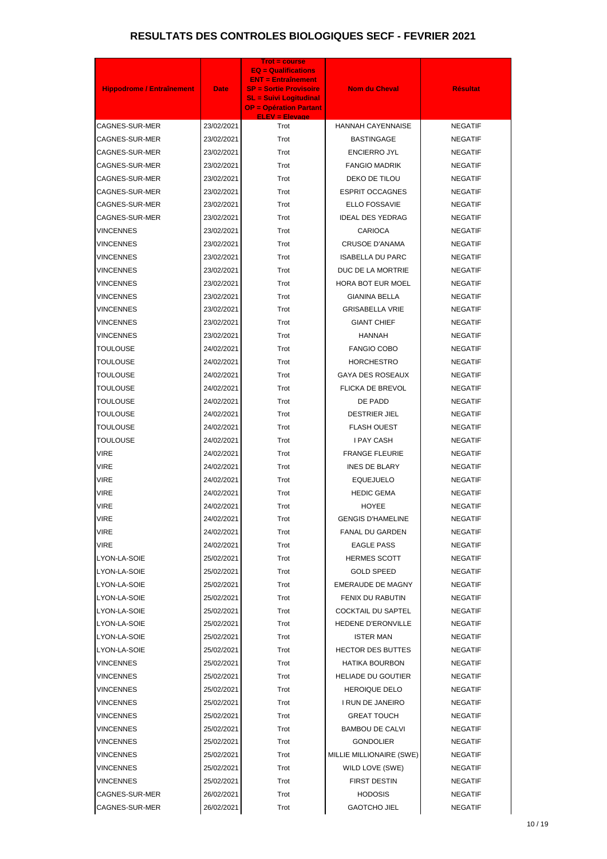| <b>Hippodrome / Entraînement</b> | <b>Date</b> | <b>Trot = course</b><br><b>EQ = Qualifications</b><br><b>ENT = Entraînement</b><br><b>SP = Sortie Provisoire</b><br><b>SL = Suivi Logitudinal</b><br><b>OP = Opération Partant</b> | <b>Nom du Cheval</b>                         | <b>Résultat</b> |
|----------------------------------|-------------|------------------------------------------------------------------------------------------------------------------------------------------------------------------------------------|----------------------------------------------|-----------------|
| CAGNES-SUR-MER                   | 23/02/2021  | <b>ELEV = Elevage</b><br>Trot                                                                                                                                                      | <b>HANNAH CAYENNAISE</b>                     | <b>NEGATIF</b>  |
| CAGNES-SUR-MER                   | 23/02/2021  | Trot                                                                                                                                                                               | <b>BASTINGAGE</b>                            | <b>NEGATIF</b>  |
| CAGNES-SUR-MER                   | 23/02/2021  | Trot                                                                                                                                                                               | <b>ENCIERRO JYL</b>                          | <b>NEGATIF</b>  |
| CAGNES-SUR-MER                   | 23/02/2021  | Trot                                                                                                                                                                               | <b>FANGIO MADRIK</b>                         | <b>NEGATIF</b>  |
| CAGNES-SUR-MER                   | 23/02/2021  | Trot                                                                                                                                                                               | DEKO DE TILOU                                | <b>NEGATIF</b>  |
| CAGNES-SUR-MER                   | 23/02/2021  | Trot                                                                                                                                                                               | <b>ESPRIT OCCAGNES</b>                       | <b>NEGATIF</b>  |
| CAGNES-SUR-MER                   | 23/02/2021  | Trot                                                                                                                                                                               | ELLO FOSSAVIE                                | <b>NEGATIF</b>  |
| CAGNES-SUR-MER                   | 23/02/2021  | Trot                                                                                                                                                                               | <b>IDEAL DES YEDRAG</b>                      | <b>NEGATIF</b>  |
| <b>VINCENNES</b>                 | 23/02/2021  | Trot                                                                                                                                                                               | <b>CARIOCA</b>                               | <b>NEGATIF</b>  |
| <b>VINCENNES</b>                 | 23/02/2021  | Trot                                                                                                                                                                               | <b>CRUSOE D'ANAMA</b>                        | <b>NEGATIF</b>  |
| <b>VINCENNES</b>                 | 23/02/2021  | Trot                                                                                                                                                                               | <b>ISABELLA DU PARC</b>                      | <b>NEGATIF</b>  |
| <b>VINCENNES</b>                 | 23/02/2021  | Trot                                                                                                                                                                               | DUC DE LA MORTRIE                            | <b>NEGATIF</b>  |
| <b>VINCENNES</b>                 | 23/02/2021  | Trot                                                                                                                                                                               | <b>HORA BOT EUR MOEL</b>                     | <b>NEGATIF</b>  |
| <b>VINCENNES</b>                 | 23/02/2021  | Trot                                                                                                                                                                               | <b>GIANINA BELLA</b>                         | <b>NEGATIF</b>  |
| <b>VINCENNES</b>                 | 23/02/2021  | Trot                                                                                                                                                                               | <b>GRISABELLA VRIE</b>                       | <b>NEGATIF</b>  |
| <b>VINCENNES</b>                 | 23/02/2021  | Trot                                                                                                                                                                               | <b>GIANT CHIEF</b>                           | <b>NEGATIF</b>  |
| <b>VINCENNES</b>                 | 23/02/2021  | Trot                                                                                                                                                                               | <b>HANNAH</b>                                | <b>NEGATIF</b>  |
| TOULOUSE                         | 24/02/2021  | Trot                                                                                                                                                                               | <b>FANGIO COBO</b>                           | <b>NEGATIF</b>  |
| <b>TOULOUSE</b>                  |             |                                                                                                                                                                                    |                                              |                 |
|                                  | 24/02/2021  | Trot                                                                                                                                                                               | <b>HORCHESTRO</b><br><b>GAYA DES ROSEAUX</b> | <b>NEGATIF</b>  |
| TOULOUSE                         | 24/02/2021  | Trot                                                                                                                                                                               |                                              | <b>NEGATIF</b>  |
| <b>TOULOUSE</b>                  | 24/02/2021  | Trot                                                                                                                                                                               | FLICKA DE BREVOL                             | <b>NEGATIF</b>  |
| TOULOUSE                         | 24/02/2021  | Trot                                                                                                                                                                               | DE PADD                                      | <b>NEGATIF</b>  |
| <b>TOULOUSE</b>                  | 24/02/2021  | Trot                                                                                                                                                                               | <b>DESTRIER JIEL</b>                         | <b>NEGATIF</b>  |
| <b>TOULOUSE</b>                  | 24/02/2021  | Trot                                                                                                                                                                               | <b>FLASH OUEST</b>                           | <b>NEGATIF</b>  |
| <b>TOULOUSE</b>                  | 24/02/2021  | Trot                                                                                                                                                                               | <b>I PAY CASH</b>                            | <b>NEGATIF</b>  |
| VIRE                             | 24/02/2021  | Trot                                                                                                                                                                               | <b>FRANGE FLEURIE</b>                        | NEGATIF         |
| VIRE                             | 24/02/2021  | Trot                                                                                                                                                                               | <b>INES DE BLARY</b>                         | <b>NEGATIF</b>  |
| <b>VIRE</b>                      | 24/02/2021  | Trot                                                                                                                                                                               | <b>EQUEJUELO</b>                             | <b>NEGATIF</b>  |
| <b>VIRE</b>                      | 24/02/2021  | Trot                                                                                                                                                                               | <b>HEDIC GEMA</b>                            | <b>NEGATIF</b>  |
| <b>VIRE</b>                      | 24/02/2021  | Trot                                                                                                                                                                               | <b>HOYEE</b>                                 | <b>NEGATIF</b>  |
| VIRE                             | 24/02/2021  | Trot                                                                                                                                                                               | <b>GENGIS D'HAMELINE</b>                     | <b>NEGATIF</b>  |
| VIRE                             | 24/02/2021  | Trot                                                                                                                                                                               | <b>FANAL DU GARDEN</b>                       | <b>NEGATIF</b>  |
| VIRE                             | 24/02/2021  | Trot                                                                                                                                                                               | <b>EAGLE PASS</b>                            | <b>NEGATIF</b>  |
| LYON-LA-SOIE                     | 25/02/2021  | Trot                                                                                                                                                                               | <b>HERMES SCOTT</b>                          | <b>NEGATIF</b>  |
| LYON-LA-SOIE                     | 25/02/2021  | Trot                                                                                                                                                                               | <b>GOLD SPEED</b>                            | <b>NEGATIF</b>  |
| LYON-LA-SOIE                     | 25/02/2021  | Trot                                                                                                                                                                               | EMERAUDE DE MAGNY                            | <b>NEGATIF</b>  |
| LYON-LA-SOIE                     | 25/02/2021  | Trot                                                                                                                                                                               | FENIX DU RABUTIN                             | <b>NEGATIF</b>  |
| LYON-LA-SOIE                     | 25/02/2021  | Trot                                                                                                                                                                               | <b>COCKTAIL DU SAPTEL</b>                    | <b>NEGATIF</b>  |
| LYON-LA-SOIE                     | 25/02/2021  | Trot                                                                                                                                                                               | HEDENE D'ERONVILLE                           | <b>NEGATIF</b>  |
| LYON-LA-SOIE                     | 25/02/2021  | Trot                                                                                                                                                                               | <b>ISTER MAN</b>                             | <b>NEGATIF</b>  |
| LYON-LA-SOIE                     | 25/02/2021  | Trot                                                                                                                                                                               | <b>HECTOR DES BUTTES</b>                     | <b>NEGATIF</b>  |
| VINCENNES                        | 25/02/2021  | Trot                                                                                                                                                                               | <b>HATIKA BOURBON</b>                        | <b>NEGATIF</b>  |
| VINCENNES                        | 25/02/2021  | Trot                                                                                                                                                                               | <b>HELIADE DU GOUTIER</b>                    | <b>NEGATIF</b>  |
| VINCENNES                        | 25/02/2021  | Trot                                                                                                                                                                               | <b>HEROIQUE DELO</b>                         | <b>NEGATIF</b>  |
| VINCENNES                        | 25/02/2021  | Trot                                                                                                                                                                               | I RUN DE JANEIRO                             | <b>NEGATIF</b>  |
| VINCENNES                        | 25/02/2021  | Trot                                                                                                                                                                               | <b>GREAT TOUCH</b>                           | <b>NEGATIF</b>  |
| VINCENNES                        | 25/02/2021  | Trot                                                                                                                                                                               | <b>BAMBOU DE CALVI</b>                       | <b>NEGATIF</b>  |
| VINCENNES                        | 25/02/2021  | Trot                                                                                                                                                                               | <b>GONDOLIER</b>                             | <b>NEGATIF</b>  |
| VINCENNES                        | 25/02/2021  | Trot                                                                                                                                                                               | MILLIE MILLIONAIRE (SWE)                     | <b>NEGATIF</b>  |
| <b>VINCENNES</b>                 | 25/02/2021  | Trot                                                                                                                                                                               | WILD LOVE (SWE)                              | <b>NEGATIF</b>  |
| <b>VINCENNES</b>                 | 25/02/2021  | Trot                                                                                                                                                                               | <b>FIRST DESTIN</b>                          | <b>NEGATIF</b>  |
| CAGNES-SUR-MER                   | 26/02/2021  | Trot                                                                                                                                                                               | <b>HODOSIS</b>                               | <b>NEGATIF</b>  |
| <b>CAGNES-SUR-MER</b>            | 26/02/2021  | Trot                                                                                                                                                                               | <b>GAOTCHO JIEL</b>                          | <b>NEGATIF</b>  |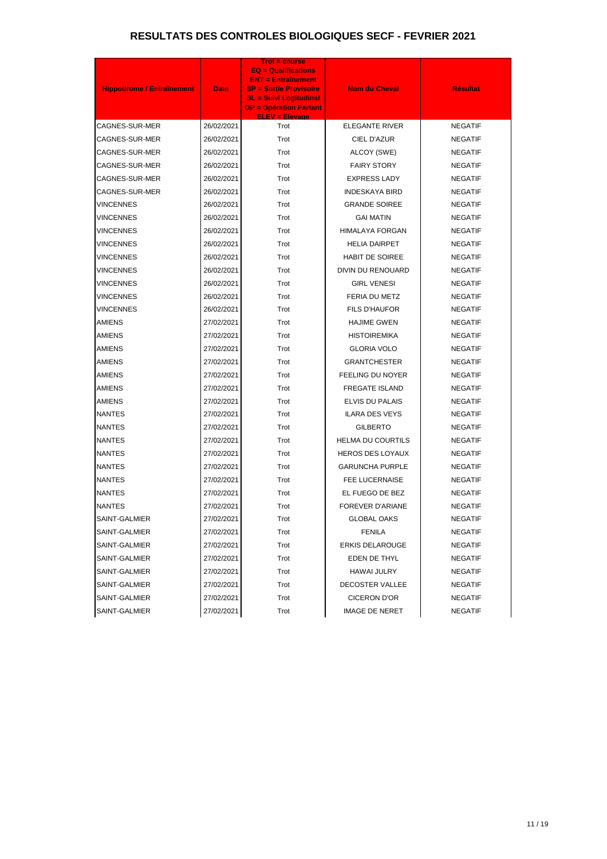| <b>Hippodrome / Entraînement</b> | <b>Date</b> | <b>Trot = course</b><br>$EQ =$ Qualifications<br><b>ENT = Entraînement</b><br><b>SP = Sortie Provisoire</b><br><b>SL = Suivi Logitudinal</b><br><b>OP = Opération Partant</b><br><b>ELEV = Elevage</b> | <b>Nom du Cheval</b>     | <b>Résultat</b> |
|----------------------------------|-------------|--------------------------------------------------------------------------------------------------------------------------------------------------------------------------------------------------------|--------------------------|-----------------|
| CAGNES-SUR-MER                   | 26/02/2021  | Trot                                                                                                                                                                                                   | <b>ELEGANTE RIVER</b>    | <b>NEGATIF</b>  |
| CAGNES-SUR-MER                   | 26/02/2021  | Trot                                                                                                                                                                                                   | CIEL D'AZUR              | <b>NEGATIF</b>  |
| CAGNES-SUR-MER                   | 26/02/2021  | Trot                                                                                                                                                                                                   | ALCOY (SWE)              | <b>NEGATIF</b>  |
| CAGNES-SUR-MER                   | 26/02/2021  | Trot                                                                                                                                                                                                   | <b>FAIRY STORY</b>       | <b>NEGATIF</b>  |
| CAGNES-SUR-MER                   | 26/02/2021  | Trot                                                                                                                                                                                                   | <b>EXPRESS LADY</b>      | <b>NEGATIF</b>  |
| CAGNES-SUR-MER                   | 26/02/2021  | Trot                                                                                                                                                                                                   | <b>INDESKAYA BIRD</b>    | <b>NEGATIF</b>  |
| <b>VINCENNES</b>                 | 26/02/2021  | Trot                                                                                                                                                                                                   | <b>GRANDE SOIREE</b>     | <b>NEGATIF</b>  |
| <b>VINCENNES</b>                 | 26/02/2021  | Trot                                                                                                                                                                                                   | <b>GAI MATIN</b>         | <b>NEGATIF</b>  |
| <b>VINCENNES</b>                 | 26/02/2021  | Trot                                                                                                                                                                                                   | <b>HIMALAYA FORGAN</b>   | <b>NEGATIF</b>  |
| <b>VINCENNES</b>                 | 26/02/2021  | Trot                                                                                                                                                                                                   | <b>HELIA DAIRPET</b>     | <b>NEGATIF</b>  |
| <b>VINCENNES</b>                 | 26/02/2021  | Trot                                                                                                                                                                                                   | <b>HABIT DE SOIREE</b>   | <b>NEGATIF</b>  |
| <b>VINCENNES</b>                 | 26/02/2021  | Trot                                                                                                                                                                                                   | DIVIN DU RENOUARD        | <b>NEGATIF</b>  |
| <b>VINCENNES</b>                 | 26/02/2021  | Trot                                                                                                                                                                                                   | <b>GIRL VENESI</b>       | <b>NEGATIF</b>  |
| <b>VINCENNES</b>                 | 26/02/2021  | Trot                                                                                                                                                                                                   | <b>FERIA DU METZ</b>     | <b>NEGATIF</b>  |
| <b>VINCENNES</b>                 | 26/02/2021  | Trot                                                                                                                                                                                                   | <b>FILS D'HAUFOR</b>     | <b>NEGATIF</b>  |
| <b>AMIENS</b>                    | 27/02/2021  | Trot                                                                                                                                                                                                   | <b>HAJIME GWEN</b>       | <b>NEGATIF</b>  |
| AMIENS                           | 27/02/2021  | Trot                                                                                                                                                                                                   | <b>HISTOIREMIKA</b>      | <b>NEGATIF</b>  |
| <b>AMIENS</b>                    | 27/02/2021  | Trot                                                                                                                                                                                                   | <b>GLORIA VOLO</b>       | <b>NEGATIF</b>  |
| <b>AMIENS</b>                    | 27/02/2021  | Trot                                                                                                                                                                                                   | <b>GRANTCHESTER</b>      | <b>NEGATIF</b>  |
| <b>AMIENS</b>                    | 27/02/2021  | Trot                                                                                                                                                                                                   | <b>FEELING DU NOYER</b>  | <b>NEGATIF</b>  |
| <b>AMIENS</b>                    | 27/02/2021  | Trot                                                                                                                                                                                                   | <b>FREGATE ISLAND</b>    | <b>NEGATIF</b>  |
| <b>AMIENS</b>                    | 27/02/2021  | Trot                                                                                                                                                                                                   | ELVIS DU PALAIS          | <b>NEGATIF</b>  |
| <b>NANTES</b>                    | 27/02/2021  | Trot                                                                                                                                                                                                   | <b>ILARA DES VEYS</b>    | <b>NEGATIF</b>  |
| <b>NANTES</b>                    | 27/02/2021  | Trot                                                                                                                                                                                                   | <b>GILBERTO</b>          | <b>NEGATIF</b>  |
| <b>NANTES</b>                    | 27/02/2021  | Trot                                                                                                                                                                                                   | <b>HELMA DU COURTILS</b> | <b>NEGATIF</b>  |
| <b>NANTES</b>                    | 27/02/2021  | Trot                                                                                                                                                                                                   | <b>HEROS DES LOYAUX</b>  | <b>NEGATIF</b>  |
| NANTES                           | 27/02/2021  | Trot                                                                                                                                                                                                   | <b>GARUNCHA PURPLE</b>   | <b>NEGATIF</b>  |
| <b>NANTES</b>                    | 27/02/2021  | Trot                                                                                                                                                                                                   | FEE LUCERNAISE           | <b>NEGATIF</b>  |
| NANTES                           | 27/02/2021  | Trot                                                                                                                                                                                                   | EL FUEGO DE BEZ          | <b>NEGATIF</b>  |
| <b>NANTES</b>                    | 27/02/2021  | Trot                                                                                                                                                                                                   | <b>FOREVER D'ARIANE</b>  | <b>NEGATIF</b>  |
| SAINT-GALMIER                    | 27/02/2021  | Trot                                                                                                                                                                                                   | <b>GLOBAL OAKS</b>       | <b>NEGATIF</b>  |
| SAINT-GALMIER                    | 27/02/2021  | Trot                                                                                                                                                                                                   | <b>FENILA</b>            | <b>NEGATIF</b>  |
| SAINT-GALMIER                    | 27/02/2021  | Trot                                                                                                                                                                                                   | <b>ERKIS DELAROUGE</b>   | <b>NEGATIF</b>  |
| SAINT-GALMIER                    | 27/02/2021  | Trot                                                                                                                                                                                                   | EDEN DE THYL             | <b>NEGATIF</b>  |
| SAINT-GALMIER                    | 27/02/2021  | Trot                                                                                                                                                                                                   | HAWAI JULRY              | <b>NEGATIF</b>  |
| SAINT-GALMIER                    | 27/02/2021  | Trot                                                                                                                                                                                                   | <b>DECOSTER VALLEE</b>   | <b>NEGATIF</b>  |
| SAINT-GALMIER                    | 27/02/2021  | Trot                                                                                                                                                                                                   | <b>CICERON D'OR</b>      | <b>NEGATIF</b>  |
| SAINT-GALMIER                    | 27/02/2021  | Trot                                                                                                                                                                                                   | <b>IMAGE DE NERET</b>    | <b>NEGATIF</b>  |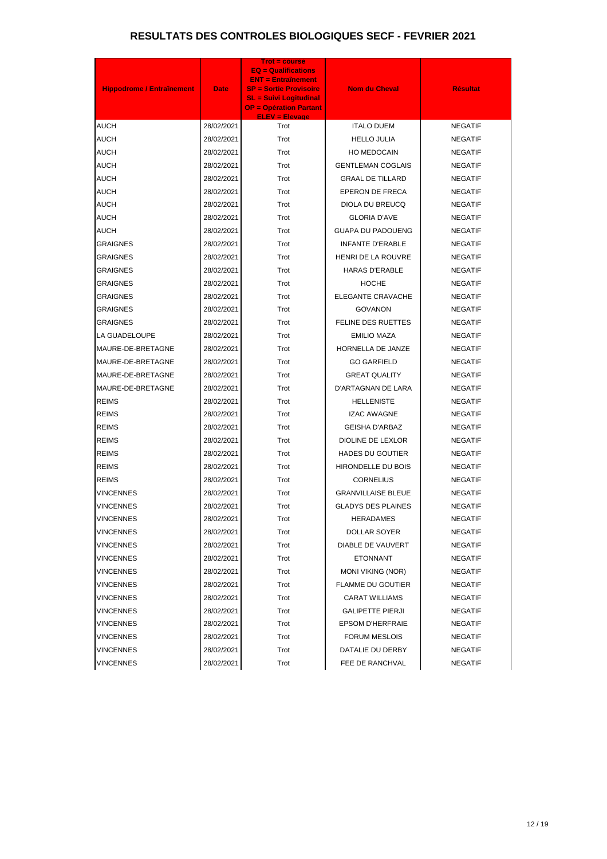| <b>Hippodrome / Entraînement</b> | <b>Date</b> | <b>Trot = course</b><br><b>EQ = Qualifications</b><br><b>ENT = Entraînement</b><br><b>SP = Sortie Provisoire</b><br><b>SL = Suivi Logitudinal</b><br><b>OP = Opération Partant</b><br><b>ELEV = Elevage</b> | <b>Nom du Cheval</b>      | <b>Résultat</b> |
|----------------------------------|-------------|-------------------------------------------------------------------------------------------------------------------------------------------------------------------------------------------------------------|---------------------------|-----------------|
| <b>AUCH</b>                      | 28/02/2021  | Trot                                                                                                                                                                                                        | <b>ITALO DUEM</b>         | <b>NEGATIF</b>  |
| <b>AUCH</b>                      | 28/02/2021  | Trot                                                                                                                                                                                                        | <b>HELLO JULIA</b>        | <b>NEGATIF</b>  |
| <b>AUCH</b>                      | 28/02/2021  | Trot                                                                                                                                                                                                        | <b>HO MEDOCAIN</b>        | <b>NEGATIF</b>  |
| <b>AUCH</b>                      | 28/02/2021  | Trot                                                                                                                                                                                                        | <b>GENTLEMAN COGLAIS</b>  | <b>NEGATIF</b>  |
| <b>AUCH</b>                      | 28/02/2021  | Trot                                                                                                                                                                                                        | <b>GRAAL DE TILLARD</b>   | <b>NEGATIF</b>  |
| <b>AUCH</b>                      | 28/02/2021  | Trot                                                                                                                                                                                                        | <b>EPERON DE FRECA</b>    | <b>NEGATIF</b>  |
| <b>AUCH</b>                      | 28/02/2021  | Trot                                                                                                                                                                                                        | DIOLA DU BREUCQ           | <b>NEGATIF</b>  |
| <b>AUCH</b>                      | 28/02/2021  | Trot                                                                                                                                                                                                        | <b>GLORIA D'AVE</b>       | <b>NEGATIF</b>  |
| AUCH                             | 28/02/2021  | Trot                                                                                                                                                                                                        | <b>GUAPA DU PADOUENG</b>  | <b>NEGATIF</b>  |
| <b>GRAIGNES</b>                  | 28/02/2021  | Trot                                                                                                                                                                                                        | <b>INFANTE D'ERABLE</b>   | <b>NEGATIF</b>  |
| <b>GRAIGNES</b>                  | 28/02/2021  | Trot                                                                                                                                                                                                        | <b>HENRI DE LA ROUVRE</b> | <b>NEGATIF</b>  |
| <b>GRAIGNES</b>                  | 28/02/2021  | Trot                                                                                                                                                                                                        | <b>HARAS D'ERABLE</b>     | <b>NEGATIF</b>  |
| <b>GRAIGNES</b>                  | 28/02/2021  | Trot                                                                                                                                                                                                        | <b>HOCHE</b>              | <b>NEGATIF</b>  |
| <b>GRAIGNES</b>                  | 28/02/2021  | Trot                                                                                                                                                                                                        | <b>ELEGANTE CRAVACHE</b>  | <b>NEGATIF</b>  |
| <b>GRAIGNES</b>                  | 28/02/2021  | Trot                                                                                                                                                                                                        | <b>GOVANON</b>            | <b>NEGATIF</b>  |
| <b>GRAIGNES</b>                  | 28/02/2021  | Trot                                                                                                                                                                                                        | FELINE DES RUETTES        | <b>NEGATIF</b>  |
| LA GUADELOUPE                    | 28/02/2021  | Trot                                                                                                                                                                                                        | <b>EMILIO MAZA</b>        | <b>NEGATIF</b>  |
| MAURE-DE-BRETAGNE                | 28/02/2021  | Trot                                                                                                                                                                                                        | HORNELLA DE JANZE         | <b>NEGATIF</b>  |
| MAURE-DE-BRETAGNE                | 28/02/2021  | Trot                                                                                                                                                                                                        | <b>GO GARFIELD</b>        | <b>NEGATIF</b>  |
| MAURE-DE-BRETAGNE                | 28/02/2021  | Trot                                                                                                                                                                                                        | <b>GREAT QUALITY</b>      | <b>NEGATIF</b>  |
| MAURE-DE-BRETAGNE                | 28/02/2021  | Trot                                                                                                                                                                                                        | D'ARTAGNAN DE LARA        | <b>NEGATIF</b>  |
| <b>REIMS</b>                     | 28/02/2021  | Trot                                                                                                                                                                                                        | <b>HELLENISTE</b>         | <b>NEGATIF</b>  |
| <b>REIMS</b>                     | 28/02/2021  | Trot                                                                                                                                                                                                        | <b>IZAC AWAGNE</b>        | <b>NEGATIF</b>  |
| <b>REIMS</b>                     | 28/02/2021  | Trot                                                                                                                                                                                                        | <b>GEISHA D'ARBAZ</b>     | <b>NEGATIF</b>  |
| <b>REIMS</b>                     | 28/02/2021  | Trot                                                                                                                                                                                                        | DIOLINE DE LEXLOR         | <b>NEGATIF</b>  |
| <b>REIMS</b>                     | 28/02/2021  | Trot                                                                                                                                                                                                        | HADES DU GOUTIER          | <b>NEGATIF</b>  |
| <b>REIMS</b>                     | 28/02/2021  | Trot                                                                                                                                                                                                        | HIRONDELLE DU BOIS        | <b>NEGATIF</b>  |
| REIMS                            | 28/02/2021  | Trot                                                                                                                                                                                                        | <b>CORNELIUS</b>          | <b>NEGATIF</b>  |
| <b>VINCENNES</b>                 | 28/02/2021  | Trot                                                                                                                                                                                                        | <b>GRANVILLAISE BLEUE</b> | <b>NEGATIF</b>  |
| VINCENNES                        | 28/02/2021  | Trot                                                                                                                                                                                                        | <b>GLADYS DES PLAINES</b> | <b>NEGATIF</b>  |
| VINCENNES                        | 28/02/2021  | Trot                                                                                                                                                                                                        | <b>HERADAMES</b>          | <b>NEGATIF</b>  |
| VINCENNES                        | 28/02/2021  | Trot                                                                                                                                                                                                        | DOLLAR SOYER              | <b>NEGATIF</b>  |
| VINCENNES                        | 28/02/2021  | Trot                                                                                                                                                                                                        | <b>DIABLE DE VAUVERT</b>  | <b>NEGATIF</b>  |
| VINCENNES                        | 28/02/2021  | Trot                                                                                                                                                                                                        | <b>ETONNANT</b>           | <b>NEGATIF</b>  |
| VINCENNES                        | 28/02/2021  | Trot                                                                                                                                                                                                        | <b>MONI VIKING (NOR)</b>  | <b>NEGATIF</b>  |
| VINCENNES                        | 28/02/2021  | Trot                                                                                                                                                                                                        | <b>FLAMME DU GOUTIER</b>  | <b>NEGATIF</b>  |
| <b>VINCENNES</b>                 | 28/02/2021  | Trot                                                                                                                                                                                                        | <b>CARAT WILLIAMS</b>     | <b>NEGATIF</b>  |
| VINCENNES                        | 28/02/2021  | Trot                                                                                                                                                                                                        | <b>GALIPETTE PIERJI</b>   | <b>NEGATIF</b>  |
| <b>VINCENNES</b>                 | 28/02/2021  | Trot                                                                                                                                                                                                        | <b>EPSOM D'HERFRAIE</b>   | <b>NEGATIF</b>  |
| VINCENNES                        | 28/02/2021  | Trot                                                                                                                                                                                                        | <b>FORUM MESLOIS</b>      | <b>NEGATIF</b>  |
| <b>VINCENNES</b>                 | 28/02/2021  | Trot                                                                                                                                                                                                        | DATALIE DU DERBY          | <b>NEGATIF</b>  |
| <b>VINCENNES</b>                 | 28/02/2021  | Trot                                                                                                                                                                                                        | FEE DE RANCHVAL           | <b>NEGATIF</b>  |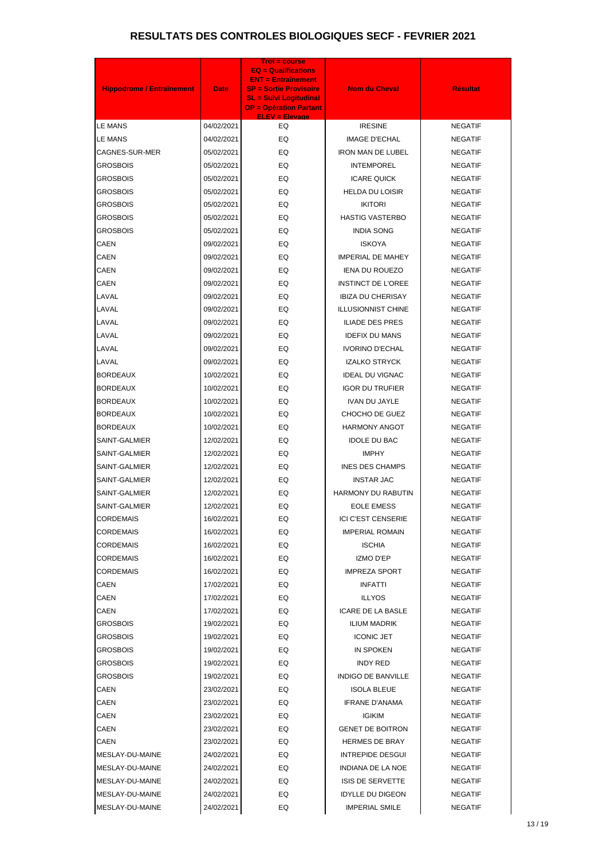| <b>Hippodrome / Entraînement</b> | <b>Date</b> | Trot = course<br><b>EQ = Qualifications</b><br><b>ENT = Entraînement</b><br><b>SP = Sortie Provisoire</b><br><b>SL = Suivi Logitudinal</b><br><b>OP = Opération Partant</b> | Nom du Cheval             | <b>Résultat</b> |
|----------------------------------|-------------|-----------------------------------------------------------------------------------------------------------------------------------------------------------------------------|---------------------------|-----------------|
| <b>LE MANS</b>                   | 04/02/2021  | <b>ELEV = Elevage</b><br>EQ                                                                                                                                                 | <b>IRESINE</b>            | <b>NEGATIF</b>  |
| <b>LE MANS</b>                   | 04/02/2021  | EQ                                                                                                                                                                          | <b>IMAGE D'ECHAL</b>      | <b>NEGATIF</b>  |
| CAGNES-SUR-MER                   | 05/02/2021  | EQ                                                                                                                                                                          | <b>IRON MAN DE LUBEL</b>  | <b>NEGATIF</b>  |
| <b>GROSBOIS</b>                  | 05/02/2021  | EQ                                                                                                                                                                          | <b>INTEMPOREL</b>         | <b>NEGATIF</b>  |
| <b>GROSBOIS</b>                  | 05/02/2021  | EQ                                                                                                                                                                          | <b>ICARE QUICK</b>        | <b>NEGATIF</b>  |
| <b>GROSBOIS</b>                  | 05/02/2021  | EQ                                                                                                                                                                          | <b>HELDA DU LOISIR</b>    | <b>NEGATIF</b>  |
| <b>GROSBOIS</b>                  | 05/02/2021  | EQ                                                                                                                                                                          | <b>IKITORI</b>            | <b>NEGATIF</b>  |
| <b>GROSBOIS</b>                  | 05/02/2021  | EQ                                                                                                                                                                          | <b>HASTIG VASTERBO</b>    | <b>NEGATIF</b>  |
| <b>GROSBOIS</b>                  | 05/02/2021  | EQ                                                                                                                                                                          | <b>INDIA SONG</b>         | <b>NEGATIF</b>  |
| <b>CAEN</b>                      | 09/02/2021  | EQ                                                                                                                                                                          | <b>ISKOYA</b>             | <b>NEGATIF</b>  |
| <b>CAEN</b>                      | 09/02/2021  | EQ                                                                                                                                                                          | <b>IMPERIAL DE MAHEY</b>  | <b>NEGATIF</b>  |
| <b>CAEN</b>                      | 09/02/2021  | EQ                                                                                                                                                                          | <b>IENA DU ROUEZO</b>     | <b>NEGATIF</b>  |
| <b>CAEN</b>                      | 09/02/2021  | EQ                                                                                                                                                                          | <b>INSTINCT DE L'OREE</b> | <b>NEGATIF</b>  |
| LAVAL                            | 09/02/2021  | EQ                                                                                                                                                                          | <b>IBIZA DU CHERISAY</b>  | <b>NEGATIF</b>  |
| LAVAL                            | 09/02/2021  | EQ                                                                                                                                                                          | <b>ILLUSIONNIST CHINE</b> | <b>NEGATIF</b>  |
| LAVAL                            | 09/02/2021  | EQ                                                                                                                                                                          | <b>ILIADE DES PRES</b>    | <b>NEGATIF</b>  |
| LAVAL                            | 09/02/2021  | EQ                                                                                                                                                                          | <b>IDEFIX DU MANS</b>     | <b>NEGATIF</b>  |
| LAVAL                            | 09/02/2021  | EQ                                                                                                                                                                          | <b>IVORINO D'ECHAL</b>    | <b>NEGATIF</b>  |
| LAVAL                            | 09/02/2021  | EQ                                                                                                                                                                          | <b>IZALKO STRYCK</b>      | <b>NEGATIF</b>  |
| <b>BORDEAUX</b>                  | 10/02/2021  | EQ                                                                                                                                                                          | <b>IDEAL DU VIGNAC</b>    | <b>NEGATIF</b>  |
| <b>BORDEAUX</b>                  | 10/02/2021  | EQ                                                                                                                                                                          | <b>IGOR DU TRUFIER</b>    | <b>NEGATIF</b>  |
| <b>BORDEAUX</b>                  | 10/02/2021  | EQ                                                                                                                                                                          | <b>IVAN DU JAYLE</b>      | NEGATIF         |
| <b>BORDEAUX</b>                  | 10/02/2021  | EQ                                                                                                                                                                          | CHOCHO DE GUEZ            | <b>NEGATIF</b>  |
| <b>BORDEAUX</b>                  | 10/02/2021  | EQ                                                                                                                                                                          | <b>HARMONY ANGOT</b>      | <b>NEGATIF</b>  |
| SAINT-GALMIER                    | 12/02/2021  | EQ                                                                                                                                                                          | <b>IDOLE DU BAC</b>       | <b>NEGATIF</b>  |
| SAINT-GALMIER                    | 12/02/2021  | EQ                                                                                                                                                                          | <b>IMPHY</b>              | <b>NEGATIF</b>  |
| SAINT-GALMIER                    | 12/02/2021  | EQ                                                                                                                                                                          | <b>INES DES CHAMPS</b>    | <b>NEGATIF</b>  |
| SAINT-GALMIER                    | 12/02/2021  | EQ                                                                                                                                                                          | <b>INSTAR JAC</b>         | <b>NEGATIF</b>  |
| SAINT-GALMIER                    | 12/02/2021  | EQ                                                                                                                                                                          | <b>HARMONY DU RABUTIN</b> | NEGATIF         |
| SAINT-GALMIER                    | 12/02/2021  | EQ                                                                                                                                                                          | <b>EOLE EMESS</b>         | NEGATIF         |
| CORDEMAIS                        | 16/02/2021  | EQ                                                                                                                                                                          | <b>ICI C'EST CENSERIE</b> | <b>NEGATIF</b>  |
| CORDEMAIS                        | 16/02/2021  | EQ                                                                                                                                                                          | <b>IMPERIAL ROMAIN</b>    | NEGATIF         |
| CORDEMAIS                        | 16/02/2021  | EQ                                                                                                                                                                          | <b>ISCHIA</b>             | NEGATIF         |
| CORDEMAIS                        | 16/02/2021  | EQ                                                                                                                                                                          | IZMO D'EP                 | <b>NEGATIF</b>  |
| CORDEMAIS                        | 16/02/2021  | EQ                                                                                                                                                                          | <b>IMPREZA SPORT</b>      | <b>NEGATIF</b>  |
| CAEN                             | 17/02/2021  | EQ                                                                                                                                                                          | <b>INFATTI</b>            | <b>NEGATIF</b>  |
| CAEN                             | 17/02/2021  | EQ                                                                                                                                                                          | <b>ILLYOS</b>             | NEGATIF         |
| CAEN                             | 17/02/2021  | EQ                                                                                                                                                                          | <b>ICARE DE LA BASLE</b>  | NEGATIF         |
| GROSBOIS                         | 19/02/2021  | EQ                                                                                                                                                                          | <b>ILIUM MADRIK</b>       | NEGATIF         |
| GROSBOIS                         | 19/02/2021  | EQ                                                                                                                                                                          | <b>ICONIC JET</b>         | NEGATIF         |
| GROSBOIS                         | 19/02/2021  | EQ                                                                                                                                                                          | IN SPOKEN                 | NEGATIF         |
| GROSBOIS                         | 19/02/2021  | EQ                                                                                                                                                                          | INDY RED                  | NEGATIF         |
| GROSBOIS                         | 19/02/2021  | EQ                                                                                                                                                                          | INDIGO DE BANVILLE        | NEGATIF         |
| CAEN                             | 23/02/2021  | EQ                                                                                                                                                                          | <b>ISOLA BLEUE</b>        | NEGATIF         |
| CAEN                             | 23/02/2021  | EQ                                                                                                                                                                          | <b>IFRANE D'ANAMA</b>     | NEGATIF         |
| CAEN                             | 23/02/2021  | EQ                                                                                                                                                                          | <b>IGIKIM</b>             | NEGATIF         |
| CAEN                             | 23/02/2021  | EQ                                                                                                                                                                          | <b>GENET DE BOITRON</b>   | NEGATIF         |
| CAEN                             | 23/02/2021  | EQ                                                                                                                                                                          | <b>HERMES DE BRAY</b>     | NEGATIF         |
| MESLAY-DU-MAINE                  | 24/02/2021  | EQ                                                                                                                                                                          | <b>INTREPIDE DESGUI</b>   | NEGATIF         |
| MESLAY-DU-MAINE                  | 24/02/2021  | EQ                                                                                                                                                                          | INDIANA DE LA NOE         | NEGATIF         |
| MESLAY-DU-MAINE                  | 24/02/2021  | EQ                                                                                                                                                                          | <b>ISIS DE SERVETTE</b>   | NEGATIF         |
| MESLAY-DU-MAINE                  | 24/02/2021  | EQ                                                                                                                                                                          | <b>IDYLLE DU DIGEON</b>   | NEGATIF         |
| MESLAY-DU-MAINE                  | 24/02/2021  | EQ                                                                                                                                                                          | <b>IMPERIAL SMILE</b>     | NEGATIF         |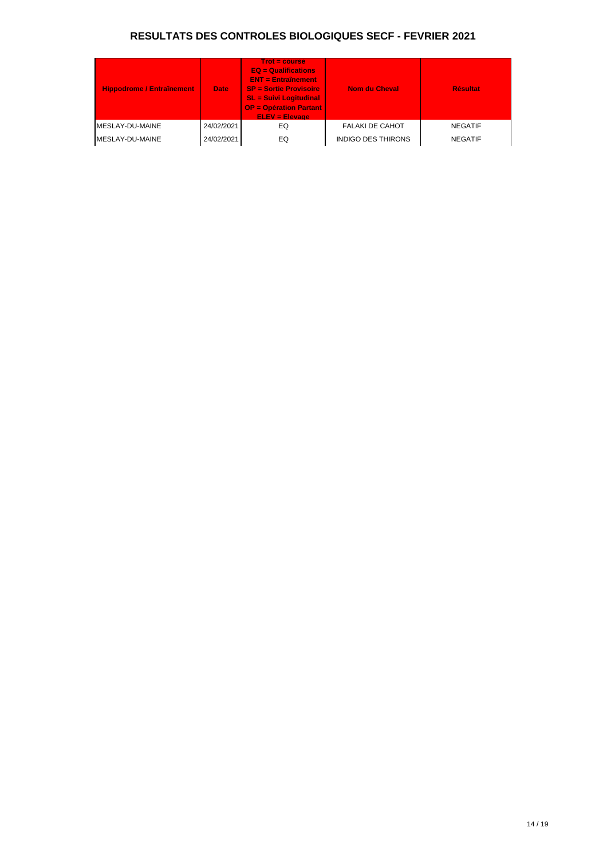| <b>Hippodrome / Entraînement</b> | <b>Date</b> | $Trot = course$<br>$EQ = \text{Qualifications}$<br>$ENT = Entraînement$<br><b>SP = Sortie Provisoire</b><br><b>SL = Suivi Logitudinal</b><br><b>OP = Opération Partant</b><br><b>ELEV = Elevage</b> | <b>Nom du Cheval</b>      | <b>Résultat</b> |
|----------------------------------|-------------|-----------------------------------------------------------------------------------------------------------------------------------------------------------------------------------------------------|---------------------------|-----------------|
| IMESLAY-DU-MAINE                 | 24/02/2021  | EQ                                                                                                                                                                                                  | <b>FALAKI DE CAHOT</b>    | <b>NEGATIF</b>  |
| MESLAY-DU-MAINE                  | 24/02/2021  | EQ                                                                                                                                                                                                  | <b>INDIGO DES THIRONS</b> | <b>NEGATIF</b>  |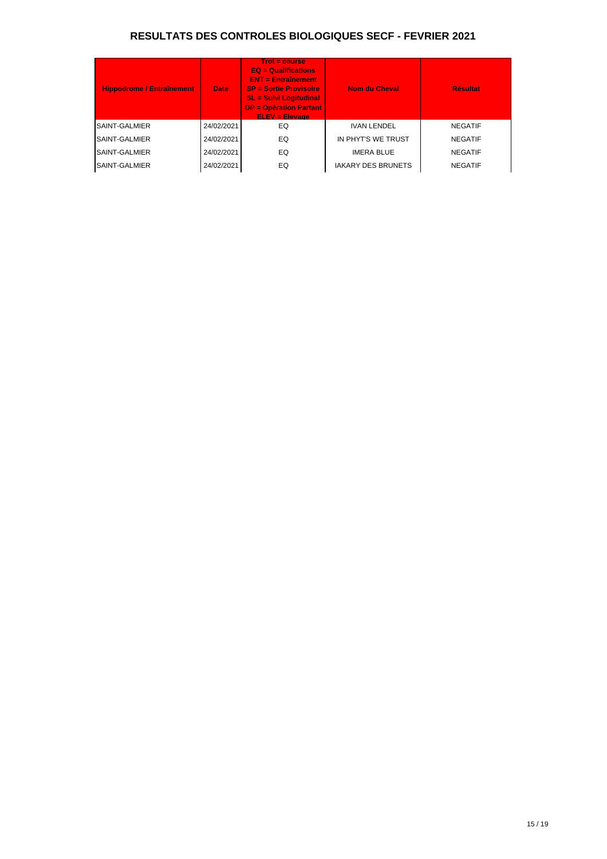| <b>Hippodrome / Entraînement</b> | <b>Date</b> | <b>Trot = course</b><br>$EQ =$ Qualifications<br>$ENT = Entraînement$<br><b>SP = Sortie Provisoire</b><br><b>SL = Suivi Logitudinal</b><br><b>OP = Opération Partant</b><br>$ELEV = Elevaae$ | <b>Nom du Cheval</b>      | <b>Résultat</b> |
|----------------------------------|-------------|----------------------------------------------------------------------------------------------------------------------------------------------------------------------------------------------|---------------------------|-----------------|
| <b>SAINT-GALMIER</b>             | 24/02/2021  | EQ                                                                                                                                                                                           | <b>IVAN LENDEL</b>        | <b>NEGATIF</b>  |
| <b>SAINT-GALMIER</b>             | 24/02/2021  | EQ                                                                                                                                                                                           | IN PHYT'S WE TRUST        | <b>NEGATIF</b>  |
| <b>SAINT-GALMIER</b>             | 24/02/2021  | EQ                                                                                                                                                                                           | <b>IMERA BLUE</b>         | <b>NEGATIF</b>  |
| SAINT-GALMIER                    | 24/02/2021  | EQ                                                                                                                                                                                           | <b>IAKARY DES BRUNETS</b> | <b>NEGATIF</b>  |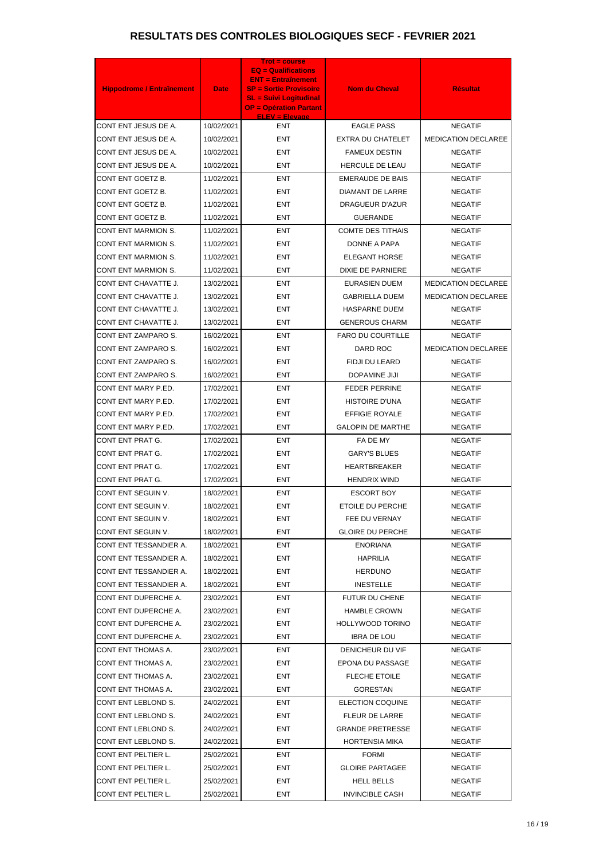|                                  |             | <b>Trot = course</b><br>$EQ =$ Qualifications                  |                          |                            |
|----------------------------------|-------------|----------------------------------------------------------------|--------------------------|----------------------------|
|                                  |             | <b>ENT = Entraînement</b>                                      |                          |                            |
| <b>Hippodrome / Entraînement</b> | <b>Date</b> | <b>SP = Sortie Provisoire</b><br><b>SL = Suivi Logitudinal</b> | <b>Nom du Cheval</b>     | <b>Résultat</b>            |
|                                  |             | <b>OP = Opération Partant</b><br><b>ELEV = Elevage</b>         |                          |                            |
| CONT ENT JESUS DE A.             | 10/02/2021  | <b>ENT</b>                                                     | <b>EAGLE PASS</b>        | <b>NEGATIF</b>             |
| CONT ENT JESUS DE A.             | 10/02/2021  | <b>ENT</b>                                                     | <b>EXTRA DU CHATELET</b> | <b>MEDICATION DECLAREE</b> |
| CONT ENT JESUS DE A.             | 10/02/2021  | <b>ENT</b>                                                     | <b>FAMEUX DESTIN</b>     | <b>NEGATIF</b>             |
| CONT ENT JESUS DE A.             | 10/02/2021  | <b>ENT</b>                                                     | HERCULE DE LEAU          | <b>NEGATIF</b>             |
| CONT ENT GOETZ B.                | 11/02/2021  | <b>ENT</b>                                                     | <b>EMERAUDE DE BAIS</b>  | <b>NEGATIF</b>             |
| CONT ENT GOETZ B.                | 11/02/2021  | <b>ENT</b>                                                     | DIAMANT DE LARRE         | <b>NEGATIF</b>             |
| CONT ENT GOETZ B.                | 11/02/2021  | ENT                                                            | DRAGUEUR D'AZUR          | <b>NEGATIF</b>             |
| CONT ENT GOETZ B.                | 11/02/2021  | <b>ENT</b>                                                     | <b>GUERANDE</b>          | <b>NEGATIF</b>             |
| CONT ENT MARMION S.              | 11/02/2021  | <b>ENT</b>                                                     | <b>COMTE DES TITHAIS</b> | <b>NEGATIF</b>             |
| <b>CONT ENT MARMION S.</b>       | 11/02/2021  | <b>ENT</b>                                                     | DONNE A PAPA             | <b>NEGATIF</b>             |
| CONT ENT MARMION S.              | 11/02/2021  | <b>ENT</b>                                                     | <b>ELEGANT HORSE</b>     | <b>NEGATIF</b>             |
| CONT ENT MARMION S.              | 11/02/2021  | <b>ENT</b>                                                     | <b>DIXIE DE PARNIERE</b> | <b>NEGATIF</b>             |
| CONT ENT CHAVATTE J.             | 13/02/2021  | <b>ENT</b>                                                     | <b>EURASIEN DUEM</b>     | MEDICATION DECLAREE        |
| CONT ENT CHAVATTE J.             | 13/02/2021  | <b>ENT</b>                                                     | <b>GABRIELLA DUEM</b>    | <b>MEDICATION DECLAREE</b> |
| CONT ENT CHAVATTE J.             | 13/02/2021  | <b>ENT</b>                                                     | <b>HASPARNE DUEM</b>     | <b>NEGATIF</b>             |
| CONT ENT CHAVATTE J.             | 13/02/2021  | <b>ENT</b>                                                     | <b>GENEROUS CHARM</b>    | <b>NEGATIF</b>             |
| CONT ENT ZAMPARO S.              | 16/02/2021  | <b>ENT</b>                                                     | <b>FARO DU COURTILLE</b> | <b>NEGATIF</b>             |
| CONT ENT ZAMPARO S.              | 16/02/2021  | <b>ENT</b>                                                     | DARD ROC                 | <b>MEDICATION DECLAREE</b> |
| CONT ENT ZAMPARO S.              | 16/02/2021  | <b>ENT</b>                                                     | FIDJI DU LEARD           | <b>NEGATIF</b>             |
| CONT ENT ZAMPARO S.              | 16/02/2021  | <b>ENT</b>                                                     | DOPAMINE JIJI            | <b>NEGATIF</b>             |
| CONT ENT MARY P.ED.              | 17/02/2021  | <b>ENT</b>                                                     | <b>FEDER PERRINE</b>     | <b>NEGATIF</b>             |
| CONT ENT MARY P.ED.              | 17/02/2021  | <b>ENT</b>                                                     | <b>HISTOIRE D'UNA</b>    | <b>NEGATIF</b>             |
| CONT ENT MARY P.ED.              | 17/02/2021  | <b>ENT</b>                                                     | <b>EFFIGIE ROYALE</b>    | <b>NEGATIF</b>             |
| CONT ENT MARY P.ED.              | 17/02/2021  | ENT                                                            | <b>GALOPIN DE MARTHE</b> | <b>NEGATIF</b>             |
| CONT ENT PRAT G.                 | 17/02/2021  | ENT                                                            | FA DE MY                 | <b>NEGATIF</b>             |
| CONT ENT PRAT G.                 | 17/02/2021  | ENT                                                            | <b>GARY'S BLUES</b>      | <b>NEGATIF</b>             |
| CONT ENT PRAT G.                 | 17/02/2021  | ENT                                                            | HEARTBREAKER             | <b>NEGATIF</b>             |
| CONT ENT PRAT G.                 | 17/02/2021  | ENT                                                            | <b>HENDRIX WIND</b>      | <b>NEGATIF</b>             |
| CONT ENT SEGUIN V.               | 18/02/2021  | ENT                                                            | <b>ESCORT BOY</b>        | <b>NEGATIF</b>             |
| CONT ENT SEGUIN V.               | 18/02/2021  | ENT                                                            | ETOILE DU PERCHE         | <b>NEGATIF</b>             |
| CONT ENT SEGUIN V.               | 18/02/2021  | ENT                                                            | FEE DU VERNAY            | <b>NEGATIF</b>             |
| CONT ENT SEGUIN V.               | 18/02/2021  | ENT                                                            | <b>GLOIRE DU PERCHE</b>  | <b>NEGATIF</b>             |
| CONT ENT TESSANDIER A.           | 18/02/2021  | ENT                                                            | <b>ENORIANA</b>          | <b>NEGATIF</b>             |
| CONT ENT TESSANDIER A.           | 18/02/2021  | ENT                                                            | <b>HAPRILIA</b>          | <b>NEGATIF</b>             |
| CONT ENT TESSANDIER A.           | 18/02/2021  | ENT                                                            | <b>HERDUNO</b>           | <b>NEGATIF</b>             |
| CONT ENT TESSANDIER A.           | 18/02/2021  | ENT                                                            | <b>INESTELLE</b>         | <b>NEGATIF</b>             |
| CONT ENT DUPERCHE A.             | 23/02/2021  | <b>ENT</b>                                                     | FUTUR DU CHENE           | NEGATIF                    |
| CONT ENT DUPERCHE A.             | 23/02/2021  | ENT                                                            | <b>HAMBLE CROWN</b>      | <b>NEGATIF</b>             |
| CONT ENT DUPERCHE A.             | 23/02/2021  | <b>ENT</b>                                                     | <b>HOLLYWOOD TORINO</b>  | <b>NEGATIF</b>             |
| CONT ENT DUPERCHE A.             | 23/02/2021  | ENT                                                            | <b>IBRA DE LOU</b>       | <b>NEGATIF</b>             |
| CONT ENT THOMAS A.               | 23/02/2021  | ENT                                                            | DENICHEUR DU VIF         | <b>NEGATIF</b>             |
| CONT ENT THOMAS A.               | 23/02/2021  | ENT                                                            | EPONA DU PASSAGE         | <b>NEGATIF</b>             |
| CONT ENT THOMAS A.               | 23/02/2021  | <b>ENT</b>                                                     | <b>FLECHE ETOILE</b>     | <b>NEGATIF</b>             |
| CONT ENT THOMAS A.               | 23/02/2021  | ENT                                                            | <b>GORESTAN</b>          | <b>NEGATIF</b>             |
| CONT ENT LEBLOND S.              | 24/02/2021  | <b>ENT</b>                                                     | ELECTION COQUINE         | <b>NEGATIF</b>             |
| CONT ENT LEBLOND S.              | 24/02/2021  | <b>ENT</b>                                                     | FLEUR DE LARRE           | <b>NEGATIF</b>             |
| CONT ENT LEBLOND S.              | 24/02/2021  | ENT                                                            | <b>GRANDE PRETRESSE</b>  | <b>NEGATIF</b>             |
| CONT ENT LEBLOND S.              | 24/02/2021  | ENT                                                            | <b>HORTENSIA MIKA</b>    | <b>NEGATIF</b>             |
| CONT ENT PELTIER L.              | 25/02/2021  | <b>ENT</b>                                                     | <b>FORMI</b>             | <b>NEGATIF</b>             |
| CONT ENT PELTIER L.              | 25/02/2021  | ENT                                                            | <b>GLOIRE PARTAGEE</b>   | <b>NEGATIF</b>             |
| CONT ENT PELTIER L.              | 25/02/2021  | ENT                                                            | HELL BELLS               | <b>NEGATIF</b>             |
| CONT ENT PELTIER L.              | 25/02/2021  | <b>ENT</b>                                                     | <b>INVINCIBLE CASH</b>   | <b>NEGATIF</b>             |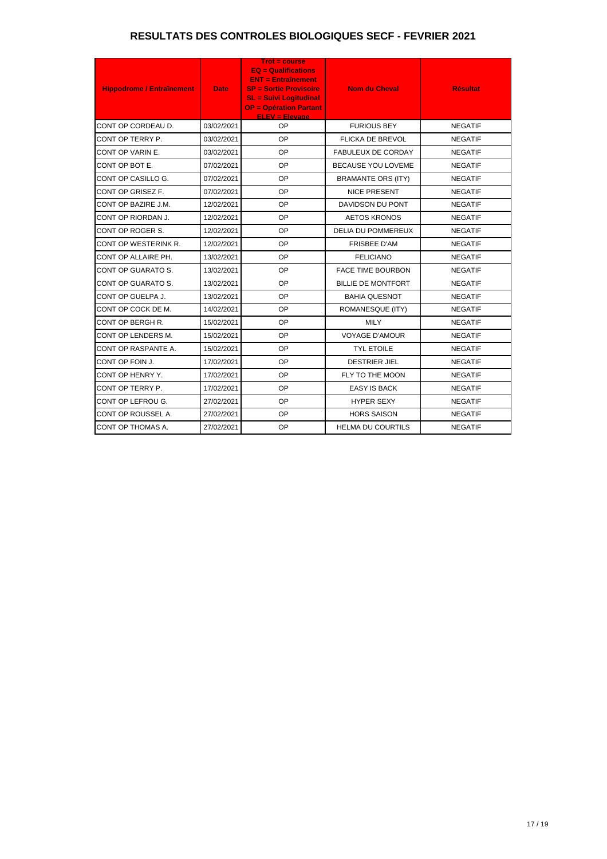| <b>Hippodrome / Entraînement</b> | <b>Date</b> | <b>Trot = course</b><br>$EQ =$ Qualifications<br><b>ENT = Entraînement</b><br><b>SP = Sortie Provisoire</b><br><b>SL = Suivi Logitudinal</b><br><b>OP = Opération Partant</b><br><b>ELEV = Elevage</b> | <b>Nom du Cheval</b>      | <b>Résultat</b> |
|----------------------------------|-------------|--------------------------------------------------------------------------------------------------------------------------------------------------------------------------------------------------------|---------------------------|-----------------|
| CONT OP CORDEAU D.               | 03/02/2021  | OP                                                                                                                                                                                                     | <b>FURIOUS BEY</b>        | <b>NEGATIF</b>  |
| CONT OP TERRY P.                 | 03/02/2021  | OP                                                                                                                                                                                                     | <b>FLICKA DE BREVOL</b>   | <b>NEGATIF</b>  |
| CONT OP VARIN E.                 | 03/02/2021  | OP                                                                                                                                                                                                     | <b>FABULEUX DE CORDAY</b> | <b>NEGATIF</b>  |
| CONT OP BOT E.                   | 07/02/2021  | OP                                                                                                                                                                                                     | BECAUSE YOU LOVEME        | <b>NEGATIF</b>  |
| CONT OP CASILLO G.               | 07/02/2021  | <b>OP</b>                                                                                                                                                                                              | <b>BRAMANTE ORS (ITY)</b> | <b>NEGATIF</b>  |
| CONT OP GRISEZ F.                | 07/02/2021  | OP                                                                                                                                                                                                     | <b>NICE PRESENT</b>       | <b>NEGATIF</b>  |
| CONT OP BAZIRE J.M.              | 12/02/2021  | <b>OP</b>                                                                                                                                                                                              | DAVIDSON DU PONT          | <b>NEGATIF</b>  |
| CONT OP RIORDAN J.               | 12/02/2021  | OP                                                                                                                                                                                                     | <b>AETOS KRONOS</b>       | <b>NEGATIF</b>  |
| CONT OP ROGER S.                 | 12/02/2021  | OP                                                                                                                                                                                                     | <b>DELIA DU POMMEREUX</b> | <b>NEGATIF</b>  |
| CONT OP WESTERINK R.             | 12/02/2021  | <b>OP</b>                                                                                                                                                                                              | <b>FRISBEE D'AM</b>       | <b>NEGATIF</b>  |
| CONT OP ALLAIRE PH.              | 13/02/2021  | OP                                                                                                                                                                                                     | <b>FELICIANO</b>          | <b>NEGATIF</b>  |
| CONT OP GUARATO S.               | 13/02/2021  | OP                                                                                                                                                                                                     | <b>FACE TIME BOURBON</b>  | <b>NEGATIF</b>  |
| CONT OP GUARATO S.               | 13/02/2021  | OP                                                                                                                                                                                                     | <b>BILLIE DE MONTFORT</b> | <b>NEGATIF</b>  |
| CONT OP GUELPA J.                | 13/02/2021  | OP                                                                                                                                                                                                     | <b>BAHIA QUESNOT</b>      | <b>NEGATIF</b>  |
| CONT OP COCK DE M.               | 14/02/2021  | OP                                                                                                                                                                                                     | ROMANESQUE (ITY)          | <b>NEGATIF</b>  |
| CONT OP BERGH R.                 | 15/02/2021  | OP                                                                                                                                                                                                     | <b>MILY</b>               | <b>NEGATIF</b>  |
| CONT OP LENDERS M.               | 15/02/2021  | OP                                                                                                                                                                                                     | <b>VOYAGE D'AMOUR</b>     | <b>NEGATIF</b>  |
| CONT OP RASPANTE A.              | 15/02/2021  | OP                                                                                                                                                                                                     | <b>TYL ETOILE</b>         | <b>NEGATIF</b>  |
| CONT OP FOIN J.                  | 17/02/2021  | OP                                                                                                                                                                                                     | <b>DESTRIER JIEL</b>      | <b>NEGATIF</b>  |
| CONT OP HENRY Y.                 | 17/02/2021  | OP                                                                                                                                                                                                     | FLY TO THE MOON           | <b>NEGATIF</b>  |
| CONT OP TERRY P.                 | 17/02/2021  | OP                                                                                                                                                                                                     | <b>EASY IS BACK</b>       | <b>NEGATIF</b>  |
| CONT OP LEFROU G.                | 27/02/2021  | <b>OP</b>                                                                                                                                                                                              | <b>HYPER SEXY</b>         | <b>NEGATIF</b>  |
| CONT OP ROUSSEL A.               | 27/02/2021  | OP                                                                                                                                                                                                     | <b>HORS SAISON</b>        | <b>NEGATIF</b>  |
| CONT OP THOMAS A.                | 27/02/2021  | <b>OP</b>                                                                                                                                                                                              | <b>HELMA DU COURTILS</b>  | <b>NEGATIF</b>  |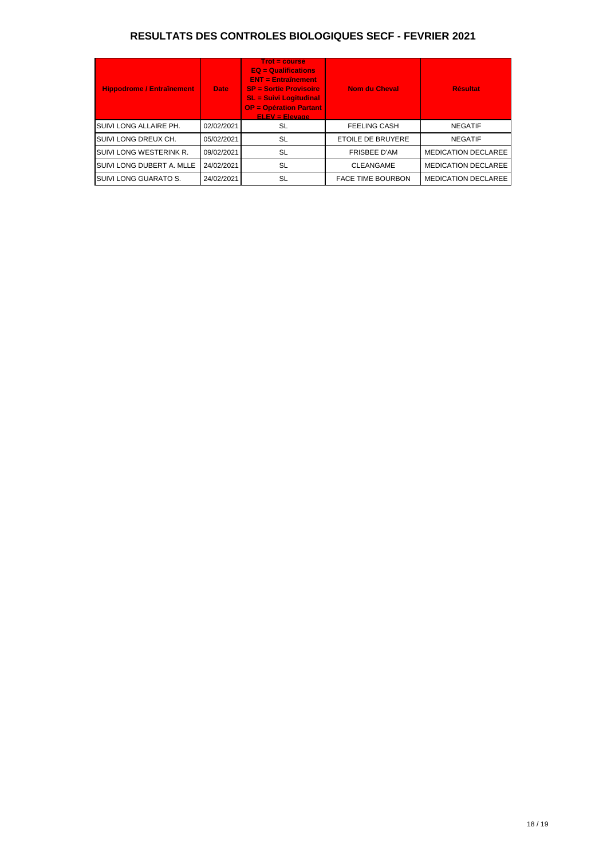| <b>Hippodrome / Entraînement</b> | <b>Date</b> | $Trot = course$<br><b>EQ = Qualifications</b><br>$ENT = Entraînement$<br><b>SP = Sortie Provisoire</b><br><b>SL = Suivi Logitudinal</b><br><b>OP = Opération Partant</b><br><b>ELEV = Elevage</b> | <b>Nom du Cheval</b>     | <b>Résultat</b>            |
|----------------------------------|-------------|---------------------------------------------------------------------------------------------------------------------------------------------------------------------------------------------------|--------------------------|----------------------------|
| SUIVI LONG ALLAIRE PH.           | 02/02/2021  | SL                                                                                                                                                                                                | <b>FEELING CASH</b>      | <b>NEGATIF</b>             |
| ISUIVI LONG DREUX CH.            | 05/02/2021  | <b>SL</b>                                                                                                                                                                                         | <b>ETOILE DE BRUYERE</b> | <b>NEGATIF</b>             |
| SUIVI LONG WESTERINK R.          | 09/02/2021  | SL                                                                                                                                                                                                | <b>FRISBEE D'AM</b>      | <b>MEDICATION DECLAREE</b> |
| SUIVI LONG DUBERT A. MLLE        | 24/02/2021  | <b>SL</b>                                                                                                                                                                                         | <b>CLEANGAME</b>         | <b>MEDICATION DECLAREE</b> |
| SUIVI LONG GUARATO S.            | 24/02/2021  | SL                                                                                                                                                                                                | <b>FACE TIME BOURBON</b> | <b>MEDICATION DECLAREE</b> |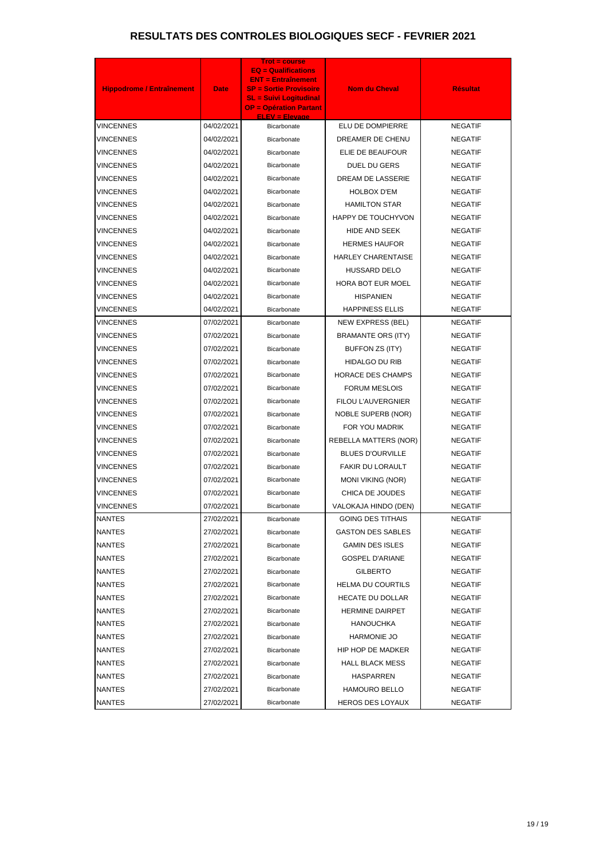| <b>Hippodrome / Entraînement</b> | <b>Date</b> | <b>Trot = course</b><br><b>EQ = Qualifications</b><br><b>ENT = Entraînement</b><br><b>SP = Sortie Provisoire</b><br><b>SL = Suivi Logitudinal</b><br><b>OP = Opération Partant</b><br><b>ELEV = Elevage</b> | <b>Nom du Cheval</b>         | <b>Résultat</b> |
|----------------------------------|-------------|-------------------------------------------------------------------------------------------------------------------------------------------------------------------------------------------------------------|------------------------------|-----------------|
| VINCENNES                        | 04/02/2021  | Bicarbonate                                                                                                                                                                                                 | ELU DE DOMPIERRE             | <b>NEGATIF</b>  |
| VINCENNES                        | 04/02/2021  | <b>Bicarbonate</b>                                                                                                                                                                                          | DREAMER DE CHENU             | <b>NEGATIF</b>  |
| VINCENNES                        | 04/02/2021  | Bicarbonate                                                                                                                                                                                                 | ELIE DE BEAUFOUR             | <b>NEGATIF</b>  |
| VINCENNES                        | 04/02/2021  | Bicarbonate                                                                                                                                                                                                 | DUEL DU GERS                 | <b>NEGATIF</b>  |
| VINCENNES                        | 04/02/2021  | Bicarbonate                                                                                                                                                                                                 | <b>DREAM DE LASSERIE</b>     | <b>NEGATIF</b>  |
| VINCENNES                        | 04/02/2021  | Bicarbonate                                                                                                                                                                                                 | <b>HOLBOX D'EM</b>           | <b>NEGATIF</b>  |
| VINCENNES                        | 04/02/2021  | Bicarbonate                                                                                                                                                                                                 | <b>HAMILTON STAR</b>         | <b>NEGATIF</b>  |
| VINCENNES                        | 04/02/2021  | Bicarbonate                                                                                                                                                                                                 | HAPPY DE TOUCHYVON           | <b>NEGATIF</b>  |
| VINCENNES                        | 04/02/2021  | Bicarbonate                                                                                                                                                                                                 | HIDE AND SEEK                | <b>NEGATIF</b>  |
| VINCENNES                        | 04/02/2021  | Bicarbonate                                                                                                                                                                                                 | <b>HERMES HAUFOR</b>         | <b>NEGATIF</b>  |
| VINCENNES                        | 04/02/2021  | Bicarbonate                                                                                                                                                                                                 | <b>HARLEY CHARENTAISE</b>    | <b>NEGATIF</b>  |
| <b>VINCENNES</b>                 | 04/02/2021  | Bicarbonate                                                                                                                                                                                                 | <b>HUSSARD DELO</b>          | <b>NEGATIF</b>  |
| VINCENNES                        | 04/02/2021  | Bicarbonate                                                                                                                                                                                                 | <b>HORA BOT EUR MOEL</b>     | <b>NEGATIF</b>  |
| VINCENNES                        | 04/02/2021  | Bicarbonate                                                                                                                                                                                                 | <b>HISPANIEN</b>             | <b>NEGATIF</b>  |
| VINCENNES                        | 04/02/2021  | Bicarbonate                                                                                                                                                                                                 | <b>HAPPINESS ELLIS</b>       | <b>NEGATIF</b>  |
| VINCENNES                        | 07/02/2021  | <b>Bicarbonate</b>                                                                                                                                                                                          | NEW EXPRESS (BEL)            | <b>NEGATIF</b>  |
| VINCENNES                        | 07/02/2021  | Bicarbonate                                                                                                                                                                                                 | <b>BRAMANTE ORS (ITY)</b>    | <b>NEGATIF</b>  |
| VINCENNES                        | 07/02/2021  | <b>Bicarbonate</b>                                                                                                                                                                                          | BUFFON ZS (ITY)              | <b>NEGATIF</b>  |
| VINCENNES                        | 07/02/2021  | Bicarbonate                                                                                                                                                                                                 | <b>HIDALGO DU RIB</b>        | <b>NEGATIF</b>  |
| VINCENNES                        | 07/02/2021  | <b>Bicarbonate</b>                                                                                                                                                                                          | <b>HORACE DES CHAMPS</b>     | <b>NEGATIF</b>  |
| VINCENNES                        | 07/02/2021  | Bicarbonate                                                                                                                                                                                                 | <b>FORUM MESLOIS</b>         | <b>NEGATIF</b>  |
| VINCENNES                        | 07/02/2021  | <b>Bicarbonate</b>                                                                                                                                                                                          | <b>FILOU L'AUVERGNIER</b>    | <b>NEGATIF</b>  |
| VINCENNES                        | 07/02/2021  | Bicarbonate                                                                                                                                                                                                 | <b>NOBLE SUPERB (NOR)</b>    | <b>NEGATIF</b>  |
| VINCENNES                        | 07/02/2021  | Bicarbonate                                                                                                                                                                                                 | FOR YOU MADRIK               | <b>NEGATIF</b>  |
| <b>VINCENNES</b>                 | 07/02/2021  | Bicarbonate                                                                                                                                                                                                 | <b>REBELLA MATTERS (NOR)</b> | <b>NEGATIF</b>  |
| <b>VINCENNES</b>                 | 07/02/2021  | <b>Bicarbonate</b>                                                                                                                                                                                          | <b>BLUES D'OURVILLE</b>      | <b>NEGATIF</b>  |
| VINCENNES                        | 07/02/2021  | Bicarbonate                                                                                                                                                                                                 | <b>FAKIR DU LORAULT</b>      | <b>NEGATIF</b>  |
| VINCENNES                        | 07/02/2021  | Bicarbonate                                                                                                                                                                                                 | <b>MONI VIKING (NOR)</b>     | <b>NEGATIF</b>  |
| VINCENNES                        | 07/02/2021  | Bicarbonate                                                                                                                                                                                                 | CHICA DE JOUDES              | <b>NEGATIF</b>  |
| VINCENNES                        | 07/02/2021  | Bicarbonate                                                                                                                                                                                                 | VALOKAJA HINDO (DEN)         | <b>NEGATIF</b>  |
| NANTES                           | 27/02/2021  | Bicarbonate                                                                                                                                                                                                 | <b>GOING DES TITHAIS</b>     | <b>NEGATIF</b>  |
| NANTES                           | 27/02/2021  | Bicarbonate                                                                                                                                                                                                 | <b>GASTON DES SABLES</b>     | <b>NEGATIF</b>  |
| NANTES                           | 27/02/2021  | Bicarbonate                                                                                                                                                                                                 | <b>GAMIN DES ISLES</b>       | <b>NEGATIF</b>  |
| NANTES                           | 27/02/2021  | Bicarbonate                                                                                                                                                                                                 | <b>GOSPEL D'ARIANE</b>       | <b>NEGATIF</b>  |
| NANTES                           | 27/02/2021  | Bicarbonate                                                                                                                                                                                                 | <b>GILBERTO</b>              | <b>NEGATIF</b>  |
| NANTES                           | 27/02/2021  | Bicarbonate                                                                                                                                                                                                 | <b>HELMA DU COURTILS</b>     | <b>NEGATIF</b>  |
| NANTES                           | 27/02/2021  | Bicarbonate                                                                                                                                                                                                 | <b>HECATE DU DOLLAR</b>      | <b>NEGATIF</b>  |
| NANTES                           | 27/02/2021  | Bicarbonate                                                                                                                                                                                                 | <b>HERMINE DAIRPET</b>       | <b>NEGATIF</b>  |
| NANTES                           | 27/02/2021  | Bicarbonate                                                                                                                                                                                                 | <b>HANOUCHKA</b>             | <b>NEGATIF</b>  |
| NANTES                           | 27/02/2021  | Bicarbonate                                                                                                                                                                                                 | HARMONIE JO                  | <b>NEGATIF</b>  |
| NANTES                           | 27/02/2021  | Bicarbonate                                                                                                                                                                                                 | HIP HOP DE MADKER            | <b>NEGATIF</b>  |
| NANTES                           | 27/02/2021  | Bicarbonate                                                                                                                                                                                                 | <b>HALL BLACK MESS</b>       | <b>NEGATIF</b>  |
| <b>NANTES</b>                    | 27/02/2021  | Bicarbonate                                                                                                                                                                                                 | HASPARREN                    | <b>NEGATIF</b>  |
| NANTES                           | 27/02/2021  | Bicarbonate                                                                                                                                                                                                 | <b>HAMOURO BELLO</b>         | <b>NEGATIF</b>  |
| <b>NANTES</b>                    | 27/02/2021  | Bicarbonate                                                                                                                                                                                                 | <b>HEROS DES LOYAUX</b>      | <b>NEGATIF</b>  |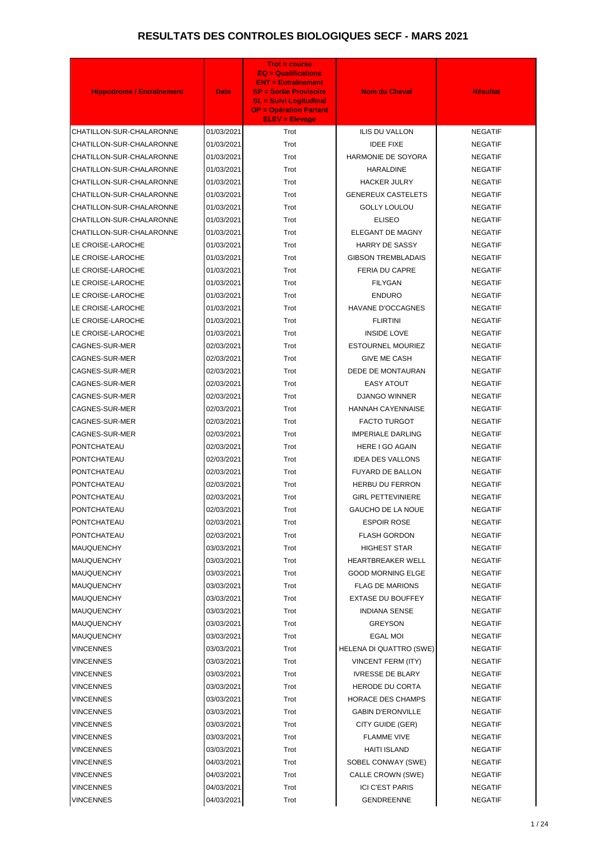| <b>Hippodrome / Entraînement</b>       | <b>Date</b>              | <b>Trot = course</b><br>$EQ = \text{Qualifications}$<br><b>ENT = Entraînement</b><br><b>SP = Sortie Provisoire</b><br><b>SL = Suivi Logitudinal</b><br><b>OP = Opération Partant</b><br><b>ELEV = Elevage</b> | <b>Nom du Cheval</b>                                 | <b>Résultat</b>                  |
|----------------------------------------|--------------------------|---------------------------------------------------------------------------------------------------------------------------------------------------------------------------------------------------------------|------------------------------------------------------|----------------------------------|
| CHATILLON-SUR-CHALARONNE               | 01/03/2021               | Trot                                                                                                                                                                                                          | <b>ILIS DU VALLON</b>                                | <b>NEGATIF</b>                   |
| CHATILLON-SUR-CHALARONNE               | 01/03/2021               | Trot                                                                                                                                                                                                          | <b>IDEE FIXE</b>                                     | <b>NEGATIF</b>                   |
| CHATILLON-SUR-CHALARONNE               | 01/03/2021               | Trot                                                                                                                                                                                                          | <b>HARMONIE DE SOYORA</b>                            | <b>NEGATIF</b>                   |
| CHATILLON-SUR-CHALARONNE               | 01/03/2021               | Trot                                                                                                                                                                                                          | <b>HARALDINE</b>                                     | <b>NEGATIF</b>                   |
| CHATILLON-SUR-CHALARONNE               | 01/03/2021               | Trot                                                                                                                                                                                                          | <b>HACKER JULRY</b>                                  | <b>NEGATIF</b>                   |
| CHATILLON-SUR-CHALARONNE               | 01/03/2021               | Trot                                                                                                                                                                                                          | <b>GENEREUX CASTELETS</b>                            | <b>NEGATIF</b>                   |
| CHATILLON-SUR-CHALARONNE               | 01/03/2021               | Trot                                                                                                                                                                                                          | <b>GOLLY LOULOU</b>                                  | <b>NEGATIF</b>                   |
| CHATILLON-SUR-CHALARONNE               | 01/03/2021               | Trot                                                                                                                                                                                                          | <b>ELISEO</b>                                        | <b>NEGATIF</b>                   |
| CHATILLON-SUR-CHALARONNE               | 01/03/2021               | Trot                                                                                                                                                                                                          | ELEGANT DE MAGNY                                     | <b>NEGATIF</b>                   |
| LE CROISE-LAROCHE                      | 01/03/2021               | Trot                                                                                                                                                                                                          | <b>HARRY DE SASSY</b>                                | <b>NEGATIF</b>                   |
| LE CROISE-LAROCHE                      | 01/03/2021               | Trot                                                                                                                                                                                                          | <b>GIBSON TREMBLADAIS</b>                            | <b>NEGATIF</b>                   |
| LE CROISE-LAROCHE                      | 01/03/2021               | Trot                                                                                                                                                                                                          | <b>FERIA DU CAPRE</b>                                | <b>NEGATIF</b>                   |
| LE CROISE-LAROCHE                      | 01/03/2021               | Trot                                                                                                                                                                                                          | <b>FILYGAN</b>                                       | <b>NEGATIF</b>                   |
| LE CROISE-LAROCHE                      | 01/03/2021               | Trot                                                                                                                                                                                                          | <b>ENDURO</b>                                        | <b>NEGATIF</b>                   |
| LE CROISE-LAROCHE                      | 01/03/2021               | Trot                                                                                                                                                                                                          | <b>HAVANE D'OCCAGNES</b>                             | <b>NEGATIF</b>                   |
| LE CROISE-LAROCHE                      | 01/03/2021               | Trot                                                                                                                                                                                                          | <b>FLIRTINI</b>                                      | <b>NEGATIF</b>                   |
| LE CROISE-LAROCHE                      | 01/03/2021               | Trot                                                                                                                                                                                                          | <b>INSIDE LOVE</b>                                   | <b>NEGATIF</b>                   |
| CAGNES-SUR-MER                         | 02/03/2021               | Trot                                                                                                                                                                                                          | <b>ESTOURNEL MOURIEZ</b>                             | <b>NEGATIF</b>                   |
| CAGNES-SUR-MER                         | 02/03/2021               | Trot                                                                                                                                                                                                          | <b>GIVE ME CASH</b>                                  | <b>NEGATIF</b>                   |
| CAGNES-SUR-MER                         | 02/03/2021               | Trot                                                                                                                                                                                                          | DEDE DE MONTAURAN                                    | <b>NEGATIF</b>                   |
| CAGNES-SUR-MER                         | 02/03/2021               | Trot                                                                                                                                                                                                          | <b>EASY ATOUT</b>                                    | <b>NEGATIF</b>                   |
| CAGNES-SUR-MER                         | 02/03/2021               | Trot                                                                                                                                                                                                          | <b>DJANGO WINNER</b>                                 | <b>NEGATIF</b>                   |
| CAGNES-SUR-MER                         | 02/03/2021               | Trot                                                                                                                                                                                                          | <b>HANNAH CAYENNAISE</b>                             | <b>NEGATIF</b>                   |
| <b>CAGNES-SUR-MER</b>                  | 02/03/2021               | Trot                                                                                                                                                                                                          | <b>FACTO TURGOT</b>                                  | <b>NEGATIF</b>                   |
| CAGNES-SUR-MER                         | 02/03/2021               | Trot                                                                                                                                                                                                          | <b>IMPERIALE DARLING</b>                             | <b>NEGATIF</b>                   |
| PONTCHATEAU                            | 02/03/2021               | Trot                                                                                                                                                                                                          | <b>HERE I GO AGAIN</b>                               | <b>NEGATIF</b>                   |
| PONTCHATEAU                            | 02/03/2021               | Trot                                                                                                                                                                                                          | <b>IDEA DES VALLONS</b>                              | <b>NEGATIF</b>                   |
| PONTCHATEAU                            | 02/03/2021               | Trot                                                                                                                                                                                                          | FUYARD DE BALLON                                     | <b>NEGATIF</b>                   |
| PONTCHATEAU                            | 02/03/2021               | Trot                                                                                                                                                                                                          | HERBU DU FERRON                                      | <b>NEGATIF</b>                   |
| PONTCHATEAU                            | 02/03/2021               | Trot                                                                                                                                                                                                          | <b>GIRL PETTEVINIERE</b>                             | <b>NEGATIF</b>                   |
| PONTCHATEAU                            | 02/03/2021               | Trot                                                                                                                                                                                                          | <b>GAUCHO DE LA NOUE</b>                             | <b>NEGATIF</b>                   |
| PONTCHATEAU                            | 02/03/2021               | Trot                                                                                                                                                                                                          | <b>ESPOIR ROSE</b>                                   | <b>NEGATIF</b>                   |
| PONTCHATEAU                            | 02/03/2021               | Trot                                                                                                                                                                                                          | <b>FLASH GORDON</b>                                  | <b>NEGATIF</b>                   |
| MAUQUENCHY                             | 03/03/2021               | Trot                                                                                                                                                                                                          | <b>HIGHEST STAR</b>                                  | <b>NEGATIF</b>                   |
| <b>MAUQUENCHY</b>                      | 03/03/2021<br>03/03/2021 | Trot<br>Trot                                                                                                                                                                                                  | <b>HEARTBREAKER WELL</b><br><b>GOOD MORNING ELGE</b> | <b>NEGATIF</b><br><b>NEGATIF</b> |
| <b>MAUQUENCHY</b><br><b>MAUQUENCHY</b> | 03/03/2021               | Trot                                                                                                                                                                                                          | <b>FLAG DE MARIONS</b>                               | <b>NEGATIF</b>                   |
| <b>MAUQUENCHY</b>                      | 03/03/2021               | Trot                                                                                                                                                                                                          | <b>EXTASE DU BOUFFEY</b>                             | <b>NEGATIF</b>                   |
| <b>MAUQUENCHY</b>                      | 03/03/2021               | Trot                                                                                                                                                                                                          | <b>INDIANA SENSE</b>                                 | <b>NEGATIF</b>                   |
| <b>MAUQUENCHY</b>                      | 03/03/2021               | Trot                                                                                                                                                                                                          | <b>GREYSON</b>                                       | <b>NEGATIF</b>                   |
| MAUQUENCHY                             | 03/03/2021               | Trot                                                                                                                                                                                                          | <b>EGAL MOI</b>                                      | <b>NEGATIF</b>                   |
| VINCENNES                              | 03/03/2021               | Trot                                                                                                                                                                                                          | HELENA DI QUATTRO (SWE)                              | <b>NEGATIF</b>                   |
| VINCENNES                              | 03/03/2021               | Trot                                                                                                                                                                                                          | <b>VINCENT FERM (ITY)</b>                            | <b>NEGATIF</b>                   |
| VINCENNES                              | 03/03/2021               | Trot                                                                                                                                                                                                          | <b>IVRESSE DE BLARY</b>                              | <b>NEGATIF</b>                   |
| VINCENNES                              | 03/03/2021               | Trot                                                                                                                                                                                                          | <b>HERODE DU CORTA</b>                               | <b>NEGATIF</b>                   |
| VINCENNES                              | 03/03/2021               | Trot                                                                                                                                                                                                          | <b>HORACE DES CHAMPS</b>                             | <b>NEGATIF</b>                   |
| VINCENNES                              | 03/03/2021               | Trot                                                                                                                                                                                                          | <b>GABIN D'ERONVILLE</b>                             | <b>NEGATIF</b>                   |
| VINCENNES                              | 03/03/2021               | Trot                                                                                                                                                                                                          | CITY GUIDE (GER)                                     | <b>NEGATIF</b>                   |
| VINCENNES                              | 03/03/2021               | Trot                                                                                                                                                                                                          | <b>FLAMME VIVE</b>                                   | <b>NEGATIF</b>                   |
| VINCENNES                              | 03/03/2021               | Trot                                                                                                                                                                                                          | <b>HAITI ISLAND</b>                                  | <b>NEGATIF</b>                   |
| VINCENNES                              | 04/03/2021               | Trot                                                                                                                                                                                                          | SOBEL CONWAY (SWE)                                   | <b>NEGATIF</b>                   |
| VINCENNES                              | 04/03/2021               | Trot                                                                                                                                                                                                          | CALLE CROWN (SWE)                                    | <b>NEGATIF</b>                   |
| VINCENNES                              | 04/03/2021               | Trot                                                                                                                                                                                                          | <b>ICI C'EST PARIS</b>                               | <b>NEGATIF</b>                   |
| <b>VINCENNES</b>                       | 04/03/2021               | Trot                                                                                                                                                                                                          | <b>GENDREENNE</b>                                    | <b>NEGATIF</b>                   |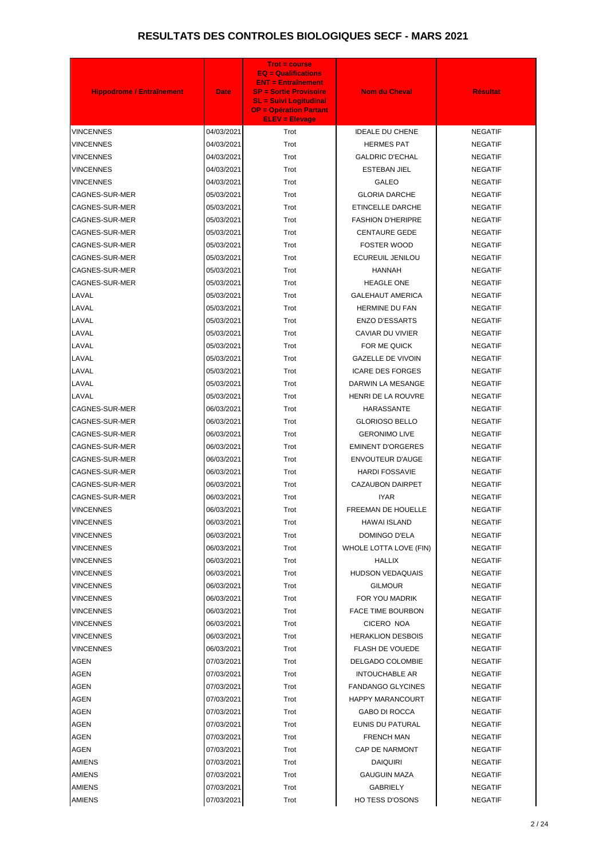| <b>Hippodrome / Entraînement</b> | <b>Date</b> | <b>Trot = course</b><br><b>EQ = Qualifications</b><br><b>ENT = Entraînement</b><br><b>SP = Sortie Provisoire</b><br><b>SL = Suivi Logitudinal</b><br><b>OP = Opération Partant</b><br><b>ELEV = Elevage</b> | <b>Nom du Cheval</b>     | <b>Résultat</b> |
|----------------------------------|-------------|-------------------------------------------------------------------------------------------------------------------------------------------------------------------------------------------------------------|--------------------------|-----------------|
| <b>VINCENNES</b>                 | 04/03/2021  | Trot                                                                                                                                                                                                        | <b>IDEALE DU CHENE</b>   | <b>NEGATIF</b>  |
| <b>VINCENNES</b>                 | 04/03/2021  | Trot                                                                                                                                                                                                        | <b>HERMES PAT</b>        | <b>NEGATIF</b>  |
| <b>VINCENNES</b>                 | 04/03/2021  | Trot                                                                                                                                                                                                        | <b>GALDRIC D'ECHAL</b>   | <b>NEGATIF</b>  |
| <b>VINCENNES</b>                 | 04/03/2021  | Trot                                                                                                                                                                                                        | <b>ESTEBAN JIEL</b>      | <b>NEGATIF</b>  |
| <b>VINCENNES</b>                 | 04/03/2021  | Trot                                                                                                                                                                                                        | <b>GALEO</b>             | <b>NEGATIF</b>  |
| CAGNES-SUR-MER                   | 05/03/2021  | Trot                                                                                                                                                                                                        | <b>GLORIA DARCHE</b>     | <b>NEGATIF</b>  |
| CAGNES-SUR-MER                   | 05/03/2021  | Trot                                                                                                                                                                                                        | ETINCELLE DARCHE         | <b>NEGATIF</b>  |
| CAGNES-SUR-MER                   | 05/03/2021  | Trot                                                                                                                                                                                                        | <b>FASHION D'HERIPRE</b> | <b>NEGATIF</b>  |
| CAGNES-SUR-MER                   | 05/03/2021  | Trot                                                                                                                                                                                                        | <b>CENTAURE GEDE</b>     | <b>NEGATIF</b>  |
| CAGNES-SUR-MER                   | 05/03/2021  | Trot                                                                                                                                                                                                        | <b>FOSTER WOOD</b>       | <b>NEGATIF</b>  |
| CAGNES-SUR-MER                   | 05/03/2021  | Trot                                                                                                                                                                                                        | ECUREUIL JENILOU         | <b>NEGATIF</b>  |
| CAGNES-SUR-MER                   | 05/03/2021  | Trot                                                                                                                                                                                                        | <b>HANNAH</b>            | <b>NEGATIF</b>  |
| CAGNES-SUR-MER                   | 05/03/2021  | Trot                                                                                                                                                                                                        | <b>HEAGLE ONE</b>        | <b>NEGATIF</b>  |
| LAVAL                            | 05/03/2021  | Trot                                                                                                                                                                                                        | <b>GALEHAUT AMERICA</b>  | <b>NEGATIF</b>  |
| LAVAL                            | 05/03/2021  | Trot                                                                                                                                                                                                        | <b>HERMINE DU FAN</b>    | <b>NEGATIF</b>  |
| LAVAL                            | 05/03/2021  | Trot                                                                                                                                                                                                        | <b>ENZO D'ESSARTS</b>    | <b>NEGATIF</b>  |
| LAVAL                            | 05/03/2021  | Trot                                                                                                                                                                                                        | <b>CAVIAR DU VIVIER</b>  | <b>NEGATIF</b>  |
| LAVAL                            | 05/03/2021  | Trot                                                                                                                                                                                                        | FOR ME QUICK             | <b>NEGATIF</b>  |
| LAVAL                            | 05/03/2021  | Trot                                                                                                                                                                                                        | <b>GAZELLE DE VIVOIN</b> | <b>NEGATIF</b>  |
| LAVAL                            | 05/03/2021  | Trot                                                                                                                                                                                                        | <b>ICARE DES FORGES</b>  | <b>NEGATIF</b>  |
| LAVAL                            | 05/03/2021  | Trot                                                                                                                                                                                                        | DARWIN LA MESANGE        | <b>NEGATIF</b>  |
| LAVAL                            | 05/03/2021  | Trot                                                                                                                                                                                                        | HENRI DE LA ROUVRE       | <b>NEGATIF</b>  |
| CAGNES-SUR-MER                   | 06/03/2021  | Trot                                                                                                                                                                                                        | <b>HARASSANTE</b>        | <b>NEGATIF</b>  |
| CAGNES-SUR-MER                   | 06/03/2021  | Trot                                                                                                                                                                                                        | <b>GLORIOSO BELLO</b>    | <b>NEGATIF</b>  |
| CAGNES-SUR-MER                   | 06/03/2021  | Trot                                                                                                                                                                                                        | <b>GERONIMO LIVE</b>     | <b>NEGATIF</b>  |
| CAGNES-SUR-MER                   | 06/03/2021  | Trot                                                                                                                                                                                                        | <b>EMINENT D'ORGERES</b> | <b>NEGATIF</b>  |
| CAGNES-SUR-MER                   | 06/03/2021  | Trot                                                                                                                                                                                                        | <b>ENVOUTEUR D'AUGE</b>  | <b>NEGATIF</b>  |
| CAGNES-SUR-MER                   | 06/03/2021  | Trot                                                                                                                                                                                                        | <b>HARDI FOSSAVIE</b>    | <b>NEGATIF</b>  |
| CAGNES-SUR-MER                   | 06/03/2021  | Trot                                                                                                                                                                                                        | CAZAUBON DAIRPET         | <b>NEGATIF</b>  |
| CAGNES-SUR-MER                   | 06/03/2021  | Trot                                                                                                                                                                                                        | <b>IYAR</b>              | <b>NEGATIF</b>  |
| VINCENNES                        | 06/03/2021  | Trot                                                                                                                                                                                                        | FREEMAN DE HOUELLE       | <b>NEGATIF</b>  |
| <b>VINCENNES</b>                 | 06/03/2021  | Trot                                                                                                                                                                                                        | <b>HAWAI ISLAND</b>      | <b>NEGATIF</b>  |
| <b>VINCENNES</b>                 | 06/03/2021  | Trot                                                                                                                                                                                                        | DOMINGO D'ELA            | <b>NEGATIF</b>  |
| VINCENNES                        | 06/03/2021  | Trot                                                                                                                                                                                                        | WHOLE LOTTA LOVE (FIN)   | <b>NEGATIF</b>  |
| <b>VINCENNES</b>                 | 06/03/2021  | Trot                                                                                                                                                                                                        | <b>HALLIX</b>            | <b>NEGATIF</b>  |
| VINCENNES                        | 06/03/2021  | Trot                                                                                                                                                                                                        | <b>HUDSON VEDAQUAIS</b>  | <b>NEGATIF</b>  |
| <b>VINCENNES</b>                 | 06/03/2021  | Trot                                                                                                                                                                                                        | <b>GILMOUR</b>           | <b>NEGATIF</b>  |
| <b>VINCENNES</b>                 | 06/03/2021  | Trot                                                                                                                                                                                                        | FOR YOU MADRIK           | <b>NEGATIF</b>  |
| VINCENNES                        | 06/03/2021  | Trot                                                                                                                                                                                                        | <b>FACE TIME BOURBON</b> | <b>NEGATIF</b>  |
| <b>VINCENNES</b>                 | 06/03/2021  | Trot                                                                                                                                                                                                        | CICERO NOA               | <b>NEGATIF</b>  |
| VINCENNES                        | 06/03/2021  | Trot                                                                                                                                                                                                        | <b>HERAKLION DESBOIS</b> | <b>NEGATIF</b>  |
| <b>VINCENNES</b>                 | 06/03/2021  | Trot                                                                                                                                                                                                        | <b>FLASH DE VOUEDE</b>   | <b>NEGATIF</b>  |
| <b>AGEN</b>                      | 07/03/2021  | Trot                                                                                                                                                                                                        | DELGADO COLOMBIE         | <b>NEGATIF</b>  |
| <b>AGEN</b>                      | 07/03/2021  | Trot                                                                                                                                                                                                        | <b>INTOUCHABLE AR</b>    | <b>NEGATIF</b>  |
| <b>AGEN</b>                      | 07/03/2021  | Trot                                                                                                                                                                                                        | <b>FANDANGO GLYCINES</b> | <b>NEGATIF</b>  |
| <b>AGEN</b>                      | 07/03/2021  | Trot                                                                                                                                                                                                        | <b>HAPPY MARANCOURT</b>  | <b>NEGATIF</b>  |
| <b>AGEN</b>                      | 07/03/2021  | Trot                                                                                                                                                                                                        | <b>GABO DI ROCCA</b>     | <b>NEGATIF</b>  |
| <b>AGEN</b>                      | 07/03/2021  | Trot                                                                                                                                                                                                        | EUNIS DU PATURAL         | <b>NEGATIF</b>  |
| <b>AGEN</b>                      | 07/03/2021  | Trot                                                                                                                                                                                                        | <b>FRENCH MAN</b>        | <b>NEGATIF</b>  |
| AGEN                             | 07/03/2021  | Trot                                                                                                                                                                                                        | CAP DE NARMONT           | <b>NEGATIF</b>  |
| <b>AMIENS</b>                    | 07/03/2021  | Trot                                                                                                                                                                                                        | <b>DAIQUIRI</b>          | <b>NEGATIF</b>  |
| <b>AMIENS</b>                    | 07/03/2021  | Trot                                                                                                                                                                                                        | <b>GAUGUIN MAZA</b>      | <b>NEGATIF</b>  |
| <b>AMIENS</b>                    | 07/03/2021  | Trot                                                                                                                                                                                                        | <b>GABRIELY</b>          | <b>NEGATIF</b>  |
| <b>AMIENS</b>                    | 07/03/2021  | Trot                                                                                                                                                                                                        | <b>HO TESS D'OSONS</b>   | <b>NEGATIF</b>  |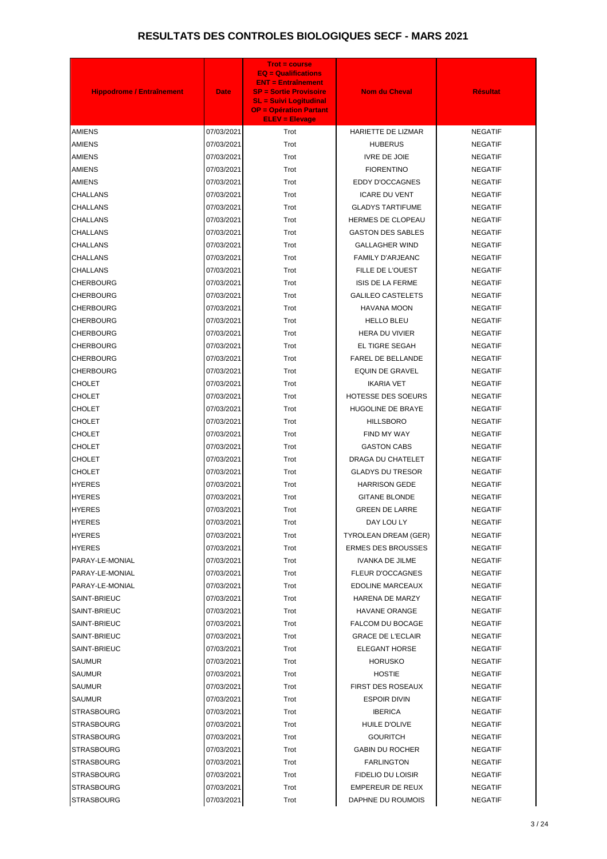| 07/03/2021<br>Trot<br><b>HARIETTE DE LIZMAR</b><br><b>NEGATIF</b><br><b>AMIENS</b><br><b>AMIENS</b><br>07/03/2021<br>Trot<br><b>HUBERUS</b><br><b>NEGATIF</b><br><b>AMIENS</b><br>07/03/2021<br>Trot<br><b>IVRE DE JOIE</b><br><b>NEGATIF</b><br><b>AMIENS</b><br>07/03/2021<br>Trot<br><b>FIORENTINO</b><br><b>NEGATIF</b><br><b>AMIENS</b><br>07/03/2021<br>Trot<br><b>EDDY D'OCCAGNES</b><br><b>NEGATIF</b><br><b>ICARE DU VENT</b><br><b>CHALLANS</b><br>07/03/2021<br>Trot<br><b>NEGATIF</b><br><b>CHALLANS</b><br>07/03/2021<br><b>GLADYS TARTIFUME</b><br>Trot<br><b>NEGATIF</b><br><b>CHALLANS</b><br>07/03/2021<br>Trot<br>HERMES DE CLOPEAU<br><b>NEGATIF</b><br><b>CHALLANS</b><br>07/03/2021<br>Trot<br><b>GASTON DES SABLES</b><br><b>NEGATIF</b><br>07/03/2021<br><b>CHALLANS</b><br>Trot<br><b>GALLAGHER WIND</b><br><b>NEGATIF</b><br>CHALLANS<br>07/03/2021<br>Trot<br><b>FAMILY D'ARJEANC</b><br><b>NEGATIF</b><br><b>CHALLANS</b><br>07/03/2021<br>Trot<br>FILLE DE L'OUEST<br><b>NEGATIF</b><br><b>CHERBOURG</b><br>07/03/2021<br>Trot<br><b>ISIS DE LA FERME</b><br><b>NEGATIF</b><br><b>GALILEO CASTELETS</b><br>CHERBOURG<br>07/03/2021<br>Trot<br><b>NEGATIF</b><br>07/03/2021<br><b>CHERBOURG</b><br>Trot<br><b>HAVANA MOON</b><br><b>NEGATIF</b><br>CHERBOURG<br>07/03/2021<br>Trot<br><b>HELLO BLEU</b><br><b>NEGATIF</b><br><b>CHERBOURG</b><br>07/03/2021<br>Trot<br><b>HERA DU VIVIER</b><br><b>NEGATIF</b><br><b>CHERBOURG</b><br>07/03/2021<br>Trot<br><b>EL TIGRE SEGAH</b><br><b>NEGATIF</b><br>07/03/2021<br>FAREL DE BELLANDE<br>CHERBOURG<br>Trot<br><b>NEGATIF</b><br><b>CHERBOURG</b><br>07/03/2021<br>Trot<br>EQUIN DE GRAVEL<br><b>NEGATIF</b><br>CHOLET<br>07/03/2021<br>Trot<br><b>IKARIA VET</b><br><b>NEGATIF</b><br><b>CHOLET</b><br>HOTESSE DES SOEURS<br>07/03/2021<br>Trot<br><b>NEGATIF</b><br><b>CHOLET</b><br>Trot<br>HUGOLINE DE BRAYE<br><b>NEGATIF</b><br>07/03/2021<br><b>CHOLET</b><br>07/03/2021<br>Trot<br><b>HILLSBORO</b><br><b>NEGATIF</b><br><b>CHOLET</b><br>07/03/2021<br>Trot<br>FIND MY WAY<br><b>NEGATIF</b><br><b>CHOLET</b><br><b>GASTON CABS</b><br>07/03/2021<br>Trot<br><b>NEGATIF</b><br><b>CHOLET</b><br>07/03/2021<br>Trot<br>DRAGA DU CHATELET<br>NEGATIF<br>Trot<br><b>GLADYS DU TRESOR</b><br>CHOLET<br>07/03/2021<br><b>NEGATIF</b><br><b>HYERES</b><br>07/03/2021<br>Trot<br><b>HARRISON GEDE</b><br><b>NEGATIF</b><br><b>HYERES</b><br>07/03/2021<br>Trot<br><b>GITANE BLONDE</b><br>NEGATIF<br><b>HYERES</b><br>Trot<br><b>GREEN DE LARRE</b><br>07/03/2021<br><b>NEGATIF</b><br><b>HYERES</b><br>Trot<br>DAY LOU LY<br>NEGATIF<br>07/03/2021<br><b>HYERES</b><br>07/03/2021<br>Trot<br>TYROLEAN DREAM (GER)<br><b>NEGATIF</b><br><b>ERMES DES BROUSSES</b><br><b>HYERES</b><br>07/03/2021<br>Trot<br><b>NEGATIF</b><br>PARAY-LE-MONIAL<br><b>IVANKA DE JILME</b><br><b>NEGATIF</b><br>07/03/2021<br>Trot<br>Trot<br><b>FLEUR D'OCCAGNES</b><br>PARAY-LE-MONIAL<br>07/03/2021<br><b>NEGATIF</b><br>PARAY-LE-MONIAL<br>07/03/2021<br>Trot<br>EDOLINE MARCEAUX<br>NEGATIF<br>SAINT-BRIEUC<br>07/03/2021<br>Trot<br>HARENA DE MARZY<br><b>NEGATIF</b><br>SAINT-BRIEUC<br>Trot<br><b>HAVANE ORANGE</b><br>07/03/2021<br><b>NEGATIF</b><br>SAINT-BRIEUC<br><b>FALCOM DU BOCAGE</b><br><b>NEGATIF</b><br>07/03/2021<br>Trot<br>Trot<br><b>GRACE DE L'ECLAIR</b><br>SAINT-BRIEUC<br>07/03/2021<br><b>NEGATIF</b><br>SAINT-BRIEUC<br><b>ELEGANT HORSE</b><br>07/03/2021<br>Trot<br><b>NEGATIF</b><br>SAUMUR<br>07/03/2021<br>Trot<br><b>HORUSKO</b><br><b>NEGATIF</b><br>Trot<br><b>HOSTIE</b><br><b>NEGATIF</b><br>SAUMUR<br>07/03/2021<br><b>SAUMUR</b><br>FIRST DES ROSEAUX<br>07/03/2021<br>Trot<br>NEGATIF<br><b>SAUMUR</b><br>Trot<br><b>ESPOIR DIVIN</b><br>07/03/2021<br><b>NEGATIF</b><br><b>IBERICA</b><br><b>STRASBOURG</b><br>07/03/2021<br>Trot<br><b>NEGATIF</b><br><b>STRASBOURG</b><br>07/03/2021<br>Trot<br>HUILE D'OLIVE<br><b>NEGATIF</b><br><b>STRASBOURG</b><br>Trot<br><b>GOURITCH</b><br><b>NEGATIF</b><br>07/03/2021<br><b>GABIN DU ROCHER</b><br><b>STRASBOURG</b><br>07/03/2021<br>Trot<br><b>NEGATIF</b><br>Trot<br><b>STRASBOURG</b><br>07/03/2021<br><b>FARLINGTON</b><br><b>NEGATIF</b><br><b>STRASBOURG</b><br>07/03/2021<br>Trot<br>FIDELIO DU LOISIR<br><b>NEGATIF</b><br><b>STRASBOURG</b><br>07/03/2021<br>Trot<br><b>EMPEREUR DE REUX</b><br><b>NEGATIF</b><br>07/03/2021<br>Trot<br>DAPHNE DU ROUMOIS<br><b>NEGATIF</b><br><b>STRASBOURG</b> | <b>Hippodrome / Entraînement</b> | <b>Date</b> | <b>Trot = course</b><br><b>EQ = Qualifications</b><br><b>ENT = Entraînement</b><br><b>SP = Sortie Provisoire</b><br><b>SL = Suivi Logitudinal</b><br><b>OP = Opération Partant</b><br><b>ELEV = Elevage</b> | <b>Nom du Cheval</b> | <b>Résultat</b> |
|--------------------------------------------------------------------------------------------------------------------------------------------------------------------------------------------------------------------------------------------------------------------------------------------------------------------------------------------------------------------------------------------------------------------------------------------------------------------------------------------------------------------------------------------------------------------------------------------------------------------------------------------------------------------------------------------------------------------------------------------------------------------------------------------------------------------------------------------------------------------------------------------------------------------------------------------------------------------------------------------------------------------------------------------------------------------------------------------------------------------------------------------------------------------------------------------------------------------------------------------------------------------------------------------------------------------------------------------------------------------------------------------------------------------------------------------------------------------------------------------------------------------------------------------------------------------------------------------------------------------------------------------------------------------------------------------------------------------------------------------------------------------------------------------------------------------------------------------------------------------------------------------------------------------------------------------------------------------------------------------------------------------------------------------------------------------------------------------------------------------------------------------------------------------------------------------------------------------------------------------------------------------------------------------------------------------------------------------------------------------------------------------------------------------------------------------------------------------------------------------------------------------------------------------------------------------------------------------------------------------------------------------------------------------------------------------------------------------------------------------------------------------------------------------------------------------------------------------------------------------------------------------------------------------------------------------------------------------------------------------------------------------------------------------------------------------------------------------------------------------------------------------------------------------------------------------------------------------------------------------------------------------------------------------------------------------------------------------------------------------------------------------------------------------------------------------------------------------------------------------------------------------------------------------------------------------------------------------------------------------------------------------------------------------------------------------------------------------------------------------------------------------------------------------------------------------------------------------------------------------------------------------------------------------------------------------------------------------------------------------------------------------------------------------------------------------------------------------------------------------------------------------------------------------------------------------------------------------------------------------------------------------------------------------------------------------------------------------------------------------------------------------------------------------------------------------------------------|----------------------------------|-------------|-------------------------------------------------------------------------------------------------------------------------------------------------------------------------------------------------------------|----------------------|-----------------|
|                                                                                                                                                                                                                                                                                                                                                                                                                                                                                                                                                                                                                                                                                                                                                                                                                                                                                                                                                                                                                                                                                                                                                                                                                                                                                                                                                                                                                                                                                                                                                                                                                                                                                                                                                                                                                                                                                                                                                                                                                                                                                                                                                                                                                                                                                                                                                                                                                                                                                                                                                                                                                                                                                                                                                                                                                                                                                                                                                                                                                                                                                                                                                                                                                                                                                                                                                                                                                                                                                                                                                                                                                                                                                                                                                                                                                                                                                                                                                                                                                                                                                                                                                                                                                                                                                                                                                                                                                                                              |                                  |             |                                                                                                                                                                                                             |                      |                 |
|                                                                                                                                                                                                                                                                                                                                                                                                                                                                                                                                                                                                                                                                                                                                                                                                                                                                                                                                                                                                                                                                                                                                                                                                                                                                                                                                                                                                                                                                                                                                                                                                                                                                                                                                                                                                                                                                                                                                                                                                                                                                                                                                                                                                                                                                                                                                                                                                                                                                                                                                                                                                                                                                                                                                                                                                                                                                                                                                                                                                                                                                                                                                                                                                                                                                                                                                                                                                                                                                                                                                                                                                                                                                                                                                                                                                                                                                                                                                                                                                                                                                                                                                                                                                                                                                                                                                                                                                                                                              |                                  |             |                                                                                                                                                                                                             |                      |                 |
|                                                                                                                                                                                                                                                                                                                                                                                                                                                                                                                                                                                                                                                                                                                                                                                                                                                                                                                                                                                                                                                                                                                                                                                                                                                                                                                                                                                                                                                                                                                                                                                                                                                                                                                                                                                                                                                                                                                                                                                                                                                                                                                                                                                                                                                                                                                                                                                                                                                                                                                                                                                                                                                                                                                                                                                                                                                                                                                                                                                                                                                                                                                                                                                                                                                                                                                                                                                                                                                                                                                                                                                                                                                                                                                                                                                                                                                                                                                                                                                                                                                                                                                                                                                                                                                                                                                                                                                                                                                              |                                  |             |                                                                                                                                                                                                             |                      |                 |
|                                                                                                                                                                                                                                                                                                                                                                                                                                                                                                                                                                                                                                                                                                                                                                                                                                                                                                                                                                                                                                                                                                                                                                                                                                                                                                                                                                                                                                                                                                                                                                                                                                                                                                                                                                                                                                                                                                                                                                                                                                                                                                                                                                                                                                                                                                                                                                                                                                                                                                                                                                                                                                                                                                                                                                                                                                                                                                                                                                                                                                                                                                                                                                                                                                                                                                                                                                                                                                                                                                                                                                                                                                                                                                                                                                                                                                                                                                                                                                                                                                                                                                                                                                                                                                                                                                                                                                                                                                                              |                                  |             |                                                                                                                                                                                                             |                      |                 |
|                                                                                                                                                                                                                                                                                                                                                                                                                                                                                                                                                                                                                                                                                                                                                                                                                                                                                                                                                                                                                                                                                                                                                                                                                                                                                                                                                                                                                                                                                                                                                                                                                                                                                                                                                                                                                                                                                                                                                                                                                                                                                                                                                                                                                                                                                                                                                                                                                                                                                                                                                                                                                                                                                                                                                                                                                                                                                                                                                                                                                                                                                                                                                                                                                                                                                                                                                                                                                                                                                                                                                                                                                                                                                                                                                                                                                                                                                                                                                                                                                                                                                                                                                                                                                                                                                                                                                                                                                                                              |                                  |             |                                                                                                                                                                                                             |                      |                 |
|                                                                                                                                                                                                                                                                                                                                                                                                                                                                                                                                                                                                                                                                                                                                                                                                                                                                                                                                                                                                                                                                                                                                                                                                                                                                                                                                                                                                                                                                                                                                                                                                                                                                                                                                                                                                                                                                                                                                                                                                                                                                                                                                                                                                                                                                                                                                                                                                                                                                                                                                                                                                                                                                                                                                                                                                                                                                                                                                                                                                                                                                                                                                                                                                                                                                                                                                                                                                                                                                                                                                                                                                                                                                                                                                                                                                                                                                                                                                                                                                                                                                                                                                                                                                                                                                                                                                                                                                                                                              |                                  |             |                                                                                                                                                                                                             |                      |                 |
|                                                                                                                                                                                                                                                                                                                                                                                                                                                                                                                                                                                                                                                                                                                                                                                                                                                                                                                                                                                                                                                                                                                                                                                                                                                                                                                                                                                                                                                                                                                                                                                                                                                                                                                                                                                                                                                                                                                                                                                                                                                                                                                                                                                                                                                                                                                                                                                                                                                                                                                                                                                                                                                                                                                                                                                                                                                                                                                                                                                                                                                                                                                                                                                                                                                                                                                                                                                                                                                                                                                                                                                                                                                                                                                                                                                                                                                                                                                                                                                                                                                                                                                                                                                                                                                                                                                                                                                                                                                              |                                  |             |                                                                                                                                                                                                             |                      |                 |
|                                                                                                                                                                                                                                                                                                                                                                                                                                                                                                                                                                                                                                                                                                                                                                                                                                                                                                                                                                                                                                                                                                                                                                                                                                                                                                                                                                                                                                                                                                                                                                                                                                                                                                                                                                                                                                                                                                                                                                                                                                                                                                                                                                                                                                                                                                                                                                                                                                                                                                                                                                                                                                                                                                                                                                                                                                                                                                                                                                                                                                                                                                                                                                                                                                                                                                                                                                                                                                                                                                                                                                                                                                                                                                                                                                                                                                                                                                                                                                                                                                                                                                                                                                                                                                                                                                                                                                                                                                                              |                                  |             |                                                                                                                                                                                                             |                      |                 |
|                                                                                                                                                                                                                                                                                                                                                                                                                                                                                                                                                                                                                                                                                                                                                                                                                                                                                                                                                                                                                                                                                                                                                                                                                                                                                                                                                                                                                                                                                                                                                                                                                                                                                                                                                                                                                                                                                                                                                                                                                                                                                                                                                                                                                                                                                                                                                                                                                                                                                                                                                                                                                                                                                                                                                                                                                                                                                                                                                                                                                                                                                                                                                                                                                                                                                                                                                                                                                                                                                                                                                                                                                                                                                                                                                                                                                                                                                                                                                                                                                                                                                                                                                                                                                                                                                                                                                                                                                                                              |                                  |             |                                                                                                                                                                                                             |                      |                 |
|                                                                                                                                                                                                                                                                                                                                                                                                                                                                                                                                                                                                                                                                                                                                                                                                                                                                                                                                                                                                                                                                                                                                                                                                                                                                                                                                                                                                                                                                                                                                                                                                                                                                                                                                                                                                                                                                                                                                                                                                                                                                                                                                                                                                                                                                                                                                                                                                                                                                                                                                                                                                                                                                                                                                                                                                                                                                                                                                                                                                                                                                                                                                                                                                                                                                                                                                                                                                                                                                                                                                                                                                                                                                                                                                                                                                                                                                                                                                                                                                                                                                                                                                                                                                                                                                                                                                                                                                                                                              |                                  |             |                                                                                                                                                                                                             |                      |                 |
|                                                                                                                                                                                                                                                                                                                                                                                                                                                                                                                                                                                                                                                                                                                                                                                                                                                                                                                                                                                                                                                                                                                                                                                                                                                                                                                                                                                                                                                                                                                                                                                                                                                                                                                                                                                                                                                                                                                                                                                                                                                                                                                                                                                                                                                                                                                                                                                                                                                                                                                                                                                                                                                                                                                                                                                                                                                                                                                                                                                                                                                                                                                                                                                                                                                                                                                                                                                                                                                                                                                                                                                                                                                                                                                                                                                                                                                                                                                                                                                                                                                                                                                                                                                                                                                                                                                                                                                                                                                              |                                  |             |                                                                                                                                                                                                             |                      |                 |
|                                                                                                                                                                                                                                                                                                                                                                                                                                                                                                                                                                                                                                                                                                                                                                                                                                                                                                                                                                                                                                                                                                                                                                                                                                                                                                                                                                                                                                                                                                                                                                                                                                                                                                                                                                                                                                                                                                                                                                                                                                                                                                                                                                                                                                                                                                                                                                                                                                                                                                                                                                                                                                                                                                                                                                                                                                                                                                                                                                                                                                                                                                                                                                                                                                                                                                                                                                                                                                                                                                                                                                                                                                                                                                                                                                                                                                                                                                                                                                                                                                                                                                                                                                                                                                                                                                                                                                                                                                                              |                                  |             |                                                                                                                                                                                                             |                      |                 |
|                                                                                                                                                                                                                                                                                                                                                                                                                                                                                                                                                                                                                                                                                                                                                                                                                                                                                                                                                                                                                                                                                                                                                                                                                                                                                                                                                                                                                                                                                                                                                                                                                                                                                                                                                                                                                                                                                                                                                                                                                                                                                                                                                                                                                                                                                                                                                                                                                                                                                                                                                                                                                                                                                                                                                                                                                                                                                                                                                                                                                                                                                                                                                                                                                                                                                                                                                                                                                                                                                                                                                                                                                                                                                                                                                                                                                                                                                                                                                                                                                                                                                                                                                                                                                                                                                                                                                                                                                                                              |                                  |             |                                                                                                                                                                                                             |                      |                 |
|                                                                                                                                                                                                                                                                                                                                                                                                                                                                                                                                                                                                                                                                                                                                                                                                                                                                                                                                                                                                                                                                                                                                                                                                                                                                                                                                                                                                                                                                                                                                                                                                                                                                                                                                                                                                                                                                                                                                                                                                                                                                                                                                                                                                                                                                                                                                                                                                                                                                                                                                                                                                                                                                                                                                                                                                                                                                                                                                                                                                                                                                                                                                                                                                                                                                                                                                                                                                                                                                                                                                                                                                                                                                                                                                                                                                                                                                                                                                                                                                                                                                                                                                                                                                                                                                                                                                                                                                                                                              |                                  |             |                                                                                                                                                                                                             |                      |                 |
|                                                                                                                                                                                                                                                                                                                                                                                                                                                                                                                                                                                                                                                                                                                                                                                                                                                                                                                                                                                                                                                                                                                                                                                                                                                                                                                                                                                                                                                                                                                                                                                                                                                                                                                                                                                                                                                                                                                                                                                                                                                                                                                                                                                                                                                                                                                                                                                                                                                                                                                                                                                                                                                                                                                                                                                                                                                                                                                                                                                                                                                                                                                                                                                                                                                                                                                                                                                                                                                                                                                                                                                                                                                                                                                                                                                                                                                                                                                                                                                                                                                                                                                                                                                                                                                                                                                                                                                                                                                              |                                  |             |                                                                                                                                                                                                             |                      |                 |
|                                                                                                                                                                                                                                                                                                                                                                                                                                                                                                                                                                                                                                                                                                                                                                                                                                                                                                                                                                                                                                                                                                                                                                                                                                                                                                                                                                                                                                                                                                                                                                                                                                                                                                                                                                                                                                                                                                                                                                                                                                                                                                                                                                                                                                                                                                                                                                                                                                                                                                                                                                                                                                                                                                                                                                                                                                                                                                                                                                                                                                                                                                                                                                                                                                                                                                                                                                                                                                                                                                                                                                                                                                                                                                                                                                                                                                                                                                                                                                                                                                                                                                                                                                                                                                                                                                                                                                                                                                                              |                                  |             |                                                                                                                                                                                                             |                      |                 |
|                                                                                                                                                                                                                                                                                                                                                                                                                                                                                                                                                                                                                                                                                                                                                                                                                                                                                                                                                                                                                                                                                                                                                                                                                                                                                                                                                                                                                                                                                                                                                                                                                                                                                                                                                                                                                                                                                                                                                                                                                                                                                                                                                                                                                                                                                                                                                                                                                                                                                                                                                                                                                                                                                                                                                                                                                                                                                                                                                                                                                                                                                                                                                                                                                                                                                                                                                                                                                                                                                                                                                                                                                                                                                                                                                                                                                                                                                                                                                                                                                                                                                                                                                                                                                                                                                                                                                                                                                                                              |                                  |             |                                                                                                                                                                                                             |                      |                 |
|                                                                                                                                                                                                                                                                                                                                                                                                                                                                                                                                                                                                                                                                                                                                                                                                                                                                                                                                                                                                                                                                                                                                                                                                                                                                                                                                                                                                                                                                                                                                                                                                                                                                                                                                                                                                                                                                                                                                                                                                                                                                                                                                                                                                                                                                                                                                                                                                                                                                                                                                                                                                                                                                                                                                                                                                                                                                                                                                                                                                                                                                                                                                                                                                                                                                                                                                                                                                                                                                                                                                                                                                                                                                                                                                                                                                                                                                                                                                                                                                                                                                                                                                                                                                                                                                                                                                                                                                                                                              |                                  |             |                                                                                                                                                                                                             |                      |                 |
|                                                                                                                                                                                                                                                                                                                                                                                                                                                                                                                                                                                                                                                                                                                                                                                                                                                                                                                                                                                                                                                                                                                                                                                                                                                                                                                                                                                                                                                                                                                                                                                                                                                                                                                                                                                                                                                                                                                                                                                                                                                                                                                                                                                                                                                                                                                                                                                                                                                                                                                                                                                                                                                                                                                                                                                                                                                                                                                                                                                                                                                                                                                                                                                                                                                                                                                                                                                                                                                                                                                                                                                                                                                                                                                                                                                                                                                                                                                                                                                                                                                                                                                                                                                                                                                                                                                                                                                                                                                              |                                  |             |                                                                                                                                                                                                             |                      |                 |
|                                                                                                                                                                                                                                                                                                                                                                                                                                                                                                                                                                                                                                                                                                                                                                                                                                                                                                                                                                                                                                                                                                                                                                                                                                                                                                                                                                                                                                                                                                                                                                                                                                                                                                                                                                                                                                                                                                                                                                                                                                                                                                                                                                                                                                                                                                                                                                                                                                                                                                                                                                                                                                                                                                                                                                                                                                                                                                                                                                                                                                                                                                                                                                                                                                                                                                                                                                                                                                                                                                                                                                                                                                                                                                                                                                                                                                                                                                                                                                                                                                                                                                                                                                                                                                                                                                                                                                                                                                                              |                                  |             |                                                                                                                                                                                                             |                      |                 |
|                                                                                                                                                                                                                                                                                                                                                                                                                                                                                                                                                                                                                                                                                                                                                                                                                                                                                                                                                                                                                                                                                                                                                                                                                                                                                                                                                                                                                                                                                                                                                                                                                                                                                                                                                                                                                                                                                                                                                                                                                                                                                                                                                                                                                                                                                                                                                                                                                                                                                                                                                                                                                                                                                                                                                                                                                                                                                                                                                                                                                                                                                                                                                                                                                                                                                                                                                                                                                                                                                                                                                                                                                                                                                                                                                                                                                                                                                                                                                                                                                                                                                                                                                                                                                                                                                                                                                                                                                                                              |                                  |             |                                                                                                                                                                                                             |                      |                 |
|                                                                                                                                                                                                                                                                                                                                                                                                                                                                                                                                                                                                                                                                                                                                                                                                                                                                                                                                                                                                                                                                                                                                                                                                                                                                                                                                                                                                                                                                                                                                                                                                                                                                                                                                                                                                                                                                                                                                                                                                                                                                                                                                                                                                                                                                                                                                                                                                                                                                                                                                                                                                                                                                                                                                                                                                                                                                                                                                                                                                                                                                                                                                                                                                                                                                                                                                                                                                                                                                                                                                                                                                                                                                                                                                                                                                                                                                                                                                                                                                                                                                                                                                                                                                                                                                                                                                                                                                                                                              |                                  |             |                                                                                                                                                                                                             |                      |                 |
|                                                                                                                                                                                                                                                                                                                                                                                                                                                                                                                                                                                                                                                                                                                                                                                                                                                                                                                                                                                                                                                                                                                                                                                                                                                                                                                                                                                                                                                                                                                                                                                                                                                                                                                                                                                                                                                                                                                                                                                                                                                                                                                                                                                                                                                                                                                                                                                                                                                                                                                                                                                                                                                                                                                                                                                                                                                                                                                                                                                                                                                                                                                                                                                                                                                                                                                                                                                                                                                                                                                                                                                                                                                                                                                                                                                                                                                                                                                                                                                                                                                                                                                                                                                                                                                                                                                                                                                                                                                              |                                  |             |                                                                                                                                                                                                             |                      |                 |
|                                                                                                                                                                                                                                                                                                                                                                                                                                                                                                                                                                                                                                                                                                                                                                                                                                                                                                                                                                                                                                                                                                                                                                                                                                                                                                                                                                                                                                                                                                                                                                                                                                                                                                                                                                                                                                                                                                                                                                                                                                                                                                                                                                                                                                                                                                                                                                                                                                                                                                                                                                                                                                                                                                                                                                                                                                                                                                                                                                                                                                                                                                                                                                                                                                                                                                                                                                                                                                                                                                                                                                                                                                                                                                                                                                                                                                                                                                                                                                                                                                                                                                                                                                                                                                                                                                                                                                                                                                                              |                                  |             |                                                                                                                                                                                                             |                      |                 |
|                                                                                                                                                                                                                                                                                                                                                                                                                                                                                                                                                                                                                                                                                                                                                                                                                                                                                                                                                                                                                                                                                                                                                                                                                                                                                                                                                                                                                                                                                                                                                                                                                                                                                                                                                                                                                                                                                                                                                                                                                                                                                                                                                                                                                                                                                                                                                                                                                                                                                                                                                                                                                                                                                                                                                                                                                                                                                                                                                                                                                                                                                                                                                                                                                                                                                                                                                                                                                                                                                                                                                                                                                                                                                                                                                                                                                                                                                                                                                                                                                                                                                                                                                                                                                                                                                                                                                                                                                                                              |                                  |             |                                                                                                                                                                                                             |                      |                 |
|                                                                                                                                                                                                                                                                                                                                                                                                                                                                                                                                                                                                                                                                                                                                                                                                                                                                                                                                                                                                                                                                                                                                                                                                                                                                                                                                                                                                                                                                                                                                                                                                                                                                                                                                                                                                                                                                                                                                                                                                                                                                                                                                                                                                                                                                                                                                                                                                                                                                                                                                                                                                                                                                                                                                                                                                                                                                                                                                                                                                                                                                                                                                                                                                                                                                                                                                                                                                                                                                                                                                                                                                                                                                                                                                                                                                                                                                                                                                                                                                                                                                                                                                                                                                                                                                                                                                                                                                                                                              |                                  |             |                                                                                                                                                                                                             |                      |                 |
|                                                                                                                                                                                                                                                                                                                                                                                                                                                                                                                                                                                                                                                                                                                                                                                                                                                                                                                                                                                                                                                                                                                                                                                                                                                                                                                                                                                                                                                                                                                                                                                                                                                                                                                                                                                                                                                                                                                                                                                                                                                                                                                                                                                                                                                                                                                                                                                                                                                                                                                                                                                                                                                                                                                                                                                                                                                                                                                                                                                                                                                                                                                                                                                                                                                                                                                                                                                                                                                                                                                                                                                                                                                                                                                                                                                                                                                                                                                                                                                                                                                                                                                                                                                                                                                                                                                                                                                                                                                              |                                  |             |                                                                                                                                                                                                             |                      |                 |
|                                                                                                                                                                                                                                                                                                                                                                                                                                                                                                                                                                                                                                                                                                                                                                                                                                                                                                                                                                                                                                                                                                                                                                                                                                                                                                                                                                                                                                                                                                                                                                                                                                                                                                                                                                                                                                                                                                                                                                                                                                                                                                                                                                                                                                                                                                                                                                                                                                                                                                                                                                                                                                                                                                                                                                                                                                                                                                                                                                                                                                                                                                                                                                                                                                                                                                                                                                                                                                                                                                                                                                                                                                                                                                                                                                                                                                                                                                                                                                                                                                                                                                                                                                                                                                                                                                                                                                                                                                                              |                                  |             |                                                                                                                                                                                                             |                      |                 |
|                                                                                                                                                                                                                                                                                                                                                                                                                                                                                                                                                                                                                                                                                                                                                                                                                                                                                                                                                                                                                                                                                                                                                                                                                                                                                                                                                                                                                                                                                                                                                                                                                                                                                                                                                                                                                                                                                                                                                                                                                                                                                                                                                                                                                                                                                                                                                                                                                                                                                                                                                                                                                                                                                                                                                                                                                                                                                                                                                                                                                                                                                                                                                                                                                                                                                                                                                                                                                                                                                                                                                                                                                                                                                                                                                                                                                                                                                                                                                                                                                                                                                                                                                                                                                                                                                                                                                                                                                                                              |                                  |             |                                                                                                                                                                                                             |                      |                 |
|                                                                                                                                                                                                                                                                                                                                                                                                                                                                                                                                                                                                                                                                                                                                                                                                                                                                                                                                                                                                                                                                                                                                                                                                                                                                                                                                                                                                                                                                                                                                                                                                                                                                                                                                                                                                                                                                                                                                                                                                                                                                                                                                                                                                                                                                                                                                                                                                                                                                                                                                                                                                                                                                                                                                                                                                                                                                                                                                                                                                                                                                                                                                                                                                                                                                                                                                                                                                                                                                                                                                                                                                                                                                                                                                                                                                                                                                                                                                                                                                                                                                                                                                                                                                                                                                                                                                                                                                                                                              |                                  |             |                                                                                                                                                                                                             |                      |                 |
|                                                                                                                                                                                                                                                                                                                                                                                                                                                                                                                                                                                                                                                                                                                                                                                                                                                                                                                                                                                                                                                                                                                                                                                                                                                                                                                                                                                                                                                                                                                                                                                                                                                                                                                                                                                                                                                                                                                                                                                                                                                                                                                                                                                                                                                                                                                                                                                                                                                                                                                                                                                                                                                                                                                                                                                                                                                                                                                                                                                                                                                                                                                                                                                                                                                                                                                                                                                                                                                                                                                                                                                                                                                                                                                                                                                                                                                                                                                                                                                                                                                                                                                                                                                                                                                                                                                                                                                                                                                              |                                  |             |                                                                                                                                                                                                             |                      |                 |
|                                                                                                                                                                                                                                                                                                                                                                                                                                                                                                                                                                                                                                                                                                                                                                                                                                                                                                                                                                                                                                                                                                                                                                                                                                                                                                                                                                                                                                                                                                                                                                                                                                                                                                                                                                                                                                                                                                                                                                                                                                                                                                                                                                                                                                                                                                                                                                                                                                                                                                                                                                                                                                                                                                                                                                                                                                                                                                                                                                                                                                                                                                                                                                                                                                                                                                                                                                                                                                                                                                                                                                                                                                                                                                                                                                                                                                                                                                                                                                                                                                                                                                                                                                                                                                                                                                                                                                                                                                                              |                                  |             |                                                                                                                                                                                                             |                      |                 |
|                                                                                                                                                                                                                                                                                                                                                                                                                                                                                                                                                                                                                                                                                                                                                                                                                                                                                                                                                                                                                                                                                                                                                                                                                                                                                                                                                                                                                                                                                                                                                                                                                                                                                                                                                                                                                                                                                                                                                                                                                                                                                                                                                                                                                                                                                                                                                                                                                                                                                                                                                                                                                                                                                                                                                                                                                                                                                                                                                                                                                                                                                                                                                                                                                                                                                                                                                                                                                                                                                                                                                                                                                                                                                                                                                                                                                                                                                                                                                                                                                                                                                                                                                                                                                                                                                                                                                                                                                                                              |                                  |             |                                                                                                                                                                                                             |                      |                 |
|                                                                                                                                                                                                                                                                                                                                                                                                                                                                                                                                                                                                                                                                                                                                                                                                                                                                                                                                                                                                                                                                                                                                                                                                                                                                                                                                                                                                                                                                                                                                                                                                                                                                                                                                                                                                                                                                                                                                                                                                                                                                                                                                                                                                                                                                                                                                                                                                                                                                                                                                                                                                                                                                                                                                                                                                                                                                                                                                                                                                                                                                                                                                                                                                                                                                                                                                                                                                                                                                                                                                                                                                                                                                                                                                                                                                                                                                                                                                                                                                                                                                                                                                                                                                                                                                                                                                                                                                                                                              |                                  |             |                                                                                                                                                                                                             |                      |                 |
|                                                                                                                                                                                                                                                                                                                                                                                                                                                                                                                                                                                                                                                                                                                                                                                                                                                                                                                                                                                                                                                                                                                                                                                                                                                                                                                                                                                                                                                                                                                                                                                                                                                                                                                                                                                                                                                                                                                                                                                                                                                                                                                                                                                                                                                                                                                                                                                                                                                                                                                                                                                                                                                                                                                                                                                                                                                                                                                                                                                                                                                                                                                                                                                                                                                                                                                                                                                                                                                                                                                                                                                                                                                                                                                                                                                                                                                                                                                                                                                                                                                                                                                                                                                                                                                                                                                                                                                                                                                              |                                  |             |                                                                                                                                                                                                             |                      |                 |
|                                                                                                                                                                                                                                                                                                                                                                                                                                                                                                                                                                                                                                                                                                                                                                                                                                                                                                                                                                                                                                                                                                                                                                                                                                                                                                                                                                                                                                                                                                                                                                                                                                                                                                                                                                                                                                                                                                                                                                                                                                                                                                                                                                                                                                                                                                                                                                                                                                                                                                                                                                                                                                                                                                                                                                                                                                                                                                                                                                                                                                                                                                                                                                                                                                                                                                                                                                                                                                                                                                                                                                                                                                                                                                                                                                                                                                                                                                                                                                                                                                                                                                                                                                                                                                                                                                                                                                                                                                                              |                                  |             |                                                                                                                                                                                                             |                      |                 |
|                                                                                                                                                                                                                                                                                                                                                                                                                                                                                                                                                                                                                                                                                                                                                                                                                                                                                                                                                                                                                                                                                                                                                                                                                                                                                                                                                                                                                                                                                                                                                                                                                                                                                                                                                                                                                                                                                                                                                                                                                                                                                                                                                                                                                                                                                                                                                                                                                                                                                                                                                                                                                                                                                                                                                                                                                                                                                                                                                                                                                                                                                                                                                                                                                                                                                                                                                                                                                                                                                                                                                                                                                                                                                                                                                                                                                                                                                                                                                                                                                                                                                                                                                                                                                                                                                                                                                                                                                                                              |                                  |             |                                                                                                                                                                                                             |                      |                 |
|                                                                                                                                                                                                                                                                                                                                                                                                                                                                                                                                                                                                                                                                                                                                                                                                                                                                                                                                                                                                                                                                                                                                                                                                                                                                                                                                                                                                                                                                                                                                                                                                                                                                                                                                                                                                                                                                                                                                                                                                                                                                                                                                                                                                                                                                                                                                                                                                                                                                                                                                                                                                                                                                                                                                                                                                                                                                                                                                                                                                                                                                                                                                                                                                                                                                                                                                                                                                                                                                                                                                                                                                                                                                                                                                                                                                                                                                                                                                                                                                                                                                                                                                                                                                                                                                                                                                                                                                                                                              |                                  |             |                                                                                                                                                                                                             |                      |                 |
|                                                                                                                                                                                                                                                                                                                                                                                                                                                                                                                                                                                                                                                                                                                                                                                                                                                                                                                                                                                                                                                                                                                                                                                                                                                                                                                                                                                                                                                                                                                                                                                                                                                                                                                                                                                                                                                                                                                                                                                                                                                                                                                                                                                                                                                                                                                                                                                                                                                                                                                                                                                                                                                                                                                                                                                                                                                                                                                                                                                                                                                                                                                                                                                                                                                                                                                                                                                                                                                                                                                                                                                                                                                                                                                                                                                                                                                                                                                                                                                                                                                                                                                                                                                                                                                                                                                                                                                                                                                              |                                  |             |                                                                                                                                                                                                             |                      |                 |
|                                                                                                                                                                                                                                                                                                                                                                                                                                                                                                                                                                                                                                                                                                                                                                                                                                                                                                                                                                                                                                                                                                                                                                                                                                                                                                                                                                                                                                                                                                                                                                                                                                                                                                                                                                                                                                                                                                                                                                                                                                                                                                                                                                                                                                                                                                                                                                                                                                                                                                                                                                                                                                                                                                                                                                                                                                                                                                                                                                                                                                                                                                                                                                                                                                                                                                                                                                                                                                                                                                                                                                                                                                                                                                                                                                                                                                                                                                                                                                                                                                                                                                                                                                                                                                                                                                                                                                                                                                                              |                                  |             |                                                                                                                                                                                                             |                      |                 |
|                                                                                                                                                                                                                                                                                                                                                                                                                                                                                                                                                                                                                                                                                                                                                                                                                                                                                                                                                                                                                                                                                                                                                                                                                                                                                                                                                                                                                                                                                                                                                                                                                                                                                                                                                                                                                                                                                                                                                                                                                                                                                                                                                                                                                                                                                                                                                                                                                                                                                                                                                                                                                                                                                                                                                                                                                                                                                                                                                                                                                                                                                                                                                                                                                                                                                                                                                                                                                                                                                                                                                                                                                                                                                                                                                                                                                                                                                                                                                                                                                                                                                                                                                                                                                                                                                                                                                                                                                                                              |                                  |             |                                                                                                                                                                                                             |                      |                 |
|                                                                                                                                                                                                                                                                                                                                                                                                                                                                                                                                                                                                                                                                                                                                                                                                                                                                                                                                                                                                                                                                                                                                                                                                                                                                                                                                                                                                                                                                                                                                                                                                                                                                                                                                                                                                                                                                                                                                                                                                                                                                                                                                                                                                                                                                                                                                                                                                                                                                                                                                                                                                                                                                                                                                                                                                                                                                                                                                                                                                                                                                                                                                                                                                                                                                                                                                                                                                                                                                                                                                                                                                                                                                                                                                                                                                                                                                                                                                                                                                                                                                                                                                                                                                                                                                                                                                                                                                                                                              |                                  |             |                                                                                                                                                                                                             |                      |                 |
|                                                                                                                                                                                                                                                                                                                                                                                                                                                                                                                                                                                                                                                                                                                                                                                                                                                                                                                                                                                                                                                                                                                                                                                                                                                                                                                                                                                                                                                                                                                                                                                                                                                                                                                                                                                                                                                                                                                                                                                                                                                                                                                                                                                                                                                                                                                                                                                                                                                                                                                                                                                                                                                                                                                                                                                                                                                                                                                                                                                                                                                                                                                                                                                                                                                                                                                                                                                                                                                                                                                                                                                                                                                                                                                                                                                                                                                                                                                                                                                                                                                                                                                                                                                                                                                                                                                                                                                                                                                              |                                  |             |                                                                                                                                                                                                             |                      |                 |
|                                                                                                                                                                                                                                                                                                                                                                                                                                                                                                                                                                                                                                                                                                                                                                                                                                                                                                                                                                                                                                                                                                                                                                                                                                                                                                                                                                                                                                                                                                                                                                                                                                                                                                                                                                                                                                                                                                                                                                                                                                                                                                                                                                                                                                                                                                                                                                                                                                                                                                                                                                                                                                                                                                                                                                                                                                                                                                                                                                                                                                                                                                                                                                                                                                                                                                                                                                                                                                                                                                                                                                                                                                                                                                                                                                                                                                                                                                                                                                                                                                                                                                                                                                                                                                                                                                                                                                                                                                                              |                                  |             |                                                                                                                                                                                                             |                      |                 |
|                                                                                                                                                                                                                                                                                                                                                                                                                                                                                                                                                                                                                                                                                                                                                                                                                                                                                                                                                                                                                                                                                                                                                                                                                                                                                                                                                                                                                                                                                                                                                                                                                                                                                                                                                                                                                                                                                                                                                                                                                                                                                                                                                                                                                                                                                                                                                                                                                                                                                                                                                                                                                                                                                                                                                                                                                                                                                                                                                                                                                                                                                                                                                                                                                                                                                                                                                                                                                                                                                                                                                                                                                                                                                                                                                                                                                                                                                                                                                                                                                                                                                                                                                                                                                                                                                                                                                                                                                                                              |                                  |             |                                                                                                                                                                                                             |                      |                 |
|                                                                                                                                                                                                                                                                                                                                                                                                                                                                                                                                                                                                                                                                                                                                                                                                                                                                                                                                                                                                                                                                                                                                                                                                                                                                                                                                                                                                                                                                                                                                                                                                                                                                                                                                                                                                                                                                                                                                                                                                                                                                                                                                                                                                                                                                                                                                                                                                                                                                                                                                                                                                                                                                                                                                                                                                                                                                                                                                                                                                                                                                                                                                                                                                                                                                                                                                                                                                                                                                                                                                                                                                                                                                                                                                                                                                                                                                                                                                                                                                                                                                                                                                                                                                                                                                                                                                                                                                                                                              |                                  |             |                                                                                                                                                                                                             |                      |                 |
|                                                                                                                                                                                                                                                                                                                                                                                                                                                                                                                                                                                                                                                                                                                                                                                                                                                                                                                                                                                                                                                                                                                                                                                                                                                                                                                                                                                                                                                                                                                                                                                                                                                                                                                                                                                                                                                                                                                                                                                                                                                                                                                                                                                                                                                                                                                                                                                                                                                                                                                                                                                                                                                                                                                                                                                                                                                                                                                                                                                                                                                                                                                                                                                                                                                                                                                                                                                                                                                                                                                                                                                                                                                                                                                                                                                                                                                                                                                                                                                                                                                                                                                                                                                                                                                                                                                                                                                                                                                              |                                  |             |                                                                                                                                                                                                             |                      |                 |
|                                                                                                                                                                                                                                                                                                                                                                                                                                                                                                                                                                                                                                                                                                                                                                                                                                                                                                                                                                                                                                                                                                                                                                                                                                                                                                                                                                                                                                                                                                                                                                                                                                                                                                                                                                                                                                                                                                                                                                                                                                                                                                                                                                                                                                                                                                                                                                                                                                                                                                                                                                                                                                                                                                                                                                                                                                                                                                                                                                                                                                                                                                                                                                                                                                                                                                                                                                                                                                                                                                                                                                                                                                                                                                                                                                                                                                                                                                                                                                                                                                                                                                                                                                                                                                                                                                                                                                                                                                                              |                                  |             |                                                                                                                                                                                                             |                      |                 |
|                                                                                                                                                                                                                                                                                                                                                                                                                                                                                                                                                                                                                                                                                                                                                                                                                                                                                                                                                                                                                                                                                                                                                                                                                                                                                                                                                                                                                                                                                                                                                                                                                                                                                                                                                                                                                                                                                                                                                                                                                                                                                                                                                                                                                                                                                                                                                                                                                                                                                                                                                                                                                                                                                                                                                                                                                                                                                                                                                                                                                                                                                                                                                                                                                                                                                                                                                                                                                                                                                                                                                                                                                                                                                                                                                                                                                                                                                                                                                                                                                                                                                                                                                                                                                                                                                                                                                                                                                                                              |                                  |             |                                                                                                                                                                                                             |                      |                 |
|                                                                                                                                                                                                                                                                                                                                                                                                                                                                                                                                                                                                                                                                                                                                                                                                                                                                                                                                                                                                                                                                                                                                                                                                                                                                                                                                                                                                                                                                                                                                                                                                                                                                                                                                                                                                                                                                                                                                                                                                                                                                                                                                                                                                                                                                                                                                                                                                                                                                                                                                                                                                                                                                                                                                                                                                                                                                                                                                                                                                                                                                                                                                                                                                                                                                                                                                                                                                                                                                                                                                                                                                                                                                                                                                                                                                                                                                                                                                                                                                                                                                                                                                                                                                                                                                                                                                                                                                                                                              |                                  |             |                                                                                                                                                                                                             |                      |                 |
|                                                                                                                                                                                                                                                                                                                                                                                                                                                                                                                                                                                                                                                                                                                                                                                                                                                                                                                                                                                                                                                                                                                                                                                                                                                                                                                                                                                                                                                                                                                                                                                                                                                                                                                                                                                                                                                                                                                                                                                                                                                                                                                                                                                                                                                                                                                                                                                                                                                                                                                                                                                                                                                                                                                                                                                                                                                                                                                                                                                                                                                                                                                                                                                                                                                                                                                                                                                                                                                                                                                                                                                                                                                                                                                                                                                                                                                                                                                                                                                                                                                                                                                                                                                                                                                                                                                                                                                                                                                              |                                  |             |                                                                                                                                                                                                             |                      |                 |
|                                                                                                                                                                                                                                                                                                                                                                                                                                                                                                                                                                                                                                                                                                                                                                                                                                                                                                                                                                                                                                                                                                                                                                                                                                                                                                                                                                                                                                                                                                                                                                                                                                                                                                                                                                                                                                                                                                                                                                                                                                                                                                                                                                                                                                                                                                                                                                                                                                                                                                                                                                                                                                                                                                                                                                                                                                                                                                                                                                                                                                                                                                                                                                                                                                                                                                                                                                                                                                                                                                                                                                                                                                                                                                                                                                                                                                                                                                                                                                                                                                                                                                                                                                                                                                                                                                                                                                                                                                                              |                                  |             |                                                                                                                                                                                                             |                      |                 |
|                                                                                                                                                                                                                                                                                                                                                                                                                                                                                                                                                                                                                                                                                                                                                                                                                                                                                                                                                                                                                                                                                                                                                                                                                                                                                                                                                                                                                                                                                                                                                                                                                                                                                                                                                                                                                                                                                                                                                                                                                                                                                                                                                                                                                                                                                                                                                                                                                                                                                                                                                                                                                                                                                                                                                                                                                                                                                                                                                                                                                                                                                                                                                                                                                                                                                                                                                                                                                                                                                                                                                                                                                                                                                                                                                                                                                                                                                                                                                                                                                                                                                                                                                                                                                                                                                                                                                                                                                                                              |                                  |             |                                                                                                                                                                                                             |                      |                 |
|                                                                                                                                                                                                                                                                                                                                                                                                                                                                                                                                                                                                                                                                                                                                                                                                                                                                                                                                                                                                                                                                                                                                                                                                                                                                                                                                                                                                                                                                                                                                                                                                                                                                                                                                                                                                                                                                                                                                                                                                                                                                                                                                                                                                                                                                                                                                                                                                                                                                                                                                                                                                                                                                                                                                                                                                                                                                                                                                                                                                                                                                                                                                                                                                                                                                                                                                                                                                                                                                                                                                                                                                                                                                                                                                                                                                                                                                                                                                                                                                                                                                                                                                                                                                                                                                                                                                                                                                                                                              |                                  |             |                                                                                                                                                                                                             |                      |                 |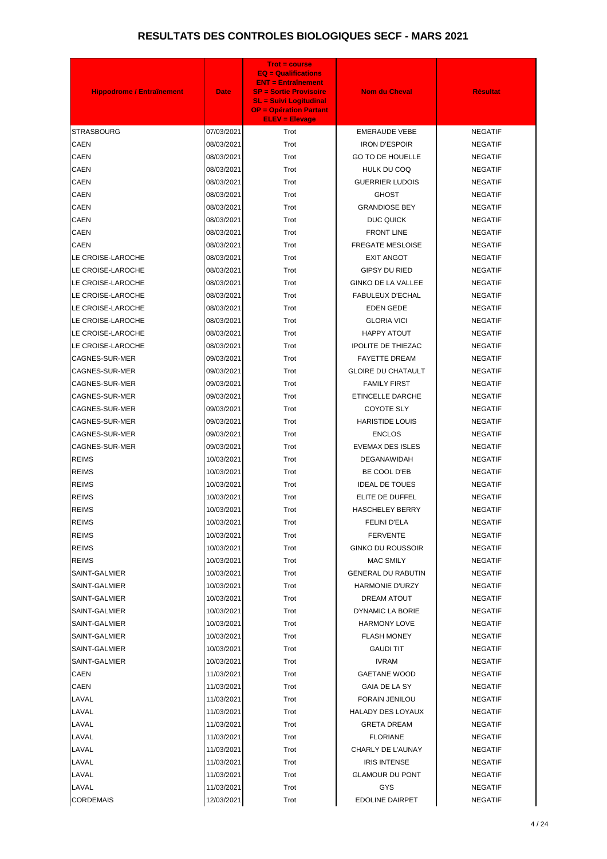| <b>Hippodrome / Entraînement</b> | <b>Date</b> | <b>Trot = course</b><br><b>EQ = Qualifications</b><br><b>ENT = Entraînement</b><br><b>SP = Sortie Provisoire</b><br><b>SL = Suivi Logitudinal</b><br><b>OP = Opération Partant</b><br><b>ELEV = Elevage</b> | <b>Nom du Cheval</b>      | <b>Résultat</b> |
|----------------------------------|-------------|-------------------------------------------------------------------------------------------------------------------------------------------------------------------------------------------------------------|---------------------------|-----------------|
| STRASBOURG                       | 07/03/2021  | Trot                                                                                                                                                                                                        | <b>EMERAUDE VEBE</b>      | <b>NEGATIF</b>  |
| <b>CAEN</b>                      | 08/03/2021  | Trot                                                                                                                                                                                                        | <b>IRON D'ESPOIR</b>      | <b>NEGATIF</b>  |
| <b>CAEN</b>                      | 08/03/2021  | Trot                                                                                                                                                                                                        | <b>GO TO DE HOUELLE</b>   | <b>NEGATIF</b>  |
| <b>CAEN</b>                      | 08/03/2021  | Trot                                                                                                                                                                                                        | HULK DU COQ               | <b>NEGATIF</b>  |
| <b>CAEN</b>                      | 08/03/2021  | Trot                                                                                                                                                                                                        | <b>GUERRIER LUDOIS</b>    | <b>NEGATIF</b>  |
| <b>CAEN</b>                      | 08/03/2021  | Trot                                                                                                                                                                                                        | <b>GHOST</b>              | <b>NEGATIF</b>  |
| <b>CAEN</b>                      | 08/03/2021  | Trot                                                                                                                                                                                                        | <b>GRANDIOSE BEY</b>      | <b>NEGATIF</b>  |
| <b>CAEN</b>                      | 08/03/2021  | Trot                                                                                                                                                                                                        | DUC QUICK                 | <b>NEGATIF</b>  |
| <b>CAEN</b>                      | 08/03/2021  | Trot                                                                                                                                                                                                        | <b>FRONT LINE</b>         | <b>NEGATIF</b>  |
| <b>CAEN</b>                      | 08/03/2021  | Trot                                                                                                                                                                                                        | FREGATE MESLOISE          | <b>NEGATIF</b>  |
| LE CROISE-LAROCHE                | 08/03/2021  | Trot                                                                                                                                                                                                        | <b>EXIT ANGOT</b>         | <b>NEGATIF</b>  |
| LE CROISE-LAROCHE                | 08/03/2021  | Trot                                                                                                                                                                                                        | <b>GIPSY DU RIED</b>      | <b>NEGATIF</b>  |
| LE CROISE-LAROCHE                | 08/03/2021  | Trot                                                                                                                                                                                                        | <b>GINKO DE LA VALLEE</b> | <b>NEGATIF</b>  |
| LE CROISE-LAROCHE                | 08/03/2021  | Trot                                                                                                                                                                                                        | <b>FABULEUX D'ECHAL</b>   | <b>NEGATIF</b>  |
| LE CROISE-LAROCHE                | 08/03/2021  | Trot                                                                                                                                                                                                        | <b>EDEN GEDE</b>          | <b>NEGATIF</b>  |
| LE CROISE-LAROCHE                | 08/03/2021  | Trot                                                                                                                                                                                                        | <b>GLORIA VICI</b>        | <b>NEGATIF</b>  |
| LE CROISE-LAROCHE                | 08/03/2021  | Trot                                                                                                                                                                                                        | HAPPY ATOUT               | <b>NEGATIF</b>  |
| LE CROISE-LAROCHE                | 08/03/2021  | Trot                                                                                                                                                                                                        | <b>IPOLITE DE THIEZAC</b> | <b>NEGATIF</b>  |
| CAGNES-SUR-MER                   | 09/03/2021  | Trot                                                                                                                                                                                                        | <b>FAYETTE DREAM</b>      | <b>NEGATIF</b>  |
| CAGNES-SUR-MER                   | 09/03/2021  | Trot                                                                                                                                                                                                        | <b>GLOIRE DU CHATAULT</b> | <b>NEGATIF</b>  |
| CAGNES-SUR-MER                   | 09/03/2021  | Trot                                                                                                                                                                                                        | <b>FAMILY FIRST</b>       | <b>NEGATIF</b>  |
| CAGNES-SUR-MER                   | 09/03/2021  | Trot                                                                                                                                                                                                        | ETINCELLE DARCHE          | <b>NEGATIF</b>  |
| CAGNES-SUR-MER                   | 09/03/2021  | Trot                                                                                                                                                                                                        | <b>COYOTE SLY</b>         | <b>NEGATIF</b>  |
| CAGNES-SUR-MER                   | 09/03/2021  | Trot                                                                                                                                                                                                        | <b>HARISTIDE LOUIS</b>    | <b>NEGATIF</b>  |
| CAGNES-SUR-MER                   | 09/03/2021  | Trot                                                                                                                                                                                                        | <b>ENCLOS</b>             | <b>NEGATIF</b>  |
| <b>CAGNES-SUR-MER</b>            | 09/03/2021  | Trot                                                                                                                                                                                                        | <b>EVEMAX DES ISLES</b>   | <b>NEGATIF</b>  |
| <b>REIMS</b>                     | 10/03/2021  | Trot                                                                                                                                                                                                        | <b>DEGANAWIDAH</b>        | <b>NEGATIF</b>  |
| <b>REIMS</b>                     | 10/03/2021  | Trot                                                                                                                                                                                                        | BE COOL D'EB              | <b>NEGATIF</b>  |
| <b>REIMS</b>                     | 10/03/2021  | Trot                                                                                                                                                                                                        | <b>IDEAL DE TOUES</b>     | <b>NEGATIF</b>  |
| <b>REIMS</b>                     | 10/03/2021  | Trot                                                                                                                                                                                                        | ELITE DE DUFFEL           | <b>NEGATIF</b>  |
| <b>REIMS</b>                     | 10/03/2021  | Trot                                                                                                                                                                                                        | <b>HASCHELEY BERRY</b>    | <b>NEGATIF</b>  |
| <b>REIMS</b>                     | 10/03/2021  | Trot                                                                                                                                                                                                        | <b>FELINI D'ELA</b>       | <b>NEGATIF</b>  |
| <b>REIMS</b>                     | 10/03/2021  | Trot                                                                                                                                                                                                        | <b>FERVENTE</b>           | <b>NEGATIF</b>  |
| <b>REIMS</b>                     | 10/03/2021  | Trot                                                                                                                                                                                                        | <b>GINKO DU ROUSSOIR</b>  | <b>NEGATIF</b>  |
| <b>REIMS</b>                     | 10/03/2021  | Trot                                                                                                                                                                                                        | <b>MAC SMILY</b>          | <b>NEGATIF</b>  |
| SAINT-GALMIER                    | 10/03/2021  | Trot                                                                                                                                                                                                        | <b>GENERAL DU RABUTIN</b> | <b>NEGATIF</b>  |
| SAINT-GALMIER                    | 10/03/2021  | Trot                                                                                                                                                                                                        | <b>HARMONIE D'URZY</b>    | <b>NEGATIF</b>  |
| SAINT-GALMIER                    | 10/03/2021  | Trot                                                                                                                                                                                                        | DREAM ATOUT               | <b>NEGATIF</b>  |
| SAINT-GALMIER                    | 10/03/2021  | Trot                                                                                                                                                                                                        | DYNAMIC LA BORIE          | <b>NEGATIF</b>  |
| SAINT-GALMIER                    | 10/03/2021  | Trot                                                                                                                                                                                                        | <b>HARMONY LOVE</b>       | <b>NEGATIF</b>  |
| SAINT-GALMIER                    | 10/03/2021  | Trot                                                                                                                                                                                                        | <b>FLASH MONEY</b>        | <b>NEGATIF</b>  |
| SAINT-GALMIER                    | 10/03/2021  | Trot                                                                                                                                                                                                        | <b>GAUDI TIT</b>          | <b>NEGATIF</b>  |
| SAINT-GALMIER                    | 10/03/2021  | Trot                                                                                                                                                                                                        | <b>IVRAM</b>              | <b>NEGATIF</b>  |
| CAEN                             | 11/03/2021  | Trot                                                                                                                                                                                                        | <b>GAETANE WOOD</b>       | <b>NEGATIF</b>  |
| <b>CAEN</b>                      | 11/03/2021  | Trot                                                                                                                                                                                                        | GAIA DE LA SY             | <b>NEGATIF</b>  |
| LAVAL                            | 11/03/2021  | Trot                                                                                                                                                                                                        | <b>FORAIN JENILOU</b>     | <b>NEGATIF</b>  |
| LAVAL                            | 11/03/2021  | Trot                                                                                                                                                                                                        | <b>HALADY DES LOYAUX</b>  | <b>NEGATIF</b>  |
| LAVAL                            | 11/03/2021  | Trot                                                                                                                                                                                                        | <b>GRETA DREAM</b>        | <b>NEGATIF</b>  |
| LAVAL                            | 11/03/2021  | Trot                                                                                                                                                                                                        | <b>FLORIANE</b>           | <b>NEGATIF</b>  |
| LAVAL                            | 11/03/2021  | Trot                                                                                                                                                                                                        | CHARLY DE L'AUNAY         | <b>NEGATIF</b>  |
| LAVAL                            | 11/03/2021  | Trot                                                                                                                                                                                                        | <b>IRIS INTENSE</b>       | <b>NEGATIF</b>  |
| LAVAL                            | 11/03/2021  | Trot                                                                                                                                                                                                        | <b>GLAMOUR DU PONT</b>    | <b>NEGATIF</b>  |
| LAVAL                            | 11/03/2021  | Trot                                                                                                                                                                                                        | <b>GYS</b>                | <b>NEGATIF</b>  |
| <b>CORDEMAIS</b>                 | 12/03/2021  | Trot                                                                                                                                                                                                        | <b>EDOLINE DAIRPET</b>    | NEGATIF         |
|                                  |             |                                                                                                                                                                                                             |                           |                 |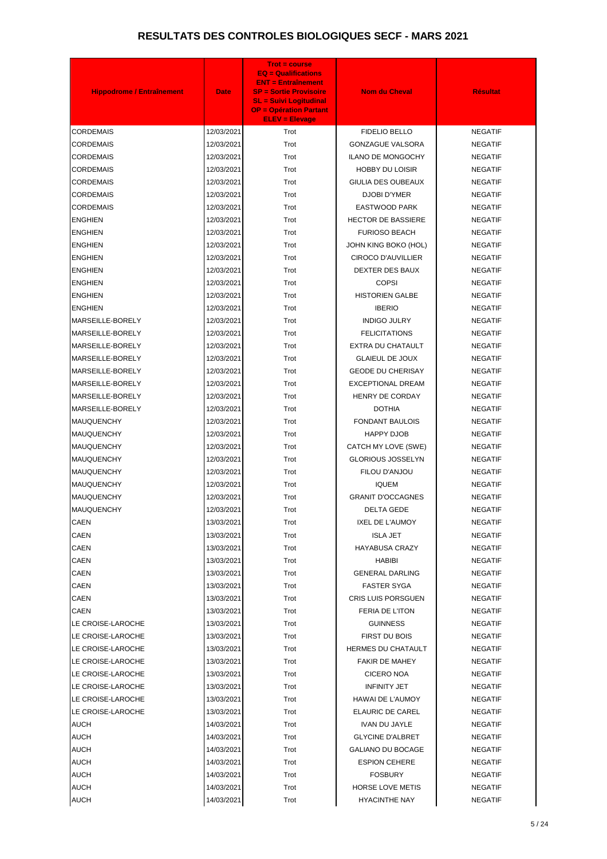| <b>Hippodrome / Entraînement</b> | <b>Date</b> | <b>Trot = course</b><br>$EQ = \text{Qualifications}$<br><b>ENT = Entraînement</b><br><b>SP = Sortie Provisoire</b><br><b>SL = Suivi Logitudinal</b><br><b>OP = Opération Partant</b><br><b>ELEV = Elevage</b> | <b>Nom du Cheval</b>      | <b>Résultat</b> |
|----------------------------------|-------------|---------------------------------------------------------------------------------------------------------------------------------------------------------------------------------------------------------------|---------------------------|-----------------|
| <b>CORDEMAIS</b>                 | 12/03/2021  | Trot                                                                                                                                                                                                          | <b>FIDELIO BELLO</b>      | <b>NEGATIF</b>  |
| <b>CORDEMAIS</b>                 | 12/03/2021  | Trot                                                                                                                                                                                                          | <b>GONZAGUE VALSORA</b>   | <b>NEGATIF</b>  |
| <b>CORDEMAIS</b>                 | 12/03/2021  | Trot                                                                                                                                                                                                          | <b>ILANO DE MONGOCHY</b>  | <b>NEGATIF</b>  |
| <b>CORDEMAIS</b>                 | 12/03/2021  | Trot                                                                                                                                                                                                          | <b>HOBBY DU LOISIR</b>    | <b>NEGATIF</b>  |
| <b>CORDEMAIS</b>                 | 12/03/2021  | Trot                                                                                                                                                                                                          | GIULIA DES OUBEAUX        | <b>NEGATIF</b>  |
| <b>CORDEMAIS</b>                 | 12/03/2021  | Trot                                                                                                                                                                                                          | <b>DJOBI D'YMER</b>       | <b>NEGATIF</b>  |
| <b>CORDEMAIS</b>                 | 12/03/2021  | Trot                                                                                                                                                                                                          | EASTWOOD PARK             | <b>NEGATIF</b>  |
| <b>ENGHIEN</b>                   | 12/03/2021  | Trot                                                                                                                                                                                                          | <b>HECTOR DE BASSIERE</b> | <b>NEGATIF</b>  |
| <b>ENGHIEN</b>                   | 12/03/2021  | Trot                                                                                                                                                                                                          | <b>FURIOSO BEACH</b>      | <b>NEGATIF</b>  |
| <b>ENGHIEN</b>                   | 12/03/2021  | Trot                                                                                                                                                                                                          | JOHN KING BOKO (HOL)      | <b>NEGATIF</b>  |
| <b>ENGHIEN</b>                   | 12/03/2021  | Trot                                                                                                                                                                                                          | <b>CIROCO D'AUVILLIER</b> | <b>NEGATIF</b>  |
| <b>ENGHIEN</b>                   | 12/03/2021  | Trot                                                                                                                                                                                                          | DEXTER DES BAUX           | <b>NEGATIF</b>  |
| <b>ENGHIEN</b>                   | 12/03/2021  | Trot                                                                                                                                                                                                          | <b>COPSI</b>              | <b>NEGATIF</b>  |
| <b>ENGHIEN</b>                   | 12/03/2021  | Trot                                                                                                                                                                                                          | <b>HISTORIEN GALBE</b>    | <b>NEGATIF</b>  |
| <b>ENGHIEN</b>                   | 12/03/2021  | Trot                                                                                                                                                                                                          | <b>IBERIO</b>             | <b>NEGATIF</b>  |
| MARSEILLE-BORELY                 | 12/03/2021  | Trot                                                                                                                                                                                                          | <b>INDIGO JULRY</b>       | <b>NEGATIF</b>  |
| MARSEILLE-BORELY                 | 12/03/2021  | Trot                                                                                                                                                                                                          | <b>FELICITATIONS</b>      | <b>NEGATIF</b>  |
| MARSEILLE-BORELY                 | 12/03/2021  | Trot                                                                                                                                                                                                          | EXTRA DU CHATAULT         | <b>NEGATIF</b>  |
| MARSEILLE-BORELY                 | 12/03/2021  | Trot                                                                                                                                                                                                          | <b>GLAIEUL DE JOUX</b>    | <b>NEGATIF</b>  |
| MARSEILLE-BORELY                 | 12/03/2021  | Trot                                                                                                                                                                                                          | <b>GEODE DU CHERISAY</b>  | <b>NEGATIF</b>  |
| MARSEILLE-BORELY                 | 12/03/2021  | Trot                                                                                                                                                                                                          | <b>EXCEPTIONAL DREAM</b>  | <b>NEGATIF</b>  |
| MARSEILLE-BORELY                 | 12/03/2021  | Trot                                                                                                                                                                                                          | <b>HENRY DE CORDAY</b>    | <b>NEGATIF</b>  |
| MARSEILLE-BORELY                 | 12/03/2021  | Trot                                                                                                                                                                                                          | <b>DOTHIA</b>             | <b>NEGATIF</b>  |
| <b>MAUQUENCHY</b>                | 12/03/2021  | Trot                                                                                                                                                                                                          | <b>FONDANT BAULOIS</b>    | <b>NEGATIF</b>  |
| <b>MAUQUENCHY</b>                | 12/03/2021  | Trot                                                                                                                                                                                                          | HAPPY DJOB                | <b>NEGATIF</b>  |
| <b>MAUQUENCHY</b>                | 12/03/2021  | Trot                                                                                                                                                                                                          | CATCH MY LOVE (SWE)       | <b>NEGATIF</b>  |
| <b>MAUQUENCHY</b>                | 12/03/2021  | Trot                                                                                                                                                                                                          | <b>GLORIOUS JOSSELYN</b>  | <b>NEGATIF</b>  |
| <b>MAUQUENCHY</b>                | 12/03/2021  | Trot                                                                                                                                                                                                          | FILOU D'ANJOU             | <b>NEGATIF</b>  |
| <b>MAUQUENCHY</b>                | 12/03/2021  | Trot                                                                                                                                                                                                          | <b>IQUEM</b>              | <b>NEGATIF</b>  |
| <b>MAUQUENCHY</b>                | 12/03/2021  | Trot                                                                                                                                                                                                          | <b>GRANIT D'OCCAGNES</b>  | <b>NEGATIF</b>  |
| <b>MAUQUENCHY</b>                | 12/03/2021  | Trot                                                                                                                                                                                                          | <b>DELTA GEDE</b>         | <b>NEGATIF</b>  |
| CAEN                             | 13/03/2021  | Trot                                                                                                                                                                                                          | IXEL DE L'AUMOY           | <b>NEGATIF</b>  |
| <b>CAEN</b>                      | 13/03/2021  | Trot                                                                                                                                                                                                          | <b>ISLA JET</b>           | <b>NEGATIF</b>  |
| <b>CAEN</b>                      | 13/03/2021  | Trot                                                                                                                                                                                                          | <b>HAYABUSA CRAZY</b>     | <b>NEGATIF</b>  |
| <b>CAEN</b>                      | 13/03/2021  | Trot                                                                                                                                                                                                          | HABIBI                    | <b>NEGATIF</b>  |
| <b>CAEN</b>                      | 13/03/2021  | Trot                                                                                                                                                                                                          | <b>GENERAL DARLING</b>    | <b>NEGATIF</b>  |
| <b>CAEN</b>                      | 13/03/2021  | Trot                                                                                                                                                                                                          | <b>FASTER SYGA</b>        | <b>NEGATIF</b>  |
| <b>CAEN</b>                      | 13/03/2021  | Trot                                                                                                                                                                                                          | <b>CRIS LUIS PORSGUEN</b> | <b>NEGATIF</b>  |
| CAEN                             | 13/03/2021  | Trot                                                                                                                                                                                                          | FERIA DE L'ITON           | <b>NEGATIF</b>  |
| LE CROISE-LAROCHE                | 13/03/2021  | Trot                                                                                                                                                                                                          | <b>GUINNESS</b>           | <b>NEGATIF</b>  |
| LE CROISE-LAROCHE                | 13/03/2021  | Trot                                                                                                                                                                                                          | <b>FIRST DU BOIS</b>      | <b>NEGATIF</b>  |
| LE CROISE-LAROCHE                | 13/03/2021  | Trot                                                                                                                                                                                                          | <b>HERMES DU CHATAULT</b> | <b>NEGATIF</b>  |
| LE CROISE-LAROCHE                | 13/03/2021  | Trot                                                                                                                                                                                                          | <b>FAKIR DE MAHEY</b>     | <b>NEGATIF</b>  |
| LE CROISE-LAROCHE                | 13/03/2021  | Trot                                                                                                                                                                                                          | CICERO NOA                | <b>NEGATIF</b>  |
| LE CROISE-LAROCHE                | 13/03/2021  | Trot                                                                                                                                                                                                          | <b>INFINITY JET</b>       | <b>NEGATIF</b>  |
| LE CROISE-LAROCHE                | 13/03/2021  | Trot                                                                                                                                                                                                          | <b>HAWAI DE L'AUMOY</b>   | <b>NEGATIF</b>  |
| LE CROISE-LAROCHE                | 13/03/2021  | Trot                                                                                                                                                                                                          | ELAURIC DE CAREL          | <b>NEGATIF</b>  |
| <b>AUCH</b>                      | 14/03/2021  | Trot                                                                                                                                                                                                          | <b>IVAN DU JAYLE</b>      | <b>NEGATIF</b>  |
| <b>AUCH</b>                      | 14/03/2021  | Trot                                                                                                                                                                                                          | <b>GLYCINE D'ALBRET</b>   | <b>NEGATIF</b>  |
| <b>AUCH</b>                      | 14/03/2021  | Trot                                                                                                                                                                                                          | <b>GALIANO DU BOCAGE</b>  | <b>NEGATIF</b>  |
| <b>AUCH</b>                      | 14/03/2021  | Trot                                                                                                                                                                                                          | <b>ESPION CEHERE</b>      | <b>NEGATIF</b>  |
| <b>AUCH</b>                      | 14/03/2021  | Trot                                                                                                                                                                                                          | <b>FOSBURY</b>            | <b>NEGATIF</b>  |
| <b>AUCH</b>                      | 14/03/2021  | Trot                                                                                                                                                                                                          | <b>HORSE LOVE METIS</b>   | <b>NEGATIF</b>  |
|                                  |             |                                                                                                                                                                                                               |                           |                 |
| <b>AUCH</b>                      | 14/03/2021  | Trot                                                                                                                                                                                                          | <b>HYACINTHE NAY</b>      | <b>NEGATIF</b>  |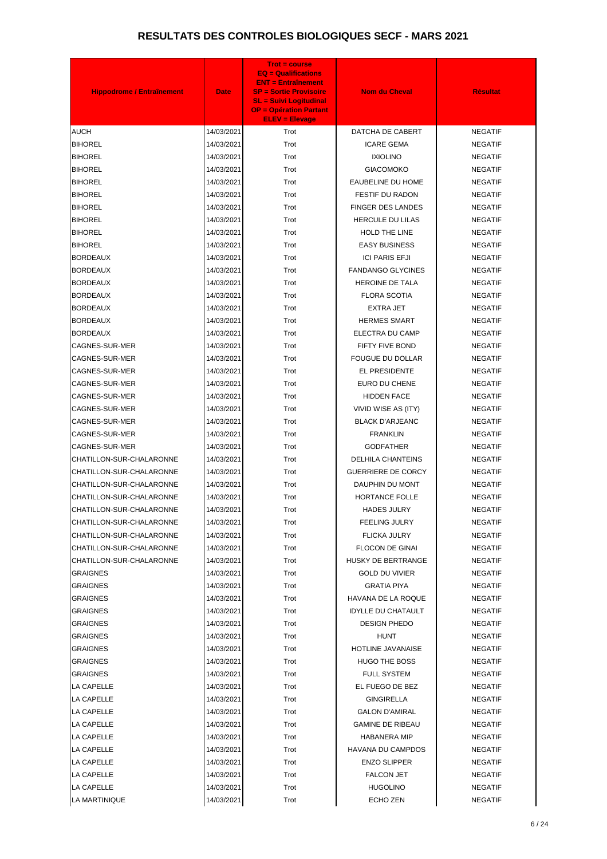| <b>Hippodrome / Entraînement</b> | <b>Date</b>              | <b>Trot = course</b><br><b>EQ = Qualifications</b><br><b>ENT = Entraînement</b><br><b>SP = Sortie Provisoire</b><br><b>SL = Suivi Logitudinal</b><br><b>OP = Opération Partant</b><br><b>ELEV = Elevage</b> | <b>Nom du Cheval</b>      | <b>Résultat</b> |
|----------------------------------|--------------------------|-------------------------------------------------------------------------------------------------------------------------------------------------------------------------------------------------------------|---------------------------|-----------------|
| <b>AUCH</b>                      | 14/03/2021               | Trot                                                                                                                                                                                                        | DATCHA DE CABERT          | <b>NEGATIF</b>  |
| <b>BIHOREL</b>                   | 14/03/2021               | Trot                                                                                                                                                                                                        | <b>ICARE GEMA</b>         | <b>NEGATIF</b>  |
| <b>BIHOREL</b>                   | 14/03/2021               | Trot                                                                                                                                                                                                        | <b>IXIOLINO</b>           | <b>NEGATIF</b>  |
| <b>BIHOREL</b>                   | 14/03/2021               | Trot                                                                                                                                                                                                        | <b>GIACOMOKO</b>          | <b>NEGATIF</b>  |
| <b>BIHOREL</b>                   | 14/03/2021               | Trot                                                                                                                                                                                                        | <b>EAUBELINE DU HOME</b>  | <b>NEGATIF</b>  |
| <b>BIHOREL</b>                   | 14/03/2021               | Trot                                                                                                                                                                                                        | <b>FESTIF DU RADON</b>    | <b>NEGATIF</b>  |
| <b>BIHOREL</b>                   | 14/03/2021               | Trot                                                                                                                                                                                                        | <b>FINGER DES LANDES</b>  | <b>NEGATIF</b>  |
| <b>BIHOREL</b>                   | 14/03/2021               | Trot                                                                                                                                                                                                        | <b>HERCULE DU LILAS</b>   | <b>NEGATIF</b>  |
| <b>BIHOREL</b>                   | 14/03/2021               | Trot                                                                                                                                                                                                        | HOLD THE LINE             | <b>NEGATIF</b>  |
| <b>BIHOREL</b>                   | 14/03/2021               | Trot                                                                                                                                                                                                        | <b>EASY BUSINESS</b>      | <b>NEGATIF</b>  |
| <b>BORDEAUX</b>                  | 14/03/2021               | Trot                                                                                                                                                                                                        | <b>ICI PARIS EFJI</b>     | <b>NEGATIF</b>  |
| <b>BORDEAUX</b>                  | 14/03/2021               | Trot                                                                                                                                                                                                        | <b>FANDANGO GLYCINES</b>  | <b>NEGATIF</b>  |
| <b>BORDEAUX</b>                  | 14/03/2021               | Trot                                                                                                                                                                                                        | <b>HEROINE DE TALA</b>    | <b>NEGATIF</b>  |
| <b>BORDEAUX</b>                  | 14/03/2021               | Trot                                                                                                                                                                                                        | <b>FLORA SCOTIA</b>       | <b>NEGATIF</b>  |
| <b>BORDEAUX</b>                  | 14/03/2021               | Trot                                                                                                                                                                                                        | <b>EXTRA JET</b>          | <b>NEGATIF</b>  |
| <b>BORDEAUX</b>                  | 14/03/2021               | Trot                                                                                                                                                                                                        | <b>HERMES SMART</b>       | <b>NEGATIF</b>  |
| <b>BORDEAUX</b>                  | 14/03/2021               | Trot                                                                                                                                                                                                        | ELECTRA DU CAMP           | <b>NEGATIF</b>  |
| CAGNES-SUR-MER                   | 14/03/2021               | Trot                                                                                                                                                                                                        | FIFTY FIVE BOND           | <b>NEGATIF</b>  |
| CAGNES-SUR-MER                   | 14/03/2021               | Trot                                                                                                                                                                                                        | <b>FOUGUE DU DOLLAR</b>   | <b>NEGATIF</b>  |
| CAGNES-SUR-MER                   | 14/03/2021               | Trot                                                                                                                                                                                                        | EL PRESIDENTE             | <b>NEGATIF</b>  |
| CAGNES-SUR-MER                   | 14/03/2021               | Trot                                                                                                                                                                                                        | EURO DU CHENE             | <b>NEGATIF</b>  |
| CAGNES-SUR-MER                   | 14/03/2021               | Trot                                                                                                                                                                                                        | <b>HIDDEN FACE</b>        | <b>NEGATIF</b>  |
| CAGNES-SUR-MER                   | 14/03/2021               | Trot                                                                                                                                                                                                        | VIVID WISE AS (ITY)       | <b>NEGATIF</b>  |
| CAGNES-SUR-MER                   | 14/03/2021               | Trot                                                                                                                                                                                                        | <b>BLACK D'ARJEANC</b>    | <b>NEGATIF</b>  |
| CAGNES-SUR-MER                   | 14/03/2021               | Trot                                                                                                                                                                                                        | <b>FRANKLIN</b>           | <b>NEGATIF</b>  |
| <b>CAGNES-SUR-MER</b>            | 14/03/2021               | Trot                                                                                                                                                                                                        | <b>GODFATHER</b>          | <b>NEGATIF</b>  |
| CHATILLON-SUR-CHALARONNE         | 14/03/2021               | Trot                                                                                                                                                                                                        | <b>DELHILA CHANTEINS</b>  | <b>NEGATIF</b>  |
| CHATILLON-SUR-CHALARONNE         | 14/03/2021               | Trot                                                                                                                                                                                                        | <b>GUERRIERE DE CORCY</b> | <b>NEGATIF</b>  |
| CHATILLON-SUR-CHALARONNE         | 14/03/2021               | Trot                                                                                                                                                                                                        | DAUPHIN DU MONT           | <b>NEGATIF</b>  |
| CHATILLON-SUR-CHALARONNE         | 14/03/2021               | Trot                                                                                                                                                                                                        | HORTANCE FOLLE            | <b>NEGATIF</b>  |
| CHATILLON-SUR-CHALARONNE         | 14/03/2021               | Trot                                                                                                                                                                                                        | <b>HADES JULRY</b>        | <b>NEGATIF</b>  |
| CHATILLON-SUR-CHALARONNE         | 14/03/2021               | Trot                                                                                                                                                                                                        | <b>FEELING JULRY</b>      | <b>NEGATIF</b>  |
| CHATILLON-SUR-CHALARONNE         | 14/03/2021               | Trot                                                                                                                                                                                                        | FLICKA JULRY              | <b>NEGATIF</b>  |
| CHATILLON-SUR-CHALARONNE         | 14/03/2021               | Trot                                                                                                                                                                                                        | <b>FLOCON DE GINAI</b>    | <b>NEGATIF</b>  |
| CHATILLON-SUR-CHALARONNE         |                          | Trot                                                                                                                                                                                                        | HUSKY DE BERTRANGE        | <b>NEGATIF</b>  |
| GRAIGNES                         | 14/03/2021<br>14/03/2021 | Trot                                                                                                                                                                                                        | <b>GOLD DU VIVIER</b>     | <b>NEGATIF</b>  |
| GRAIGNES                         | 14/03/2021               | Trot                                                                                                                                                                                                        | <b>GRATIA PIYA</b>        | <b>NEGATIF</b>  |
| GRAIGNES                         | 14/03/2021               | Trot                                                                                                                                                                                                        | HAVANA DE LA ROQUE        | <b>NEGATIF</b>  |
| GRAIGNES                         | 14/03/2021               | Trot                                                                                                                                                                                                        | <b>IDYLLE DU CHATAULT</b> | <b>NEGATIF</b>  |
| <b>GRAIGNES</b>                  |                          | Trot                                                                                                                                                                                                        | <b>DESIGN PHEDO</b>       | <b>NEGATIF</b>  |
| GRAIGNES                         | 14/03/2021               | Trot                                                                                                                                                                                                        | HUNT                      | <b>NEGATIF</b>  |
| GRAIGNES                         | 14/03/2021               | Trot                                                                                                                                                                                                        | <b>HOTLINE JAVANAISE</b>  | <b>NEGATIF</b>  |
| GRAIGNES                         | 14/03/2021<br>14/03/2021 | Trot                                                                                                                                                                                                        | <b>HUGO THE BOSS</b>      | <b>NEGATIF</b>  |
| GRAIGNES                         | 14/03/2021               | Trot                                                                                                                                                                                                        | <b>FULL SYSTEM</b>        | <b>NEGATIF</b>  |
| LA CAPELLE                       |                          | Trot                                                                                                                                                                                                        | EL FUEGO DE BEZ           | <b>NEGATIF</b>  |
|                                  | 14/03/2021               |                                                                                                                                                                                                             |                           |                 |
| LA CAPELLE<br>LA CAPELLE         | 14/03/2021               | Trot<br>Trot                                                                                                                                                                                                | <b>GINGIRELLA</b>         | <b>NEGATIF</b>  |
|                                  | 14/03/2021               |                                                                                                                                                                                                             | <b>GALON D'AMIRAL</b>     | <b>NEGATIF</b>  |
| LA CAPELLE                       | 14/03/2021               | Trot                                                                                                                                                                                                        | <b>GAMINE DE RIBEAU</b>   | <b>NEGATIF</b>  |
| LA CAPELLE                       | 14/03/2021               | Trot                                                                                                                                                                                                        | <b>HABANERA MIP</b>       | <b>NEGATIF</b>  |
| LA CAPELLE                       | 14/03/2021               | Trot                                                                                                                                                                                                        | HAVANA DU CAMPDOS         | <b>NEGATIF</b>  |
| LA CAPELLE                       | 14/03/2021               | Trot                                                                                                                                                                                                        | <b>ENZO SLIPPER</b>       | <b>NEGATIF</b>  |
| LA CAPELLE                       | 14/03/2021               | Trot                                                                                                                                                                                                        | <b>FALCON JET</b>         | <b>NEGATIF</b>  |
| LA CAPELLE                       | 14/03/2021               | Trot                                                                                                                                                                                                        | <b>HUGOLINO</b>           | <b>NEGATIF</b>  |
| LA MARTINIQUE                    | 14/03/2021               | Trot                                                                                                                                                                                                        | ECHO ZEN                  | <b>NEGATIF</b>  |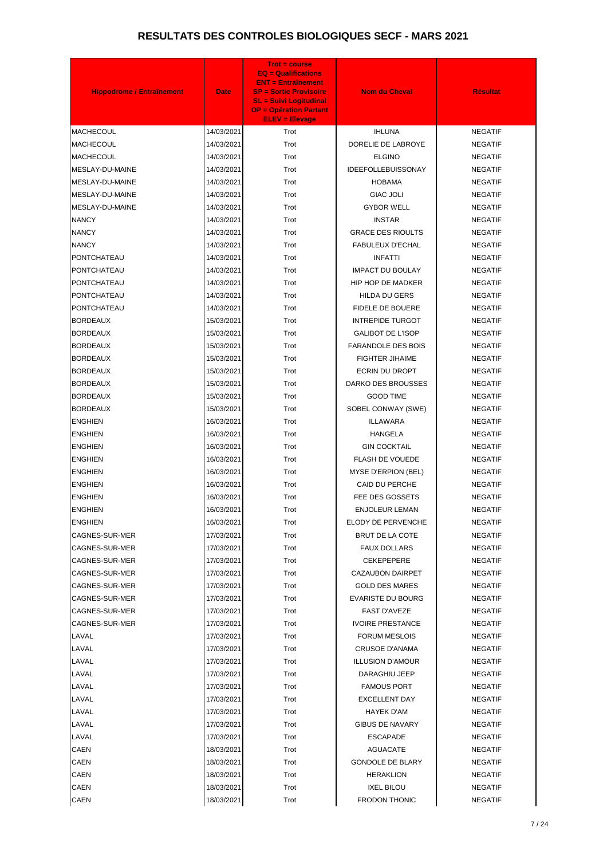| <b>Hippodrome / Entraînement</b> | <b>Date</b> | <b>Trot = course</b><br>$EQ = \text{Qualifications}$<br><b>ENT = Entraînement</b><br><b>SP = Sortie Provisoire</b><br><b>SL = Suivi Logitudinal</b><br><b>OP = Opération Partant</b><br><b>ELEV = Elevage</b> | <b>Nom du Cheval</b>      | <b>Résultat</b> |
|----------------------------------|-------------|---------------------------------------------------------------------------------------------------------------------------------------------------------------------------------------------------------------|---------------------------|-----------------|
| <b>MACHECOUL</b>                 | 14/03/2021  | Trot                                                                                                                                                                                                          | <b>IHLUNA</b>             | <b>NEGATIF</b>  |
| <b>MACHECOUL</b>                 | 14/03/2021  | Trot                                                                                                                                                                                                          | DORELIE DE LABROYE        | <b>NEGATIF</b>  |
| <b>MACHECOUL</b>                 | 14/03/2021  | Trot                                                                                                                                                                                                          | <b>ELGINO</b>             | <b>NEGATIF</b>  |
| MESLAY-DU-MAINE                  | 14/03/2021  | Trot                                                                                                                                                                                                          | <b>IDEEFOLLEBUISSONAY</b> | <b>NEGATIF</b>  |
| MESLAY-DU-MAINE                  | 14/03/2021  | Trot                                                                                                                                                                                                          | <b>HOBAMA</b>             | <b>NEGATIF</b>  |
| MESLAY-DU-MAINE                  | 14/03/2021  | Trot                                                                                                                                                                                                          | <b>GIAC JOLI</b>          | <b>NEGATIF</b>  |
| MESLAY-DU-MAINE                  | 14/03/2021  | Trot                                                                                                                                                                                                          | <b>GYBOR WELL</b>         | <b>NEGATIF</b>  |
| <b>NANCY</b>                     | 14/03/2021  | Trot                                                                                                                                                                                                          | <b>INSTAR</b>             | <b>NEGATIF</b>  |
| <b>NANCY</b>                     | 14/03/2021  | Trot                                                                                                                                                                                                          | <b>GRACE DES RIOULTS</b>  | <b>NEGATIF</b>  |
| <b>NANCY</b>                     | 14/03/2021  | Trot                                                                                                                                                                                                          | <b>FABULEUX D'ECHAL</b>   | <b>NEGATIF</b>  |
| PONTCHATEAU                      | 14/03/2021  | Trot                                                                                                                                                                                                          | <b>INFATTI</b>            | <b>NEGATIF</b>  |
| PONTCHATEAU                      | 14/03/2021  | Trot                                                                                                                                                                                                          | <b>IMPACT DU BOULAY</b>   | <b>NEGATIF</b>  |
| PONTCHATEAU                      | 14/03/2021  | Trot                                                                                                                                                                                                          | HIP HOP DE MADKER         | <b>NEGATIF</b>  |
| PONTCHATEAU                      | 14/03/2021  | Trot                                                                                                                                                                                                          | <b>HILDA DU GERS</b>      | <b>NEGATIF</b>  |
| PONTCHATEAU                      | 14/03/2021  | Trot                                                                                                                                                                                                          | FIDELE DE BOUERE          | <b>NEGATIF</b>  |
| <b>BORDEAUX</b>                  | 15/03/2021  | Trot                                                                                                                                                                                                          | <b>INTREPIDE TURGOT</b>   | <b>NEGATIF</b>  |
| <b>BORDEAUX</b>                  | 15/03/2021  | Trot                                                                                                                                                                                                          | <b>GALIBOT DE L'ISOP</b>  | <b>NEGATIF</b>  |
| <b>BORDEAUX</b>                  | 15/03/2021  | Trot                                                                                                                                                                                                          | <b>FARANDOLE DES BOIS</b> | <b>NEGATIF</b>  |
| <b>BORDEAUX</b>                  | 15/03/2021  | Trot                                                                                                                                                                                                          | <b>FIGHTER JIHAIME</b>    | <b>NEGATIF</b>  |
| <b>BORDEAUX</b>                  | 15/03/2021  | Trot                                                                                                                                                                                                          | ECRIN DU DROPT            | <b>NEGATIF</b>  |
| <b>BORDEAUX</b>                  | 15/03/2021  | Trot                                                                                                                                                                                                          | <b>DARKO DES BROUSSES</b> | <b>NEGATIF</b>  |
| <b>BORDEAUX</b>                  | 15/03/2021  | Trot                                                                                                                                                                                                          | <b>GOOD TIME</b>          | <b>NEGATIF</b>  |
| <b>BORDEAUX</b>                  | 15/03/2021  | Trot                                                                                                                                                                                                          | SOBEL CONWAY (SWE)        | <b>NEGATIF</b>  |
| <b>ENGHIEN</b>                   | 16/03/2021  | Trot                                                                                                                                                                                                          | <b>ILLAWARA</b>           | <b>NEGATIF</b>  |
| <b>ENGHIEN</b>                   | 16/03/2021  | Trot                                                                                                                                                                                                          | <b>HANGELA</b>            | <b>NEGATIF</b>  |
| <b>ENGHIEN</b>                   | 16/03/2021  | Trot                                                                                                                                                                                                          | <b>GIN COCKTAIL</b>       | <b>NEGATIF</b>  |
| <b>ENGHIEN</b>                   | 16/03/2021  | Trot                                                                                                                                                                                                          | <b>FLASH DE VOUEDE</b>    | <b>NEGATIF</b>  |
| <b>ENGHIEN</b>                   | 16/03/2021  | Trot                                                                                                                                                                                                          | MYSE D'ERPION (BEL)       | <b>NEGATIF</b>  |
| <b>ENGHIEN</b>                   | 16/03/2021  | Trot                                                                                                                                                                                                          | CAID DU PERCHE            | <b>NEGATIF</b>  |
| <b>ENGHIEN</b>                   | 16/03/2021  | Trot                                                                                                                                                                                                          | FEE DES GOSSETS           | <b>NEGATIF</b>  |
| ENGHIEN                          | 16/03/2021  | Trot                                                                                                                                                                                                          | <b>ENJOLEUR LEMAN</b>     | <b>NEGATIF</b>  |
| ENGHIEN                          | 16/03/2021  | Trot                                                                                                                                                                                                          | ELODY DE PERVENCHE        | <b>NEGATIF</b>  |
| CAGNES-SUR-MER                   | 17/03/2021  | Trot                                                                                                                                                                                                          | BRUT DE LA COTE           | <b>NEGATIF</b>  |
| CAGNES-SUR-MER                   | 17/03/2021  | Trot                                                                                                                                                                                                          | <b>FAUX DOLLARS</b>       | <b>NEGATIF</b>  |
| CAGNES-SUR-MER                   | 17/03/2021  | Trot                                                                                                                                                                                                          | <b>CEKEPEPERE</b>         | <b>NEGATIF</b>  |
| CAGNES-SUR-MER                   | 17/03/2021  | Trot                                                                                                                                                                                                          | CAZAUBON DAIRPET          | <b>NEGATIF</b>  |
| CAGNES-SUR-MER                   | 17/03/2021  | Trot                                                                                                                                                                                                          | <b>GOLD DES MARES</b>     | <b>NEGATIF</b>  |
| CAGNES-SUR-MER                   | 17/03/2021  | Trot                                                                                                                                                                                                          | <b>EVARISTE DU BOURG</b>  | <b>NEGATIF</b>  |
| CAGNES-SUR-MER                   | 17/03/2021  | Trot                                                                                                                                                                                                          | <b>FAST D'AVEZE</b>       | <b>NEGATIF</b>  |
| CAGNES-SUR-MER                   | 17/03/2021  | Trot                                                                                                                                                                                                          | <b>IVOIRE PRESTANCE</b>   | <b>NEGATIF</b>  |
| LAVAL                            | 17/03/2021  | Trot                                                                                                                                                                                                          | <b>FORUM MESLOIS</b>      | <b>NEGATIF</b>  |
| LAVAL                            | 17/03/2021  | Trot                                                                                                                                                                                                          | <b>CRUSOE D'ANAMA</b>     | <b>NEGATIF</b>  |
| LAVAL                            | 17/03/2021  | Trot                                                                                                                                                                                                          | <b>ILLUSION D'AMOUR</b>   | <b>NEGATIF</b>  |
| LAVAL                            | 17/03/2021  | Trot                                                                                                                                                                                                          | DARAGHIU JEEP             | <b>NEGATIF</b>  |
| LAVAL                            | 17/03/2021  | Trot                                                                                                                                                                                                          | <b>FAMOUS PORT</b>        | <b>NEGATIF</b>  |
| LAVAL                            | 17/03/2021  | Trot                                                                                                                                                                                                          | <b>EXCELLENT DAY</b>      | <b>NEGATIF</b>  |
| LAVAL                            | 17/03/2021  | Trot                                                                                                                                                                                                          | HAYEK D'AM                | <b>NEGATIF</b>  |
| LAVAL                            | 17/03/2021  | Trot                                                                                                                                                                                                          | <b>GIBUS DE NAVARY</b>    | <b>NEGATIF</b>  |
| LAVAL                            | 17/03/2021  | Trot                                                                                                                                                                                                          | <b>ESCAPADE</b>           | <b>NEGATIF</b>  |
| <b>CAEN</b>                      | 18/03/2021  | Trot                                                                                                                                                                                                          | <b>AGUACATE</b>           | <b>NEGATIF</b>  |
| <b>CAEN</b>                      | 18/03/2021  | Trot                                                                                                                                                                                                          | <b>GONDOLE DE BLARY</b>   | <b>NEGATIF</b>  |
| <b>CAEN</b>                      | 18/03/2021  | Trot                                                                                                                                                                                                          | HERAKLION                 | <b>NEGATIF</b>  |
| CAEN                             | 18/03/2021  | Trot                                                                                                                                                                                                          | <b>IXEL BILOU</b>         | <b>NEGATIF</b>  |
| <b>CAEN</b>                      | 18/03/2021  | Trot                                                                                                                                                                                                          | <b>FRODON THONIC</b>      | <b>NEGATIF</b>  |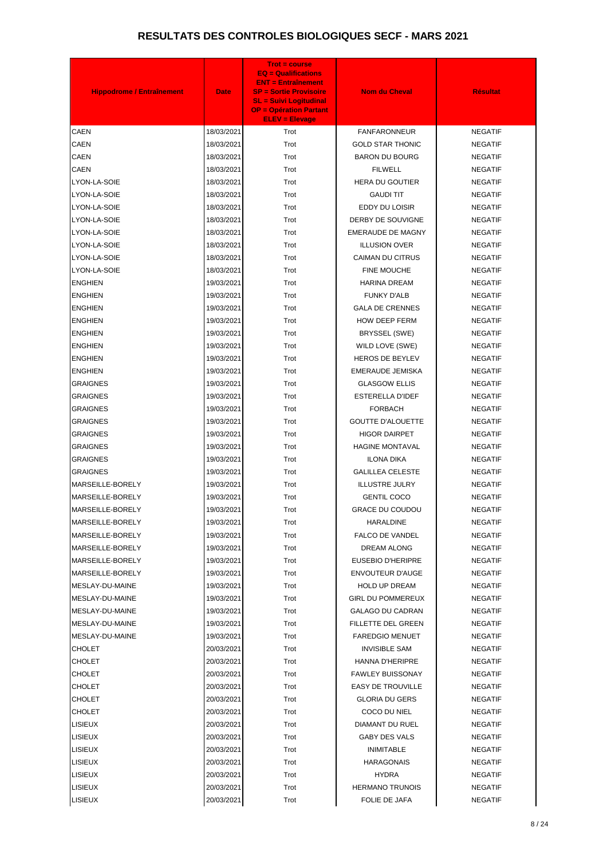| <b>Hippodrome / Entraînement</b> | <b>Date</b> | <b>Trot = course</b><br>$EQ = \text{Qualifications}$<br><b>ENT = Entraînement</b><br><b>SP = Sortie Provisoire</b><br><b>SL = Suivi Logitudinal</b><br><b>OP = Opération Partant</b><br><b>ELEV = Elevage</b> | <b>Nom du Cheval</b>     | <b>Résultat</b> |
|----------------------------------|-------------|---------------------------------------------------------------------------------------------------------------------------------------------------------------------------------------------------------------|--------------------------|-----------------|
| <b>CAEN</b>                      | 18/03/2021  | Trot                                                                                                                                                                                                          | <b>FANFARONNEUR</b>      | <b>NEGATIF</b>  |
| CAEN                             | 18/03/2021  | Trot                                                                                                                                                                                                          | <b>GOLD STAR THONIC</b>  | <b>NEGATIF</b>  |
| <b>CAEN</b>                      | 18/03/2021  | Trot                                                                                                                                                                                                          | <b>BARON DU BOURG</b>    | <b>NEGATIF</b>  |
| <b>CAEN</b>                      | 18/03/2021  | Trot                                                                                                                                                                                                          | <b>FILWELL</b>           | <b>NEGATIF</b>  |
| LYON-LA-SOIE                     | 18/03/2021  | Trot                                                                                                                                                                                                          | <b>HERA DU GOUTIER</b>   | <b>NEGATIF</b>  |
| LYON-LA-SOIE                     | 18/03/2021  | Trot                                                                                                                                                                                                          | <b>GAUDI TIT</b>         | <b>NEGATIF</b>  |
| LYON-LA-SOIE                     | 18/03/2021  | Trot                                                                                                                                                                                                          | EDDY DU LOISIR           | <b>NEGATIF</b>  |
| LYON-LA-SOIE                     | 18/03/2021  | Trot                                                                                                                                                                                                          | DERBY DE SOUVIGNE        | <b>NEGATIF</b>  |
| LYON-LA-SOIE                     | 18/03/2021  | Trot                                                                                                                                                                                                          | <b>EMERAUDE DE MAGNY</b> | <b>NEGATIF</b>  |
| LYON-LA-SOIE                     | 18/03/2021  | Trot                                                                                                                                                                                                          | <b>ILLUSION OVER</b>     | <b>NEGATIF</b>  |
| LYON-LA-SOIE                     | 18/03/2021  | Trot                                                                                                                                                                                                          | CAIMAN DU CITRUS         | <b>NEGATIF</b>  |
| LYON-LA-SOIE                     | 18/03/2021  | Trot                                                                                                                                                                                                          | FINE MOUCHE              | <b>NEGATIF</b>  |
| <b>ENGHIEN</b>                   | 19/03/2021  | Trot                                                                                                                                                                                                          | <b>HARINA DREAM</b>      | <b>NEGATIF</b>  |
| <b>ENGHIEN</b>                   | 19/03/2021  | Trot                                                                                                                                                                                                          | <b>FUNKY D'ALB</b>       | <b>NEGATIF</b>  |
| <b>ENGHIEN</b>                   | 19/03/2021  | Trot                                                                                                                                                                                                          | <b>GALA DE CRENNES</b>   | <b>NEGATIF</b>  |
| <b>ENGHIEN</b>                   | 19/03/2021  | Trot                                                                                                                                                                                                          | <b>HOW DEEP FERM</b>     | <b>NEGATIF</b>  |
| <b>ENGHIEN</b>                   | 19/03/2021  | Trot                                                                                                                                                                                                          | BRYSSEL (SWE)            | <b>NEGATIF</b>  |
| <b>ENGHIEN</b>                   | 19/03/2021  | Trot                                                                                                                                                                                                          | WILD LOVE (SWE)          | <b>NEGATIF</b>  |
| <b>ENGHIEN</b>                   | 19/03/2021  | Trot                                                                                                                                                                                                          | <b>HEROS DE BEYLEV</b>   | <b>NEGATIF</b>  |
| <b>ENGHIEN</b>                   | 19/03/2021  | Trot                                                                                                                                                                                                          | EMERAUDE JEMISKA         | <b>NEGATIF</b>  |
| <b>GRAIGNES</b>                  | 19/03/2021  | Trot                                                                                                                                                                                                          | <b>GLASGOW ELLIS</b>     | <b>NEGATIF</b>  |
| <b>GRAIGNES</b>                  | 19/03/2021  | Trot                                                                                                                                                                                                          | <b>ESTERELLA D'IDEF</b>  | <b>NEGATIF</b>  |
| <b>GRAIGNES</b>                  | 19/03/2021  | Trot                                                                                                                                                                                                          | <b>FORBACH</b>           | <b>NEGATIF</b>  |
| <b>GRAIGNES</b>                  | 19/03/2021  | Trot                                                                                                                                                                                                          | <b>GOUTTE D'ALOUETTE</b> | <b>NEGATIF</b>  |
| <b>GRAIGNES</b>                  | 19/03/2021  | Trot                                                                                                                                                                                                          | <b>HIGOR DAIRPET</b>     | <b>NEGATIF</b>  |
| <b>GRAIGNES</b>                  | 19/03/2021  | Trot                                                                                                                                                                                                          | <b>HAGINE MONTAVAL</b>   | <b>NEGATIF</b>  |
| GRAIGNES                         | 19/03/2021  | Trot                                                                                                                                                                                                          | <b>ILONA DIKA</b>        | <b>NEGATIF</b>  |
| <b>GRAIGNES</b>                  | 19/03/2021  | Trot                                                                                                                                                                                                          | <b>GALILLEA CELESTE</b>  | <b>NEGATIF</b>  |
| MARSEILLE-BORELY                 | 19/03/2021  | Trot                                                                                                                                                                                                          | <b>ILLUSTRE JULRY</b>    | <b>NEGATIF</b>  |
| MARSEILLE-BORELY                 | 19/03/2021  | Trot                                                                                                                                                                                                          | <b>GENTIL COCO</b>       | <b>NEGATIF</b>  |
| MARSEILLE-BORELY                 | 19/03/2021  | Trot                                                                                                                                                                                                          | <b>GRACE DU COUDOU</b>   | <b>NEGATIF</b>  |
| MARSEILLE-BORELY                 | 19/03/2021  | Trot                                                                                                                                                                                                          | <b>HARALDINE</b>         | <b>NEGATIF</b>  |
| MARSEILLE-BORELY                 | 19/03/2021  | Trot                                                                                                                                                                                                          | <b>FALCO DE VANDEL</b>   | <b>NEGATIF</b>  |
| MARSEILLE-BORELY                 | 19/03/2021  | Trot                                                                                                                                                                                                          | DREAM ALONG              | <b>NEGATIF</b>  |
| MARSEILLE-BORELY                 | 19/03/2021  | Trot                                                                                                                                                                                                          | EUSEBIO D'HERIPRE        | <b>NEGATIF</b>  |
| MARSEILLE-BORELY                 | 19/03/2021  | Trot                                                                                                                                                                                                          | <b>ENVOUTEUR D'AUGE</b>  | <b>NEGATIF</b>  |
| MESLAY-DU-MAINE                  | 19/03/2021  | Trot                                                                                                                                                                                                          | <b>HOLD UP DREAM</b>     | <b>NEGATIF</b>  |
| MESLAY-DU-MAINE                  | 19/03/2021  | Trot                                                                                                                                                                                                          | <b>GIRL DU POMMEREUX</b> | <b>NEGATIF</b>  |
| MESLAY-DU-MAINE                  | 19/03/2021  | Trot                                                                                                                                                                                                          | GALAGO DU CADRAN         | <b>NEGATIF</b>  |
| MESLAY-DU-MAINE                  | 19/03/2021  | Trot                                                                                                                                                                                                          | FILLETTE DEL GREEN       | <b>NEGATIF</b>  |
| MESLAY-DU-MAINE                  | 19/03/2021  | Trot                                                                                                                                                                                                          | <b>FAREDGIO MENUET</b>   | <b>NEGATIF</b>  |
| CHOLET                           | 20/03/2021  | Trot                                                                                                                                                                                                          | <b>INVISIBLE SAM</b>     | <b>NEGATIF</b>  |
| <b>CHOLET</b>                    | 20/03/2021  | Trot                                                                                                                                                                                                          | <b>HANNA D'HERIPRE</b>   | <b>NEGATIF</b>  |
| <b>CHOLET</b>                    | 20/03/2021  | Trot                                                                                                                                                                                                          | <b>FAWLEY BUISSONAY</b>  | <b>NEGATIF</b>  |
| CHOLET                           | 20/03/2021  | Trot                                                                                                                                                                                                          | <b>EASY DE TROUVILLE</b> | <b>NEGATIF</b>  |
| <b>CHOLET</b>                    | 20/03/2021  | Trot                                                                                                                                                                                                          | <b>GLORIA DU GERS</b>    | <b>NEGATIF</b>  |
| CHOLET                           | 20/03/2021  | Trot                                                                                                                                                                                                          | COCO DU NIEL             | <b>NEGATIF</b>  |
| <b>LISIEUX</b>                   | 20/03/2021  | Trot                                                                                                                                                                                                          | DIAMANT DU RUEL          | <b>NEGATIF</b>  |
| <b>LISIEUX</b>                   | 20/03/2021  | Trot                                                                                                                                                                                                          | <b>GABY DES VALS</b>     | <b>NEGATIF</b>  |
| LISIEUX                          | 20/03/2021  | Trot                                                                                                                                                                                                          | <b>INIMITABLE</b>        | <b>NEGATIF</b>  |
| <b>LISIEUX</b>                   | 20/03/2021  | Trot                                                                                                                                                                                                          | <b>HARAGONAIS</b>        | <b>NEGATIF</b>  |
| LISIEUX                          | 20/03/2021  | Trot                                                                                                                                                                                                          | <b>HYDRA</b>             | <b>NEGATIF</b>  |
| <b>LISIEUX</b>                   | 20/03/2021  | Trot                                                                                                                                                                                                          | <b>HERMANO TRUNOIS</b>   | <b>NEGATIF</b>  |
| <b>LISIEUX</b>                   | 20/03/2021  | Trot                                                                                                                                                                                                          | FOLIE DE JAFA            | <b>NEGATIF</b>  |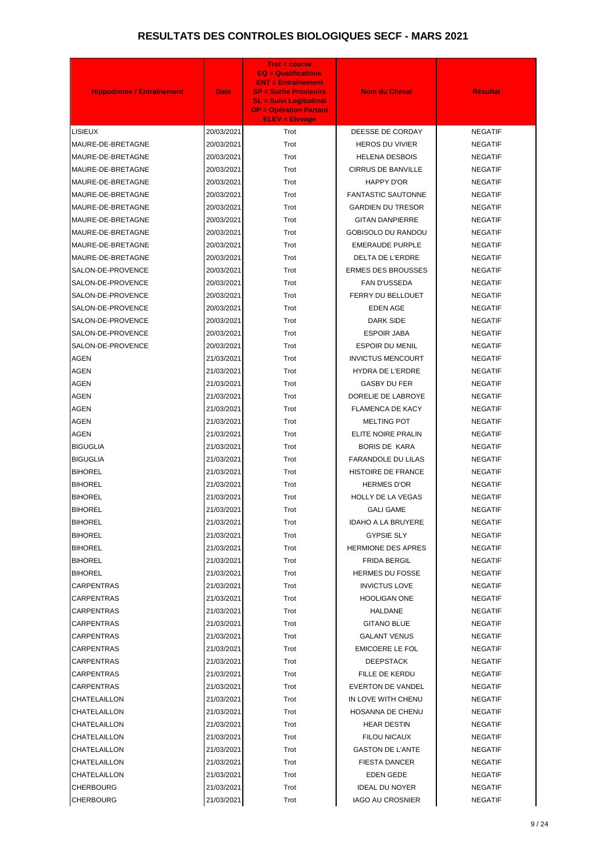| <b>Hippodrome / Entraînement</b> | <b>Date</b> | <b>Trot = course</b><br>$EQ = \text{Qualifications}$<br><b>ENT = Entraînement</b><br><b>SP = Sortie Provisoire</b><br><b>SL = Suivi Logitudinal</b><br><b>OP = Opération Partant</b><br><b>ELEV = Elevage</b> | <b>Nom du Cheval</b>      | <b>Résultat</b> |
|----------------------------------|-------------|---------------------------------------------------------------------------------------------------------------------------------------------------------------------------------------------------------------|---------------------------|-----------------|
| LISIEUX                          | 20/03/2021  | Trot                                                                                                                                                                                                          | DEESSE DE CORDAY          | <b>NEGATIF</b>  |
| MAURE-DE-BRETAGNE                | 20/03/2021  | Trot                                                                                                                                                                                                          | <b>HEROS DU VIVIER</b>    | <b>NEGATIF</b>  |
| MAURE-DE-BRETAGNE                | 20/03/2021  | Trot                                                                                                                                                                                                          | <b>HELENA DESBOIS</b>     | <b>NEGATIF</b>  |
| MAURE-DE-BRETAGNE                | 20/03/2021  | Trot                                                                                                                                                                                                          | <b>CIRRUS DE BANVILLE</b> | <b>NEGATIF</b>  |
| MAURE-DE-BRETAGNE                | 20/03/2021  | Trot                                                                                                                                                                                                          | HAPPY D'OR                | <b>NEGATIF</b>  |
| MAURE-DE-BRETAGNE                | 20/03/2021  | Trot                                                                                                                                                                                                          | <b>FANTASTIC SAUTONNE</b> | <b>NEGATIF</b>  |
| MAURE-DE-BRETAGNE                | 20/03/2021  | Trot                                                                                                                                                                                                          | <b>GARDIEN DU TRESOR</b>  | <b>NEGATIF</b>  |
| MAURE-DE-BRETAGNE                | 20/03/2021  | Trot                                                                                                                                                                                                          | <b>GITAN DANPIERRE</b>    | <b>NEGATIF</b>  |
| MAURE-DE-BRETAGNE                | 20/03/2021  | Trot                                                                                                                                                                                                          | <b>GOBISOLO DU RANDOU</b> | <b>NEGATIF</b>  |
| MAURE-DE-BRETAGNE                | 20/03/2021  | Trot                                                                                                                                                                                                          | <b>EMERAUDE PURPLE</b>    | <b>NEGATIF</b>  |
| MAURE-DE-BRETAGNE                | 20/03/2021  | Trot                                                                                                                                                                                                          | <b>DELTA DE L'ERDRE</b>   | <b>NEGATIF</b>  |
| SALON-DE-PROVENCE                | 20/03/2021  | Trot                                                                                                                                                                                                          | <b>ERMES DES BROUSSES</b> | <b>NEGATIF</b>  |
| SALON-DE-PROVENCE                | 20/03/2021  | Trot                                                                                                                                                                                                          | FAN D'USSEDA              | <b>NEGATIF</b>  |
| SALON-DE-PROVENCE                | 20/03/2021  | Trot                                                                                                                                                                                                          | FERRY DU BELLOUET         | <b>NEGATIF</b>  |
| SALON-DE-PROVENCE                | 20/03/2021  | Trot                                                                                                                                                                                                          | <b>EDEN AGE</b>           | <b>NEGATIF</b>  |
| SALON-DE-PROVENCE                | 20/03/2021  | Trot                                                                                                                                                                                                          | <b>DARK SIDE</b>          | <b>NEGATIF</b>  |
| SALON-DE-PROVENCE                | 20/03/2021  | Trot                                                                                                                                                                                                          | <b>ESPOIR JABA</b>        | <b>NEGATIF</b>  |
| SALON-DE-PROVENCE                | 20/03/2021  | Trot                                                                                                                                                                                                          | <b>ESPOIR DU MENIL</b>    | <b>NEGATIF</b>  |
| AGEN                             | 21/03/2021  | Trot                                                                                                                                                                                                          | <b>INVICTUS MENCOURT</b>  | <b>NEGATIF</b>  |
| <b>AGEN</b>                      | 21/03/2021  | Trot                                                                                                                                                                                                          | HYDRA DE L'ERDRE          | <b>NEGATIF</b>  |
| <b>AGEN</b>                      | 21/03/2021  | Trot                                                                                                                                                                                                          | <b>GASBY DU FER</b>       | <b>NEGATIF</b>  |
| <b>AGEN</b>                      | 21/03/2021  | Trot                                                                                                                                                                                                          | DORELIE DE LABROYE        | <b>NEGATIF</b>  |
| <b>AGEN</b>                      | 21/03/2021  | Trot                                                                                                                                                                                                          | <b>FLAMENCA DE KACY</b>   | <b>NEGATIF</b>  |
| <b>AGEN</b>                      | 21/03/2021  | Trot                                                                                                                                                                                                          | <b>MELTING POT</b>        | <b>NEGATIF</b>  |
| <b>AGEN</b>                      | 21/03/2021  | Trot                                                                                                                                                                                                          | ELITE NOIRE PRALIN        | <b>NEGATIF</b>  |
| <b>BIGUGLIA</b>                  | 21/03/2021  | Trot                                                                                                                                                                                                          | <b>BORIS DE KARA</b>      | <b>NEGATIF</b>  |
| <b>BIGUGLIA</b>                  | 21/03/2021  | Trot                                                                                                                                                                                                          | <b>FARANDOLE DU LILAS</b> | <b>NEGATIF</b>  |
| <b>BIHOREL</b>                   | 21/03/2021  | Trot                                                                                                                                                                                                          | HISTOIRE DE FRANCE        | <b>NEGATIF</b>  |
| <b>BIHOREL</b>                   | 21/03/2021  | Trot                                                                                                                                                                                                          | <b>HERMES D'OR</b>        | <b>NEGATIF</b>  |
| <b>BIHOREL</b>                   | 21/03/2021  | Trot                                                                                                                                                                                                          | <b>HOLLY DE LA VEGAS</b>  | <b>NEGATIF</b>  |
| <b>BIHOREL</b>                   | 21/03/2021  | Trot                                                                                                                                                                                                          | <b>GALI GAME</b>          | <b>NEGATIF</b>  |
| <b>BIHOREL</b>                   | 21/03/2021  | Trot                                                                                                                                                                                                          | <b>IDAHO A LA BRUYERE</b> | <b>NEGATIF</b>  |
| <b>BIHOREL</b>                   | 21/03/2021  | Trot                                                                                                                                                                                                          | <b>GYPSIE SLY</b>         | <b>NEGATIF</b>  |
| <b>BIHOREL</b>                   | 21/03/2021  | Trot                                                                                                                                                                                                          | <b>HERMIONE DES APRES</b> | <b>NEGATIF</b>  |
| <b>BIHOREL</b>                   | 21/03/2021  | Trot                                                                                                                                                                                                          | <b>FRIDA BERGIL</b>       | <b>NEGATIF</b>  |
| <b>BIHOREL</b>                   | 21/03/2021  | Trot                                                                                                                                                                                                          | <b>HERMES DU FOSSE</b>    | <b>NEGATIF</b>  |
| CARPENTRAS                       | 21/03/2021  | Trot                                                                                                                                                                                                          | <b>INVICTUS LOVE</b>      | <b>NEGATIF</b>  |
| <b>CARPENTRAS</b>                | 21/03/2021  | Trot                                                                                                                                                                                                          | <b>HOOLIGAN ONE</b>       | <b>NEGATIF</b>  |
| CARPENTRAS                       | 21/03/2021  | Trot                                                                                                                                                                                                          | HALDANE                   | <b>NEGATIF</b>  |
| <b>CARPENTRAS</b>                | 21/03/2021  | Trot                                                                                                                                                                                                          | <b>GITANO BLUE</b>        | <b>NEGATIF</b>  |
| CARPENTRAS                       | 21/03/2021  | Trot                                                                                                                                                                                                          | <b>GALANT VENUS</b>       | <b>NEGATIF</b>  |
| CARPENTRAS                       | 21/03/2021  | Trot                                                                                                                                                                                                          | EMICOERE LE FOL           | <b>NEGATIF</b>  |
| <b>CARPENTRAS</b>                | 21/03/2021  | Trot                                                                                                                                                                                                          | <b>DEEPSTACK</b>          | <b>NEGATIF</b>  |
| CARPENTRAS                       | 21/03/2021  | Trot                                                                                                                                                                                                          | FILLE DE KERDU            | <b>NEGATIF</b>  |
| <b>CARPENTRAS</b>                | 21/03/2021  | Trot                                                                                                                                                                                                          | <b>EVERTON DE VANDEL</b>  | <b>NEGATIF</b>  |
| CHATELAILLON                     | 21/03/2021  | Trot                                                                                                                                                                                                          | IN LOVE WITH CHENU        | <b>NEGATIF</b>  |
| CHATELAILLON                     | 21/03/2021  | Trot                                                                                                                                                                                                          | HOSANNA DE CHENU          | <b>NEGATIF</b>  |
| CHATELAILLON                     | 21/03/2021  | Trot                                                                                                                                                                                                          | <b>HEAR DESTIN</b>        | <b>NEGATIF</b>  |
| CHATELAILLON                     | 21/03/2021  | Trot                                                                                                                                                                                                          | FILOU NICAUX              | <b>NEGATIF</b>  |
| CHATELAILLON                     | 21/03/2021  | Trot                                                                                                                                                                                                          | <b>GASTON DE L'ANTE</b>   | <b>NEGATIF</b>  |
| CHATELAILLON                     | 21/03/2021  | Trot                                                                                                                                                                                                          | <b>FIESTA DANCER</b>      | <b>NEGATIF</b>  |
| CHATELAILLON                     | 21/03/2021  | Trot                                                                                                                                                                                                          | <b>EDEN GEDE</b>          | <b>NEGATIF</b>  |
| <b>CHERBOURG</b>                 | 21/03/2021  | Trot                                                                                                                                                                                                          | <b>IDEAL DU NOYER</b>     | <b>NEGATIF</b>  |
| <b>CHERBOURG</b>                 | 21/03/2021  | Trot                                                                                                                                                                                                          | <b>IAGO AU CROSNIER</b>   | <b>NEGATIF</b>  |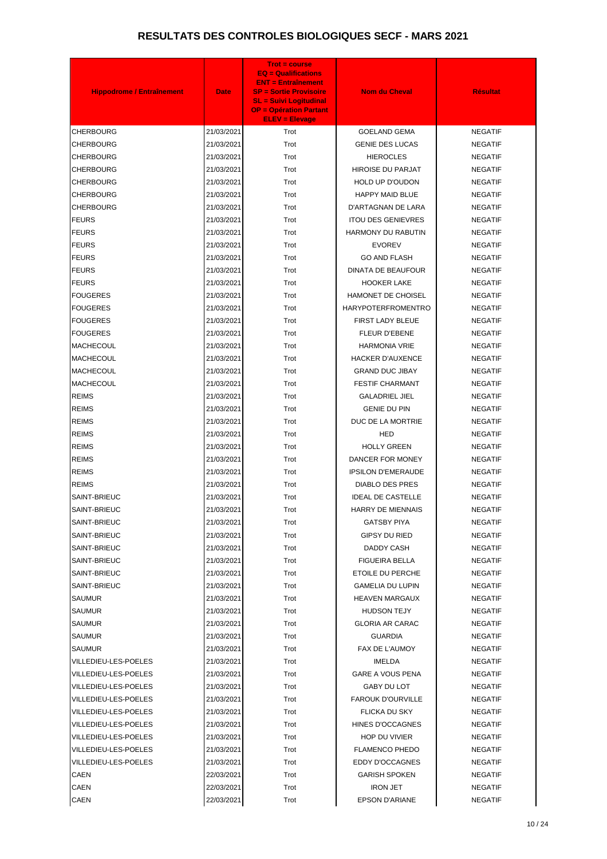| <b>Hippodrome / Entraînement</b> | <b>Date</b> | <b>Trot = course</b><br><b>EQ = Qualifications</b><br><b>ENT = Entraînement</b><br><b>SP = Sortie Provisoire</b><br><b>SL = Suivi Logitudinal</b><br><b>OP = Opération Partant</b><br><b>ELEV = Elevage</b> | <b>Nom du Cheval</b>      | <b>Résultat</b> |
|----------------------------------|-------------|-------------------------------------------------------------------------------------------------------------------------------------------------------------------------------------------------------------|---------------------------|-----------------|
| <b>CHERBOURG</b>                 | 21/03/2021  | Trot                                                                                                                                                                                                        | <b>GOELAND GEMA</b>       | <b>NEGATIF</b>  |
| <b>CHERBOURG</b>                 | 21/03/2021  | Trot                                                                                                                                                                                                        | <b>GENIE DES LUCAS</b>    | <b>NEGATIF</b>  |
| <b>CHERBOURG</b>                 | 21/03/2021  | Trot                                                                                                                                                                                                        | <b>HIEROCLES</b>          | <b>NEGATIF</b>  |
| <b>CHERBOURG</b>                 | 21/03/2021  | Trot                                                                                                                                                                                                        | <b>HIROISE DU PARJAT</b>  | <b>NEGATIF</b>  |
| <b>CHERBOURG</b>                 | 21/03/2021  | Trot                                                                                                                                                                                                        | <b>HOLD UP D'OUDON</b>    | <b>NEGATIF</b>  |
| <b>CHERBOURG</b>                 | 21/03/2021  | Trot                                                                                                                                                                                                        | <b>HAPPY MAID BLUE</b>    | <b>NEGATIF</b>  |
| <b>CHERBOURG</b>                 | 21/03/2021  | Trot                                                                                                                                                                                                        | D'ARTAGNAN DE LARA        | <b>NEGATIF</b>  |
| <b>FEURS</b>                     | 21/03/2021  | Trot                                                                                                                                                                                                        | <b>ITOU DES GENIEVRES</b> | <b>NEGATIF</b>  |
| <b>FEURS</b>                     | 21/03/2021  | Trot                                                                                                                                                                                                        | <b>HARMONY DU RABUTIN</b> | <b>NEGATIF</b>  |
| <b>FEURS</b>                     | 21/03/2021  | Trot                                                                                                                                                                                                        | <b>EVOREV</b>             | <b>NEGATIF</b>  |
| <b>FEURS</b>                     | 21/03/2021  | Trot                                                                                                                                                                                                        | <b>GO AND FLASH</b>       | <b>NEGATIF</b>  |
| <b>FEURS</b>                     | 21/03/2021  | Trot                                                                                                                                                                                                        | <b>DINATA DE BEAUFOUR</b> | <b>NEGATIF</b>  |
| <b>FEURS</b>                     | 21/03/2021  | Trot                                                                                                                                                                                                        | <b>HOOKER LAKE</b>        | <b>NEGATIF</b>  |
| <b>FOUGERES</b>                  | 21/03/2021  | Trot                                                                                                                                                                                                        | <b>HAMONET DE CHOISEL</b> | <b>NEGATIF</b>  |
| <b>FOUGERES</b>                  | 21/03/2021  | Trot                                                                                                                                                                                                        | <b>HARYPOTERFROMENTRO</b> | <b>NEGATIF</b>  |
| <b>FOUGERES</b>                  | 21/03/2021  | Trot                                                                                                                                                                                                        | FIRST LADY BLEUE          | <b>NEGATIF</b>  |
| <b>FOUGERES</b>                  | 21/03/2021  | Trot                                                                                                                                                                                                        | <b>FLEUR D'EBENE</b>      | <b>NEGATIF</b>  |
| <b>MACHECOUL</b>                 | 21/03/2021  | Trot                                                                                                                                                                                                        | <b>HARMONIA VRIE</b>      | <b>NEGATIF</b>  |
| <b>MACHECOUL</b>                 | 21/03/2021  | Trot                                                                                                                                                                                                        | <b>HACKER D'AUXENCE</b>   | <b>NEGATIF</b>  |
| <b>MACHECOUL</b>                 | 21/03/2021  | Trot                                                                                                                                                                                                        | <b>GRAND DUC JIBAY</b>    | <b>NEGATIF</b>  |
| <b>MACHECOUL</b>                 | 21/03/2021  | Trot                                                                                                                                                                                                        | <b>FESTIF CHARMANT</b>    | <b>NEGATIF</b>  |
| <b>REIMS</b>                     | 21/03/2021  | Trot                                                                                                                                                                                                        | <b>GALADRIEL JIEL</b>     | <b>NEGATIF</b>  |
| <b>REIMS</b>                     | 21/03/2021  | Trot                                                                                                                                                                                                        | <b>GENIE DU PIN</b>       | <b>NEGATIF</b>  |
| <b>REIMS</b>                     | 21/03/2021  | Trot                                                                                                                                                                                                        | DUC DE LA MORTRIE         | <b>NEGATIF</b>  |
| <b>REIMS</b>                     | 21/03/2021  | Trot                                                                                                                                                                                                        | HED                       | <b>NEGATIF</b>  |
| <b>REIMS</b>                     | 21/03/2021  | Trot                                                                                                                                                                                                        | <b>HOLLY GREEN</b>        | <b>NEGATIF</b>  |
| <b>REIMS</b>                     | 21/03/2021  | Trot                                                                                                                                                                                                        | DANCER FOR MONEY          | NEGATIF         |
| <b>REIMS</b>                     | 21/03/2021  | Trot                                                                                                                                                                                                        | <b>IPSILON D'EMERAUDE</b> | <b>NEGATIF</b>  |
| <b>REIMS</b>                     | 21/03/2021  | Trot                                                                                                                                                                                                        | <b>DIABLO DES PRES</b>    | <b>NEGATIF</b>  |
| SAINT-BRIEUC                     | 21/03/2021  | Trot                                                                                                                                                                                                        | <b>IDEAL DE CASTELLE</b>  | <b>NEGATIF</b>  |
| SAINT-BRIEUC                     | 21/03/2021  | Trot                                                                                                                                                                                                        | <b>HARRY DE MIENNAIS</b>  | <b>NEGATIF</b>  |
| SAINT-BRIEUC                     | 21/03/2021  | Trot                                                                                                                                                                                                        | <b>GATSBY PIYA</b>        | <b>NEGATIF</b>  |
| SAINT-BRIEUC                     | 21/03/2021  | Trot                                                                                                                                                                                                        | GIPSY DU RIED             | <b>NEGATIF</b>  |
| SAINT-BRIEUC                     | 21/03/2021  | Trot                                                                                                                                                                                                        | DADDY CASH                | <b>NEGATIF</b>  |
| SAINT-BRIEUC                     | 21/03/2021  | Trot                                                                                                                                                                                                        | <b>FIGUEIRA BELLA</b>     | <b>NEGATIF</b>  |
| SAINT-BRIEUC                     | 21/03/2021  | Trot                                                                                                                                                                                                        | ETOILE DU PERCHE          | <b>NEGATIF</b>  |
| SAINT-BRIEUC                     | 21/03/2021  | Trot                                                                                                                                                                                                        | <b>GAMELIA DU LUPIN</b>   | <b>NEGATIF</b>  |
| SAUMUR                           | 21/03/2021  | Trot                                                                                                                                                                                                        | <b>HEAVEN MARGAUX</b>     | <b>NEGATIF</b>  |
| SAUMUR                           | 21/03/2021  | Trot                                                                                                                                                                                                        | <b>HUDSON TEJY</b>        | <b>NEGATIF</b>  |
| <b>SAUMUR</b>                    | 21/03/2021  | Trot                                                                                                                                                                                                        | <b>GLORIA AR CARAC</b>    | <b>NEGATIF</b>  |
| <b>SAUMUR</b>                    | 21/03/2021  | Trot                                                                                                                                                                                                        | <b>GUARDIA</b>            | <b>NEGATIF</b>  |
| SAUMUR                           | 21/03/2021  | Trot                                                                                                                                                                                                        | FAX DE L'AUMOY            | <b>NEGATIF</b>  |
| VILLEDIEU-LES-POELES             | 21/03/2021  | Trot                                                                                                                                                                                                        | IMELDA                    | <b>NEGATIF</b>  |
| VILLEDIEU-LES-POELES             | 21/03/2021  | Trot                                                                                                                                                                                                        | GARE A VOUS PENA          | <b>NEGATIF</b>  |
| VILLEDIEU-LES-POELES             | 21/03/2021  | Trot                                                                                                                                                                                                        | GABY DU LOT               | <b>NEGATIF</b>  |
| VILLEDIEU-LES-POELES             | 21/03/2021  | Trot                                                                                                                                                                                                        | <b>FAROUK D'OURVILLE</b>  | <b>NEGATIF</b>  |
| VILLEDIEU-LES-POELES             | 21/03/2021  | Trot                                                                                                                                                                                                        | FLICKA DU SKY             | <b>NEGATIF</b>  |
| VILLEDIEU-LES-POELES             | 21/03/2021  | Trot                                                                                                                                                                                                        | HINES D'OCCAGNES          | <b>NEGATIF</b>  |
| VILLEDIEU-LES-POELES             | 21/03/2021  | Trot                                                                                                                                                                                                        | <b>HOP DU VIVIER</b>      | <b>NEGATIF</b>  |
| VILLEDIEU-LES-POELES             | 21/03/2021  | Trot                                                                                                                                                                                                        | <b>FLAMENCO PHEDO</b>     | <b>NEGATIF</b>  |
| VILLEDIEU-LES-POELES             | 21/03/2021  | Trot                                                                                                                                                                                                        | EDDY D'OCCAGNES           | <b>NEGATIF</b>  |
| CAEN                             | 22/03/2021  | Trot                                                                                                                                                                                                        | <b>GARISH SPOKEN</b>      | <b>NEGATIF</b>  |
| CAEN                             | 22/03/2021  | Trot                                                                                                                                                                                                        | <b>IRON JET</b>           | <b>NEGATIF</b>  |
| <b>CAEN</b>                      | 22/03/2021  | Trot                                                                                                                                                                                                        | <b>EPSON D'ARIANE</b>     | <b>NEGATIF</b>  |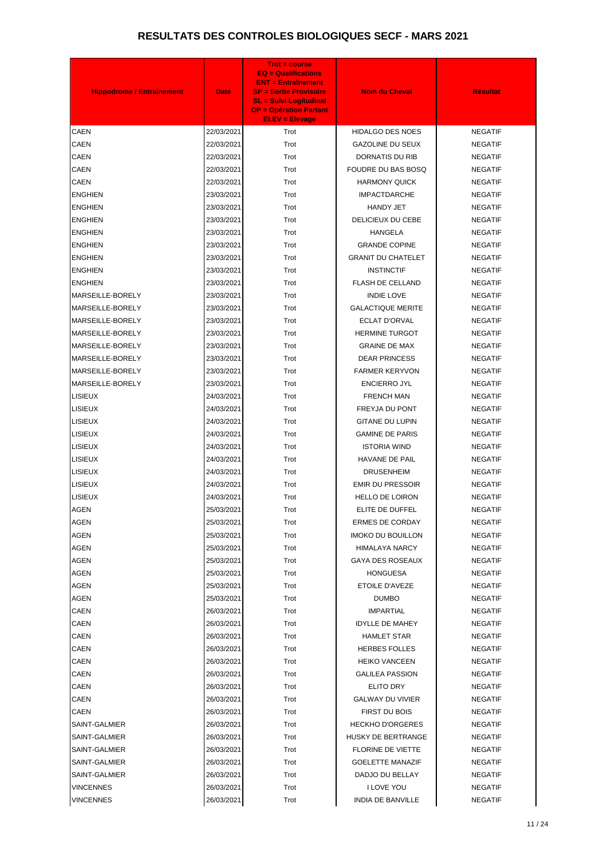| <b>Hippodrome / Entraînement</b> | <b>Date</b> | <b>Trot = course</b><br><b>EQ = Qualifications</b><br><b>ENT = Entraînement</b><br><b>SP = Sortie Provisoire</b><br><b>SL = Suivi Logitudinal</b><br><b>OP = Opération Partant</b><br><b>ELEV = Elevage</b> | <b>Nom du Cheval</b>      | <b>Résultat</b> |
|----------------------------------|-------------|-------------------------------------------------------------------------------------------------------------------------------------------------------------------------------------------------------------|---------------------------|-----------------|
| <b>CAEN</b>                      | 22/03/2021  | Trot                                                                                                                                                                                                        | <b>HIDALGO DES NOES</b>   | <b>NEGATIF</b>  |
| <b>CAEN</b>                      | 22/03/2021  | Trot                                                                                                                                                                                                        | <b>GAZOLINE DU SEUX</b>   | <b>NEGATIF</b>  |
| <b>CAEN</b>                      | 22/03/2021  | Trot                                                                                                                                                                                                        | <b>DORNATIS DU RIB</b>    | <b>NEGATIF</b>  |
| <b>CAEN</b>                      | 22/03/2021  | Trot                                                                                                                                                                                                        | FOUDRE DU BAS BOSQ        | <b>NEGATIF</b>  |
| <b>CAEN</b>                      | 22/03/2021  | Trot                                                                                                                                                                                                        | <b>HARMONY QUICK</b>      | <b>NEGATIF</b>  |
| <b>ENGHIEN</b>                   | 23/03/2021  | Trot                                                                                                                                                                                                        | <b>IMPACTDARCHE</b>       | <b>NEGATIF</b>  |
| <b>ENGHIEN</b>                   | 23/03/2021  | Trot                                                                                                                                                                                                        | <b>HANDY JET</b>          | <b>NEGATIF</b>  |
| <b>ENGHIEN</b>                   | 23/03/2021  | Trot                                                                                                                                                                                                        | DELICIEUX DU CEBE         | <b>NEGATIF</b>  |
| <b>ENGHIEN</b>                   | 23/03/2021  | Trot                                                                                                                                                                                                        | <b>HANGELA</b>            | <b>NEGATIF</b>  |
| <b>ENGHIEN</b>                   | 23/03/2021  | Trot                                                                                                                                                                                                        | <b>GRANDE COPINE</b>      | <b>NEGATIF</b>  |
| <b>ENGHIEN</b>                   | 23/03/2021  | Trot                                                                                                                                                                                                        | <b>GRANIT DU CHATELET</b> | <b>NEGATIF</b>  |
| <b>ENGHIEN</b>                   | 23/03/2021  | Trot                                                                                                                                                                                                        | <b>INSTINCTIF</b>         | <b>NEGATIF</b>  |
| <b>ENGHIEN</b>                   | 23/03/2021  | Trot                                                                                                                                                                                                        | <b>FLASH DE CELLAND</b>   | <b>NEGATIF</b>  |
| MARSEILLE-BORELY                 | 23/03/2021  | Trot                                                                                                                                                                                                        | <b>INDIE LOVE</b>         | <b>NEGATIF</b>  |
| MARSEILLE-BORELY                 | 23/03/2021  | Trot                                                                                                                                                                                                        | <b>GALACTIQUE MERITE</b>  | <b>NEGATIF</b>  |
| MARSEILLE-BORELY                 | 23/03/2021  | Trot                                                                                                                                                                                                        | <b>ECLAT D'ORVAL</b>      | <b>NEGATIF</b>  |
| MARSEILLE-BORELY                 | 23/03/2021  | Trot                                                                                                                                                                                                        | <b>HERMINE TURGOT</b>     | <b>NEGATIF</b>  |
| MARSEILLE-BORELY                 | 23/03/2021  | Trot                                                                                                                                                                                                        | <b>GRAINE DE MAX</b>      | <b>NEGATIF</b>  |
| MARSEILLE-BORELY                 | 23/03/2021  | Trot                                                                                                                                                                                                        | <b>DEAR PRINCESS</b>      | <b>NEGATIF</b>  |
| MARSEILLE-BORELY                 | 23/03/2021  | Trot                                                                                                                                                                                                        | <b>FARMER KERYVON</b>     | <b>NEGATIF</b>  |
| MARSEILLE-BORELY                 | 23/03/2021  | Trot                                                                                                                                                                                                        | <b>ENCIERRO JYL</b>       | <b>NEGATIF</b>  |
| <b>LISIEUX</b>                   | 24/03/2021  | Trot                                                                                                                                                                                                        | <b>FRENCH MAN</b>         | <b>NEGATIF</b>  |
| <b>LISIEUX</b>                   | 24/03/2021  | Trot                                                                                                                                                                                                        | FREYJA DU PONT            | <b>NEGATIF</b>  |
| LISIEUX                          | 24/03/2021  | Trot                                                                                                                                                                                                        | <b>GITANE DU LUPIN</b>    | <b>NEGATIF</b>  |
| <b>LISIEUX</b>                   | 24/03/2021  | Trot                                                                                                                                                                                                        | <b>GAMINE DE PARIS</b>    | <b>NEGATIF</b>  |
| LISIEUX                          | 24/03/2021  | Trot                                                                                                                                                                                                        | <b>ISTORIA WIND</b>       | <b>NEGATIF</b>  |
| <b>LISIEUX</b>                   | 24/03/2021  | Trot                                                                                                                                                                                                        | HAVANE DE PAIL            | <b>NEGATIF</b>  |
| <b>LISIEUX</b>                   | 24/03/2021  | Trot                                                                                                                                                                                                        | <b>DRUSENHEIM</b>         | <b>NEGATIF</b>  |
| <b>LISIEUX</b>                   | 24/03/2021  | Trot                                                                                                                                                                                                        | <b>EMIR DU PRESSOIR</b>   | <b>NEGATIF</b>  |
| <b>LISIEUX</b>                   | 24/03/2021  | Trot                                                                                                                                                                                                        | <b>HELLO DE LOIRON</b>    | <b>NEGATIF</b>  |
| <b>AGEN</b>                      | 25/03/2021  | Trot                                                                                                                                                                                                        | ELITE DE DUFFEL           | <b>NEGATIF</b>  |
| <b>AGEN</b>                      | 25/03/2021  | Trot                                                                                                                                                                                                        | <b>ERMES DE CORDAY</b>    | <b>NEGATIF</b>  |
| <b>AGEN</b>                      | 25/03/2021  | Trot                                                                                                                                                                                                        | <b>IMOKO DU BOUILLON</b>  | <b>NEGATIF</b>  |
| <b>AGEN</b>                      | 25/03/2021  | Trot                                                                                                                                                                                                        | <b>HIMALAYA NARCY</b>     | <b>NEGATIF</b>  |
| <b>AGEN</b>                      | 25/03/2021  | Trot                                                                                                                                                                                                        | <b>GAYA DES ROSEAUX</b>   | <b>NEGATIF</b>  |
| <b>AGEN</b>                      | 25/03/2021  | Trot                                                                                                                                                                                                        | <b>HONGUESA</b>           | <b>NEGATIF</b>  |
| <b>AGEN</b>                      | 25/03/2021  | Trot                                                                                                                                                                                                        | ETOILE D'AVEZE            | <b>NEGATIF</b>  |
| <b>AGEN</b>                      | 25/03/2021  | Trot                                                                                                                                                                                                        | <b>DUMBO</b>              | <b>NEGATIF</b>  |
| <b>CAEN</b>                      | 26/03/2021  | Trot                                                                                                                                                                                                        | <b>IMPARTIAL</b>          | <b>NEGATIF</b>  |
| CAEN                             | 26/03/2021  | Trot                                                                                                                                                                                                        | <b>IDYLLE DE MAHEY</b>    | <b>NEGATIF</b>  |
| <b>CAEN</b>                      | 26/03/2021  | Trot                                                                                                                                                                                                        | <b>HAMLET STAR</b>        | <b>NEGATIF</b>  |
| <b>CAEN</b>                      | 26/03/2021  | Trot                                                                                                                                                                                                        | <b>HERBES FOLLES</b>      | <b>NEGATIF</b>  |
| <b>CAEN</b>                      | 26/03/2021  | Trot                                                                                                                                                                                                        | <b>HEIKO VANCEEN</b>      | <b>NEGATIF</b>  |
| <b>CAEN</b>                      | 26/03/2021  | Trot                                                                                                                                                                                                        | <b>GALILEA PASSION</b>    | <b>NEGATIF</b>  |
| <b>CAEN</b>                      | 26/03/2021  | Trot                                                                                                                                                                                                        | <b>ELITO DRY</b>          | <b>NEGATIF</b>  |
| <b>CAEN</b>                      | 26/03/2021  | Trot                                                                                                                                                                                                        | <b>GALWAY DU VIVIER</b>   | <b>NEGATIF</b>  |
| <b>CAEN</b>                      | 26/03/2021  | Trot                                                                                                                                                                                                        | <b>FIRST DU BOIS</b>      | <b>NEGATIF</b>  |
| SAINT-GALMIER                    | 26/03/2021  | Trot                                                                                                                                                                                                        | <b>HECKHO D'ORGERES</b>   | <b>NEGATIF</b>  |
| SAINT-GALMIER                    | 26/03/2021  | Trot                                                                                                                                                                                                        | HUSKY DE BERTRANGE        | <b>NEGATIF</b>  |
| SAINT-GALMIER                    | 26/03/2021  | Trot                                                                                                                                                                                                        | <b>FLORINE DE VIETTE</b>  | <b>NEGATIF</b>  |
| SAINT-GALMIER                    | 26/03/2021  | Trot                                                                                                                                                                                                        | <b>GOELETTE MANAZIF</b>   | <b>NEGATIF</b>  |
| SAINT-GALMIER                    | 26/03/2021  | Trot                                                                                                                                                                                                        | DADJO DU BELLAY           | <b>NEGATIF</b>  |
| <b>VINCENNES</b>                 | 26/03/2021  | Trot                                                                                                                                                                                                        | I LOVE YOU                | <b>NEGATIF</b>  |
| <b>VINCENNES</b>                 | 26/03/2021  | Trot                                                                                                                                                                                                        | <b>INDIA DE BANVILLE</b>  | <b>NEGATIF</b>  |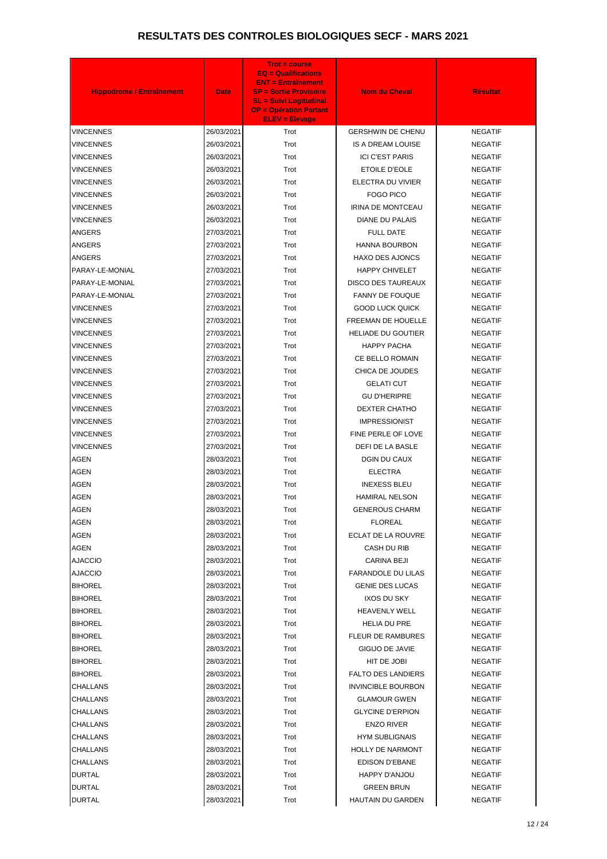| <b>Hippodrome / Entraînement</b> | <b>Date</b> | <b>Trot = course</b><br><b>EQ = Qualifications</b><br><b>ENT = Entraînement</b><br><b>SP = Sortie Provisoire</b><br><b>SL = Suivi Logitudinal</b><br><b>OP = Opération Partant</b><br><b>ELEV = Elevage</b> | <b>Nom du Cheval</b>      | <b>Résultat</b> |
|----------------------------------|-------------|-------------------------------------------------------------------------------------------------------------------------------------------------------------------------------------------------------------|---------------------------|-----------------|
| VINCENNES                        | 26/03/2021  | Trot                                                                                                                                                                                                        | <b>GERSHWIN DE CHENU</b>  | <b>NEGATIF</b>  |
| <b>VINCENNES</b>                 | 26/03/2021  | Trot                                                                                                                                                                                                        | <b>IS A DREAM LOUISE</b>  | <b>NEGATIF</b>  |
| VINCENNES                        | 26/03/2021  | Trot                                                                                                                                                                                                        | <b>ICI C'EST PARIS</b>    | <b>NEGATIF</b>  |
| VINCENNES                        | 26/03/2021  | Trot                                                                                                                                                                                                        | ETOILE D'EOLE             | <b>NEGATIF</b>  |
| VINCENNES                        | 26/03/2021  | Trot                                                                                                                                                                                                        | ELECTRA DU VIVIER         | <b>NEGATIF</b>  |
| VINCENNES                        | 26/03/2021  | Trot                                                                                                                                                                                                        | <b>FOGO PICO</b>          | <b>NEGATIF</b>  |
| <b>VINCENNES</b>                 | 26/03/2021  | Trot                                                                                                                                                                                                        | IRINA DE MONTCEAU         | <b>NEGATIF</b>  |
| VINCENNES                        | 26/03/2021  | Trot                                                                                                                                                                                                        | <b>DIANE DU PALAIS</b>    | <b>NEGATIF</b>  |
| <b>ANGERS</b>                    | 27/03/2021  | Trot                                                                                                                                                                                                        | <b>FULL DATE</b>          | <b>NEGATIF</b>  |
| ANGERS                           | 27/03/2021  | Trot                                                                                                                                                                                                        | <b>HANNA BOURBON</b>      | <b>NEGATIF</b>  |
| <b>ANGERS</b>                    | 27/03/2021  | Trot                                                                                                                                                                                                        | <b>HAXO DES AJONCS</b>    | <b>NEGATIF</b>  |
| PARAY-LE-MONIAL                  | 27/03/2021  | Trot                                                                                                                                                                                                        | <b>HAPPY CHIVELET</b>     | <b>NEGATIF</b>  |
| PARAY-LE-MONIAL                  | 27/03/2021  | Trot                                                                                                                                                                                                        | <b>DISCO DES TAUREAUX</b> | <b>NEGATIF</b>  |
| PARAY-LE-MONIAL                  | 27/03/2021  | Trot                                                                                                                                                                                                        | <b>FANNY DE FOUQUE</b>    | <b>NEGATIF</b>  |
| VINCENNES                        | 27/03/2021  | Trot                                                                                                                                                                                                        | <b>GOOD LUCK QUICK</b>    | <b>NEGATIF</b>  |
| VINCENNES                        | 27/03/2021  | Trot                                                                                                                                                                                                        | FREEMAN DE HOUELLE        | <b>NEGATIF</b>  |
| VINCENNES                        | 27/03/2021  | Trot                                                                                                                                                                                                        | <b>HELIADE DU GOUTIER</b> | <b>NEGATIF</b>  |
| VINCENNES                        | 27/03/2021  | Trot                                                                                                                                                                                                        | <b>HAPPY PACHA</b>        | <b>NEGATIF</b>  |
| VINCENNES                        | 27/03/2021  | Trot                                                                                                                                                                                                        | CE BELLO ROMAIN           | <b>NEGATIF</b>  |
| VINCENNES                        | 27/03/2021  | Trot                                                                                                                                                                                                        | CHICA DE JOUDES           | <b>NEGATIF</b>  |
| VINCENNES                        | 27/03/2021  | Trot                                                                                                                                                                                                        | <b>GELATI CUT</b>         | <b>NEGATIF</b>  |
| VINCENNES                        | 27/03/2021  | Trot                                                                                                                                                                                                        | <b>GU D'HERIPRE</b>       | <b>NEGATIF</b>  |
| VINCENNES                        | 27/03/2021  | Trot                                                                                                                                                                                                        | <b>DEXTER CHATHO</b>      | <b>NEGATIF</b>  |
| VINCENNES                        | 27/03/2021  | Trot                                                                                                                                                                                                        | <b>IMPRESSIONIST</b>      | <b>NEGATIF</b>  |
| <b>VINCENNES</b>                 | 27/03/2021  | Trot                                                                                                                                                                                                        | FINE PERLE OF LOVE        | <b>NEGATIF</b>  |
| <b>VINCENNES</b>                 | 27/03/2021  | Trot                                                                                                                                                                                                        | DEFI DE LA BASLE          | <b>NEGATIF</b>  |
| <b>AGEN</b>                      | 28/03/2021  | Trot                                                                                                                                                                                                        | DGIN DU CAUX              | <b>NEGATIF</b>  |
| <b>AGEN</b>                      | 28/03/2021  | Trot                                                                                                                                                                                                        | <b>ELECTRA</b>            | <b>NEGATIF</b>  |
| <b>AGEN</b>                      | 28/03/2021  | Trot                                                                                                                                                                                                        | <b>INEXESS BLEU</b>       | <b>NEGATIF</b>  |
| <b>AGEN</b>                      | 28/03/2021  | Trot                                                                                                                                                                                                        | <b>HAMIRAL NELSON</b>     | <b>NEGATIF</b>  |
| <b>AGEN</b>                      | 28/03/2021  | Trot                                                                                                                                                                                                        | <b>GENEROUS CHARM</b>     | <b>NEGATIF</b>  |
| <b>AGEN</b>                      | 28/03/2021  | Trot                                                                                                                                                                                                        | <b>FLOREAL</b>            | <b>NEGATIF</b>  |
| <b>AGEN</b>                      | 28/03/2021  | Trot                                                                                                                                                                                                        | <b>ECLAT DE LA ROUVRE</b> | <b>NEGATIF</b>  |
| <b>AGEN</b>                      | 28/03/2021  | Trot                                                                                                                                                                                                        | CASH DU RIB               | <b>NEGATIF</b>  |
| <b>AJACCIO</b>                   | 28/03/2021  | Trot                                                                                                                                                                                                        | <b>CARINA BEJI</b>        | <b>NEGATIF</b>  |
| <b>AJACCIO</b>                   | 28/03/2021  | Trot                                                                                                                                                                                                        | <b>FARANDOLE DU LILAS</b> | <b>NEGATIF</b>  |
| <b>BIHOREL</b>                   | 28/03/2021  | Trot                                                                                                                                                                                                        | <b>GENIE DES LUCAS</b>    | <b>NEGATIF</b>  |
| <b>BIHOREL</b>                   | 28/03/2021  | Trot                                                                                                                                                                                                        | <b>IXOS DU SKY</b>        | <b>NEGATIF</b>  |
| <b>BIHOREL</b>                   | 28/03/2021  | Trot                                                                                                                                                                                                        | <b>HEAVENLY WELL</b>      | <b>NEGATIF</b>  |
| <b>BIHOREL</b>                   | 28/03/2021  | Trot                                                                                                                                                                                                        | <b>HELIA DU PRE</b>       | <b>NEGATIF</b>  |
| <b>BIHOREL</b>                   | 28/03/2021  | Trot                                                                                                                                                                                                        | <b>FLEUR DE RAMBURES</b>  | <b>NEGATIF</b>  |
| <b>BIHOREL</b>                   | 28/03/2021  | Trot                                                                                                                                                                                                        | <b>GIGIJO DE JAVIE</b>    | <b>NEGATIF</b>  |
| <b>BIHOREL</b>                   | 28/03/2021  | Trot                                                                                                                                                                                                        | HIT DE JOBI               | <b>NEGATIF</b>  |
| <b>BIHOREL</b>                   | 28/03/2021  | Trot                                                                                                                                                                                                        | <b>FALTO DES LANDIERS</b> | <b>NEGATIF</b>  |
| CHALLANS                         | 28/03/2021  | Trot                                                                                                                                                                                                        | <b>INVINCIBLE BOURBON</b> | <b>NEGATIF</b>  |
| <b>CHALLANS</b>                  | 28/03/2021  | Trot                                                                                                                                                                                                        | <b>GLAMOUR GWEN</b>       | <b>NEGATIF</b>  |
| CHALLANS                         | 28/03/2021  | Trot                                                                                                                                                                                                        | <b>GLYCINE D'ERPION</b>   | <b>NEGATIF</b>  |
| <b>CHALLANS</b>                  | 28/03/2021  | Trot                                                                                                                                                                                                        | <b>ENZO RIVER</b>         | <b>NEGATIF</b>  |
| <b>CHALLANS</b>                  | 28/03/2021  | Trot                                                                                                                                                                                                        | <b>HYM SUBLIGNAIS</b>     | <b>NEGATIF</b>  |
| <b>CHALLANS</b>                  | 28/03/2021  | Trot                                                                                                                                                                                                        | <b>HOLLY DE NARMONT</b>   | <b>NEGATIF</b>  |
| CHALLANS                         | 28/03/2021  | Trot                                                                                                                                                                                                        | EDISON D'EBANE            | <b>NEGATIF</b>  |
| <b>DURTAL</b>                    | 28/03/2021  | Trot                                                                                                                                                                                                        | HAPPY D'ANJOU             | <b>NEGATIF</b>  |
| <b>DURTAL</b>                    | 28/03/2021  | Trot                                                                                                                                                                                                        | <b>GREEN BRUN</b>         | <b>NEGATIF</b>  |
| <b>DURTAL</b>                    | 28/03/2021  | Trot                                                                                                                                                                                                        | <b>HAUTAIN DU GARDEN</b>  | <b>NEGATIF</b>  |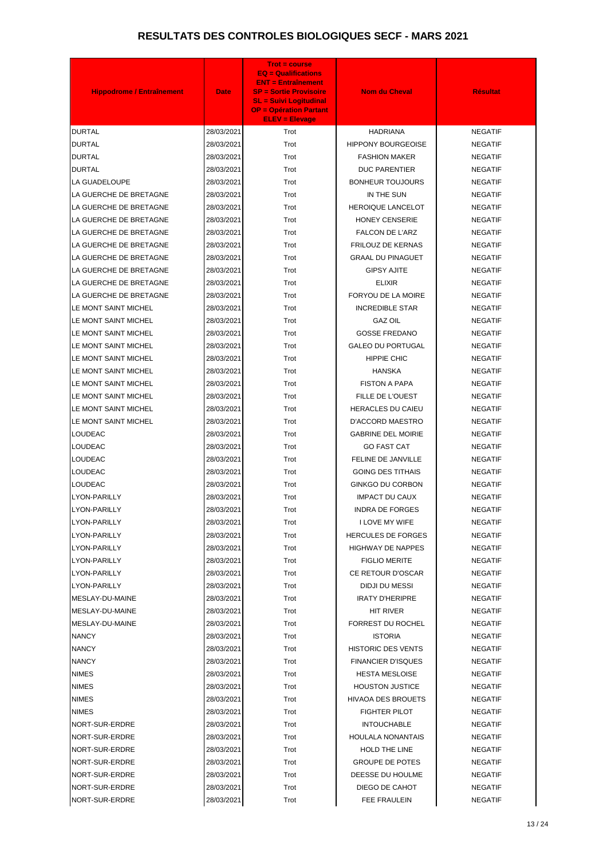| Trot<br><b>DURTAL</b><br>28/03/2021<br><b>HADRIANA</b><br><b>NEGATIF</b><br><b>DURTAL</b><br>Trot<br><b>HIPPONY BOURGEOISE</b><br>28/03/2021<br><b>NEGATIF</b><br><b>DURTAL</b><br>28/03/2021<br>Trot<br><b>FASHION MAKER</b><br><b>NEGATIF</b><br><b>DURTAL</b><br>28/03/2021<br>Trot<br><b>DUC PARENTIER</b><br><b>NEGATIF</b><br><b>LA GUADELOUPE</b><br>28/03/2021<br>Trot<br><b>BONHEUR TOUJOURS</b><br><b>NEGATIF</b><br>LA GUERCHE DE BRETAGNE<br>28/03/2021<br>Trot<br>IN THE SUN<br><b>NEGATIF</b><br>LA GUERCHE DE BRETAGNE<br><b>HEROIQUE LANCELOT</b><br>28/03/2021<br>Trot<br><b>NEGATIF</b><br>LA GUERCHE DE BRETAGNE<br>28/03/2021<br>Trot<br><b>HONEY CENSERIE</b><br><b>NEGATIF</b><br>LA GUERCHE DE BRETAGNE<br>28/03/2021<br>Trot<br><b>FALCON DE L'ARZ</b><br><b>NEGATIF</b><br>LA GUERCHE DE BRETAGNE<br><b>FRILOUZ DE KERNAS</b><br>28/03/2021<br>Trot<br><b>NEGATIF</b><br>LA GUERCHE DE BRETAGNE<br>Trot<br><b>GRAAL DU PINAGUET</b><br><b>NEGATIF</b><br>28/03/2021<br>LA GUERCHE DE BRETAGNE<br>28/03/2021<br>Trot<br><b>GIPSY AJITE</b><br><b>NEGATIF</b><br>LA GUERCHE DE BRETAGNE<br>28/03/2021<br>Trot<br><b>ELIXIR</b><br><b>NEGATIF</b><br>FORYOU DE LA MOIRE<br>LA GUERCHE DE BRETAGNE<br>28/03/2021<br>Trot<br><b>NEGATIF</b><br>LE MONT SAINT MICHEL<br>28/03/2021<br>Trot<br><b>INCREDIBLE STAR</b><br><b>NEGATIF</b><br>LE MONT SAINT MICHEL<br>28/03/2021<br>Trot<br><b>GAZ OIL</b><br><b>NEGATIF</b><br><b>GOSSE FREDANO</b><br>LE MONT SAINT MICHEL<br>28/03/2021<br>Trot<br><b>NEGATIF</b><br>LE MONT SAINT MICHEL<br>28/03/2021<br>Trot<br><b>GALEO DU PORTUGAL</b><br><b>NEGATIF</b><br><b>HIPPIE CHIC</b><br>LE MONT SAINT MICHEL<br>28/03/2021<br>Trot<br><b>NEGATIF</b><br>LE MONT SAINT MICHEL<br>28/03/2021<br>Trot<br><b>HANSKA</b><br><b>NEGATIF</b><br>LE MONT SAINT MICHEL<br>28/03/2021<br>Trot<br><b>FISTON A PAPA</b><br><b>NEGATIF</b><br>LE MONT SAINT MICHEL<br>28/03/2021<br>Trot<br>FILLE DE L'OUEST<br><b>NEGATIF</b><br>LE MONT SAINT MICHEL<br>28/03/2021<br>Trot<br><b>HERACLES DU CAIEU</b><br><b>NEGATIF</b><br>LE MONT SAINT MICHEL<br>28/03/2021<br>Trot<br><b>D'ACCORD MAESTRO</b><br><b>NEGATIF</b><br>LOUDEAC<br>28/03/2021<br>Trot<br><b>GABRINE DEL MOIRIE</b><br><b>NEGATIF</b><br><b>LOUDEAC</b><br>28/03/2021<br><b>GO FAST CAT</b><br>Trot<br><b>NEGATIF</b><br>LOUDEAC<br>28/03/2021<br>Trot<br>FELINE DE JANVILLE<br><b>NEGATIF</b><br>LOUDEAC<br>28/03/2021<br>Trot<br><b>GOING DES TITHAIS</b><br><b>NEGATIF</b><br>LOUDEAC<br>Trot<br><b>GINKGO DU CORBON</b><br>28/03/2021<br><b>NEGATIF</b><br>LYON-PARILLY<br>28/03/2021<br>Trot<br><b>IMPACT DU CAUX</b><br><b>NEGATIF</b><br>LYON-PARILLY<br>28/03/2021<br>Trot<br><b>INDRA DE FORGES</b><br><b>NEGATIF</b><br>Trot<br>I LOVE MY WIFE<br><b>LYON-PARILLY</b><br>28/03/2021<br><b>NEGATIF</b><br><b>HERCULES DE FORGES</b><br><b>LYON-PARILLY</b><br>28/03/2021<br>Trot<br><b>NEGATIF</b><br>Trot<br><b>HIGHWAY DE NAPPES</b><br>LYON-PARILLY<br>28/03/2021<br><b>NEGATIF</b><br>Trot<br>LYON-PARILLY<br>28/03/2021<br><b>FIGLIO MERITE</b><br><b>NEGATIF</b><br>Trot<br>CE RETOUR D'OSCAR<br>LYON-PARILLY<br>28/03/2021<br><b>NEGATIF</b><br>LYON-PARILLY<br>Trot<br>DIDJI DU MESSI<br>28/03/2021<br><b>NEGATIF</b><br>MESLAY-DU-MAINE<br>28/03/2021<br>Trot<br><b>IRATY D'HERIPRE</b><br><b>NEGATIF</b><br>MESLAY-DU-MAINE<br>Trot<br>28/03/2021<br>HIT RIVER<br><b>NEGATIF</b><br>MESLAY-DU-MAINE<br>Trot<br><b>FORREST DU ROCHEL</b><br>28/03/2021<br><b>NEGATIF</b><br><b>NANCY</b><br>Trot<br><b>ISTORIA</b><br>28/03/2021<br><b>NEGATIF</b><br><b>HISTORIC DES VENTS</b><br><b>NANCY</b><br>28/03/2021<br>Trot<br><b>NEGATIF</b><br><b>NANCY</b><br><b>FINANCIER D'ISQUES</b><br>28/03/2021<br>Trot<br><b>NEGATIF</b><br>Trot<br><b>NIMES</b><br>28/03/2021<br><b>HESTA MESLOISE</b><br><b>NEGATIF</b><br>NIMES<br>28/03/2021<br>Trot<br><b>HOUSTON JUSTICE</b><br><b>NEGATIF</b><br><b>NIMES</b><br>28/03/2021<br>Trot<br><b>HIVAOA DES BROUETS</b><br><b>NEGATIF</b><br>Trot<br><b>NIMES</b><br>28/03/2021<br><b>FIGHTER PILOT</b><br><b>NEGATIF</b><br>NORT-SUR-ERDRE<br>28/03/2021<br>Trot<br><b>INTOUCHABLE</b><br><b>NEGATIF</b><br>NORT-SUR-ERDRE<br>Trot<br><b>HOULALA NONANTAIS</b><br>28/03/2021<br><b>NEGATIF</b><br>NORT-SUR-ERDRE<br>28/03/2021<br>Trot<br><b>HOLD THE LINE</b><br><b>NEGATIF</b><br>28/03/2021<br><b>GROUPE DE POTES</b><br>NORT-SUR-ERDRE<br>Trot<br><b>NEGATIF</b><br>DEESSE DU HOULME<br>NORT-SUR-ERDRE<br>28/03/2021<br>Trot<br><b>NEGATIF</b><br>NORT-SUR-ERDRE<br>28/03/2021<br>Trot<br>DIEGO DE CAHOT<br><b>NEGATIF</b> | <b>Hippodrome / Entraînement</b> | <b>Date</b> | <b>Trot = course</b><br>$EQ = \text{Qualifications}$<br><b>ENT = Entraînement</b><br><b>SP = Sortie Provisoire</b><br><b>SL = Suivi Logitudinal</b><br><b>OP = Opération Partant</b><br><b>ELEV = Elevage</b> | <b>Nom du Cheval</b> | <b>Résultat</b> |
|-----------------------------------------------------------------------------------------------------------------------------------------------------------------------------------------------------------------------------------------------------------------------------------------------------------------------------------------------------------------------------------------------------------------------------------------------------------------------------------------------------------------------------------------------------------------------------------------------------------------------------------------------------------------------------------------------------------------------------------------------------------------------------------------------------------------------------------------------------------------------------------------------------------------------------------------------------------------------------------------------------------------------------------------------------------------------------------------------------------------------------------------------------------------------------------------------------------------------------------------------------------------------------------------------------------------------------------------------------------------------------------------------------------------------------------------------------------------------------------------------------------------------------------------------------------------------------------------------------------------------------------------------------------------------------------------------------------------------------------------------------------------------------------------------------------------------------------------------------------------------------------------------------------------------------------------------------------------------------------------------------------------------------------------------------------------------------------------------------------------------------------------------------------------------------------------------------------------------------------------------------------------------------------------------------------------------------------------------------------------------------------------------------------------------------------------------------------------------------------------------------------------------------------------------------------------------------------------------------------------------------------------------------------------------------------------------------------------------------------------------------------------------------------------------------------------------------------------------------------------------------------------------------------------------------------------------------------------------------------------------------------------------------------------------------------------------------------------------------------------------------------------------------------------------------------------------------------------------------------------------------------------------------------------------------------------------------------------------------------------------------------------------------------------------------------------------------------------------------------------------------------------------------------------------------------------------------------------------------------------------------------------------------------------------------------------------------------------------------------------------------------------------------------------------------------------------------------------------------------------------------------------------------------------------------------------------------------------------------------------------------------------------------------------------------------------------------------------------------------------------------------------------------------------------------------------------------------------------------------------------------------------------------------------------------------------------------------------------------------------------------------------------------------------------------------------------------------------------------------------------------------------------------------------------------------------------------------------------------------|----------------------------------|-------------|---------------------------------------------------------------------------------------------------------------------------------------------------------------------------------------------------------------|----------------------|-----------------|
|                                                                                                                                                                                                                                                                                                                                                                                                                                                                                                                                                                                                                                                                                                                                                                                                                                                                                                                                                                                                                                                                                                                                                                                                                                                                                                                                                                                                                                                                                                                                                                                                                                                                                                                                                                                                                                                                                                                                                                                                                                                                                                                                                                                                                                                                                                                                                                                                                                                                                                                                                                                                                                                                                                                                                                                                                                                                                                                                                                                                                                                                                                                                                                                                                                                                                                                                                                                                                                                                                                                                                                                                                                                                                                                                                                                                                                                                                                                                                                                                                                                                                                                                                                                                                                                                                                                                                                                                                                                                                                                                                                                                           |                                  |             |                                                                                                                                                                                                               |                      |                 |
|                                                                                                                                                                                                                                                                                                                                                                                                                                                                                                                                                                                                                                                                                                                                                                                                                                                                                                                                                                                                                                                                                                                                                                                                                                                                                                                                                                                                                                                                                                                                                                                                                                                                                                                                                                                                                                                                                                                                                                                                                                                                                                                                                                                                                                                                                                                                                                                                                                                                                                                                                                                                                                                                                                                                                                                                                                                                                                                                                                                                                                                                                                                                                                                                                                                                                                                                                                                                                                                                                                                                                                                                                                                                                                                                                                                                                                                                                                                                                                                                                                                                                                                                                                                                                                                                                                                                                                                                                                                                                                                                                                                                           |                                  |             |                                                                                                                                                                                                               |                      |                 |
|                                                                                                                                                                                                                                                                                                                                                                                                                                                                                                                                                                                                                                                                                                                                                                                                                                                                                                                                                                                                                                                                                                                                                                                                                                                                                                                                                                                                                                                                                                                                                                                                                                                                                                                                                                                                                                                                                                                                                                                                                                                                                                                                                                                                                                                                                                                                                                                                                                                                                                                                                                                                                                                                                                                                                                                                                                                                                                                                                                                                                                                                                                                                                                                                                                                                                                                                                                                                                                                                                                                                                                                                                                                                                                                                                                                                                                                                                                                                                                                                                                                                                                                                                                                                                                                                                                                                                                                                                                                                                                                                                                                                           |                                  |             |                                                                                                                                                                                                               |                      |                 |
|                                                                                                                                                                                                                                                                                                                                                                                                                                                                                                                                                                                                                                                                                                                                                                                                                                                                                                                                                                                                                                                                                                                                                                                                                                                                                                                                                                                                                                                                                                                                                                                                                                                                                                                                                                                                                                                                                                                                                                                                                                                                                                                                                                                                                                                                                                                                                                                                                                                                                                                                                                                                                                                                                                                                                                                                                                                                                                                                                                                                                                                                                                                                                                                                                                                                                                                                                                                                                                                                                                                                                                                                                                                                                                                                                                                                                                                                                                                                                                                                                                                                                                                                                                                                                                                                                                                                                                                                                                                                                                                                                                                                           |                                  |             |                                                                                                                                                                                                               |                      |                 |
|                                                                                                                                                                                                                                                                                                                                                                                                                                                                                                                                                                                                                                                                                                                                                                                                                                                                                                                                                                                                                                                                                                                                                                                                                                                                                                                                                                                                                                                                                                                                                                                                                                                                                                                                                                                                                                                                                                                                                                                                                                                                                                                                                                                                                                                                                                                                                                                                                                                                                                                                                                                                                                                                                                                                                                                                                                                                                                                                                                                                                                                                                                                                                                                                                                                                                                                                                                                                                                                                                                                                                                                                                                                                                                                                                                                                                                                                                                                                                                                                                                                                                                                                                                                                                                                                                                                                                                                                                                                                                                                                                                                                           |                                  |             |                                                                                                                                                                                                               |                      |                 |
|                                                                                                                                                                                                                                                                                                                                                                                                                                                                                                                                                                                                                                                                                                                                                                                                                                                                                                                                                                                                                                                                                                                                                                                                                                                                                                                                                                                                                                                                                                                                                                                                                                                                                                                                                                                                                                                                                                                                                                                                                                                                                                                                                                                                                                                                                                                                                                                                                                                                                                                                                                                                                                                                                                                                                                                                                                                                                                                                                                                                                                                                                                                                                                                                                                                                                                                                                                                                                                                                                                                                                                                                                                                                                                                                                                                                                                                                                                                                                                                                                                                                                                                                                                                                                                                                                                                                                                                                                                                                                                                                                                                                           |                                  |             |                                                                                                                                                                                                               |                      |                 |
|                                                                                                                                                                                                                                                                                                                                                                                                                                                                                                                                                                                                                                                                                                                                                                                                                                                                                                                                                                                                                                                                                                                                                                                                                                                                                                                                                                                                                                                                                                                                                                                                                                                                                                                                                                                                                                                                                                                                                                                                                                                                                                                                                                                                                                                                                                                                                                                                                                                                                                                                                                                                                                                                                                                                                                                                                                                                                                                                                                                                                                                                                                                                                                                                                                                                                                                                                                                                                                                                                                                                                                                                                                                                                                                                                                                                                                                                                                                                                                                                                                                                                                                                                                                                                                                                                                                                                                                                                                                                                                                                                                                                           |                                  |             |                                                                                                                                                                                                               |                      |                 |
|                                                                                                                                                                                                                                                                                                                                                                                                                                                                                                                                                                                                                                                                                                                                                                                                                                                                                                                                                                                                                                                                                                                                                                                                                                                                                                                                                                                                                                                                                                                                                                                                                                                                                                                                                                                                                                                                                                                                                                                                                                                                                                                                                                                                                                                                                                                                                                                                                                                                                                                                                                                                                                                                                                                                                                                                                                                                                                                                                                                                                                                                                                                                                                                                                                                                                                                                                                                                                                                                                                                                                                                                                                                                                                                                                                                                                                                                                                                                                                                                                                                                                                                                                                                                                                                                                                                                                                                                                                                                                                                                                                                                           |                                  |             |                                                                                                                                                                                                               |                      |                 |
|                                                                                                                                                                                                                                                                                                                                                                                                                                                                                                                                                                                                                                                                                                                                                                                                                                                                                                                                                                                                                                                                                                                                                                                                                                                                                                                                                                                                                                                                                                                                                                                                                                                                                                                                                                                                                                                                                                                                                                                                                                                                                                                                                                                                                                                                                                                                                                                                                                                                                                                                                                                                                                                                                                                                                                                                                                                                                                                                                                                                                                                                                                                                                                                                                                                                                                                                                                                                                                                                                                                                                                                                                                                                                                                                                                                                                                                                                                                                                                                                                                                                                                                                                                                                                                                                                                                                                                                                                                                                                                                                                                                                           |                                  |             |                                                                                                                                                                                                               |                      |                 |
|                                                                                                                                                                                                                                                                                                                                                                                                                                                                                                                                                                                                                                                                                                                                                                                                                                                                                                                                                                                                                                                                                                                                                                                                                                                                                                                                                                                                                                                                                                                                                                                                                                                                                                                                                                                                                                                                                                                                                                                                                                                                                                                                                                                                                                                                                                                                                                                                                                                                                                                                                                                                                                                                                                                                                                                                                                                                                                                                                                                                                                                                                                                                                                                                                                                                                                                                                                                                                                                                                                                                                                                                                                                                                                                                                                                                                                                                                                                                                                                                                                                                                                                                                                                                                                                                                                                                                                                                                                                                                                                                                                                                           |                                  |             |                                                                                                                                                                                                               |                      |                 |
|                                                                                                                                                                                                                                                                                                                                                                                                                                                                                                                                                                                                                                                                                                                                                                                                                                                                                                                                                                                                                                                                                                                                                                                                                                                                                                                                                                                                                                                                                                                                                                                                                                                                                                                                                                                                                                                                                                                                                                                                                                                                                                                                                                                                                                                                                                                                                                                                                                                                                                                                                                                                                                                                                                                                                                                                                                                                                                                                                                                                                                                                                                                                                                                                                                                                                                                                                                                                                                                                                                                                                                                                                                                                                                                                                                                                                                                                                                                                                                                                                                                                                                                                                                                                                                                                                                                                                                                                                                                                                                                                                                                                           |                                  |             |                                                                                                                                                                                                               |                      |                 |
|                                                                                                                                                                                                                                                                                                                                                                                                                                                                                                                                                                                                                                                                                                                                                                                                                                                                                                                                                                                                                                                                                                                                                                                                                                                                                                                                                                                                                                                                                                                                                                                                                                                                                                                                                                                                                                                                                                                                                                                                                                                                                                                                                                                                                                                                                                                                                                                                                                                                                                                                                                                                                                                                                                                                                                                                                                                                                                                                                                                                                                                                                                                                                                                                                                                                                                                                                                                                                                                                                                                                                                                                                                                                                                                                                                                                                                                                                                                                                                                                                                                                                                                                                                                                                                                                                                                                                                                                                                                                                                                                                                                                           |                                  |             |                                                                                                                                                                                                               |                      |                 |
|                                                                                                                                                                                                                                                                                                                                                                                                                                                                                                                                                                                                                                                                                                                                                                                                                                                                                                                                                                                                                                                                                                                                                                                                                                                                                                                                                                                                                                                                                                                                                                                                                                                                                                                                                                                                                                                                                                                                                                                                                                                                                                                                                                                                                                                                                                                                                                                                                                                                                                                                                                                                                                                                                                                                                                                                                                                                                                                                                                                                                                                                                                                                                                                                                                                                                                                                                                                                                                                                                                                                                                                                                                                                                                                                                                                                                                                                                                                                                                                                                                                                                                                                                                                                                                                                                                                                                                                                                                                                                                                                                                                                           |                                  |             |                                                                                                                                                                                                               |                      |                 |
|                                                                                                                                                                                                                                                                                                                                                                                                                                                                                                                                                                                                                                                                                                                                                                                                                                                                                                                                                                                                                                                                                                                                                                                                                                                                                                                                                                                                                                                                                                                                                                                                                                                                                                                                                                                                                                                                                                                                                                                                                                                                                                                                                                                                                                                                                                                                                                                                                                                                                                                                                                                                                                                                                                                                                                                                                                                                                                                                                                                                                                                                                                                                                                                                                                                                                                                                                                                                                                                                                                                                                                                                                                                                                                                                                                                                                                                                                                                                                                                                                                                                                                                                                                                                                                                                                                                                                                                                                                                                                                                                                                                                           |                                  |             |                                                                                                                                                                                                               |                      |                 |
|                                                                                                                                                                                                                                                                                                                                                                                                                                                                                                                                                                                                                                                                                                                                                                                                                                                                                                                                                                                                                                                                                                                                                                                                                                                                                                                                                                                                                                                                                                                                                                                                                                                                                                                                                                                                                                                                                                                                                                                                                                                                                                                                                                                                                                                                                                                                                                                                                                                                                                                                                                                                                                                                                                                                                                                                                                                                                                                                                                                                                                                                                                                                                                                                                                                                                                                                                                                                                                                                                                                                                                                                                                                                                                                                                                                                                                                                                                                                                                                                                                                                                                                                                                                                                                                                                                                                                                                                                                                                                                                                                                                                           |                                  |             |                                                                                                                                                                                                               |                      |                 |
|                                                                                                                                                                                                                                                                                                                                                                                                                                                                                                                                                                                                                                                                                                                                                                                                                                                                                                                                                                                                                                                                                                                                                                                                                                                                                                                                                                                                                                                                                                                                                                                                                                                                                                                                                                                                                                                                                                                                                                                                                                                                                                                                                                                                                                                                                                                                                                                                                                                                                                                                                                                                                                                                                                                                                                                                                                                                                                                                                                                                                                                                                                                                                                                                                                                                                                                                                                                                                                                                                                                                                                                                                                                                                                                                                                                                                                                                                                                                                                                                                                                                                                                                                                                                                                                                                                                                                                                                                                                                                                                                                                                                           |                                  |             |                                                                                                                                                                                                               |                      |                 |
|                                                                                                                                                                                                                                                                                                                                                                                                                                                                                                                                                                                                                                                                                                                                                                                                                                                                                                                                                                                                                                                                                                                                                                                                                                                                                                                                                                                                                                                                                                                                                                                                                                                                                                                                                                                                                                                                                                                                                                                                                                                                                                                                                                                                                                                                                                                                                                                                                                                                                                                                                                                                                                                                                                                                                                                                                                                                                                                                                                                                                                                                                                                                                                                                                                                                                                                                                                                                                                                                                                                                                                                                                                                                                                                                                                                                                                                                                                                                                                                                                                                                                                                                                                                                                                                                                                                                                                                                                                                                                                                                                                                                           |                                  |             |                                                                                                                                                                                                               |                      |                 |
|                                                                                                                                                                                                                                                                                                                                                                                                                                                                                                                                                                                                                                                                                                                                                                                                                                                                                                                                                                                                                                                                                                                                                                                                                                                                                                                                                                                                                                                                                                                                                                                                                                                                                                                                                                                                                                                                                                                                                                                                                                                                                                                                                                                                                                                                                                                                                                                                                                                                                                                                                                                                                                                                                                                                                                                                                                                                                                                                                                                                                                                                                                                                                                                                                                                                                                                                                                                                                                                                                                                                                                                                                                                                                                                                                                                                                                                                                                                                                                                                                                                                                                                                                                                                                                                                                                                                                                                                                                                                                                                                                                                                           |                                  |             |                                                                                                                                                                                                               |                      |                 |
|                                                                                                                                                                                                                                                                                                                                                                                                                                                                                                                                                                                                                                                                                                                                                                                                                                                                                                                                                                                                                                                                                                                                                                                                                                                                                                                                                                                                                                                                                                                                                                                                                                                                                                                                                                                                                                                                                                                                                                                                                                                                                                                                                                                                                                                                                                                                                                                                                                                                                                                                                                                                                                                                                                                                                                                                                                                                                                                                                                                                                                                                                                                                                                                                                                                                                                                                                                                                                                                                                                                                                                                                                                                                                                                                                                                                                                                                                                                                                                                                                                                                                                                                                                                                                                                                                                                                                                                                                                                                                                                                                                                                           |                                  |             |                                                                                                                                                                                                               |                      |                 |
|                                                                                                                                                                                                                                                                                                                                                                                                                                                                                                                                                                                                                                                                                                                                                                                                                                                                                                                                                                                                                                                                                                                                                                                                                                                                                                                                                                                                                                                                                                                                                                                                                                                                                                                                                                                                                                                                                                                                                                                                                                                                                                                                                                                                                                                                                                                                                                                                                                                                                                                                                                                                                                                                                                                                                                                                                                                                                                                                                                                                                                                                                                                                                                                                                                                                                                                                                                                                                                                                                                                                                                                                                                                                                                                                                                                                                                                                                                                                                                                                                                                                                                                                                                                                                                                                                                                                                                                                                                                                                                                                                                                                           |                                  |             |                                                                                                                                                                                                               |                      |                 |
|                                                                                                                                                                                                                                                                                                                                                                                                                                                                                                                                                                                                                                                                                                                                                                                                                                                                                                                                                                                                                                                                                                                                                                                                                                                                                                                                                                                                                                                                                                                                                                                                                                                                                                                                                                                                                                                                                                                                                                                                                                                                                                                                                                                                                                                                                                                                                                                                                                                                                                                                                                                                                                                                                                                                                                                                                                                                                                                                                                                                                                                                                                                                                                                                                                                                                                                                                                                                                                                                                                                                                                                                                                                                                                                                                                                                                                                                                                                                                                                                                                                                                                                                                                                                                                                                                                                                                                                                                                                                                                                                                                                                           |                                  |             |                                                                                                                                                                                                               |                      |                 |
|                                                                                                                                                                                                                                                                                                                                                                                                                                                                                                                                                                                                                                                                                                                                                                                                                                                                                                                                                                                                                                                                                                                                                                                                                                                                                                                                                                                                                                                                                                                                                                                                                                                                                                                                                                                                                                                                                                                                                                                                                                                                                                                                                                                                                                                                                                                                                                                                                                                                                                                                                                                                                                                                                                                                                                                                                                                                                                                                                                                                                                                                                                                                                                                                                                                                                                                                                                                                                                                                                                                                                                                                                                                                                                                                                                                                                                                                                                                                                                                                                                                                                                                                                                                                                                                                                                                                                                                                                                                                                                                                                                                                           |                                  |             |                                                                                                                                                                                                               |                      |                 |
|                                                                                                                                                                                                                                                                                                                                                                                                                                                                                                                                                                                                                                                                                                                                                                                                                                                                                                                                                                                                                                                                                                                                                                                                                                                                                                                                                                                                                                                                                                                                                                                                                                                                                                                                                                                                                                                                                                                                                                                                                                                                                                                                                                                                                                                                                                                                                                                                                                                                                                                                                                                                                                                                                                                                                                                                                                                                                                                                                                                                                                                                                                                                                                                                                                                                                                                                                                                                                                                                                                                                                                                                                                                                                                                                                                                                                                                                                                                                                                                                                                                                                                                                                                                                                                                                                                                                                                                                                                                                                                                                                                                                           |                                  |             |                                                                                                                                                                                                               |                      |                 |
|                                                                                                                                                                                                                                                                                                                                                                                                                                                                                                                                                                                                                                                                                                                                                                                                                                                                                                                                                                                                                                                                                                                                                                                                                                                                                                                                                                                                                                                                                                                                                                                                                                                                                                                                                                                                                                                                                                                                                                                                                                                                                                                                                                                                                                                                                                                                                                                                                                                                                                                                                                                                                                                                                                                                                                                                                                                                                                                                                                                                                                                                                                                                                                                                                                                                                                                                                                                                                                                                                                                                                                                                                                                                                                                                                                                                                                                                                                                                                                                                                                                                                                                                                                                                                                                                                                                                                                                                                                                                                                                                                                                                           |                                  |             |                                                                                                                                                                                                               |                      |                 |
|                                                                                                                                                                                                                                                                                                                                                                                                                                                                                                                                                                                                                                                                                                                                                                                                                                                                                                                                                                                                                                                                                                                                                                                                                                                                                                                                                                                                                                                                                                                                                                                                                                                                                                                                                                                                                                                                                                                                                                                                                                                                                                                                                                                                                                                                                                                                                                                                                                                                                                                                                                                                                                                                                                                                                                                                                                                                                                                                                                                                                                                                                                                                                                                                                                                                                                                                                                                                                                                                                                                                                                                                                                                                                                                                                                                                                                                                                                                                                                                                                                                                                                                                                                                                                                                                                                                                                                                                                                                                                                                                                                                                           |                                  |             |                                                                                                                                                                                                               |                      |                 |
|                                                                                                                                                                                                                                                                                                                                                                                                                                                                                                                                                                                                                                                                                                                                                                                                                                                                                                                                                                                                                                                                                                                                                                                                                                                                                                                                                                                                                                                                                                                                                                                                                                                                                                                                                                                                                                                                                                                                                                                                                                                                                                                                                                                                                                                                                                                                                                                                                                                                                                                                                                                                                                                                                                                                                                                                                                                                                                                                                                                                                                                                                                                                                                                                                                                                                                                                                                                                                                                                                                                                                                                                                                                                                                                                                                                                                                                                                                                                                                                                                                                                                                                                                                                                                                                                                                                                                                                                                                                                                                                                                                                                           |                                  |             |                                                                                                                                                                                                               |                      |                 |
|                                                                                                                                                                                                                                                                                                                                                                                                                                                                                                                                                                                                                                                                                                                                                                                                                                                                                                                                                                                                                                                                                                                                                                                                                                                                                                                                                                                                                                                                                                                                                                                                                                                                                                                                                                                                                                                                                                                                                                                                                                                                                                                                                                                                                                                                                                                                                                                                                                                                                                                                                                                                                                                                                                                                                                                                                                                                                                                                                                                                                                                                                                                                                                                                                                                                                                                                                                                                                                                                                                                                                                                                                                                                                                                                                                                                                                                                                                                                                                                                                                                                                                                                                                                                                                                                                                                                                                                                                                                                                                                                                                                                           |                                  |             |                                                                                                                                                                                                               |                      |                 |
|                                                                                                                                                                                                                                                                                                                                                                                                                                                                                                                                                                                                                                                                                                                                                                                                                                                                                                                                                                                                                                                                                                                                                                                                                                                                                                                                                                                                                                                                                                                                                                                                                                                                                                                                                                                                                                                                                                                                                                                                                                                                                                                                                                                                                                                                                                                                                                                                                                                                                                                                                                                                                                                                                                                                                                                                                                                                                                                                                                                                                                                                                                                                                                                                                                                                                                                                                                                                                                                                                                                                                                                                                                                                                                                                                                                                                                                                                                                                                                                                                                                                                                                                                                                                                                                                                                                                                                                                                                                                                                                                                                                                           |                                  |             |                                                                                                                                                                                                               |                      |                 |
|                                                                                                                                                                                                                                                                                                                                                                                                                                                                                                                                                                                                                                                                                                                                                                                                                                                                                                                                                                                                                                                                                                                                                                                                                                                                                                                                                                                                                                                                                                                                                                                                                                                                                                                                                                                                                                                                                                                                                                                                                                                                                                                                                                                                                                                                                                                                                                                                                                                                                                                                                                                                                                                                                                                                                                                                                                                                                                                                                                                                                                                                                                                                                                                                                                                                                                                                                                                                                                                                                                                                                                                                                                                                                                                                                                                                                                                                                                                                                                                                                                                                                                                                                                                                                                                                                                                                                                                                                                                                                                                                                                                                           |                                  |             |                                                                                                                                                                                                               |                      |                 |
|                                                                                                                                                                                                                                                                                                                                                                                                                                                                                                                                                                                                                                                                                                                                                                                                                                                                                                                                                                                                                                                                                                                                                                                                                                                                                                                                                                                                                                                                                                                                                                                                                                                                                                                                                                                                                                                                                                                                                                                                                                                                                                                                                                                                                                                                                                                                                                                                                                                                                                                                                                                                                                                                                                                                                                                                                                                                                                                                                                                                                                                                                                                                                                                                                                                                                                                                                                                                                                                                                                                                                                                                                                                                                                                                                                                                                                                                                                                                                                                                                                                                                                                                                                                                                                                                                                                                                                                                                                                                                                                                                                                                           |                                  |             |                                                                                                                                                                                                               |                      |                 |
|                                                                                                                                                                                                                                                                                                                                                                                                                                                                                                                                                                                                                                                                                                                                                                                                                                                                                                                                                                                                                                                                                                                                                                                                                                                                                                                                                                                                                                                                                                                                                                                                                                                                                                                                                                                                                                                                                                                                                                                                                                                                                                                                                                                                                                                                                                                                                                                                                                                                                                                                                                                                                                                                                                                                                                                                                                                                                                                                                                                                                                                                                                                                                                                                                                                                                                                                                                                                                                                                                                                                                                                                                                                                                                                                                                                                                                                                                                                                                                                                                                                                                                                                                                                                                                                                                                                                                                                                                                                                                                                                                                                                           |                                  |             |                                                                                                                                                                                                               |                      |                 |
|                                                                                                                                                                                                                                                                                                                                                                                                                                                                                                                                                                                                                                                                                                                                                                                                                                                                                                                                                                                                                                                                                                                                                                                                                                                                                                                                                                                                                                                                                                                                                                                                                                                                                                                                                                                                                                                                                                                                                                                                                                                                                                                                                                                                                                                                                                                                                                                                                                                                                                                                                                                                                                                                                                                                                                                                                                                                                                                                                                                                                                                                                                                                                                                                                                                                                                                                                                                                                                                                                                                                                                                                                                                                                                                                                                                                                                                                                                                                                                                                                                                                                                                                                                                                                                                                                                                                                                                                                                                                                                                                                                                                           |                                  |             |                                                                                                                                                                                                               |                      |                 |
|                                                                                                                                                                                                                                                                                                                                                                                                                                                                                                                                                                                                                                                                                                                                                                                                                                                                                                                                                                                                                                                                                                                                                                                                                                                                                                                                                                                                                                                                                                                                                                                                                                                                                                                                                                                                                                                                                                                                                                                                                                                                                                                                                                                                                                                                                                                                                                                                                                                                                                                                                                                                                                                                                                                                                                                                                                                                                                                                                                                                                                                                                                                                                                                                                                                                                                                                                                                                                                                                                                                                                                                                                                                                                                                                                                                                                                                                                                                                                                                                                                                                                                                                                                                                                                                                                                                                                                                                                                                                                                                                                                                                           |                                  |             |                                                                                                                                                                                                               |                      |                 |
|                                                                                                                                                                                                                                                                                                                                                                                                                                                                                                                                                                                                                                                                                                                                                                                                                                                                                                                                                                                                                                                                                                                                                                                                                                                                                                                                                                                                                                                                                                                                                                                                                                                                                                                                                                                                                                                                                                                                                                                                                                                                                                                                                                                                                                                                                                                                                                                                                                                                                                                                                                                                                                                                                                                                                                                                                                                                                                                                                                                                                                                                                                                                                                                                                                                                                                                                                                                                                                                                                                                                                                                                                                                                                                                                                                                                                                                                                                                                                                                                                                                                                                                                                                                                                                                                                                                                                                                                                                                                                                                                                                                                           |                                  |             |                                                                                                                                                                                                               |                      |                 |
|                                                                                                                                                                                                                                                                                                                                                                                                                                                                                                                                                                                                                                                                                                                                                                                                                                                                                                                                                                                                                                                                                                                                                                                                                                                                                                                                                                                                                                                                                                                                                                                                                                                                                                                                                                                                                                                                                                                                                                                                                                                                                                                                                                                                                                                                                                                                                                                                                                                                                                                                                                                                                                                                                                                                                                                                                                                                                                                                                                                                                                                                                                                                                                                                                                                                                                                                                                                                                                                                                                                                                                                                                                                                                                                                                                                                                                                                                                                                                                                                                                                                                                                                                                                                                                                                                                                                                                                                                                                                                                                                                                                                           |                                  |             |                                                                                                                                                                                                               |                      |                 |
|                                                                                                                                                                                                                                                                                                                                                                                                                                                                                                                                                                                                                                                                                                                                                                                                                                                                                                                                                                                                                                                                                                                                                                                                                                                                                                                                                                                                                                                                                                                                                                                                                                                                                                                                                                                                                                                                                                                                                                                                                                                                                                                                                                                                                                                                                                                                                                                                                                                                                                                                                                                                                                                                                                                                                                                                                                                                                                                                                                                                                                                                                                                                                                                                                                                                                                                                                                                                                                                                                                                                                                                                                                                                                                                                                                                                                                                                                                                                                                                                                                                                                                                                                                                                                                                                                                                                                                                                                                                                                                                                                                                                           |                                  |             |                                                                                                                                                                                                               |                      |                 |
|                                                                                                                                                                                                                                                                                                                                                                                                                                                                                                                                                                                                                                                                                                                                                                                                                                                                                                                                                                                                                                                                                                                                                                                                                                                                                                                                                                                                                                                                                                                                                                                                                                                                                                                                                                                                                                                                                                                                                                                                                                                                                                                                                                                                                                                                                                                                                                                                                                                                                                                                                                                                                                                                                                                                                                                                                                                                                                                                                                                                                                                                                                                                                                                                                                                                                                                                                                                                                                                                                                                                                                                                                                                                                                                                                                                                                                                                                                                                                                                                                                                                                                                                                                                                                                                                                                                                                                                                                                                                                                                                                                                                           |                                  |             |                                                                                                                                                                                                               |                      |                 |
|                                                                                                                                                                                                                                                                                                                                                                                                                                                                                                                                                                                                                                                                                                                                                                                                                                                                                                                                                                                                                                                                                                                                                                                                                                                                                                                                                                                                                                                                                                                                                                                                                                                                                                                                                                                                                                                                                                                                                                                                                                                                                                                                                                                                                                                                                                                                                                                                                                                                                                                                                                                                                                                                                                                                                                                                                                                                                                                                                                                                                                                                                                                                                                                                                                                                                                                                                                                                                                                                                                                                                                                                                                                                                                                                                                                                                                                                                                                                                                                                                                                                                                                                                                                                                                                                                                                                                                                                                                                                                                                                                                                                           |                                  |             |                                                                                                                                                                                                               |                      |                 |
|                                                                                                                                                                                                                                                                                                                                                                                                                                                                                                                                                                                                                                                                                                                                                                                                                                                                                                                                                                                                                                                                                                                                                                                                                                                                                                                                                                                                                                                                                                                                                                                                                                                                                                                                                                                                                                                                                                                                                                                                                                                                                                                                                                                                                                                                                                                                                                                                                                                                                                                                                                                                                                                                                                                                                                                                                                                                                                                                                                                                                                                                                                                                                                                                                                                                                                                                                                                                                                                                                                                                                                                                                                                                                                                                                                                                                                                                                                                                                                                                                                                                                                                                                                                                                                                                                                                                                                                                                                                                                                                                                                                                           |                                  |             |                                                                                                                                                                                                               |                      |                 |
|                                                                                                                                                                                                                                                                                                                                                                                                                                                                                                                                                                                                                                                                                                                                                                                                                                                                                                                                                                                                                                                                                                                                                                                                                                                                                                                                                                                                                                                                                                                                                                                                                                                                                                                                                                                                                                                                                                                                                                                                                                                                                                                                                                                                                                                                                                                                                                                                                                                                                                                                                                                                                                                                                                                                                                                                                                                                                                                                                                                                                                                                                                                                                                                                                                                                                                                                                                                                                                                                                                                                                                                                                                                                                                                                                                                                                                                                                                                                                                                                                                                                                                                                                                                                                                                                                                                                                                                                                                                                                                                                                                                                           |                                  |             |                                                                                                                                                                                                               |                      |                 |
|                                                                                                                                                                                                                                                                                                                                                                                                                                                                                                                                                                                                                                                                                                                                                                                                                                                                                                                                                                                                                                                                                                                                                                                                                                                                                                                                                                                                                                                                                                                                                                                                                                                                                                                                                                                                                                                                                                                                                                                                                                                                                                                                                                                                                                                                                                                                                                                                                                                                                                                                                                                                                                                                                                                                                                                                                                                                                                                                                                                                                                                                                                                                                                                                                                                                                                                                                                                                                                                                                                                                                                                                                                                                                                                                                                                                                                                                                                                                                                                                                                                                                                                                                                                                                                                                                                                                                                                                                                                                                                                                                                                                           |                                  |             |                                                                                                                                                                                                               |                      |                 |
|                                                                                                                                                                                                                                                                                                                                                                                                                                                                                                                                                                                                                                                                                                                                                                                                                                                                                                                                                                                                                                                                                                                                                                                                                                                                                                                                                                                                                                                                                                                                                                                                                                                                                                                                                                                                                                                                                                                                                                                                                                                                                                                                                                                                                                                                                                                                                                                                                                                                                                                                                                                                                                                                                                                                                                                                                                                                                                                                                                                                                                                                                                                                                                                                                                                                                                                                                                                                                                                                                                                                                                                                                                                                                                                                                                                                                                                                                                                                                                                                                                                                                                                                                                                                                                                                                                                                                                                                                                                                                                                                                                                                           |                                  |             |                                                                                                                                                                                                               |                      |                 |
|                                                                                                                                                                                                                                                                                                                                                                                                                                                                                                                                                                                                                                                                                                                                                                                                                                                                                                                                                                                                                                                                                                                                                                                                                                                                                                                                                                                                                                                                                                                                                                                                                                                                                                                                                                                                                                                                                                                                                                                                                                                                                                                                                                                                                                                                                                                                                                                                                                                                                                                                                                                                                                                                                                                                                                                                                                                                                                                                                                                                                                                                                                                                                                                                                                                                                                                                                                                                                                                                                                                                                                                                                                                                                                                                                                                                                                                                                                                                                                                                                                                                                                                                                                                                                                                                                                                                                                                                                                                                                                                                                                                                           |                                  |             |                                                                                                                                                                                                               |                      |                 |
|                                                                                                                                                                                                                                                                                                                                                                                                                                                                                                                                                                                                                                                                                                                                                                                                                                                                                                                                                                                                                                                                                                                                                                                                                                                                                                                                                                                                                                                                                                                                                                                                                                                                                                                                                                                                                                                                                                                                                                                                                                                                                                                                                                                                                                                                                                                                                                                                                                                                                                                                                                                                                                                                                                                                                                                                                                                                                                                                                                                                                                                                                                                                                                                                                                                                                                                                                                                                                                                                                                                                                                                                                                                                                                                                                                                                                                                                                                                                                                                                                                                                                                                                                                                                                                                                                                                                                                                                                                                                                                                                                                                                           |                                  |             |                                                                                                                                                                                                               |                      |                 |
|                                                                                                                                                                                                                                                                                                                                                                                                                                                                                                                                                                                                                                                                                                                                                                                                                                                                                                                                                                                                                                                                                                                                                                                                                                                                                                                                                                                                                                                                                                                                                                                                                                                                                                                                                                                                                                                                                                                                                                                                                                                                                                                                                                                                                                                                                                                                                                                                                                                                                                                                                                                                                                                                                                                                                                                                                                                                                                                                                                                                                                                                                                                                                                                                                                                                                                                                                                                                                                                                                                                                                                                                                                                                                                                                                                                                                                                                                                                                                                                                                                                                                                                                                                                                                                                                                                                                                                                                                                                                                                                                                                                                           |                                  |             |                                                                                                                                                                                                               |                      |                 |
|                                                                                                                                                                                                                                                                                                                                                                                                                                                                                                                                                                                                                                                                                                                                                                                                                                                                                                                                                                                                                                                                                                                                                                                                                                                                                                                                                                                                                                                                                                                                                                                                                                                                                                                                                                                                                                                                                                                                                                                                                                                                                                                                                                                                                                                                                                                                                                                                                                                                                                                                                                                                                                                                                                                                                                                                                                                                                                                                                                                                                                                                                                                                                                                                                                                                                                                                                                                                                                                                                                                                                                                                                                                                                                                                                                                                                                                                                                                                                                                                                                                                                                                                                                                                                                                                                                                                                                                                                                                                                                                                                                                                           |                                  |             |                                                                                                                                                                                                               |                      |                 |
|                                                                                                                                                                                                                                                                                                                                                                                                                                                                                                                                                                                                                                                                                                                                                                                                                                                                                                                                                                                                                                                                                                                                                                                                                                                                                                                                                                                                                                                                                                                                                                                                                                                                                                                                                                                                                                                                                                                                                                                                                                                                                                                                                                                                                                                                                                                                                                                                                                                                                                                                                                                                                                                                                                                                                                                                                                                                                                                                                                                                                                                                                                                                                                                                                                                                                                                                                                                                                                                                                                                                                                                                                                                                                                                                                                                                                                                                                                                                                                                                                                                                                                                                                                                                                                                                                                                                                                                                                                                                                                                                                                                                           |                                  |             |                                                                                                                                                                                                               |                      |                 |
|                                                                                                                                                                                                                                                                                                                                                                                                                                                                                                                                                                                                                                                                                                                                                                                                                                                                                                                                                                                                                                                                                                                                                                                                                                                                                                                                                                                                                                                                                                                                                                                                                                                                                                                                                                                                                                                                                                                                                                                                                                                                                                                                                                                                                                                                                                                                                                                                                                                                                                                                                                                                                                                                                                                                                                                                                                                                                                                                                                                                                                                                                                                                                                                                                                                                                                                                                                                                                                                                                                                                                                                                                                                                                                                                                                                                                                                                                                                                                                                                                                                                                                                                                                                                                                                                                                                                                                                                                                                                                                                                                                                                           |                                  |             |                                                                                                                                                                                                               |                      |                 |
|                                                                                                                                                                                                                                                                                                                                                                                                                                                                                                                                                                                                                                                                                                                                                                                                                                                                                                                                                                                                                                                                                                                                                                                                                                                                                                                                                                                                                                                                                                                                                                                                                                                                                                                                                                                                                                                                                                                                                                                                                                                                                                                                                                                                                                                                                                                                                                                                                                                                                                                                                                                                                                                                                                                                                                                                                                                                                                                                                                                                                                                                                                                                                                                                                                                                                                                                                                                                                                                                                                                                                                                                                                                                                                                                                                                                                                                                                                                                                                                                                                                                                                                                                                                                                                                                                                                                                                                                                                                                                                                                                                                                           |                                  |             |                                                                                                                                                                                                               |                      |                 |
|                                                                                                                                                                                                                                                                                                                                                                                                                                                                                                                                                                                                                                                                                                                                                                                                                                                                                                                                                                                                                                                                                                                                                                                                                                                                                                                                                                                                                                                                                                                                                                                                                                                                                                                                                                                                                                                                                                                                                                                                                                                                                                                                                                                                                                                                                                                                                                                                                                                                                                                                                                                                                                                                                                                                                                                                                                                                                                                                                                                                                                                                                                                                                                                                                                                                                                                                                                                                                                                                                                                                                                                                                                                                                                                                                                                                                                                                                                                                                                                                                                                                                                                                                                                                                                                                                                                                                                                                                                                                                                                                                                                                           |                                  |             |                                                                                                                                                                                                               |                      |                 |
|                                                                                                                                                                                                                                                                                                                                                                                                                                                                                                                                                                                                                                                                                                                                                                                                                                                                                                                                                                                                                                                                                                                                                                                                                                                                                                                                                                                                                                                                                                                                                                                                                                                                                                                                                                                                                                                                                                                                                                                                                                                                                                                                                                                                                                                                                                                                                                                                                                                                                                                                                                                                                                                                                                                                                                                                                                                                                                                                                                                                                                                                                                                                                                                                                                                                                                                                                                                                                                                                                                                                                                                                                                                                                                                                                                                                                                                                                                                                                                                                                                                                                                                                                                                                                                                                                                                                                                                                                                                                                                                                                                                                           |                                  |             |                                                                                                                                                                                                               |                      |                 |
|                                                                                                                                                                                                                                                                                                                                                                                                                                                                                                                                                                                                                                                                                                                                                                                                                                                                                                                                                                                                                                                                                                                                                                                                                                                                                                                                                                                                                                                                                                                                                                                                                                                                                                                                                                                                                                                                                                                                                                                                                                                                                                                                                                                                                                                                                                                                                                                                                                                                                                                                                                                                                                                                                                                                                                                                                                                                                                                                                                                                                                                                                                                                                                                                                                                                                                                                                                                                                                                                                                                                                                                                                                                                                                                                                                                                                                                                                                                                                                                                                                                                                                                                                                                                                                                                                                                                                                                                                                                                                                                                                                                                           |                                  |             |                                                                                                                                                                                                               |                      |                 |
|                                                                                                                                                                                                                                                                                                                                                                                                                                                                                                                                                                                                                                                                                                                                                                                                                                                                                                                                                                                                                                                                                                                                                                                                                                                                                                                                                                                                                                                                                                                                                                                                                                                                                                                                                                                                                                                                                                                                                                                                                                                                                                                                                                                                                                                                                                                                                                                                                                                                                                                                                                                                                                                                                                                                                                                                                                                                                                                                                                                                                                                                                                                                                                                                                                                                                                                                                                                                                                                                                                                                                                                                                                                                                                                                                                                                                                                                                                                                                                                                                                                                                                                                                                                                                                                                                                                                                                                                                                                                                                                                                                                                           |                                  |             |                                                                                                                                                                                                               |                      |                 |
|                                                                                                                                                                                                                                                                                                                                                                                                                                                                                                                                                                                                                                                                                                                                                                                                                                                                                                                                                                                                                                                                                                                                                                                                                                                                                                                                                                                                                                                                                                                                                                                                                                                                                                                                                                                                                                                                                                                                                                                                                                                                                                                                                                                                                                                                                                                                                                                                                                                                                                                                                                                                                                                                                                                                                                                                                                                                                                                                                                                                                                                                                                                                                                                                                                                                                                                                                                                                                                                                                                                                                                                                                                                                                                                                                                                                                                                                                                                                                                                                                                                                                                                                                                                                                                                                                                                                                                                                                                                                                                                                                                                                           | NORT-SUR-ERDRE                   | 28/03/2021  | Trot                                                                                                                                                                                                          | FEE FRAULEIN         | <b>NEGATIF</b>  |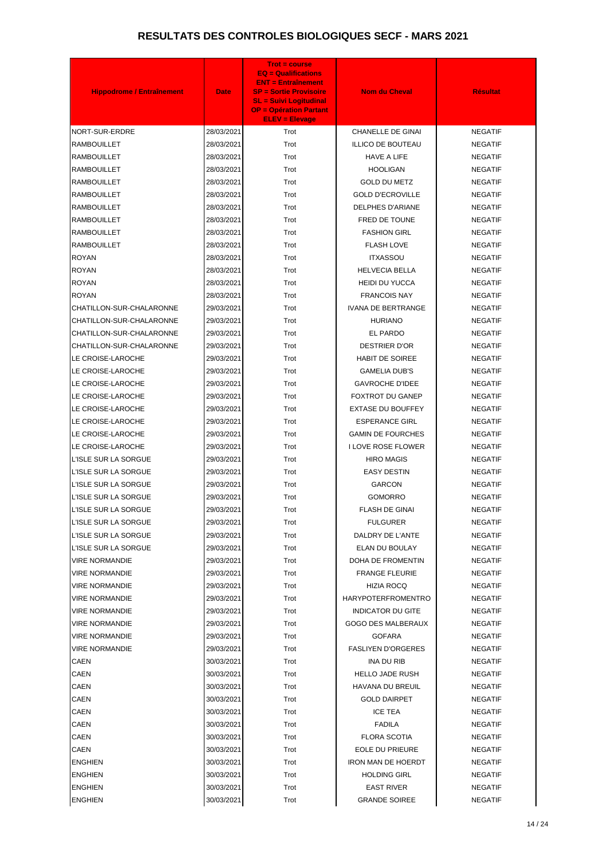| <b>Hippodrome / Entraînement</b> | <b>Date</b> | <b>Trot = course</b><br><b>EQ = Qualifications</b><br><b>ENT = Entraînement</b><br><b>SP = Sortie Provisoire</b><br><b>SL = Suivi Logitudinal</b><br><b>OP = Opération Partant</b><br><b>ELEV = Elevage</b> | <b>Nom du Cheval</b>      | <b>Résultat</b> |
|----------------------------------|-------------|-------------------------------------------------------------------------------------------------------------------------------------------------------------------------------------------------------------|---------------------------|-----------------|
| NORT-SUR-ERDRE                   | 28/03/2021  | Trot                                                                                                                                                                                                        | <b>CHANELLE DE GINAI</b>  | <b>NEGATIF</b>  |
| <b>RAMBOUILLET</b>               | 28/03/2021  | Trot                                                                                                                                                                                                        | <b>ILLICO DE BOUTEAU</b>  | <b>NEGATIF</b>  |
| <b>RAMBOUILLET</b>               | 28/03/2021  | Trot                                                                                                                                                                                                        | <b>HAVE A LIFE</b>        | <b>NEGATIF</b>  |
| <b>RAMBOUILLET</b>               | 28/03/2021  | Trot                                                                                                                                                                                                        | <b>HOOLIGAN</b>           | <b>NEGATIF</b>  |
| RAMBOUILLET                      | 28/03/2021  | Trot                                                                                                                                                                                                        | <b>GOLD DU METZ</b>       | <b>NEGATIF</b>  |
| <b>RAMBOUILLET</b>               | 28/03/2021  | Trot                                                                                                                                                                                                        | <b>GOLD D'ECROVILLE</b>   | <b>NEGATIF</b>  |
| <b>RAMBOUILLET</b>               | 28/03/2021  | Trot                                                                                                                                                                                                        | <b>DELPHES D'ARIANE</b>   | <b>NEGATIF</b>  |
| <b>RAMBOUILLET</b>               | 28/03/2021  | Trot                                                                                                                                                                                                        | FRED DE TOUNE             | <b>NEGATIF</b>  |
| <b>RAMBOUILLET</b>               | 28/03/2021  | Trot                                                                                                                                                                                                        | <b>FASHION GIRL</b>       | <b>NEGATIF</b>  |
| <b>RAMBOUILLET</b>               | 28/03/2021  | Trot                                                                                                                                                                                                        | <b>FLASH LOVE</b>         | <b>NEGATIF</b>  |
| <b>ROYAN</b>                     | 28/03/2021  | Trot                                                                                                                                                                                                        | <b>ITXASSOU</b>           | <b>NEGATIF</b>  |
| <b>ROYAN</b>                     | 28/03/2021  | Trot                                                                                                                                                                                                        | <b>HELVECIA BELLA</b>     | <b>NEGATIF</b>  |
| <b>ROYAN</b>                     | 28/03/2021  | Trot                                                                                                                                                                                                        | <b>HEIDI DU YUCCA</b>     | <b>NEGATIF</b>  |
| <b>ROYAN</b>                     | 28/03/2021  | Trot                                                                                                                                                                                                        | <b>FRANCOIS NAY</b>       | <b>NEGATIF</b>  |
| CHATILLON-SUR-CHALARONNE         | 29/03/2021  | Trot                                                                                                                                                                                                        | <b>IVANA DE BERTRANGE</b> | <b>NEGATIF</b>  |
| CHATILLON-SUR-CHALARONNE         | 29/03/2021  | Trot                                                                                                                                                                                                        | <b>HURIANO</b>            | <b>NEGATIF</b>  |
| CHATILLON-SUR-CHALARONNE         | 29/03/2021  | Trot                                                                                                                                                                                                        | EL PARDO                  | <b>NEGATIF</b>  |
| CHATILLON-SUR-CHALARONNE         | 29/03/2021  | Trot                                                                                                                                                                                                        | <b>DESTRIER D'OR</b>      | <b>NEGATIF</b>  |
| LE CROISE-LAROCHE                | 29/03/2021  | Trot                                                                                                                                                                                                        | <b>HABIT DE SOIREE</b>    | <b>NEGATIF</b>  |
| LE CROISE-LAROCHE                | 29/03/2021  | Trot                                                                                                                                                                                                        | <b>GAMELIA DUB'S</b>      | <b>NEGATIF</b>  |
| LE CROISE-LAROCHE                | 29/03/2021  | Trot                                                                                                                                                                                                        | <b>GAVROCHE D'IDEE</b>    | <b>NEGATIF</b>  |
| LE CROISE-LAROCHE                | 29/03/2021  | Trot                                                                                                                                                                                                        | <b>FOXTROT DU GANEP</b>   | <b>NEGATIF</b>  |
| LE CROISE-LAROCHE                | 29/03/2021  | Trot                                                                                                                                                                                                        | <b>EXTASE DU BOUFFEY</b>  | <b>NEGATIF</b>  |
| LE CROISE-LAROCHE                | 29/03/2021  | Trot                                                                                                                                                                                                        | <b>ESPERANCE GIRL</b>     | <b>NEGATIF</b>  |
| LE CROISE-LAROCHE                | 29/03/2021  | Trot                                                                                                                                                                                                        | <b>GAMIN DE FOURCHES</b>  | <b>NEGATIF</b>  |
| LE CROISE-LAROCHE                | 29/03/2021  | Trot                                                                                                                                                                                                        | <b>I LOVE ROSE FLOWER</b> | <b>NEGATIF</b>  |
| L'ISLE SUR LA SORGUE             | 29/03/2021  | Trot                                                                                                                                                                                                        | <b>HIRO MAGIS</b>         | <b>NEGATIF</b>  |
| L'ISLE SUR LA SORGUE             | 29/03/2021  | Trot                                                                                                                                                                                                        | <b>EASY DESTIN</b>        | <b>NEGATIF</b>  |
| L'ISLE SUR LA SORGUE             | 29/03/2021  | Trot                                                                                                                                                                                                        | <b>GARCON</b>             | <b>NEGATIF</b>  |
| L'ISLE SUR LA SORGUE             | 29/03/2021  | Trot                                                                                                                                                                                                        | <b>GOMORRO</b>            | <b>NEGATIF</b>  |
| L'ISLE SUR LA SORGUE             | 29/03/2021  | Trot                                                                                                                                                                                                        | <b>FLASH DE GINAI</b>     | <b>NEGATIF</b>  |
| L'ISLE SUR LA SORGUE             | 29/03/2021  | Trot                                                                                                                                                                                                        | <b>FULGURER</b>           | <b>NEGATIF</b>  |
| L'ISLE SUR LA SORGUE             | 29/03/2021  | Trot                                                                                                                                                                                                        | DALDRY DE L'ANTE          | <b>NEGATIF</b>  |
| L'ISLE SUR LA SORGUE             | 29/03/2021  | Trot                                                                                                                                                                                                        | ELAN DU BOULAY            | <b>NEGATIF</b>  |
| VIRE NORMANDIE                   | 29/03/2021  | Trot                                                                                                                                                                                                        | DOHA DE FROMENTIN         | <b>NEGATIF</b>  |
| VIRE NORMANDIE                   | 29/03/2021  | Trot                                                                                                                                                                                                        | <b>FRANGE FLEURIE</b>     | <b>NEGATIF</b>  |
| VIRE NORMANDIE                   | 29/03/2021  | Trot                                                                                                                                                                                                        | HIZIA ROCQ                | <b>NEGATIF</b>  |
| VIRE NORMANDIE                   | 29/03/2021  | Trot                                                                                                                                                                                                        | <b>HARYPOTERFROMENTRO</b> | <b>NEGATIF</b>  |
| VIRE NORMANDIE                   | 29/03/2021  | Trot                                                                                                                                                                                                        | <b>INDICATOR DU GITE</b>  | <b>NEGATIF</b>  |
| VIRE NORMANDIE                   | 29/03/2021  | Trot                                                                                                                                                                                                        | GOGO DES MALBERAUX        | <b>NEGATIF</b>  |
| VIRE NORMANDIE                   | 29/03/2021  | Trot                                                                                                                                                                                                        | <b>GOFARA</b>             | <b>NEGATIF</b>  |
| <b>VIRE NORMANDIE</b>            | 29/03/2021  | Trot                                                                                                                                                                                                        | <b>FASLIYEN D'ORGERES</b> | <b>NEGATIF</b>  |
| CAEN                             | 30/03/2021  | Trot                                                                                                                                                                                                        | <b>INA DU RIB</b>         | <b>NEGATIF</b>  |
| CAEN                             | 30/03/2021  | Trot                                                                                                                                                                                                        | <b>HELLO JADE RUSH</b>    | <b>NEGATIF</b>  |
| <b>CAEN</b>                      | 30/03/2021  | Trot                                                                                                                                                                                                        | HAVANA DU BREUIL          | <b>NEGATIF</b>  |
| CAEN                             | 30/03/2021  | Trot                                                                                                                                                                                                        | <b>GOLD DAIRPET</b>       | <b>NEGATIF</b>  |
| CAEN                             | 30/03/2021  | Trot                                                                                                                                                                                                        | <b>ICE TEA</b>            | <b>NEGATIF</b>  |
| CAEN                             | 30/03/2021  | Trot                                                                                                                                                                                                        | <b>FADILA</b>             | <b>NEGATIF</b>  |
| <b>CAEN</b>                      | 30/03/2021  | Trot                                                                                                                                                                                                        | <b>FLORA SCOTIA</b>       | <b>NEGATIF</b>  |
| CAEN                             | 30/03/2021  | Trot                                                                                                                                                                                                        | <b>EOLE DU PRIEURE</b>    | <b>NEGATIF</b>  |
| <b>ENGHIEN</b>                   | 30/03/2021  | Trot                                                                                                                                                                                                        | <b>IRON MAN DE HOERDT</b> | <b>NEGATIF</b>  |
| <b>ENGHIEN</b>                   | 30/03/2021  | Trot                                                                                                                                                                                                        | <b>HOLDING GIRL</b>       | <b>NEGATIF</b>  |
| <b>ENGHIEN</b>                   | 30/03/2021  | Trot                                                                                                                                                                                                        | <b>EAST RIVER</b>         | <b>NEGATIF</b>  |
| <b>ENGHIEN</b>                   | 30/03/2021  | Trot                                                                                                                                                                                                        | <b>GRANDE SOIREE</b>      | NEGATIF         |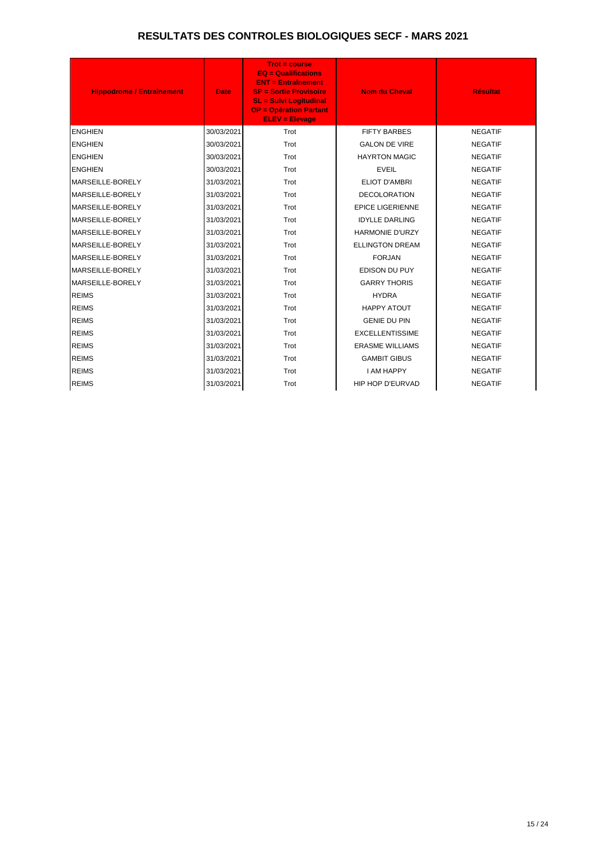| <b>Hippodrome / Entraînement</b> | <b>Date</b> | $Trot = course$<br><b>EQ = Qualifications</b><br><b>ENT = Entraînement</b><br><b>SP = Sortie Provisoire</b><br><b>SL = Suivi Logitudinal</b><br><b>OP = Opération Partant</b><br><b>ELEV = Elevage</b> | <b>Nom du Cheval</b>    | <b>Résultat</b> |
|----------------------------------|-------------|--------------------------------------------------------------------------------------------------------------------------------------------------------------------------------------------------------|-------------------------|-----------------|
| <b>ENGHIEN</b>                   | 30/03/2021  | Trot                                                                                                                                                                                                   | <b>FIFTY BARBES</b>     | <b>NEGATIF</b>  |
| <b>ENGHIEN</b>                   | 30/03/2021  | Trot                                                                                                                                                                                                   | <b>GALON DE VIRE</b>    | <b>NEGATIF</b>  |
| <b>ENGHIEN</b>                   | 30/03/2021  | Trot                                                                                                                                                                                                   | <b>HAYRTON MAGIC</b>    | <b>NEGATIF</b>  |
| <b>ENGHIEN</b>                   | 30/03/2021  | Trot                                                                                                                                                                                                   | <b>EVEIL</b>            | <b>NEGATIF</b>  |
| MARSEILLE-BORELY                 | 31/03/2021  | Trot                                                                                                                                                                                                   | <b>ELIOT D'AMBRI</b>    | <b>NEGATIF</b>  |
| MARSEILLE-BORELY                 | 31/03/2021  | Trot                                                                                                                                                                                                   | <b>DECOLORATION</b>     | <b>NEGATIF</b>  |
| MARSEILLE-BORELY                 | 31/03/2021  | Trot                                                                                                                                                                                                   | <b>EPICE LIGERIENNE</b> | <b>NEGATIF</b>  |
| <b>MARSEILLE-BORELY</b>          | 31/03/2021  | Trot                                                                                                                                                                                                   | <b>IDYLLE DARLING</b>   | <b>NEGATIF</b>  |
| <b>MARSEILLE-BORELY</b>          | 31/03/2021  | Trot                                                                                                                                                                                                   | <b>HARMONIE D'URZY</b>  | <b>NEGATIF</b>  |
| MARSEILLE-BORELY                 | 31/03/2021  | Trot                                                                                                                                                                                                   | <b>ELLINGTON DREAM</b>  | <b>NEGATIF</b>  |
| <b>MARSEILLE-BORELY</b>          | 31/03/2021  | Trot                                                                                                                                                                                                   | <b>FORJAN</b>           | <b>NEGATIF</b>  |
| MARSEILLE-BORELY                 | 31/03/2021  | Trot                                                                                                                                                                                                   | EDISON DU PUY           | <b>NEGATIF</b>  |
| MARSEILLE-BORELY                 | 31/03/2021  | Trot                                                                                                                                                                                                   | <b>GARRY THORIS</b>     | <b>NEGATIF</b>  |
| <b>REIMS</b>                     | 31/03/2021  | Trot                                                                                                                                                                                                   | <b>HYDRA</b>            | <b>NEGATIF</b>  |
| <b>REIMS</b>                     | 31/03/2021  | Trot                                                                                                                                                                                                   | <b>HAPPY ATOUT</b>      | <b>NEGATIF</b>  |
| <b>REIMS</b>                     | 31/03/2021  | Trot                                                                                                                                                                                                   | <b>GENIE DU PIN</b>     | <b>NEGATIF</b>  |
| <b>REIMS</b>                     | 31/03/2021  | Trot                                                                                                                                                                                                   | <b>EXCELLENTISSIME</b>  | <b>NEGATIF</b>  |
| <b>REIMS</b>                     | 31/03/2021  | Trot                                                                                                                                                                                                   | <b>ERASME WILLIAMS</b>  | <b>NEGATIF</b>  |
| <b>REIMS</b>                     | 31/03/2021  | Trot                                                                                                                                                                                                   | <b>GAMBIT GIBUS</b>     | <b>NEGATIF</b>  |
| <b>REIMS</b>                     | 31/03/2021  | Trot                                                                                                                                                                                                   | <b>I AM HAPPY</b>       | <b>NEGATIF</b>  |
| <b>REIMS</b>                     | 31/03/2021  | Trot                                                                                                                                                                                                   | HIP HOP D'EURVAD        | <b>NEGATIF</b>  |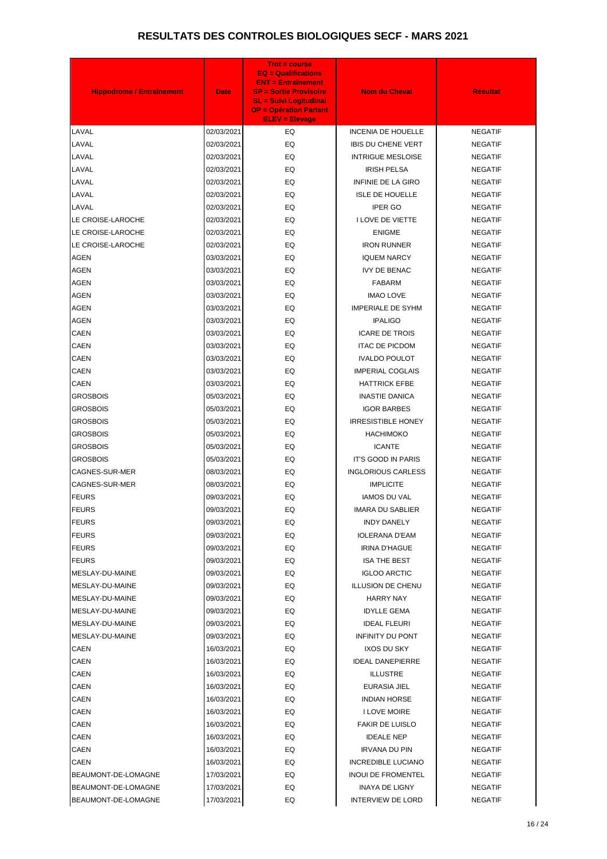| <b>Hippodrome / Entraînement</b> | <b>Date</b> | <b>Trot = course</b><br><b>EQ = Qualifications</b><br><b>ENT = Entraînement</b><br><b>SP = Sortie Provisoire</b><br><b>SL = Suivi Logitudinal</b><br><b>OP = Opération Partant</b><br><b>ELEV = Elevage</b> | <b>Nom du Cheval</b>      | <b>Résultat</b> |
|----------------------------------|-------------|-------------------------------------------------------------------------------------------------------------------------------------------------------------------------------------------------------------|---------------------------|-----------------|
| LAVAL                            | 02/03/2021  | EQ.                                                                                                                                                                                                         | <b>INCENIA DE HOUELLE</b> | <b>NEGATIF</b>  |
| LAVAL                            | 02/03/2021  | EQ                                                                                                                                                                                                          | <b>IBIS DU CHENE VERT</b> | <b>NEGATIF</b>  |
| LAVAL                            | 02/03/2021  | EQ                                                                                                                                                                                                          | <b>INTRIGUE MESLOISE</b>  | <b>NEGATIF</b>  |
| LAVAL                            | 02/03/2021  | EQ                                                                                                                                                                                                          | <b>IRISH PELSA</b>        | <b>NEGATIF</b>  |
| LAVAL                            | 02/03/2021  | EQ                                                                                                                                                                                                          | INFINIE DE LA GIRO        | <b>NEGATIF</b>  |
| LAVAL                            | 02/03/2021  | EQ                                                                                                                                                                                                          | <b>ISLE DE HOUELLE</b>    | <b>NEGATIF</b>  |
| LAVAL                            | 02/03/2021  | EQ                                                                                                                                                                                                          | <b>IPER GO</b>            | <b>NEGATIF</b>  |
| LE CROISE-LAROCHE                | 02/03/2021  | EQ                                                                                                                                                                                                          | I LOVE DE VIETTE          | <b>NEGATIF</b>  |
| LE CROISE-LAROCHE                | 02/03/2021  | EQ                                                                                                                                                                                                          | <b>ENIGME</b>             | <b>NEGATIF</b>  |
| LE CROISE-LAROCHE                | 02/03/2021  | EQ                                                                                                                                                                                                          | <b>IRON RUNNER</b>        | <b>NEGATIF</b>  |
| <b>AGEN</b>                      | 03/03/2021  | EQ                                                                                                                                                                                                          | <b>IQUEM NARCY</b>        | <b>NEGATIF</b>  |
| <b>AGEN</b>                      | 03/03/2021  | EQ                                                                                                                                                                                                          | <b>IVY DE BENAC</b>       | <b>NEGATIF</b>  |
| <b>AGEN</b>                      | 03/03/2021  | EQ                                                                                                                                                                                                          | <b>FABARM</b>             | <b>NEGATIF</b>  |
| <b>AGEN</b>                      | 03/03/2021  | EQ                                                                                                                                                                                                          | <b>IMAO LOVE</b>          | <b>NEGATIF</b>  |
| <b>AGEN</b>                      | 03/03/2021  | EQ                                                                                                                                                                                                          | <b>IMPERIALE DE SYHM</b>  | <b>NEGATIF</b>  |
| <b>AGEN</b>                      | 03/03/2021  | EQ                                                                                                                                                                                                          | <b>IPALIGO</b>            | <b>NEGATIF</b>  |
| <b>CAEN</b>                      | 03/03/2021  | EQ                                                                                                                                                                                                          | <b>ICARE DE TROIS</b>     | <b>NEGATIF</b>  |
| <b>CAEN</b>                      | 03/03/2021  | EQ                                                                                                                                                                                                          | <b>ITAC DE PICDOM</b>     | <b>NEGATIF</b>  |
| <b>CAEN</b>                      | 03/03/2021  | EQ                                                                                                                                                                                                          | <b>IVALDO POULOT</b>      | <b>NEGATIF</b>  |
| <b>CAEN</b>                      | 03/03/2021  | EQ                                                                                                                                                                                                          | <b>IMPERIAL COGLAIS</b>   | <b>NEGATIF</b>  |
| CAEN                             | 03/03/2021  | EQ                                                                                                                                                                                                          | <b>HATTRICK EFBE</b>      | <b>NEGATIF</b>  |
| <b>GROSBOIS</b>                  | 05/03/2021  | EQ                                                                                                                                                                                                          | <b>INASTIE DANICA</b>     | <b>NEGATIF</b>  |
| <b>GROSBOIS</b>                  | 05/03/2021  | EQ                                                                                                                                                                                                          | <b>IGOR BARBES</b>        | <b>NEGATIF</b>  |
| <b>GROSBOIS</b>                  | 05/03/2021  | EQ                                                                                                                                                                                                          | <b>IRRESISTIBLE HONEY</b> | <b>NEGATIF</b>  |
| <b>GROSBOIS</b>                  | 05/03/2021  | EQ                                                                                                                                                                                                          | <b>HACHIMOKO</b>          | <b>NEGATIF</b>  |
| <b>GROSBOIS</b>                  | 05/03/2021  | EQ                                                                                                                                                                                                          | <b>ICANTE</b>             | <b>NEGATIF</b>  |
| GROSBOIS                         | 05/03/2021  | EQ                                                                                                                                                                                                          | IT'S GOOD IN PARIS        | <b>NEGATIF</b>  |
| CAGNES-SUR-MER                   | 08/03/2021  | EQ                                                                                                                                                                                                          | <b>INGLORIOUS CARLESS</b> | <b>NEGATIF</b>  |
| CAGNES-SUR-MER                   | 08/03/2021  | EQ                                                                                                                                                                                                          | <b>IMPLICITE</b>          | <b>NEGATIF</b>  |
| <b>FEURS</b>                     | 09/03/2021  | EQ                                                                                                                                                                                                          | <b>IAMOS DU VAL</b>       | <b>NEGATIF</b>  |
| <b>FEURS</b>                     | 09/03/2021  | EQ                                                                                                                                                                                                          | <b>IMARA DU SABLIER</b>   | <b>NEGATIF</b>  |
| <b>FEURS</b>                     | 09/03/2021  | EQ                                                                                                                                                                                                          | <b>INDY DANELY</b>        | <b>NEGATIF</b>  |
| <b>FEURS</b>                     | 09/03/2021  | EQ                                                                                                                                                                                                          | <b>IOLERANA D'EAM</b>     | <b>NEGATIF</b>  |
| <b>FEURS</b>                     | 09/03/2021  | EQ                                                                                                                                                                                                          | <b>IRINA D'HAGUE</b>      | <b>NEGATIF</b>  |
| <b>FEURS</b>                     | 09/03/2021  | EQ                                                                                                                                                                                                          | <b>ISA THE BEST</b>       | <b>NEGATIF</b>  |
| MESLAY-DU-MAINE                  | 09/03/2021  | EQ                                                                                                                                                                                                          | <b>IGLOO ARCTIC</b>       | <b>NEGATIF</b>  |
| MESLAY-DU-MAINE                  | 09/03/2021  | EQ                                                                                                                                                                                                          | <b>ILLUSION DE CHENU</b>  | <b>NEGATIF</b>  |
| MESLAY-DU-MAINE                  | 09/03/2021  | EQ                                                                                                                                                                                                          | <b>HARRY NAY</b>          | <b>NEGATIF</b>  |
| MESLAY-DU-MAINE                  | 09/03/2021  | EQ                                                                                                                                                                                                          | <b>IDYLLE GEMA</b>        | <b>NEGATIF</b>  |
| MESLAY-DU-MAINE                  | 09/03/2021  | EQ                                                                                                                                                                                                          | <b>IDEAL FLEURI</b>       | <b>NEGATIF</b>  |
| MESLAY-DU-MAINE                  | 09/03/2021  | EQ                                                                                                                                                                                                          | <b>INFINITY DU PONT</b>   | <b>NEGATIF</b>  |
| CAEN                             | 16/03/2021  | EQ                                                                                                                                                                                                          | IXOS DU SKY               | <b>NEGATIF</b>  |
| <b>CAEN</b>                      | 16/03/2021  | EQ                                                                                                                                                                                                          | <b>IDEAL DANEPIERRE</b>   | <b>NEGATIF</b>  |
| CAEN                             | 16/03/2021  | EQ                                                                                                                                                                                                          | <b>ILLUSTRE</b>           | <b>NEGATIF</b>  |
| <b>CAEN</b>                      | 16/03/2021  | EQ                                                                                                                                                                                                          | EURASIA JIEL              | <b>NEGATIF</b>  |
| <b>CAEN</b>                      | 16/03/2021  | EQ                                                                                                                                                                                                          | <b>INDIAN HORSE</b>       | <b>NEGATIF</b>  |
| <b>CAEN</b>                      | 16/03/2021  | EQ                                                                                                                                                                                                          | <b>I LOVE MOIRE</b>       | <b>NEGATIF</b>  |
| <b>CAEN</b>                      | 16/03/2021  | EQ                                                                                                                                                                                                          | <b>FAKIR DE LUISLO</b>    | <b>NEGATIF</b>  |
| CAEN                             | 16/03/2021  | EQ                                                                                                                                                                                                          | <b>IDEALE NEP</b>         | <b>NEGATIF</b>  |
| <b>CAEN</b>                      | 16/03/2021  | EQ                                                                                                                                                                                                          | <b>IRVANA DU PIN</b>      | <b>NEGATIF</b>  |
| CAEN                             | 16/03/2021  | EQ                                                                                                                                                                                                          | <b>INCREDIBLE LUCIANO</b> | <b>NEGATIF</b>  |
| BEAUMONT-DE-LOMAGNE              | 17/03/2021  | EQ                                                                                                                                                                                                          | <b>INOUI DE FROMENTEL</b> | <b>NEGATIF</b>  |
| BEAUMONT-DE-LOMAGNE              | 17/03/2021  | EQ                                                                                                                                                                                                          | <b>INAYA DE LIGNY</b>     | <b>NEGATIF</b>  |
| BEAUMONT-DE-LOMAGNE              | 17/03/2021  | EQ                                                                                                                                                                                                          | <b>INTERVIEW DE LORD</b>  | NEGATIF         |
|                                  |             |                                                                                                                                                                                                             |                           |                 |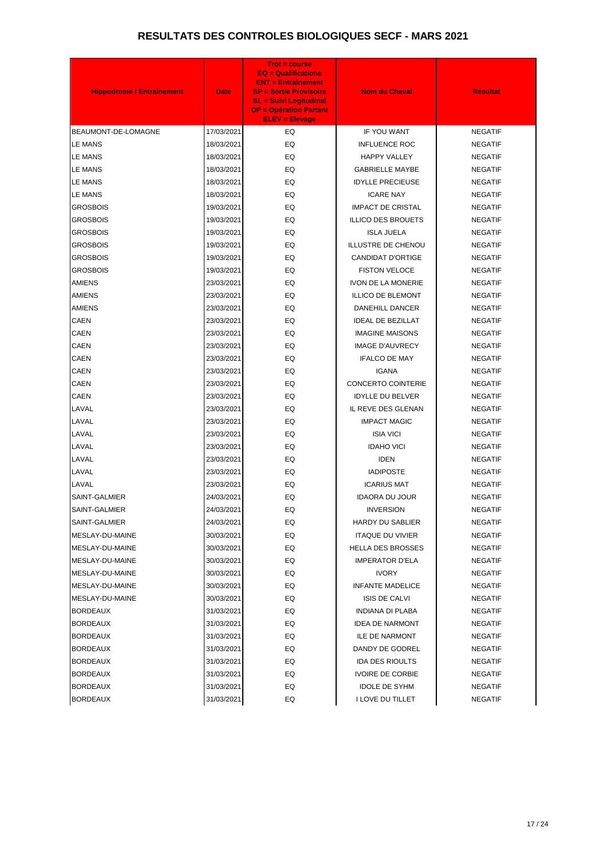| <b>Hippodrome / Entraînement</b>   | <b>Date</b>              | <b>Trot = course</b><br><b>EQ = Qualifications</b><br><b>ENT = Entraînement</b><br><b>SP = Sortie Provisoire</b><br><b>SL = Suivi Logitudinal</b><br><b>OP = Opération Partant</b><br><b>ELEV = Elevage</b> | <b>Nom du Cheval</b>                              | <b>Résultat</b>                  |
|------------------------------------|--------------------------|-------------------------------------------------------------------------------------------------------------------------------------------------------------------------------------------------------------|---------------------------------------------------|----------------------------------|
| BEAUMONT-DE-LOMAGNE                | 17/03/2021               | EQ.                                                                                                                                                                                                         | IF YOU WANT                                       | <b>NEGATIF</b>                   |
| <b>LE MANS</b>                     | 18/03/2021               | EQ.                                                                                                                                                                                                         | <b>INFLUENCE ROC</b>                              | <b>NEGATIF</b>                   |
| <b>LE MANS</b>                     | 18/03/2021               | EQ.                                                                                                                                                                                                         | <b>HAPPY VALLEY</b>                               | <b>NEGATIF</b>                   |
| LE MANS                            | 18/03/2021               | EQ                                                                                                                                                                                                          | <b>GABRIELLE MAYBE</b>                            | <b>NEGATIF</b>                   |
| <b>LE MANS</b>                     | 18/03/2021               | EQ                                                                                                                                                                                                          | <b>IDYLLE PRECIEUSE</b>                           | <b>NEGATIF</b>                   |
| LE MANS                            | 18/03/2021               | EQ                                                                                                                                                                                                          | <b>ICARE NAY</b>                                  | <b>NEGATIF</b>                   |
| <b>GROSBOIS</b>                    | 19/03/2021               | EQ                                                                                                                                                                                                          | <b>IMPACT DE CRISTAL</b>                          | <b>NEGATIF</b>                   |
| <b>GROSBOIS</b>                    | 19/03/2021               | EQ                                                                                                                                                                                                          | <b>ILLICO DES BROUETS</b>                         | <b>NEGATIF</b>                   |
| <b>GROSBOIS</b>                    | 19/03/2021               | EQ                                                                                                                                                                                                          | <b>ISLA JUELA</b>                                 | <b>NEGATIF</b>                   |
| <b>GROSBOIS</b>                    | 19/03/2021               | EQ                                                                                                                                                                                                          | <b>ILLUSTRE DE CHENOU</b>                         | <b>NEGATIF</b>                   |
| <b>GROSBOIS</b>                    | 19/03/2021               | EQ                                                                                                                                                                                                          | <b>CANDIDAT D'ORTIGE</b>                          | <b>NEGATIF</b>                   |
| <b>GROSBOIS</b>                    | 19/03/2021               | EQ                                                                                                                                                                                                          | <b>FISTON VELOCE</b>                              | <b>NEGATIF</b>                   |
| <b>AMIENS</b>                      | 23/03/2021               | EQ                                                                                                                                                                                                          | <b>IVON DE LA MONERIE</b>                         | <b>NEGATIF</b>                   |
| <b>AMIENS</b>                      | 23/03/2021               | EQ                                                                                                                                                                                                          | <b>ILLICO DE BLEMONT</b>                          | <b>NEGATIF</b>                   |
| <b>AMIENS</b>                      | 23/03/2021               | EQ                                                                                                                                                                                                          | DANEHILL DANCER                                   | <b>NEGATIF</b>                   |
| <b>CAEN</b>                        | 23/03/2021               | EQ                                                                                                                                                                                                          | <b>IDEAL DE BEZILLAT</b>                          | <b>NEGATIF</b>                   |
| <b>CAEN</b>                        | 23/03/2021               | EQ                                                                                                                                                                                                          | <b>IMAGINE MAISONS</b>                            | <b>NEGATIF</b>                   |
| <b>CAEN</b>                        | 23/03/2021               | EQ                                                                                                                                                                                                          | <b>IMAGE D'AUVRECY</b>                            | <b>NEGATIF</b>                   |
| <b>CAEN</b>                        | 23/03/2021               | EQ                                                                                                                                                                                                          | <b>IFALCO DE MAY</b>                              | <b>NEGATIF</b>                   |
| <b>CAEN</b>                        | 23/03/2021               | EQ                                                                                                                                                                                                          | <b>IGANA</b>                                      | <b>NEGATIF</b>                   |
| <b>CAEN</b>                        | 23/03/2021               | EQ                                                                                                                                                                                                          | <b>CONCERTO COINTERIE</b>                         | <b>NEGATIF</b>                   |
| <b>CAEN</b>                        | 23/03/2021               | EQ                                                                                                                                                                                                          | <b>IDYLLE DU BELVER</b>                           | <b>NEGATIF</b>                   |
| LAVAL                              | 23/03/2021               | EQ                                                                                                                                                                                                          | IL REVE DES GLENAN                                | <b>NEGATIF</b>                   |
| LAVAL                              | 23/03/2021               | EQ                                                                                                                                                                                                          | <b>IMPACT MAGIC</b>                               | <b>NEGATIF</b>                   |
| LAVAL                              | 23/03/2021               | EQ                                                                                                                                                                                                          | <b>ISIA VICI</b>                                  | <b>NEGATIF</b>                   |
| LAVAL                              | 23/03/2021               | EQ                                                                                                                                                                                                          | <b>IDAHO VICI</b>                                 | <b>NEGATIF</b>                   |
| LAVAL                              | 23/03/2021               | EQ                                                                                                                                                                                                          | <b>IDEN</b>                                       | <b>NEGATIF</b>                   |
| LAVAL                              | 23/03/2021               | EQ                                                                                                                                                                                                          | <b>IADIPOSTE</b>                                  | <b>NEGATIF</b>                   |
| LAVAL                              | 23/03/2021               | EQ                                                                                                                                                                                                          | <b>ICARIUS MAT</b>                                | <b>NEGATIF</b>                   |
| SAINT-GALMIER                      | 24/03/2021               | EQ                                                                                                                                                                                                          | <b>IDAORA DU JOUR</b>                             | <b>NEGATIF</b>                   |
| SAINT-GALMIER                      | 24/03/2021               | EQ                                                                                                                                                                                                          | <b>INVERSION</b>                                  | <b>NEGATIF</b>                   |
| <b>SAINT-GALMIER</b>               | 24/03/2021               | EQ                                                                                                                                                                                                          | <b>HARDY DU SABLIER</b>                           | <b>NEGATIF</b>                   |
| MESLAY-DU-MAINE                    | 30/03/2021               | EQ                                                                                                                                                                                                          | <b>ITAQUE DU VIVIER</b>                           | <b>NEGATIF</b>                   |
| <b>MESLAY-DU-MAINE</b>             | 30/03/2021               | EQ                                                                                                                                                                                                          | <b>HELLA DES BROSSES</b>                          | <b>NEGATIF</b>                   |
| MESLAY-DU-MAINE                    | 30/03/2021               | EQ                                                                                                                                                                                                          | <b>IMPERATOR D'ELA</b>                            | <b>NEGATIF</b>                   |
| MESLAY-DU-MAINE                    | 30/03/2021               | EQ                                                                                                                                                                                                          | <b>IVORY</b>                                      | <b>NEGATIF</b>                   |
| MESLAY-DU-MAINE                    | 30/03/2021               | EQ                                                                                                                                                                                                          | <b>INFANTE MADELICE</b>                           | <b>NEGATIF</b>                   |
| MESLAY-DU-MAINE                    | 30/03/2021               | EQ                                                                                                                                                                                                          | <b>ISIS DE CALVI</b>                              | <b>NEGATIF</b>                   |
| <b>BORDEAUX</b>                    | 31/03/2021               | EQ                                                                                                                                                                                                          | <b>INDIANA DI PLABA</b>                           | <b>NEGATIF</b>                   |
| <b>BORDEAUX</b>                    | 31/03/2021               | EQ                                                                                                                                                                                                          | <b>IDEA DE NARMONT</b>                            | <b>NEGATIF</b>                   |
| <b>BORDEAUX</b>                    | 31/03/2021               | EQ                                                                                                                                                                                                          | ILE DE NARMONT                                    | <b>NEGATIF</b>                   |
| <b>BORDEAUX</b>                    | 31/03/2021               | EQ                                                                                                                                                                                                          | DANDY DE GODREL                                   | <b>NEGATIF</b>                   |
| <b>BORDEAUX</b>                    | 31/03/2021               | EQ<br>EQ                                                                                                                                                                                                    | <b>IDA DES RIOULTS</b><br><b>IVOIRE DE CORBIE</b> | <b>NEGATIF</b>                   |
| <b>BORDEAUX</b><br><b>BORDEAUX</b> | 31/03/2021<br>31/03/2021 | EQ                                                                                                                                                                                                          | <b>IDOLE DE SYHM</b>                              | <b>NEGATIF</b><br><b>NEGATIF</b> |
|                                    |                          | EQ                                                                                                                                                                                                          |                                                   |                                  |
| <b>BORDEAUX</b>                    | 31/03/2021               |                                                                                                                                                                                                             | I LOVE DU TILLET                                  | <b>NEGATIF</b>                   |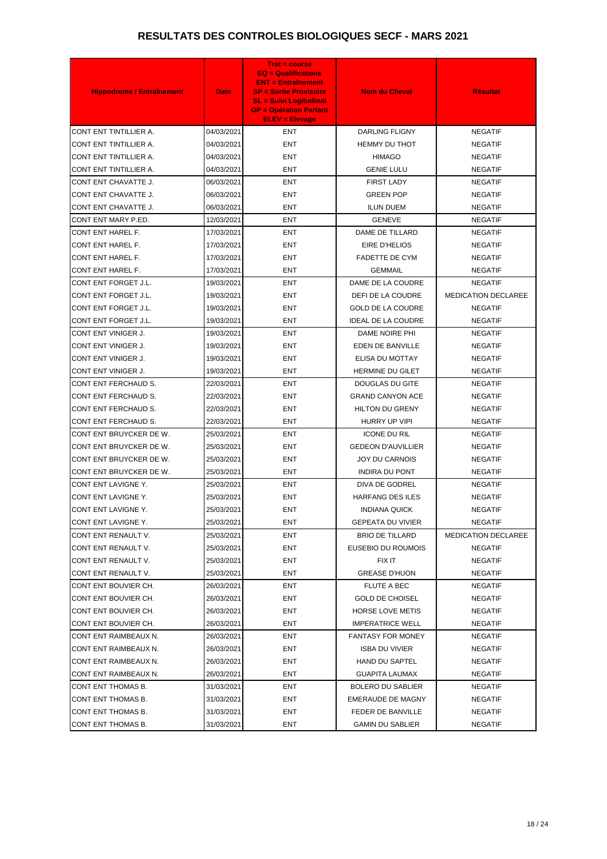| <b>Hippodrome / Entraînement</b> | <b>Date</b> | $Trot = course$<br>$EQ = \text{Qualifications}$<br><b>ENT = Entraînement</b><br><b>SP = Sortie Provisoire</b><br><b>SL = Suivi Logitudinal</b><br><b>OP = Opération Partant</b><br><b>ELEV = Elevage</b> | <b>Nom du Cheval</b>              | <b>Résultat</b>            |
|----------------------------------|-------------|----------------------------------------------------------------------------------------------------------------------------------------------------------------------------------------------------------|-----------------------------------|----------------------------|
| CONT ENT TINTILLIER A.           | 04/03/2021  | <b>ENT</b>                                                                                                                                                                                               | <b>DARLING FLIGNY</b>             | <b>NEGATIF</b>             |
| CONT ENT TINTILLIER A.           | 04/03/2021  | ENT                                                                                                                                                                                                      | <b>HEMMY DU THOT</b>              | <b>NEGATIF</b>             |
| CONT ENT TINTILLIER A.           | 04/03/2021  | ENT                                                                                                                                                                                                      | <b>HIMAGO</b>                     | <b>NEGATIF</b>             |
| CONT ENT TINTILLIER A.           | 04/03/2021  | <b>ENT</b>                                                                                                                                                                                               | <b>GENIE LULU</b>                 | <b>NEGATIF</b>             |
| CONT ENT CHAVATTE J.             | 06/03/2021  | ENT                                                                                                                                                                                                      | <b>FIRST LADY</b>                 | <b>NEGATIF</b>             |
| CONT ENT CHAVATTE J.             | 06/03/2021  | <b>ENT</b>                                                                                                                                                                                               | <b>GREEN POP</b>                  | <b>NEGATIF</b>             |
| CONT ENT CHAVATTE J.             | 06/03/2021  | <b>ENT</b>                                                                                                                                                                                               |                                   | <b>NEGATIF</b>             |
| CONT ENT MARY P.ED.              | 12/03/2021  | <b>ENT</b>                                                                                                                                                                                               | <b>ILUN DUEM</b><br><b>GENEVE</b> | <b>NEGATIF</b>             |
|                                  | 17/03/2021  |                                                                                                                                                                                                          |                                   |                            |
| <b>CONT ENT HAREL F.</b>         |             | <b>ENT</b>                                                                                                                                                                                               | DAME DE TILLARD                   | <b>NEGATIF</b>             |
| CONT ENT HAREL F.                | 17/03/2021  | ENT                                                                                                                                                                                                      | EIRE D'HELIOS                     | <b>NEGATIF</b>             |
| CONT ENT HAREL F.                | 17/03/2021  | <b>ENT</b>                                                                                                                                                                                               | <b>FADETTE DE CYM</b>             | <b>NEGATIF</b>             |
| CONT ENT HAREL F.                | 17/03/2021  | <b>ENT</b>                                                                                                                                                                                               | <b>GEMMAIL</b>                    | <b>NEGATIF</b>             |
| CONT ENT FORGET J.L.             | 19/03/2021  | <b>ENT</b>                                                                                                                                                                                               | DAME DE LA COUDRE                 | <b>NEGATIF</b>             |
| CONT ENT FORGET J.L.             | 19/03/2021  | <b>ENT</b>                                                                                                                                                                                               | DEFI DE LA COUDRE                 | <b>MEDICATION DECLAREE</b> |
| CONT ENT FORGET J.L.             | 19/03/2021  | ENT                                                                                                                                                                                                      | <b>GOLD DE LA COUDRE</b>          | <b>NEGATIF</b>             |
| CONT ENT FORGET J.L.             | 19/03/2021  | <b>ENT</b>                                                                                                                                                                                               | <b>IDEAL DE LA COUDRE</b>         | <b>NEGATIF</b>             |
| CONT ENT VINIGER J.              | 19/03/2021  | <b>ENT</b>                                                                                                                                                                                               | DAME NOIRE PHI                    | <b>NEGATIF</b>             |
| CONT ENT VINIGER J.              | 19/03/2021  | <b>ENT</b>                                                                                                                                                                                               | EDEN DE BANVILLE                  | <b>NEGATIF</b>             |
| CONT ENT VINIGER J.              | 19/03/2021  | ENT                                                                                                                                                                                                      | ELISA DU MOTTAY                   | <b>NEGATIF</b>             |
| CONT ENT VINIGER J.              | 19/03/2021  | <b>ENT</b>                                                                                                                                                                                               | <b>HERMINE DU GILET</b>           | <b>NEGATIF</b>             |
| CONT ENT FERCHAUD S.             | 22/03/2021  | ENT                                                                                                                                                                                                      | DOUGLAS DU GITE                   | <b>NEGATIF</b>             |
| CONT ENT FERCHAUD S.             | 22/03/2021  | ENT                                                                                                                                                                                                      | <b>GRAND CANYON ACE</b>           | <b>NEGATIF</b>             |
| CONT ENT FERCHAUD S.             | 22/03/2021  | ENT                                                                                                                                                                                                      | <b>HILTON DU GRENY</b>            | <b>NEGATIF</b>             |
| CONT ENT FERCHAUD S.             | 22/03/2021  | ENT                                                                                                                                                                                                      | HURRY UP VIPI                     | <b>NEGATIF</b>             |
| CONT ENT BRUYCKER DE W.          | 25/03/2021  | <b>ENT</b>                                                                                                                                                                                               | <b>ICONE DU RIL</b>               | <b>NEGATIF</b>             |
| CONT ENT BRUYCKER DE W.          | 25/03/2021  | ENT                                                                                                                                                                                                      | <b>GEDEON D'AUVILLIER</b>         | <b>NEGATIF</b>             |
| CONT ENT BRUYCKER DE W.          | 25/03/2021  | ENT                                                                                                                                                                                                      | <b>JOY DU CARNOIS</b>             | <b>NEGATIF</b>             |
| CONT ENT BRUYCKER DE W.          | 25/03/2021  | ENT                                                                                                                                                                                                      | <b>INDIRA DU PONT</b>             | <b>NEGATIF</b>             |
| CONT ENT LAVIGNE Y.              | 25/03/2021  | ENT                                                                                                                                                                                                      | DIVA DE GODREL                    | <b>NEGATIF</b>             |
| CONT ENT LAVIGNE Y.              | 25/03/2021  | <b>ENT</b>                                                                                                                                                                                               | <b>HARFANG DES ILES</b>           | <b>NEGATIF</b>             |
| CONT ENT LAVIGNE Y.              | 25/03/2021  | ENT                                                                                                                                                                                                      | <b>INDIANA QUICK</b>              | <b>NEGATIF</b>             |
| CONT ENT LAVIGNE Y.              | 25/03/2021  | ENT                                                                                                                                                                                                      | <b>GEPEATA DU VIVIER</b>          | <b>NEGATIF</b>             |
| CONT ENT RENAULT V.              | 25/03/2021  | ENT                                                                                                                                                                                                      | <b>BRIO DE TILLARD</b>            | <b>MEDICATION DECLAREE</b> |
| CONT ENT RENAULT V.              | 25/03/2021  | <b>ENT</b>                                                                                                                                                                                               | EUSEBIO DU ROUMOIS                | <b>NEGATIF</b>             |
| CONT ENT RENAULT V.              | 25/03/2021  | ENT                                                                                                                                                                                                      | FIX IT                            | <b>NEGATIF</b>             |
| CONT ENT RENAULT V.              | 25/03/2021  | ENT                                                                                                                                                                                                      | <b>GREASE D'HUON</b>              | <b>NEGATIF</b>             |
| CONT ENT BOUVIER CH.             | 26/03/2021  | <b>ENT</b>                                                                                                                                                                                               | <b>FLUTE A BEC</b>                | <b>NEGATIF</b>             |
| CONT ENT BOUVIER CH.             | 26/03/2021  | ENT                                                                                                                                                                                                      | <b>GOLD DE CHOISEL</b>            | <b>NEGATIF</b>             |
| CONT ENT BOUVIER CH.             | 26/03/2021  | <b>ENT</b>                                                                                                                                                                                               | <b>HORSE LOVE METIS</b>           | <b>NEGATIF</b>             |
| CONT ENT BOUVIER CH.             | 26/03/2021  | ENT                                                                                                                                                                                                      | <b>IMPERATRICE WELL</b>           | <b>NEGATIF</b>             |
| CONT ENT RAIMBEAUX N.            | 26/03/2021  | ENT                                                                                                                                                                                                      | <b>FANTASY FOR MONEY</b>          | <b>NEGATIF</b>             |
| CONT ENT RAIMBEAUX N.            | 26/03/2021  | <b>ENT</b>                                                                                                                                                                                               | <b>ISBA DU VIVIER</b>             | <b>NEGATIF</b>             |
| CONT ENT RAIMBEAUX N.            | 26/03/2021  | ENT                                                                                                                                                                                                      | <b>HAND DU SAPTEL</b>             | <b>NEGATIF</b>             |
| CONT ENT RAIMBEAUX N.            | 26/03/2021  | <b>ENT</b>                                                                                                                                                                                               | <b>GUAPITA LAUMAX</b>             | <b>NEGATIF</b>             |
| CONT ENT THOMAS B.               | 31/03/2021  | ENT                                                                                                                                                                                                      | <b>BOLERO DU SABLIER</b>          | <b>NEGATIF</b>             |
| CONT ENT THOMAS B.               | 31/03/2021  | ENT                                                                                                                                                                                                      | EMERAUDE DE MAGNY                 | <b>NEGATIF</b>             |
| CONT ENT THOMAS B.               | 31/03/2021  | ENT                                                                                                                                                                                                      | FEDER DE BANVILLE                 | <b>NEGATIF</b>             |
| CONT ENT THOMAS B.               | 31/03/2021  | ENT                                                                                                                                                                                                      | <b>GAMIN DU SABLIER</b>           | <b>NEGATIF</b>             |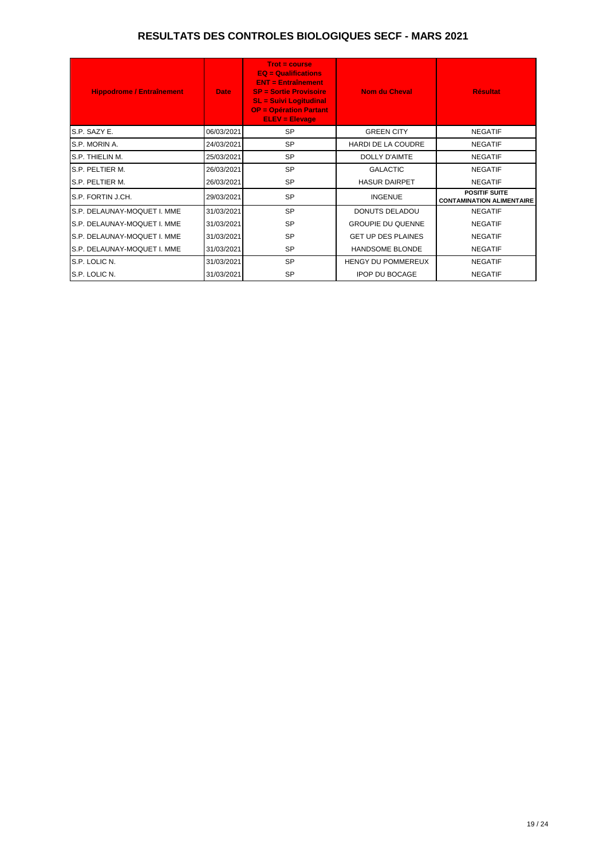| <b>Hippodrome / Entraînement</b> | <b>Date</b> | $Trot = course$<br>$EQ =$ Qualifications<br><b>ENT = Entraînement</b><br><b>SP = Sortie Provisoire</b><br><b>SL = Suivi Logitudinal</b><br><b>OP = Opération Partant</b><br><b>ELEV = Elevage</b> | <b>Nom du Cheval</b>      | <b>Résultat</b>                                          |
|----------------------------------|-------------|---------------------------------------------------------------------------------------------------------------------------------------------------------------------------------------------------|---------------------------|----------------------------------------------------------|
| S.P. SAZY E.                     | 06/03/2021  | <b>SP</b>                                                                                                                                                                                         | <b>GREEN CITY</b>         | <b>NEGATIF</b>                                           |
| IS.P. MORIN A.                   | 24/03/2021  | <b>SP</b>                                                                                                                                                                                         | <b>HARDI DE LA COUDRE</b> | <b>NEGATIF</b>                                           |
| IS.P. THIELIN M.                 | 25/03/2021  | <b>SP</b>                                                                                                                                                                                         | DOLLY D'AIMTE             | <b>NEGATIF</b>                                           |
| IS.P. PELTIER M.                 | 26/03/2021  | <b>SP</b>                                                                                                                                                                                         | <b>GALACTIC</b>           | <b>NEGATIF</b>                                           |
| S.P. PELTIER M.                  | 26/03/2021  | <b>SP</b>                                                                                                                                                                                         | <b>HASUR DAIRPET</b>      | <b>NEGATIF</b>                                           |
| IS.P. FORTIN J.CH.               | 29/03/2021  | <b>SP</b>                                                                                                                                                                                         | <b>INGENUE</b>            | <b>POSITIF SUITE</b><br><b>CONTAMINATION ALIMENTAIRE</b> |
| S.P. DELAUNAY-MOQUET I. MME      | 31/03/2021  | <b>SP</b>                                                                                                                                                                                         | <b>DONUTS DELADOU</b>     | <b>NEGATIF</b>                                           |
| IS.P. DELAUNAY-MOQUET I. MME     | 31/03/2021  | <b>SP</b>                                                                                                                                                                                         | <b>GROUPIE DU QUENNE</b>  | <b>NEGATIF</b>                                           |
| S.P. DELAUNAY-MOQUET I. MME      | 31/03/2021  | <b>SP</b>                                                                                                                                                                                         | <b>GET UP DES PLAINES</b> | <b>NEGATIF</b>                                           |
| S.P. DELAUNAY-MOQUET I. MME      | 31/03/2021  | <b>SP</b>                                                                                                                                                                                         | <b>HANDSOME BLONDE</b>    | <b>NEGATIF</b>                                           |
| S.P. LOLIC N.                    | 31/03/2021  | <b>SP</b>                                                                                                                                                                                         | HENGY DU POMMEREUX        | <b>NEGATIF</b>                                           |
| IS.P. LOLIC N.                   | 31/03/2021  | <b>SP</b>                                                                                                                                                                                         | <b>IPOP DU BOCAGE</b>     | <b>NEGATIF</b>                                           |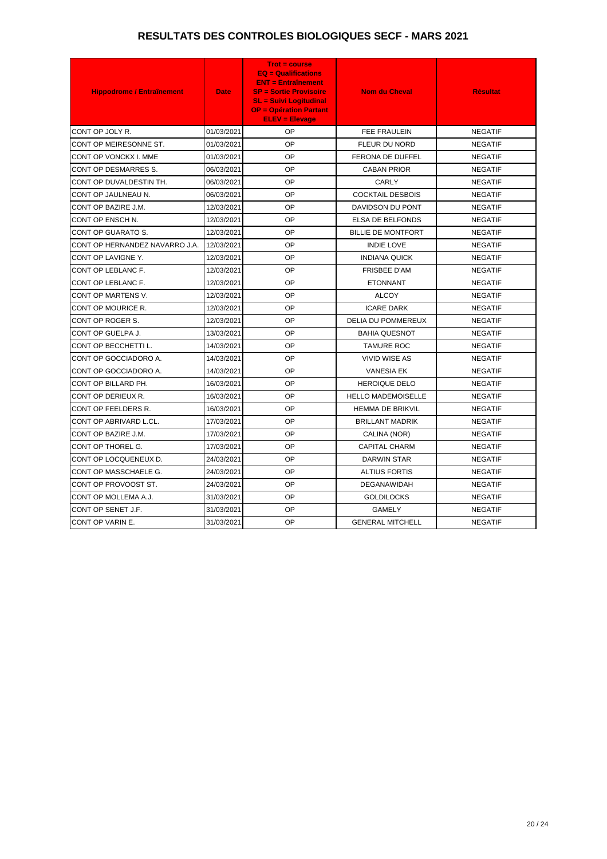| <b>Hippodrome / Entraînement</b> | <b>Date</b> | $Trot = course$<br>$EQ = \text{Qualifications}$<br><b>ENT = Entraînement</b><br><b>SP = Sortie Provisoire</b><br><b>SL = Suivi Logitudinal</b><br><b>OP = Opération Partant</b><br><b>ELEV = Elevage</b> | <b>Nom du Cheval</b>      | <b>Résultat</b> |
|----------------------------------|-------------|----------------------------------------------------------------------------------------------------------------------------------------------------------------------------------------------------------|---------------------------|-----------------|
| CONT OP JOLY R.                  | 01/03/2021  | OP                                                                                                                                                                                                       | <b>FEE FRAULEIN</b>       | <b>NEGATIF</b>  |
| CONT OP MEIRESONNE ST.           | 01/03/2021  | OP                                                                                                                                                                                                       | FLEUR DU NORD             | <b>NEGATIF</b>  |
| CONT OP VONCKX I. MME            | 01/03/2021  | <b>OP</b>                                                                                                                                                                                                | FERONA DE DUFFEL          | <b>NEGATIF</b>  |
| CONT OP DESMARRES S.             | 06/03/2021  | OP                                                                                                                                                                                                       | <b>CABAN PRIOR</b>        | <b>NEGATIF</b>  |
| CONT OP DUVALDESTIN TH.          | 06/03/2021  | OP                                                                                                                                                                                                       | CARLY                     | <b>NEGATIF</b>  |
| CONT OP JAULNEAU N.              | 06/03/2021  | OP                                                                                                                                                                                                       | <b>COCKTAIL DESBOIS</b>   | <b>NEGATIF</b>  |
| CONT OP BAZIRE J.M.              | 12/03/2021  | OP                                                                                                                                                                                                       | DAVIDSON DU PONT          | <b>NEGATIF</b>  |
| CONT OP ENSCH N.                 | 12/03/2021  | OP                                                                                                                                                                                                       | ELSA DE BELFONDS          | <b>NEGATIF</b>  |
| CONT OP GUARATO S.               | 12/03/2021  | OP                                                                                                                                                                                                       | <b>BILLIE DE MONTFORT</b> | <b>NEGATIF</b>  |
| CONT OP HERNANDEZ NAVARRO J.A.   | 12/03/2021  | OP                                                                                                                                                                                                       | <b>INDIE LOVE</b>         | <b>NEGATIF</b>  |
| CONT OP LAVIGNE Y.               | 12/03/2021  | OP                                                                                                                                                                                                       | <b>INDIANA QUICK</b>      | <b>NEGATIF</b>  |
| CONT OP LEBLANC F.               | 12/03/2021  | OP                                                                                                                                                                                                       | <b>FRISBEE D'AM</b>       | <b>NEGATIF</b>  |
| CONT OP LEBLANC F.               | 12/03/2021  | OP                                                                                                                                                                                                       | <b>ETONNANT</b>           | <b>NEGATIF</b>  |
| CONT OP MARTENS V.               | 12/03/2021  | OP                                                                                                                                                                                                       | <b>ALCOY</b>              | <b>NEGATIF</b>  |
| CONT OP MOURICE R.               | 12/03/2021  | OP                                                                                                                                                                                                       | <b>ICARE DARK</b>         | <b>NEGATIF</b>  |
| CONT OP ROGER S.                 | 12/03/2021  | OP                                                                                                                                                                                                       | <b>DELIA DU POMMEREUX</b> | <b>NEGATIF</b>  |
| CONT OP GUELPA J.                | 13/03/2021  | <b>OP</b>                                                                                                                                                                                                | <b>BAHIA QUESNOT</b>      | <b>NEGATIF</b>  |
| CONT OP BECCHETTI L.             | 14/03/2021  | <b>OP</b>                                                                                                                                                                                                | <b>TAMURE ROC</b>         | <b>NEGATIF</b>  |
| CONT OP GOCCIADORO A.            | 14/03/2021  | OP                                                                                                                                                                                                       | <b>VIVID WISE AS</b>      | <b>NEGATIF</b>  |
| CONT OP GOCCIADORO A.            | 14/03/2021  | OP                                                                                                                                                                                                       | <b>VANESIA EK</b>         | <b>NEGATIF</b>  |
| CONT OP BILLARD PH.              | 16/03/2021  | OP                                                                                                                                                                                                       | <b>HEROIQUE DELO</b>      | <b>NEGATIF</b>  |
| CONT OP DERIEUX R.               | 16/03/2021  | <b>OP</b>                                                                                                                                                                                                | <b>HELLO MADEMOISELLE</b> | <b>NEGATIF</b>  |
| CONT OP FEELDERS R.              | 16/03/2021  | OP                                                                                                                                                                                                       | <b>HEMMA DE BRIKVIL</b>   | <b>NEGATIF</b>  |
| CONT OP ABRIVARD L.CL.           | 17/03/2021  | OP                                                                                                                                                                                                       | <b>BRILLANT MADRIK</b>    | <b>NEGATIF</b>  |
| CONT OP BAZIRE J.M.              | 17/03/2021  | OP                                                                                                                                                                                                       | CALINA (NOR)              | <b>NEGATIF</b>  |
| CONT OP THOREL G.                | 17/03/2021  | OP                                                                                                                                                                                                       | CAPITAL CHARM             | <b>NEGATIF</b>  |
| CONT OP LOCQUENEUX D.            | 24/03/2021  | OP.                                                                                                                                                                                                      | DARWIN STAR               | <b>NEGATIF</b>  |
| CONT OP MASSCHAELE G.            | 24/03/2021  | OP.                                                                                                                                                                                                      | <b>ALTIUS FORTIS</b>      | <b>NEGATIF</b>  |
| CONT OP PROVOOST ST.             | 24/03/2021  | OP                                                                                                                                                                                                       | <b>DEGANAWIDAH</b>        | <b>NEGATIF</b>  |
| CONT OP MOLLEMA A.J.             | 31/03/2021  | OP                                                                                                                                                                                                       | <b>GOLDILOCKS</b>         | <b>NEGATIF</b>  |
| CONT OP SENET J.F.               | 31/03/2021  | OP.                                                                                                                                                                                                      | GAMELY                    | <b>NEGATIF</b>  |
| CONT OP VARIN E.                 | 31/03/2021  | OP                                                                                                                                                                                                       | <b>GENERAL MITCHELL</b>   | <b>NEGATIF</b>  |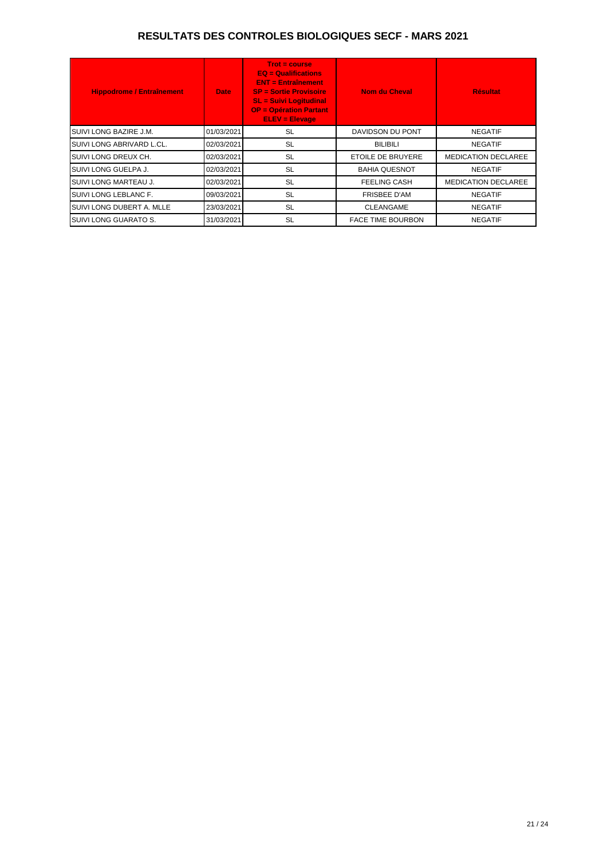| <b>Hippodrome / Entraînement</b> | <b>Date</b> | $Trot = course$<br>$EQ =$ Qualifications<br><b>ENT = Entraînement</b><br><b>SP = Sortie Provisoire</b><br><b>SL = Suivi Logitudinal</b><br><b>OP = Opération Partant</b><br><b>ELEV = Elevage</b> | Nom du Cheval            | <b>Résultat</b>            |
|----------------------------------|-------------|---------------------------------------------------------------------------------------------------------------------------------------------------------------------------------------------------|--------------------------|----------------------------|
| <b>I</b> SUIVI LONG BAZIRE J.M.  | 01/03/2021  | <b>SL</b>                                                                                                                                                                                         | DAVIDSON DU PONT         | <b>NEGATIF</b>             |
| ISUIVI LONG ABRIVARD L.CL.       | 02/03/2021  | <b>SL</b>                                                                                                                                                                                         | <b>BILIBILI</b>          | <b>NEGATIF</b>             |
| ISUIVI LONG DREUX CH.            | 02/03/2021  | <b>SL</b>                                                                                                                                                                                         | ETOILE DE BRUYERE        | <b>MEDICATION DECLAREE</b> |
| <b>I</b> SUIVI LONG GUELPA J.    | 02/03/2021  | <b>SL</b>                                                                                                                                                                                         | <b>BAHIA QUESNOT</b>     | <b>NEGATIF</b>             |
| <b>I</b> SUIVI LONG MARTEAU J.   | 02/03/2021  | <b>SL</b>                                                                                                                                                                                         | <b>FEELING CASH</b>      | <b>MEDICATION DECLAREE</b> |
| <b>I</b> SUIVI LONG LEBLANC F.   | 09/03/2021  | <b>SL</b>                                                                                                                                                                                         | <b>FRISBEE D'AM</b>      | <b>NEGATIF</b>             |
| SUIVI LONG DUBERT A. MLLE        | 23/03/2021  | <b>SL</b>                                                                                                                                                                                         | <b>CLEANGAME</b>         | <b>NEGATIF</b>             |
| <b>I</b> SUIVI LONG GUARATO S.   | 31/03/2021  | <b>SL</b>                                                                                                                                                                                         | <b>FACE TIME BOURBON</b> | <b>NEGATIF</b>             |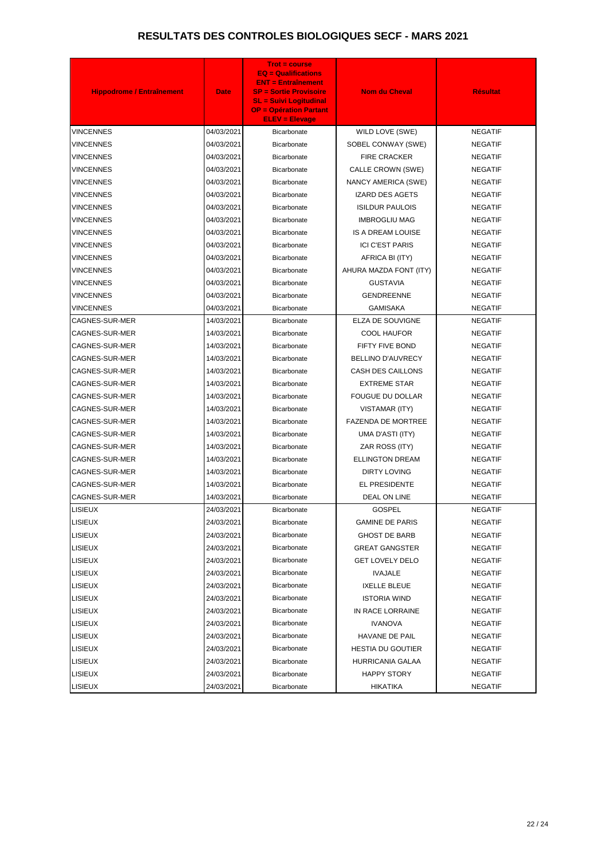| <b>Hippodrome / Entraînement</b> | <b>Date</b> | <b>Trot = course</b><br>$EQ = \text{Qualifications}$<br><b>ENT = Entraînement</b><br><b>SP = Sortie Provisoire</b><br><b>SL = Suivi Logitudinal</b><br><b>OP = Opération Partant</b><br><b>ELEV = Elevage</b> | <b>Nom du Cheval</b>      | <b>Résultat</b> |
|----------------------------------|-------------|---------------------------------------------------------------------------------------------------------------------------------------------------------------------------------------------------------------|---------------------------|-----------------|
| <b>VINCENNES</b>                 | 04/03/2021  | Bicarbonate                                                                                                                                                                                                   | WILD LOVE (SWE)           | <b>NEGATIF</b>  |
| <b>VINCENNES</b>                 | 04/03/2021  | Bicarbonate                                                                                                                                                                                                   | SOBEL CONWAY (SWE)        | <b>NEGATIF</b>  |
| VINCENNES                        | 04/03/2021  | Bicarbonate                                                                                                                                                                                                   | <b>FIRE CRACKER</b>       | <b>NEGATIF</b>  |
| <b>VINCENNES</b>                 | 04/03/2021  | <b>Bicarbonate</b>                                                                                                                                                                                            | CALLE CROWN (SWE)         | <b>NEGATIF</b>  |
| VINCENNES                        | 04/03/2021  | <b>Bicarbonate</b>                                                                                                                                                                                            | NANCY AMERICA (SWE)       | <b>NEGATIF</b>  |
| <b>VINCENNES</b>                 | 04/03/2021  | <b>Bicarbonate</b>                                                                                                                                                                                            | <b>IZARD DES AGETS</b>    | <b>NEGATIF</b>  |
| VINCENNES                        | 04/03/2021  | <b>Bicarbonate</b>                                                                                                                                                                                            | <b>ISILDUR PAULOIS</b>    | <b>NEGATIF</b>  |
| VINCENNES                        | 04/03/2021  | Bicarbonate                                                                                                                                                                                                   | <b>IMBROGLIU MAG</b>      | <b>NEGATIF</b>  |
| VINCENNES                        | 04/03/2021  | <b>Bicarbonate</b>                                                                                                                                                                                            | IS A DREAM LOUISE         | <b>NEGATIF</b>  |
| <b>VINCENNES</b>                 | 04/03/2021  | Bicarbonate                                                                                                                                                                                                   | <b>ICI C'EST PARIS</b>    | <b>NEGATIF</b>  |
| VINCENNES                        | 04/03/2021  | <b>Bicarbonate</b>                                                                                                                                                                                            | AFRICA BI (ITY)           | <b>NEGATIF</b>  |
| VINCENNES                        | 04/03/2021  | Bicarbonate                                                                                                                                                                                                   | AHURA MAZDA FONT (ITY)    | <b>NEGATIF</b>  |
| VINCENNES                        | 04/03/2021  | <b>Bicarbonate</b>                                                                                                                                                                                            | <b>GUSTAVIA</b>           | <b>NEGATIF</b>  |
| VINCENNES                        | 04/03/2021  | <b>Bicarbonate</b>                                                                                                                                                                                            | <b>GENDREENNE</b>         | <b>NEGATIF</b>  |
| VINCENNES                        | 04/03/2021  | <b>Bicarbonate</b>                                                                                                                                                                                            | <b>GAMISAKA</b>           | <b>NEGATIF</b>  |
| CAGNES-SUR-MER                   | 14/03/2021  | <b>Bicarbonate</b>                                                                                                                                                                                            | ELZA DE SOUVIGNE          | <b>NEGATIF</b>  |
| CAGNES-SUR-MER                   | 14/03/2021  | Bicarbonate                                                                                                                                                                                                   | <b>COOL HAUFOR</b>        | <b>NEGATIF</b>  |
| CAGNES-SUR-MER                   | 14/03/2021  | Bicarbonate                                                                                                                                                                                                   | FIFTY FIVE BOND           | <b>NEGATIF</b>  |
| CAGNES-SUR-MER                   | 14/03/2021  | Bicarbonate                                                                                                                                                                                                   | BELLINO D'AUVRECY         | <b>NEGATIF</b>  |
| CAGNES-SUR-MER                   | 14/03/2021  | Bicarbonate                                                                                                                                                                                                   | CASH DES CAILLONS         | <b>NEGATIF</b>  |
| CAGNES-SUR-MER                   | 14/03/2021  | <b>Bicarbonate</b>                                                                                                                                                                                            | <b>EXTREME STAR</b>       | <b>NEGATIF</b>  |
| CAGNES-SUR-MER                   | 14/03/2021  | Bicarbonate                                                                                                                                                                                                   | <b>FOUGUE DU DOLLAR</b>   | <b>NEGATIF</b>  |
| CAGNES-SUR-MER                   | 14/03/2021  | <b>Bicarbonate</b>                                                                                                                                                                                            | VISTAMAR (ITY)            | <b>NEGATIF</b>  |
| CAGNES-SUR-MER                   | 14/03/2021  | Bicarbonate                                                                                                                                                                                                   | <b>FAZENDA DE MORTREE</b> | <b>NEGATIF</b>  |
| CAGNES-SUR-MER                   | 14/03/2021  | Bicarbonate                                                                                                                                                                                                   | UMA D'ASTI (ITY)          | <b>NEGATIF</b>  |
| <b>CAGNES-SUR-MER</b>            | 14/03/2021  | <b>Bicarbonate</b>                                                                                                                                                                                            | ZAR ROSS (ITY)            | <b>NEGATIF</b>  |
| CAGNES-SUR-MER                   | 14/03/2021  | <b>Bicarbonate</b>                                                                                                                                                                                            | <b>ELLINGTON DREAM</b>    | <b>NEGATIF</b>  |
| CAGNES-SUR-MER                   | 14/03/2021  | Bicarbonate                                                                                                                                                                                                   | <b>DIRTY LOVING</b>       | <b>NEGATIF</b>  |
| CAGNES-SUR-MER                   | 14/03/2021  | Bicarbonate                                                                                                                                                                                                   | <b>EL PRESIDENTE</b>      | <b>NEGATIF</b>  |
| CAGNES-SUR-MER                   | 14/03/2021  | Bicarbonate                                                                                                                                                                                                   | DEAL ON LINE              | <b>NEGATIF</b>  |
| <b>LISIEUX</b>                   | 24/03/2021  | <b>Bicarbonate</b>                                                                                                                                                                                            | <b>GOSPEL</b>             | <b>NEGATIF</b>  |
| <b>LISIEUX</b>                   | 24/03/2021  | <b>Bicarbonate</b>                                                                                                                                                                                            | <b>GAMINE DE PARIS</b>    | <b>NEGATIF</b>  |
| <b>LISIEUX</b>                   | 24/03/2021  | Bicarbonate                                                                                                                                                                                                   | <b>GHOST DE BARB</b>      | <b>NEGATIF</b>  |
| <b>LISIEUX</b>                   | 24/03/2021  | Bicarbonate                                                                                                                                                                                                   | <b>GREAT GANGSTER</b>     | <b>NEGATIF</b>  |
| <b>LISIEUX</b>                   | 24/03/2021  | <b>Bicarbonate</b>                                                                                                                                                                                            | <b>GET LOVELY DELO</b>    | <b>NEGATIF</b>  |
| <b>LISIEUX</b>                   | 24/03/2021  | Bicarbonate                                                                                                                                                                                                   | <b>IVAJALE</b>            | <b>NEGATIF</b>  |
| <b>LISIEUX</b>                   | 24/03/2021  | <b>Bicarbonate</b>                                                                                                                                                                                            | <b>IXELLE BLEUE</b>       | <b>NEGATIF</b>  |
| <b>LISIEUX</b>                   | 24/03/2021  | Bicarbonate                                                                                                                                                                                                   | <b>ISTORIA WIND</b>       | <b>NEGATIF</b>  |
| <b>LISIEUX</b>                   | 24/03/2021  | Bicarbonate                                                                                                                                                                                                   | IN RACE LORRAINE          | <b>NEGATIF</b>  |
| <b>LISIEUX</b>                   | 24/03/2021  | Bicarbonate                                                                                                                                                                                                   | <b>IVANOVA</b>            | <b>NEGATIF</b>  |
| <b>LISIEUX</b>                   | 24/03/2021  | Bicarbonate                                                                                                                                                                                                   | HAVANE DE PAIL            | <b>NEGATIF</b>  |
| <b>LISIEUX</b>                   | 24/03/2021  | Bicarbonate                                                                                                                                                                                                   | <b>HESTIA DU GOUTIER</b>  | <b>NEGATIF</b>  |
| <b>LISIEUX</b>                   | 24/03/2021  | Bicarbonate                                                                                                                                                                                                   | HURRICANIA GALAA          | <b>NEGATIF</b>  |
| <b>LISIEUX</b>                   | 24/03/2021  | Bicarbonate                                                                                                                                                                                                   | <b>HAPPY STORY</b>        | <b>NEGATIF</b>  |
| <b>LISIEUX</b>                   | 24/03/2021  | <b>Bicarbonate</b>                                                                                                                                                                                            | <b>HIKATIKA</b>           | <b>NEGATIF</b>  |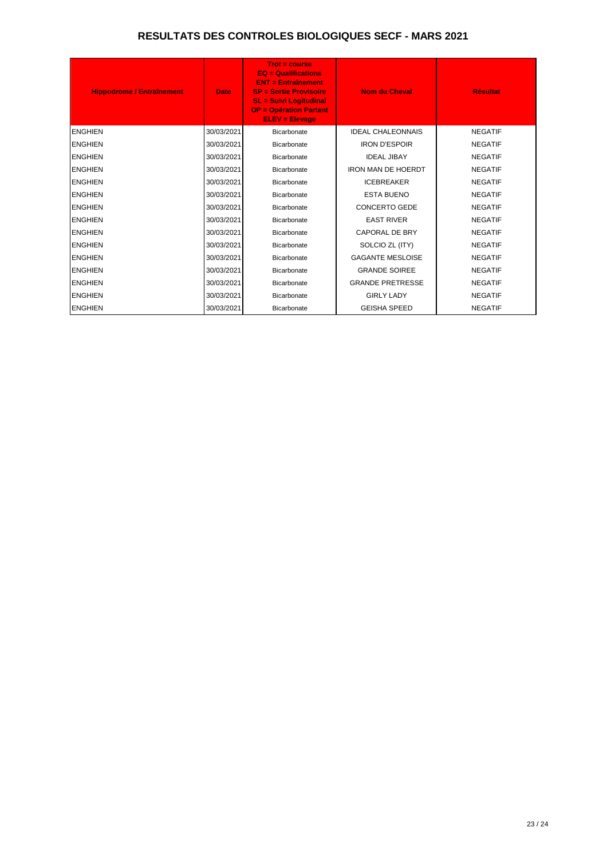| <b>Hippodrome / Entraînement</b> | <b>Date</b> | $Trot = course$<br>$EQ =$ Qualifications<br><b>ENT = Entraînement</b><br><b>SP = Sortie Provisoire</b><br><b>SL = Suivi Logitudinal</b><br><b>OP = Opération Partant</b><br><b>ELEV = Elevage</b> | <b>Nom du Cheval</b>      | <b>Résultat</b> |
|----------------------------------|-------------|---------------------------------------------------------------------------------------------------------------------------------------------------------------------------------------------------|---------------------------|-----------------|
| <b>ENGHIEN</b>                   | 30/03/2021  | <b>Bicarbonate</b>                                                                                                                                                                                | <b>IDEAL CHALEONNAIS</b>  | <b>NEGATIF</b>  |
| <b>ENGHIEN</b>                   | 30/03/2021  | <b>Bicarbonate</b>                                                                                                                                                                                | <b>IRON D'ESPOIR</b>      | <b>NEGATIF</b>  |
| <b>ENGHIEN</b>                   | 30/03/2021  | <b>Bicarbonate</b>                                                                                                                                                                                | <b>IDEAL JIBAY</b>        | <b>NEGATIF</b>  |
| <b>ENGHIEN</b>                   | 30/03/2021  | Bicarbonate                                                                                                                                                                                       | <b>IRON MAN DE HOERDT</b> | <b>NEGATIF</b>  |
| <b>ENGHIEN</b>                   | 30/03/2021  | Bicarbonate                                                                                                                                                                                       | <b>ICEBREAKER</b>         | <b>NEGATIF</b>  |
| <b>ENGHIEN</b>                   | 30/03/2021  | <b>Bicarbonate</b>                                                                                                                                                                                | <b>ESTA BUENO</b>         | <b>NEGATIF</b>  |
| <b>ENGHIEN</b>                   | 30/03/2021  | Bicarbonate                                                                                                                                                                                       | <b>CONCERTO GEDE</b>      | <b>NEGATIF</b>  |
| <b>ENGHIEN</b>                   | 30/03/2021  | <b>Bicarbonate</b>                                                                                                                                                                                | <b>EAST RIVER</b>         | <b>NEGATIF</b>  |
| <b>ENGHIEN</b>                   | 30/03/2021  | <b>Bicarbonate</b>                                                                                                                                                                                | <b>CAPORAL DE BRY</b>     | <b>NEGATIF</b>  |
| <b>ENGHIEN</b>                   | 30/03/2021  | Bicarbonate                                                                                                                                                                                       | SOLCIO ZL (ITY)           | <b>NEGATIF</b>  |
| <b>ENGHIEN</b>                   | 30/03/2021  | Bicarbonate                                                                                                                                                                                       | <b>GAGANTE MESLOISE</b>   | <b>NEGATIF</b>  |
| <b>ENGHIEN</b>                   | 30/03/2021  | Bicarbonate                                                                                                                                                                                       | <b>GRANDE SOIREE</b>      | <b>NEGATIF</b>  |
| <b>ENGHIEN</b>                   | 30/03/2021  | Bicarbonate                                                                                                                                                                                       | <b>GRANDE PRETRESSE</b>   | <b>NEGATIF</b>  |
| <b>ENGHIEN</b>                   | 30/03/2021  | <b>Bicarbonate</b>                                                                                                                                                                                | <b>GIRLY LADY</b>         | <b>NEGATIF</b>  |
| <b>ENGHIEN</b>                   | 30/03/2021  | <b>Bicarbonate</b>                                                                                                                                                                                | <b>GEISHA SPEED</b>       | <b>NEGATIF</b>  |